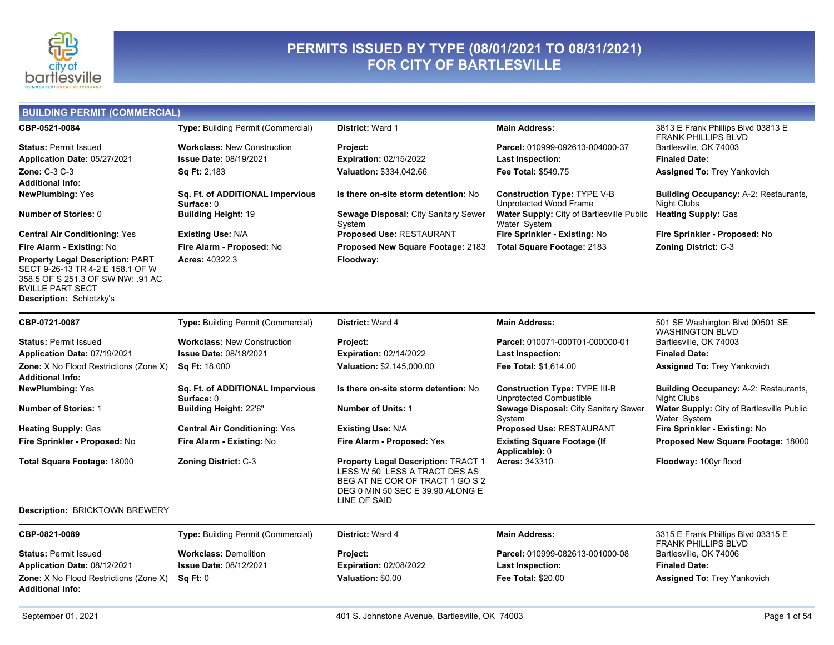

# PERMITS ISSUED BY TYPE (08/01/2021 TO 08/31/2021)<br>FOR CITY OF BARTLESVILLE

| <b>BUILDING PERMIT (COMMERCIAL)</b>                                                                                                                                     |                                                |                                                                                                                                                                    |                                                                 |                                                                    |
|-------------------------------------------------------------------------------------------------------------------------------------------------------------------------|------------------------------------------------|--------------------------------------------------------------------------------------------------------------------------------------------------------------------|-----------------------------------------------------------------|--------------------------------------------------------------------|
| CBP-0521-0084                                                                                                                                                           | <b>Type: Building Permit (Commercial)</b>      | <b>District: Ward 1</b>                                                                                                                                            | <b>Main Address:</b>                                            | 3813 E Frank Phillips Blvd 03813 E<br><b>FRANK PHILLIPS BLVD</b>   |
| <b>Status: Permit Issued</b>                                                                                                                                            | <b>Workclass: New Construction</b>             | Project:                                                                                                                                                           | Parcel: 010999-092613-004000-37                                 | Bartlesville, OK 74003                                             |
| Application Date: 05/27/2021                                                                                                                                            | <b>Issue Date: 08/19/2021</b>                  | <b>Expiration: 02/15/2022</b>                                                                                                                                      | <b>Last Inspection:</b>                                         | <b>Finaled Date:</b>                                               |
| <b>Zone: C-3 C-3</b>                                                                                                                                                    | Sq Ft: 2,183                                   | Valuation: \$334,042.66                                                                                                                                            | Fee Total: \$549.75                                             | <b>Assigned To: Trey Yankovich</b>                                 |
| <b>Additional Info:</b>                                                                                                                                                 |                                                |                                                                                                                                                                    |                                                                 |                                                                    |
| <b>NewPlumbing: Yes</b>                                                                                                                                                 | Sq. Ft. of ADDITIONAL Impervious<br>Surface: 0 | Is there on-site storm detention: No                                                                                                                               | <b>Construction Type: TYPE V-B</b><br>Unprotected Wood Frame    | <b>Building Occupancy: A-2: Restaurants,</b><br><b>Night Clubs</b> |
| Number of Stories: 0                                                                                                                                                    | <b>Building Height: 19</b>                     | Sewage Disposal: City Sanitary Sewer<br>System                                                                                                                     | Water Supply: City of Bartlesville Public<br>Water System       | <b>Heating Supply: Gas</b>                                         |
| <b>Central Air Conditioning: Yes</b>                                                                                                                                    | <b>Existing Use: N/A</b>                       | Proposed Use: RESTAURANT                                                                                                                                           | Fire Sprinkler - Existing: No                                   | Fire Sprinkler - Proposed: No                                      |
| Fire Alarm - Existing: No                                                                                                                                               | Fire Alarm - Proposed: No                      | Proposed New Square Footage: 2183                                                                                                                                  | Total Square Footage: 2183                                      | <b>Zoning District: C-3</b>                                        |
| <b>Property Legal Description: PART</b><br>SECT 9-26-13 TR 4-2 E 158.1 OF W<br>358.5 OF S 251.3 OF SW NW: .91 AC<br><b>BVILLE PART SECT</b><br>Description: Schlotzky's | Acres: 40322.3                                 | Floodway:                                                                                                                                                          |                                                                 |                                                                    |
| CBP-0721-0087                                                                                                                                                           | <b>Type: Building Permit (Commercial)</b>      | <b>District: Ward 4</b>                                                                                                                                            | <b>Main Address:</b>                                            | 501 SE Washington Blvd 00501 SE<br><b>WASHINGTON BLVD</b>          |
| <b>Status: Permit Issued</b>                                                                                                                                            | <b>Workclass: New Construction</b>             | Project:                                                                                                                                                           | Parcel: 010071-000T01-000000-01                                 | Bartlesville, OK 74003                                             |
| Application Date: 07/19/2021                                                                                                                                            | <b>Issue Date: 08/18/2021</b>                  | <b>Expiration: 02/14/2022</b>                                                                                                                                      | <b>Last Inspection:</b>                                         | <b>Finaled Date:</b>                                               |
| Zone: X No Flood Restrictions (Zone X)<br>Additional Info:                                                                                                              | <b>Sq Ft: 18,000</b>                           | Valuation: \$2,145,000.00                                                                                                                                          | Fee Total: \$1,614.00                                           | <b>Assigned To: Trey Yankovich</b>                                 |
| <b>NewPlumbing: Yes</b>                                                                                                                                                 | Sq. Ft. of ADDITIONAL Impervious<br>Surface: 0 | Is there on-site storm detention: No                                                                                                                               | <b>Construction Type: TYPE III-B</b><br>Unprotected Combustible | <b>Building Occupancy: A-2: Restaurants,</b><br><b>Night Clubs</b> |
| <b>Number of Stories: 1</b>                                                                                                                                             | Building Height: 22'6"                         | <b>Number of Units: 1</b>                                                                                                                                          | Sewage Disposal: City Sanitary Sewer<br>System                  | Water Supply: City of Bartlesville Public<br>Water System          |
| <b>Heating Supply: Gas</b>                                                                                                                                              | <b>Central Air Conditioning: Yes</b>           | <b>Existing Use: N/A</b>                                                                                                                                           | Proposed Use: RESTAURANT                                        | Fire Sprinkler - Existing: No                                      |
| Fire Sprinkler - Proposed: No                                                                                                                                           | Fire Alarm - Existing: No                      | Fire Alarm - Proposed: Yes                                                                                                                                         | <b>Existing Square Footage (If</b><br>Applicable): 0            | Proposed New Square Footage: 18000                                 |
| Total Square Footage: 18000                                                                                                                                             | <b>Zoning District: C-3</b>                    | <b>Property Legal Description: TRACT 1</b><br>LESS W 50 LESS A TRACT DES AS<br>BEG AT NE COR OF TRACT 1 GO S 2<br>DEG 0 MIN 50 SEC E 39.90 ALONG E<br>LINE OF SAID | <b>Acres: 343310</b>                                            | Floodway: 100yr flood                                              |
| Description: BRICKTOWN BREWERY                                                                                                                                          |                                                |                                                                                                                                                                    |                                                                 |                                                                    |
| CRD_0821_0080                                                                                                                                                           | Tyno: Ruilding Permit (Commercial)             | Dietrict: Ward A                                                                                                                                                   | Main Address.                                                   | 3315 F Frank Philline Rlvd 03315 F                                 |

| CBP-0821-0089                                 | <b>Type:</b> Building Permit (Commercial)                                  | <b>District:</b> Ward 4       | <b>Main Address:</b>            | 3315 E Frank Phillips Blvd 03315 E |
|-----------------------------------------------|----------------------------------------------------------------------------|-------------------------------|---------------------------------|------------------------------------|
|                                               |                                                                            |                               |                                 | FRANK PHILLIPS BLVD                |
| <b>Status: Permit Issued</b>                  | <b>Workclass: Demolition</b>                                               | <b>Project:</b>               | Parcel: 010999-082613-001000-08 | Bartlesville, OK 74006             |
| Application Date: 08/12/2021                  | <b>Issue Date: 08/12/2021</b>                                              | <b>Expiration: 02/08/2022</b> | <b>Last Inspection:</b>         | <b>Finaled Date:</b>               |
| <b>Zone:</b> X No Flood Restrictions (Zone X) | $\operatorname{\mathbf{Sa}}\nolimits\operatorname{\mathbf{Ft}}\nolimits:0$ | Valuation: \$0.00             | <b>Fee Total: \$20.00</b>       | <b>Assigned To: Trey Yankovich</b> |
| <b>Additional Info:</b>                       |                                                                            |                               |                                 |                                    |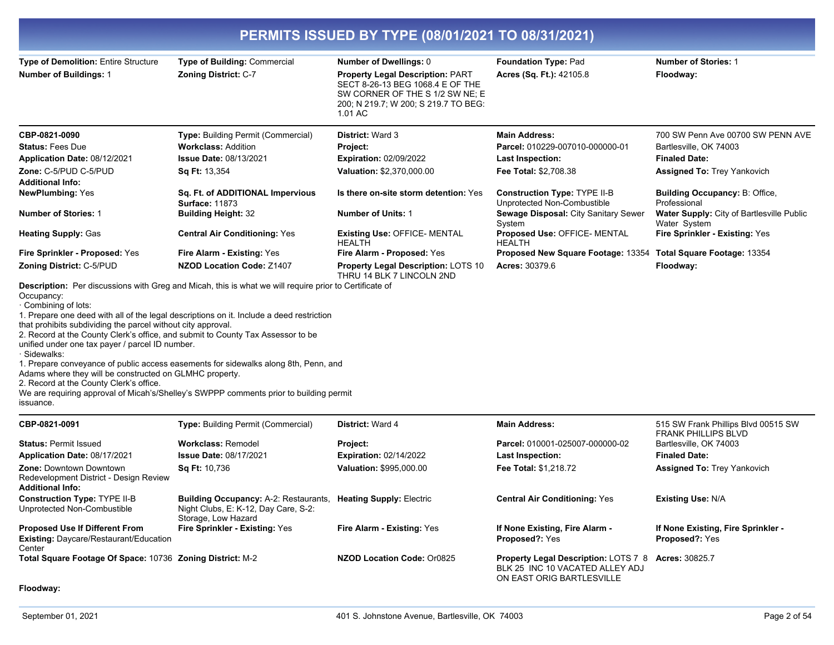| PERMITS ISSUED BY TYPE (08/01/2021 TO 08/31/2021)                                                                                                                                                                                                                                                                                                                         |                                                                                                                                                                                                                                                                           |                                                                                                                                                                   |                                                                                                                     |                                                                   |  |
|---------------------------------------------------------------------------------------------------------------------------------------------------------------------------------------------------------------------------------------------------------------------------------------------------------------------------------------------------------------------------|---------------------------------------------------------------------------------------------------------------------------------------------------------------------------------------------------------------------------------------------------------------------------|-------------------------------------------------------------------------------------------------------------------------------------------------------------------|---------------------------------------------------------------------------------------------------------------------|-------------------------------------------------------------------|--|
| Type of Demolition: Entire Structure                                                                                                                                                                                                                                                                                                                                      | Type of Building: Commercial                                                                                                                                                                                                                                              | Number of Dwellings: 0                                                                                                                                            | Foundation Type: Pad                                                                                                | <b>Number of Stories: 1</b>                                       |  |
| <b>Number of Buildings: 1</b>                                                                                                                                                                                                                                                                                                                                             | <b>Zoning District: C-7</b>                                                                                                                                                                                                                                               | <b>Property Legal Description: PART</b><br>SECT 8-26-13 BEG 1068.4 E OF THE<br>SW CORNER OF THE S 1/2 SW NE: E<br>200; N 219.7; W 200; S 219.7 TO BEG:<br>1.01 AC | Acres (Sq. Ft.): 42105.8                                                                                            | Floodway:                                                         |  |
| CBP-0821-0090                                                                                                                                                                                                                                                                                                                                                             | Type: Building Permit (Commercial)                                                                                                                                                                                                                                        | <b>District: Ward 3</b>                                                                                                                                           | <b>Main Address:</b>                                                                                                | 700 SW Penn Ave 00700 SW PENN AVE                                 |  |
| <b>Status: Fees Due</b>                                                                                                                                                                                                                                                                                                                                                   | <b>Workclass: Addition</b>                                                                                                                                                                                                                                                | Project:                                                                                                                                                          | Parcel: 010229-007010-000000-01                                                                                     | Bartlesville, OK 74003                                            |  |
| Application Date: 08/12/2021                                                                                                                                                                                                                                                                                                                                              | <b>Issue Date: 08/13/2021</b>                                                                                                                                                                                                                                             | <b>Expiration: 02/09/2022</b>                                                                                                                                     | <b>Last Inspection:</b>                                                                                             | <b>Finaled Date:</b>                                              |  |
| Zone: C-5/PUD C-5/PUD                                                                                                                                                                                                                                                                                                                                                     | <b>Sq Ft: 13,354</b>                                                                                                                                                                                                                                                      | Valuation: \$2,370,000.00                                                                                                                                         | Fee Total: \$2,708.38                                                                                               | <b>Assigned To: Trey Yankovich</b>                                |  |
| <b>Additional Info:</b>                                                                                                                                                                                                                                                                                                                                                   |                                                                                                                                                                                                                                                                           |                                                                                                                                                                   |                                                                                                                     |                                                                   |  |
| <b>NewPlumbing: Yes</b>                                                                                                                                                                                                                                                                                                                                                   | Sq. Ft. of ADDITIONAL Impervious<br><b>Surface: 11873</b>                                                                                                                                                                                                                 | Is there on-site storm detention: Yes                                                                                                                             | <b>Construction Type: TYPE II-B</b><br>Unprotected Non-Combustible                                                  | Building Occupancy: B: Office,<br>Professional                    |  |
| <b>Number of Stories: 1</b>                                                                                                                                                                                                                                                                                                                                               | <b>Building Height: 32</b>                                                                                                                                                                                                                                                | <b>Number of Units: 1</b>                                                                                                                                         | Sewage Disposal: City Sanitary Sewer<br>System                                                                      | Water Supply: City of Bartlesville Public<br>Water System         |  |
| <b>Heating Supply: Gas</b>                                                                                                                                                                                                                                                                                                                                                | <b>Central Air Conditioning: Yes</b>                                                                                                                                                                                                                                      | <b>Existing Use: OFFICE- MENTAL</b><br><b>HEALTH</b>                                                                                                              | Proposed Use: OFFICE- MENTAL<br><b>HEALTH</b>                                                                       | Fire Sprinkler - Existing: Yes                                    |  |
| Fire Sprinkler - Proposed: Yes                                                                                                                                                                                                                                                                                                                                            | <b>Fire Alarm - Existing: Yes</b>                                                                                                                                                                                                                                         | Fire Alarm - Proposed: Yes                                                                                                                                        | Proposed New Square Footage: 13354                                                                                  | Total Square Footage: 13354                                       |  |
| <b>Zoning District: C-5/PUD</b>                                                                                                                                                                                                                                                                                                                                           | <b>NZOD Location Code: Z1407</b>                                                                                                                                                                                                                                          | Property Legal Description: LOTS 10<br>THRU 14 BLK 7 LINCOLN 2ND                                                                                                  | Acres: 30379.6                                                                                                      | Floodway:                                                         |  |
| Occupancy:<br>Combining of lots:<br>that prohibits subdividing the parcel without city approval.<br>2. Record at the County Clerk's office, and submit to County Tax Assessor to be<br>unified under one tax payer / parcel ID number.<br>· Sidewalks:<br>Adams where they will be constructed on GLMHC property.<br>2. Record at the County Clerk's office.<br>issuance. | 1. Prepare one deed with all of the legal descriptions on it. Include a deed restriction<br>1. Prepare conveyance of public access easements for sidewalks along 8th, Penn, and<br>We are requiring approval of Micah's/Shelley's SWPPP comments prior to building permit |                                                                                                                                                                   |                                                                                                                     |                                                                   |  |
| CBP-0821-0091                                                                                                                                                                                                                                                                                                                                                             | <b>Type: Building Permit (Commercial)</b>                                                                                                                                                                                                                                 | District: Ward 4                                                                                                                                                  | <b>Main Address:</b>                                                                                                | 515 SW Frank Phillips Blvd 00515 SW<br><b>FRANK PHILLIPS BLVD</b> |  |
| <b>Status: Permit Issued</b>                                                                                                                                                                                                                                                                                                                                              | <b>Workclass: Remodel</b>                                                                                                                                                                                                                                                 | Project:                                                                                                                                                          | Parcel: 010001-025007-000000-02                                                                                     | Bartlesville, OK 74003                                            |  |
| Application Date: 08/17/2021                                                                                                                                                                                                                                                                                                                                              | <b>Issue Date: 08/17/2021</b>                                                                                                                                                                                                                                             | <b>Expiration: 02/14/2022</b>                                                                                                                                     | <b>Last Inspection:</b>                                                                                             | <b>Finaled Date:</b>                                              |  |
| <b>Zone: Downtown Downtown</b><br>Redevelopment District - Design Review<br><b>Additional Info:</b>                                                                                                                                                                                                                                                                       | Sq Ft: 10,736                                                                                                                                                                                                                                                             | Valuation: \$995,000.00                                                                                                                                           | Fee Total: \$1,218.72                                                                                               | <b>Assigned To: Trey Yankovich</b>                                |  |
| <b>Construction Type: TYPE II-B</b><br>Unprotected Non-Combustible                                                                                                                                                                                                                                                                                                        | Building Occupancy: A-2: Restaurants, Heating Supply: Electric<br>Night Clubs, E: K-12, Day Care, S-2:<br>Storage, Low Hazard                                                                                                                                             |                                                                                                                                                                   | <b>Central Air Conditioning: Yes</b>                                                                                | <b>Existing Use: N/A</b>                                          |  |
| <b>Proposed Use If Different From</b><br>Existing: Daycare/Restaurant/Education<br>Center                                                                                                                                                                                                                                                                                 | Fire Sprinkler - Existing: Yes                                                                                                                                                                                                                                            | Fire Alarm - Existing: Yes                                                                                                                                        | If None Existing, Fire Alarm -<br>Proposed?: Yes                                                                    | If None Existing, Fire Sprinkler -<br>Proposed?: Yes              |  |
| Total Square Footage Of Space: 10736 Zoning District: M-2                                                                                                                                                                                                                                                                                                                 |                                                                                                                                                                                                                                                                           | NZOD Location Code: Or0825                                                                                                                                        | Property Legal Description: LOTS 7 8 Acres: 30825.7<br>BLK 25 INC 10 VACATED ALLEY ADJ<br>ON EAST ORIG BARTLESVILLE |                                                                   |  |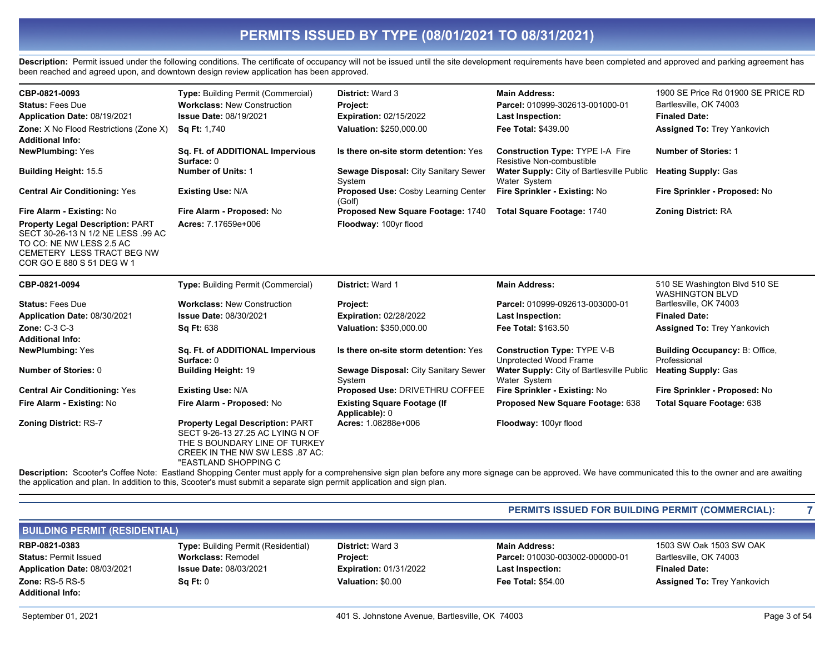Description: Permit issued under the following conditions. The certificate of occupancy will not be issued until the site development requirements have been completed and approved and parking agreement has been reached and agreed upon, and downtown design review application has been approved.

| CBP-0821-0093<br><b>Status: Fees Due</b><br>Application Date: 08/19/2021<br>Zone: X No Flood Restrictions (Zone X)<br><b>Additional Info:</b>                        | Type: Building Permit (Commercial)<br><b>Workclass: New Construction</b><br><b>Issue Date: 08/19/2021</b><br><b>Sq Ft: 1.740</b> | District: Ward 3<br>Project:<br><b>Expiration: 02/15/2022</b><br>Valuation: \$250,000.00 | <b>Main Address:</b><br>Parcel: 010999-302613-001000-01<br><b>Last Inspection:</b><br><b>Fee Total: \$439.00</b> | 1900 SE Price Rd 01900 SE PRICE RD<br>Bartlesville, OK 74003<br><b>Finaled Date:</b><br><b>Assigned To: Trey Yankovich</b> |
|----------------------------------------------------------------------------------------------------------------------------------------------------------------------|----------------------------------------------------------------------------------------------------------------------------------|------------------------------------------------------------------------------------------|------------------------------------------------------------------------------------------------------------------|----------------------------------------------------------------------------------------------------------------------------|
| <b>NewPlumbing: Yes</b>                                                                                                                                              | Sq. Ft. of ADDITIONAL Impervious<br>Surface: 0                                                                                   | Is there on-site storm detention: Yes                                                    | <b>Construction Type: TYPE I-A Fire</b><br>Resistive Non-combustible                                             | <b>Number of Stories: 1</b>                                                                                                |
| <b>Building Height: 15.5</b>                                                                                                                                         | <b>Number of Units: 1</b>                                                                                                        | Sewage Disposal: City Sanitary Sewer<br>System                                           | <b>Water Supply:</b> City of Bartlesville Public<br>Water System                                                 | <b>Heating Supply: Gas</b>                                                                                                 |
| <b>Central Air Conditioning: Yes</b>                                                                                                                                 | <b>Existing Use: N/A</b>                                                                                                         | Proposed Use: Cosby Learning Center<br>(Golf)                                            | Fire Sprinkler - Existing: No                                                                                    | Fire Sprinkler - Proposed: No                                                                                              |
| Fire Alarm - Existing: No                                                                                                                                            | Fire Alarm - Proposed: No                                                                                                        | Proposed New Square Footage: 1740                                                        | Total Square Footage: 1740                                                                                       | <b>Zoning District: RA</b>                                                                                                 |
| <b>Property Legal Description: PART</b><br>SECT 30-26-13 N 1/2 NE LESS .99 AC<br>TO CO: NE NW LESS 2.5 AC<br>CEMETERY LESS TRACT BEG NW<br>COR GO E 880 S 51 DEG W 1 | Acres: 7.17659e+006                                                                                                              | Floodway: 100yr flood                                                                    |                                                                                                                  |                                                                                                                            |
| CBP-0821-0094                                                                                                                                                        | <b>Type: Building Permit (Commercial)</b>                                                                                        | District: Ward 1                                                                         | <b>Main Address:</b>                                                                                             | 510 SE Washington Blvd 510 SE<br><b>WASHINGTON BLVD</b>                                                                    |
|                                                                                                                                                                      |                                                                                                                                  |                                                                                          |                                                                                                                  |                                                                                                                            |
| <b>Status: Fees Due</b>                                                                                                                                              | <b>Workclass: New Construction</b>                                                                                               | Project:                                                                                 | Parcel: 010999-092613-003000-01                                                                                  | Bartlesville, OK 74003                                                                                                     |
| Application Date: 08/30/2021                                                                                                                                         | Issue Date: 08/30/2021                                                                                                           | <b>Expiration: 02/28/2022</b>                                                            | <b>Last Inspection:</b>                                                                                          | <b>Finaled Date:</b>                                                                                                       |
| Zone: C-3 C-3                                                                                                                                                        | <b>Sq Ft: 638</b>                                                                                                                | Valuation: \$350,000.00                                                                  | <b>Fee Total: \$163.50</b>                                                                                       | <b>Assigned To: Trey Yankovich</b>                                                                                         |
| <b>Additional Info:</b>                                                                                                                                              |                                                                                                                                  |                                                                                          |                                                                                                                  |                                                                                                                            |
| <b>NewPlumbing: Yes</b>                                                                                                                                              | Sq. Ft. of ADDITIONAL Impervious<br>Surface: 0                                                                                   | Is there on-site storm detention: Yes                                                    | <b>Construction Type: TYPE V-B</b><br>Unprotected Wood Frame                                                     | <b>Building Occupancy: B: Office,</b><br>Professional                                                                      |
| <b>Number of Stories: 0</b>                                                                                                                                          | <b>Building Height: 19</b>                                                                                                       | Sewage Disposal: City Sanitary Sewer<br>System                                           | Water Supply: City of Bartlesville Public<br>Water System                                                        | <b>Heating Supply: Gas</b>                                                                                                 |
| <b>Central Air Conditioning: Yes</b>                                                                                                                                 | <b>Existing Use: N/A</b>                                                                                                         | Proposed Use: DRIVETHRU COFFEE                                                           | Fire Sprinkler - Existing: No                                                                                    | Fire Sprinkler - Proposed: No                                                                                              |
| Fire Alarm - Existing: No                                                                                                                                            | Fire Alarm - Proposed: No                                                                                                        | <b>Existing Square Footage (If</b><br>Applicable): 0                                     | Proposed New Square Footage: 638                                                                                 | Total Square Footage: 638                                                                                                  |

Description: Scooter's Coffee Note: Eastland Shopping Center must apply for a comprehensive sign plan before any more signage can be approved. We have communicated this to the owner and are awaiting the application and plan. In addition to this, Scooter's must submit a separate sign permit application and sign plan.

#### PERMITS ISSUED FOR BUILDING PERMIT (COMMERCIAL):

| <b>BUILDING PERMIT (RESIDENTIAL)</b> |                                            |                               |                                 |                                    |
|--------------------------------------|--------------------------------------------|-------------------------------|---------------------------------|------------------------------------|
| RBP-0821-0383                        | <b>Type: Building Permit (Residential)</b> | <b>District: Ward 3</b>       | <b>Main Address:</b>            | 1503 SW Oak 1503 SW OAK            |
| <b>Status: Permit Issued</b>         | <b>Workclass: Remodel</b>                  | <b>Project:</b>               | Parcel: 010030-003002-000000-01 | Bartlesville, OK 74003             |
| Application Date: 08/03/2021         | <b>Issue Date: 08/03/2021</b>              | <b>Expiration: 01/31/2022</b> | <b>Last Inspection:</b>         | <b>Finaled Date:</b>               |
| Zone: $RS-5RS-5$                     | SqFt:0                                     | Valuation: \$0.00             | <b>Fee Total: \$54.00</b>       | <b>Assigned To: Trey Yankovich</b> |
| <b>Additional Info:</b>              |                                            |                               |                                 |                                    |

 $\overline{7}$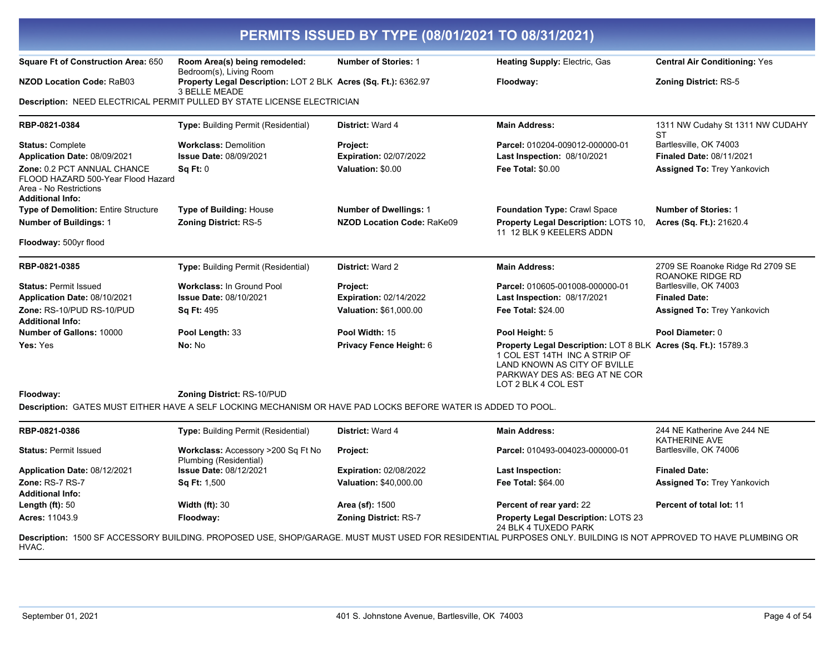| <b>Square Ft of Construction Area: 650</b>                                                                             | Room Area(s) being remodeled:                                                                                 | <b>Number of Stories: 1</b>       | <b>Heating Supply: Electric, Gas</b>                                                                                                                                                    | <b>Central Air Conditioning: Yes</b>         |
|------------------------------------------------------------------------------------------------------------------------|---------------------------------------------------------------------------------------------------------------|-----------------------------------|-----------------------------------------------------------------------------------------------------------------------------------------------------------------------------------------|----------------------------------------------|
| <b>NZOD Location Code: RaB03</b>                                                                                       | Bedroom(s), Living Room<br>Property Legal Description: LOT 2 BLK Acres (Sq. Ft.): 6362.97                     |                                   | Floodway:                                                                                                                                                                               | <b>Zoning District: RS-5</b>                 |
|                                                                                                                        | 3 BELLE MEADE                                                                                                 |                                   |                                                                                                                                                                                         |                                              |
|                                                                                                                        | Description: NEED ELECTRICAL PERMIT PULLED BY STATE LICENSE ELECTRICIAN                                       |                                   |                                                                                                                                                                                         |                                              |
| RBP-0821-0384                                                                                                          | <b>Type: Building Permit (Residential)</b>                                                                    | District: Ward 4                  | <b>Main Address:</b>                                                                                                                                                                    | 1311 NW Cudahy St 1311 NW CUDAHY<br>ST       |
| <b>Status: Complete</b>                                                                                                | <b>Workclass: Demolition</b>                                                                                  | Project:                          | Parcel: 010204-009012-000000-01                                                                                                                                                         | Bartlesville, OK 74003                       |
| Application Date: 08/09/2021                                                                                           | <b>Issue Date: 08/09/2021</b>                                                                                 | <b>Expiration: 02/07/2022</b>     | Last Inspection: 08/10/2021                                                                                                                                                             | <b>Finaled Date: 08/11/2021</b>              |
| Zone: 0.2 PCT ANNUAL CHANCE<br>FLOOD HAZARD 500-Year Flood Hazard<br>Area - No Restrictions<br><b>Additional Info:</b> | Sq Ft: 0                                                                                                      | Valuation: \$0.00                 | <b>Fee Total: \$0.00</b>                                                                                                                                                                | <b>Assigned To: Trey Yankovich</b>           |
| <b>Type of Demolition: Entire Structure</b>                                                                            | <b>Type of Building: House</b>                                                                                | <b>Number of Dwellings: 1</b>     | <b>Foundation Type: Crawl Space</b>                                                                                                                                                     | <b>Number of Stories: 1</b>                  |
| <b>Number of Buildings: 1</b>                                                                                          | Zoning District: RS-5                                                                                         | <b>NZOD Location Code: RaKe09</b> | Property Legal Description: LOTS 10,<br>11 12 BLK 9 KEELERS ADDN                                                                                                                        | Acres (Sq. Ft.): 21620.4                     |
| Floodway: 500yr flood                                                                                                  |                                                                                                               |                                   |                                                                                                                                                                                         |                                              |
| RBP-0821-0385                                                                                                          | Type: Building Permit (Residential)                                                                           | <b>District: Ward 2</b>           | <b>Main Address:</b>                                                                                                                                                                    | 2709 SE Roanoke Ridge Rd 2709 SE             |
| <b>Status: Permit Issued</b>                                                                                           | <b>Workclass: In Ground Pool</b>                                                                              | Project:                          | Parcel: 010605-001008-000000-01                                                                                                                                                         | ROANOKE RIDGE RD<br>Bartlesville, OK 74003   |
| Application Date: 08/10/2021                                                                                           | <b>Issue Date: 08/10/2021</b>                                                                                 | <b>Expiration: 02/14/2022</b>     | Last Inspection: 08/17/2021                                                                                                                                                             | <b>Finaled Date:</b>                         |
| Zone: RS-10/PUD RS-10/PUD<br><b>Additional Info:</b>                                                                   | <b>Sq Ft: 495</b>                                                                                             | <b>Valuation: \$61,000.00</b>     | <b>Fee Total: \$24.00</b>                                                                                                                                                               | <b>Assigned To: Trey Yankovich</b>           |
| <b>Number of Gallons: 10000</b>                                                                                        | Pool Length: 33                                                                                               | Pool Width: 15                    | Pool Height: 5                                                                                                                                                                          | Pool Diameter: 0                             |
| Yes: Yes                                                                                                               | No: No                                                                                                        | Privacy Fence Height: 6           | Property Legal Description: LOT 8 BLK Acres (Sq. Ft.): 15789.3<br>1 COL EST 14TH INC A STRIP OF<br>LAND KNOWN AS CITY OF BVILLE<br>PARKWAY DES AS: BEG AT NE COR<br>LOT 2 BLK 4 COL EST |                                              |
| Floodway:                                                                                                              | <b>Zoning District: RS-10/PUD</b>                                                                             |                                   |                                                                                                                                                                                         |                                              |
|                                                                                                                        | Description: GATES MUST EITHER HAVE A SELF LOCKING MECHANISM OR HAVE PAD LOCKS BEFORE WATER IS ADDED TO POOL. |                                   |                                                                                                                                                                                         |                                              |
| RBP-0821-0386                                                                                                          | Type: Building Permit (Residential)                                                                           | District: Ward 4                  | <b>Main Address:</b>                                                                                                                                                                    | 244 NE Katherine Ave 244 NE<br>KATHERINE AVE |
| <b>Status: Permit Issued</b>                                                                                           | Workclass: Accessory >200 Sq Ft No<br>Plumbing (Residential)                                                  | <b>Project:</b>                   | Parcel: 010493-004023-000000-01                                                                                                                                                         | Bartlesville, OK 74006                       |
| Application Date: 08/12/2021                                                                                           | <b>Issue Date: 08/12/2021</b>                                                                                 | <b>Expiration: 02/08/2022</b>     | Last Inspection:                                                                                                                                                                        | <b>Finaled Date:</b>                         |
| Zone: RS-7 RS-7                                                                                                        | <b>Sq Ft: 1,500</b>                                                                                           | Valuation: \$40,000.00            | Fee Total: \$64.00                                                                                                                                                                      | <b>Assigned To: Trey Yankovich</b>           |
| <b>Additional Info:</b><br>Length $(ft)$ : 50                                                                          | Width $(ft)$ : 30                                                                                             | Area (sf): 1500                   | Percent of rear yard: 22                                                                                                                                                                | Percent of total lot: 11                     |
| Acres: 11043.9                                                                                                         | Floodway:                                                                                                     | Zoning District: RS-7             | Property Legal Description: LOTS 23                                                                                                                                                     |                                              |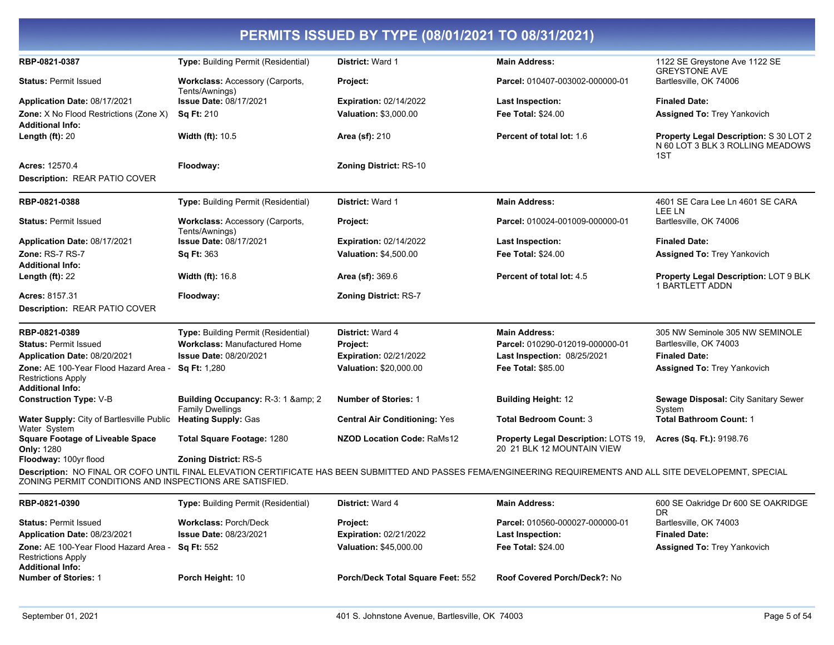| PERMITS ISSUED BY TYPE (08/01/2021 TO 08/31/2021)                                           |                                                           |                                      |                                                                    |                                                                                   |
|---------------------------------------------------------------------------------------------|-----------------------------------------------------------|--------------------------------------|--------------------------------------------------------------------|-----------------------------------------------------------------------------------|
| RBP-0821-0387                                                                               | Type: Building Permit (Residential)                       | District: Ward 1                     | <b>Main Address:</b>                                               | 1122 SE Greystone Ave 1122 SE<br><b>GREYSTONE AVE</b>                             |
| <b>Status: Permit Issued</b>                                                                | Workclass: Accessory (Carports,<br>Tents/Awnings)         | Project:                             | Parcel: 010407-003002-000000-01                                    | Bartlesville, OK 74006                                                            |
| Application Date: 08/17/2021                                                                | <b>Issue Date: 08/17/2021</b>                             | <b>Expiration: 02/14/2022</b>        | <b>Last Inspection:</b>                                            | <b>Finaled Date:</b>                                                              |
| <b>Zone:</b> X No Flood Restrictions (Zone X)<br><b>Additional Info:</b>                    | <b>Sq Ft: 210</b>                                         | <b>Valuation: \$3,000.00</b>         | <b>Fee Total: \$24.00</b>                                          | <b>Assigned To: Trey Yankovich</b>                                                |
| Length $(ft)$ : 20                                                                          | <b>Width (ft): 10.5</b>                                   | <b>Area (sf): 210</b>                | Percent of total lot: 1.6                                          | Property Legal Description: S 30 LOT 2<br>N 60 LOT 3 BLK 3 ROLLING MEADOWS<br>1ST |
| <b>Acres: 12570.4</b>                                                                       | Floodway:                                                 | <b>Zoning District: RS-10</b>        |                                                                    |                                                                                   |
| Description: REAR PATIO COVER                                                               |                                                           |                                      |                                                                    |                                                                                   |
| RBP-0821-0388                                                                               | Type: Building Permit (Residential)                       | District: Ward 1                     | <b>Main Address:</b>                                               | 4601 SE Cara Lee Ln 4601 SE CARA<br>LEE LN                                        |
| <b>Status: Permit Issued</b>                                                                | <b>Workclass: Accessory (Carports,</b><br>Tents/Awnings)  | Project:                             | Parcel: 010024-001009-000000-01                                    | Bartlesville, OK 74006                                                            |
| Application Date: 08/17/2021                                                                | <b>Issue Date: 08/17/2021</b>                             | <b>Expiration: 02/14/2022</b>        | <b>Last Inspection:</b>                                            | <b>Finaled Date:</b>                                                              |
| Zone: RS-7 RS-7                                                                             | Sq Ft: 363                                                | Valuation: \$4,500.00                | <b>Fee Total: \$24.00</b>                                          | <b>Assigned To: Trey Yankovich</b>                                                |
| <b>Additional Info:</b>                                                                     |                                                           |                                      |                                                                    |                                                                                   |
| Length $(ft)$ : 22                                                                          | <b>Width (ft): 16.8</b>                                   | Area (sf): 369.6                     | Percent of total lot: 4.5                                          | Property Legal Description: LOT 9 BLK<br><b>1 BARTLETT ADDN</b>                   |
| <b>Acres: 8157.31</b>                                                                       | Floodway:                                                 | <b>Zoning District: RS-7</b>         |                                                                    |                                                                                   |
| <b>Description: REAR PATIO COVER</b>                                                        |                                                           |                                      |                                                                    |                                                                                   |
| RBP-0821-0389                                                                               | Type: Building Permit (Residential)                       | District: Ward 4                     | <b>Main Address:</b>                                               | 305 NW Seminole 305 NW SEMINOLE                                                   |
| <b>Status: Permit Issued</b>                                                                | <b>Workclass: Manufactured Home</b>                       | Project:                             | Parcel: 010290-012019-000000-01                                    | Bartlesville, OK 74003                                                            |
| Application Date: 08/20/2021                                                                | <b>Issue Date: 08/20/2021</b>                             | <b>Expiration: 02/21/2022</b>        | <b>Last Inspection: 08/25/2021</b>                                 | <b>Finaled Date:</b>                                                              |
| Zone: AE 100-Year Flood Hazard Area<br><b>Restrictions Apply</b><br><b>Additional Info:</b> | Sq Ft: 1,280                                              | Valuation: \$20,000.00               | <b>Fee Total: \$85.00</b>                                          | <b>Assigned To: Trey Yankovich</b>                                                |
| <b>Construction Type: V-B</b>                                                               | Building Occupancy: R-3: 1 & 2<br><b>Family Dwellings</b> | <b>Number of Stories: 1</b>          | <b>Building Height: 12</b>                                         | Sewage Disposal: City Sanitary Sewer<br>System                                    |
| <b>Water Supply: City of Bartlesville Public</b><br>Water System                            | <b>Heating Supply: Gas</b>                                | <b>Central Air Conditioning: Yes</b> | <b>Total Bedroom Count: 3</b>                                      | <b>Total Bathroom Count: 1</b>                                                    |
| <b>Square Footage of Liveable Space</b><br><b>Only: 1280</b>                                | Total Square Footage: 1280                                | <b>NZOD Location Code: RaMs12</b>    | Property Legal Description: LOTS 19,<br>20 21 BLK 12 MOUNTAIN VIEW | Acres (Sq. Ft.): 9198.76                                                          |
| Floodway: 100yr flood                                                                       | <b>Zoning District: RS-5</b>                              |                                      |                                                                    |                                                                                   |

Description: NO FINAL OR COFO UNTIL FINAL ELEVATION CERTIFICATE HAS BEEN SUBMITTED AND PASSES FEMA/ENGINEERING REQUIREMENTS AND ALL SITE DEVELOPEMNT, SPECIAL ZONING PERMIT CONDITIONS AND INSPECTIONS ARE SATISFIED.

| RBP-0821-0390                                                                                 | <b>Type:</b> Building Permit (Residential) | <b>District: Ward 4</b>           | Main Address:                   | 600 SE Oakridge Dr 600 SE OAKRIDGE<br>DR |
|-----------------------------------------------------------------------------------------------|--------------------------------------------|-----------------------------------|---------------------------------|------------------------------------------|
| <b>Status: Permit Issued</b>                                                                  | <b>Workclass: Porch/Deck</b>               | <b>Project:</b>                   | Parcel: 010560-000027-000000-01 | Bartlesville, OK 74003                   |
| Application Date: 08/23/2021                                                                  | <b>Issue Date: 08/23/2021</b>              | <b>Expiration: 02/21/2022</b>     | <b>Last Inspection:</b>         | <b>Finaled Date:</b>                     |
| Zone: AE 100-Year Flood Hazard Area -<br><b>Restrictions Apply</b><br><b>Additional Info:</b> | Sa Ft: 552                                 | <b>Valuation: \$45,000.00</b>     | <b>Fee Total: \$24.00</b>       | <b>Assigned To: Trey Yankovich</b>       |
| <b>Number of Stories: 1</b>                                                                   | Porch Height: 10                           | Porch/Deck Total Square Feet: 552 | Roof Covered Porch/Deck?: No    |                                          |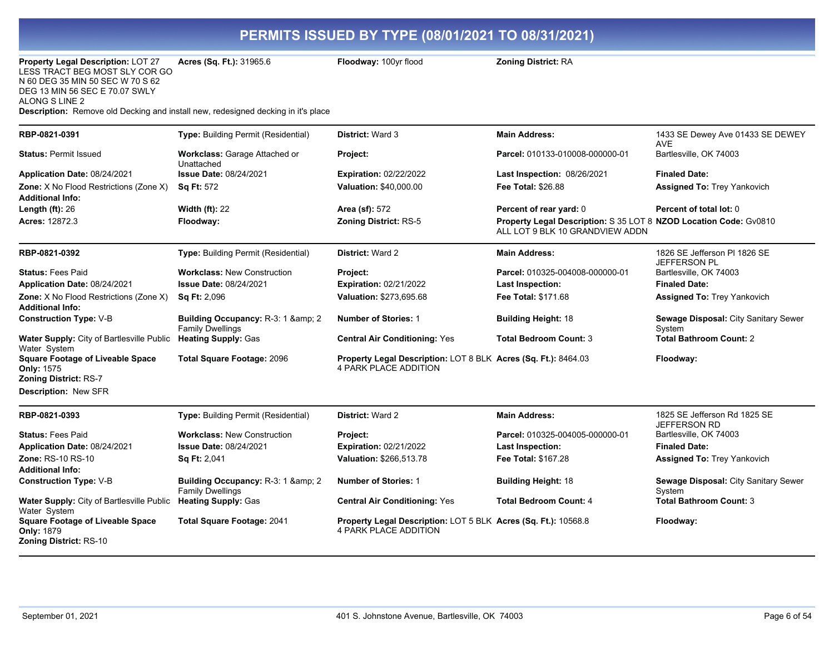| <b>Property Legal Description: LOT 27</b><br>LESS TRACT BEG MOST SLY COR GO<br>N 60 DEG 35 MIN 50 SEC W 70 S 62<br>DEG 13 MIN 56 SEC E 70.07 SWLY<br>ALONG S LINE 2<br>Description: Remove old Decking and install new, redesigned decking in it's place | <b>Acres (Sq. Ft.): 31965.6</b>                                | <b>Floodway: 100yr flood</b>                                                                   | <b>Zoning District: RA</b>                                                                           |                                                     |
|----------------------------------------------------------------------------------------------------------------------------------------------------------------------------------------------------------------------------------------------------------|----------------------------------------------------------------|------------------------------------------------------------------------------------------------|------------------------------------------------------------------------------------------------------|-----------------------------------------------------|
| RBP-0821-0391                                                                                                                                                                                                                                            | Type: Building Permit (Residential)                            | <b>District: Ward 3</b>                                                                        | <b>Main Address:</b>                                                                                 | 1433 SE Dewey Ave 01433 SE DEWEY<br><b>AVE</b>      |
| <b>Status: Permit Issued</b>                                                                                                                                                                                                                             | Workclass: Garage Attached or<br>Unattached                    | Project:                                                                                       | Parcel: 010133-010008-000000-01                                                                      | Bartlesville, OK 74003                              |
| Application Date: 08/24/2021                                                                                                                                                                                                                             | <b>Issue Date: 08/24/2021</b>                                  | <b>Expiration: 02/22/2022</b>                                                                  | Last Inspection: 08/26/2021                                                                          | <b>Finaled Date:</b>                                |
| Zone: X No Flood Restrictions (Zone X)<br><b>Additional Info:</b>                                                                                                                                                                                        | <b>Sq Ft: 572</b>                                              | Valuation: \$40,000.00                                                                         | Fee Total: \$26.88                                                                                   | <b>Assigned To: Trey Yankovich</b>                  |
| Length $(ft)$ : 26                                                                                                                                                                                                                                       | <b>Width (ft): 22</b>                                          | Area (sf): 572                                                                                 | Percent of rear yard: 0                                                                              | Percent of total lot: 0                             |
| <b>Acres:</b> 12872.3                                                                                                                                                                                                                                    | Floodway:                                                      | <b>Zoning District: RS-5</b>                                                                   | Property Legal Description: S 35 LOT 8 NZOD Location Code: Gv0810<br>ALL LOT 9 BLK 10 GRANDVIEW ADDN |                                                     |
| RBP-0821-0392                                                                                                                                                                                                                                            | Type: Building Permit (Residential)                            | <b>District: Ward 2</b>                                                                        | <b>Main Address:</b>                                                                                 | 1826 SE Jefferson PI 1826 SE<br>JEFFERSON PL        |
| <b>Status: Fees Paid</b>                                                                                                                                                                                                                                 | <b>Workclass: New Construction</b>                             | Project:                                                                                       | Parcel: 010325-004008-000000-01                                                                      | Bartlesville, OK 74003                              |
| Application Date: 08/24/2021                                                                                                                                                                                                                             | <b>Issue Date: 08/24/2021</b>                                  | <b>Expiration: 02/21/2022</b>                                                                  | <b>Last Inspection:</b>                                                                              | <b>Finaled Date:</b>                                |
| Zone: X No Flood Restrictions (Zone X)<br>Additional Info:                                                                                                                                                                                               | <b>Sq Ft: 2,096</b>                                            | Valuation: \$273,695.68                                                                        | Fee Total: \$171.68                                                                                  | <b>Assigned To: Trey Yankovich</b>                  |
| <b>Construction Type: V-B</b>                                                                                                                                                                                                                            | Building Occupancy: R-3: 1 & 2<br><b>Family Dwellings</b>      | <b>Number of Stories: 1</b>                                                                    | <b>Building Height: 18</b>                                                                           | Sewage Disposal: City Sanitary Sewer<br>System      |
| Water Supply: City of Bartlesville Public<br>Water System                                                                                                                                                                                                | <b>Heating Supply: Gas</b>                                     | <b>Central Air Conditioning: Yes</b>                                                           | <b>Total Bedroom Count: 3</b>                                                                        | <b>Total Bathroom Count: 2</b>                      |
| <b>Square Footage of Liveable Space</b><br><b>Only: 1575</b><br>Zoning District: RS-7<br>Description: New SFR                                                                                                                                            | <b>Total Square Footage: 2096</b>                              | Property Legal Description: LOT 8 BLK Acres (Sq. Ft.): 8464.03<br><b>4 PARK PLACE ADDITION</b> |                                                                                                      | Floodway:                                           |
| RBP-0821-0393                                                                                                                                                                                                                                            | Type: Building Permit (Residential)                            | <b>District: Ward 2</b>                                                                        | <b>Main Address:</b>                                                                                 | 1825 SE Jefferson Rd 1825 SE<br><b>JEFFERSON RD</b> |
| <b>Status: Fees Paid</b>                                                                                                                                                                                                                                 | <b>Workclass: New Construction</b>                             | Project:                                                                                       | Parcel: 010325-004005-000000-01                                                                      | Bartlesville, OK 74003                              |
| Application Date: 08/24/2021                                                                                                                                                                                                                             | Issue Date: 08/24/2021                                         | <b>Expiration: 02/21/2022</b>                                                                  | <b>Last Inspection:</b>                                                                              | <b>Finaled Date:</b>                                |
| Zone: RS-10 RS-10                                                                                                                                                                                                                                        | <b>Sq Ft: 2,041</b>                                            | Valuation: \$266,513.78                                                                        | Fee Total: \$167.28                                                                                  | <b>Assigned To: Trey Yankovich</b>                  |
| <b>Additional Info:</b>                                                                                                                                                                                                                                  |                                                                |                                                                                                |                                                                                                      |                                                     |
| <b>Construction Type: V-B</b>                                                                                                                                                                                                                            | Building Occupancy: R-3: 1 & amp; 2<br><b>Family Dwellings</b> | <b>Number of Stories: 1</b>                                                                    | <b>Building Height: 18</b>                                                                           | Sewage Disposal: City Sanitary Sewer<br>System      |
| Water Supply: City of Bartlesville Public<br>Water System                                                                                                                                                                                                | <b>Heating Supply: Gas</b>                                     | <b>Central Air Conditioning: Yes</b>                                                           | <b>Total Bedroom Count: 4</b>                                                                        | <b>Total Bathroom Count: 3</b>                      |
| <b>Square Footage of Liveable Space</b><br><b>Only: 1879</b><br>Zoning District: RS-10                                                                                                                                                                   | <b>Total Square Footage: 2041</b>                              | Property Legal Description: LOT 5 BLK Acres (Sq. Ft.): 10568.8<br><b>4 PARK PLACE ADDITION</b> |                                                                                                      | Floodway:                                           |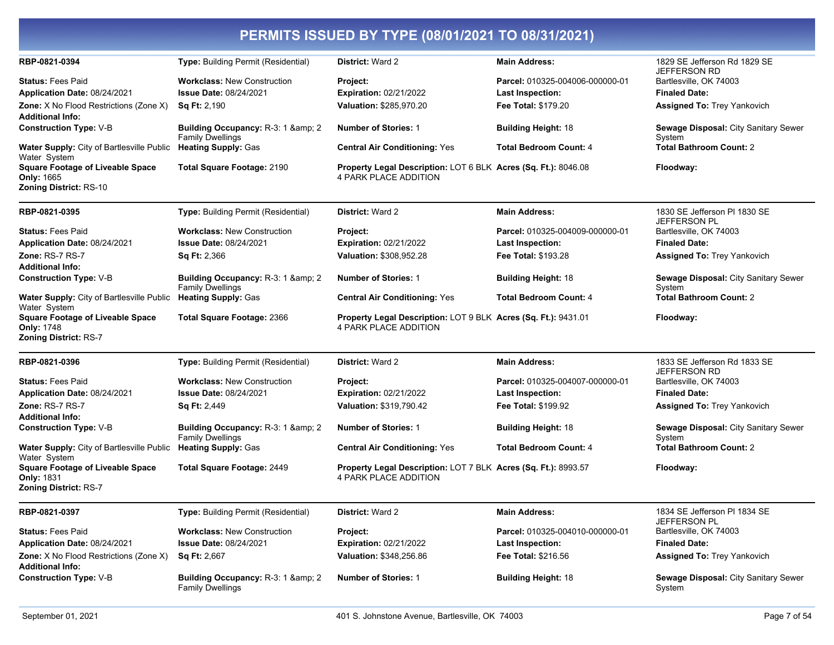| RBP-0821-0394                                                                                             | <b>Type:</b> Building Permit (Residential)                                                 | <b>District: Ward 2</b>                                                                        | <b>Main Address:</b>                                                              | 1829 SE Jefferson Rd 1829 SE                                                                         |
|-----------------------------------------------------------------------------------------------------------|--------------------------------------------------------------------------------------------|------------------------------------------------------------------------------------------------|-----------------------------------------------------------------------------------|------------------------------------------------------------------------------------------------------|
| <b>Status:</b> Fees Paid<br>Application Date: 08/24/2021<br><b>Zone:</b> X No Flood Restrictions (Zone X) | <b>Workclass: New Construction</b><br><b>Issue Date: 08/24/2021</b><br><b>Sq Ft: 2,190</b> | Project:<br><b>Expiration: 02/21/2022</b><br>Valuation: \$285,970.20                           | Parcel: 010325-004006-000000-01<br><b>Last Inspection:</b><br>Fee Total: \$179.20 | JEFFERSON RD<br>Bartlesville, OK 74003<br><b>Finaled Date:</b><br><b>Assigned To: Trey Yankovich</b> |
| <b>Additional Info:</b><br><b>Construction Type: V-B</b>                                                  | Building Occupancy: R-3: 1 & amp; 2<br><b>Family Dwellings</b>                             | <b>Number of Stories: 1</b>                                                                    | <b>Building Height: 18</b>                                                        | Sewage Disposal: City Sanitary Sewer<br>System                                                       |
| Water Supply: City of Bartlesville Public<br>Water System                                                 | <b>Heating Supply: Gas</b>                                                                 | <b>Central Air Conditioning: Yes</b>                                                           | <b>Total Bedroom Count: 4</b>                                                     | <b>Total Bathroom Count: 2</b>                                                                       |
| <b>Square Footage of Liveable Space</b><br>Only: 1665<br><b>Zoning District: RS-10</b>                    | Total Square Footage: 2190                                                                 | Property Legal Description: LOT 6 BLK Acres (Sq. Ft.): 8046.08<br>4 PARK PLACE ADDITION        |                                                                                   | Floodway:                                                                                            |
| RBP-0821-0395                                                                                             | <b>Type:</b> Building Permit (Residential)                                                 | <b>District: Ward 2</b>                                                                        | <b>Main Address:</b>                                                              | 1830 SE Jefferson PI 1830 SE                                                                         |
| <b>Status: Fees Paid</b><br><b>Application Date: 08/24/2021</b>                                           | <b>Workclass: New Construction</b><br><b>Issue Date: 08/24/2021</b>                        | Project:<br><b>Expiration: 02/21/2022</b>                                                      | Parcel: 010325-004009-000000-01<br><b>Last Inspection:</b>                        | <b>JEFFERSON PL</b><br>Bartlesville, OK 74003<br><b>Finaled Date:</b>                                |
| Zone: RS-7 RS-7<br>Additional Info:                                                                       | <b>Sq Ft: 2,366</b>                                                                        | Valuation: \$308,952.28                                                                        | <b>Fee Total: \$193.28</b>                                                        | <b>Assigned To: Trey Yankovich</b>                                                                   |
| <b>Construction Type: V-B</b>                                                                             | Building Occupancy: R-3: 1 & amp; 2<br><b>Family Dwellings</b>                             | <b>Number of Stories: 1</b>                                                                    | <b>Building Height: 18</b>                                                        | Sewage Disposal: City Sanitary Sewer<br>System                                                       |
| Water Supply: City of Bartlesville Public<br>Water System                                                 | <b>Heating Supply: Gas</b>                                                                 | <b>Central Air Conditioning: Yes</b>                                                           | <b>Total Bedroom Count: 4</b>                                                     | <b>Total Bathroom Count: 2</b>                                                                       |
| <b>Square Footage of Liveable Space</b><br><b>Only: 1748</b><br><b>Zoning District: RS-7</b>              | Total Square Footage: 2366                                                                 | Property Legal Description: LOT 9 BLK Acres (Sq. Ft.): 9431.01<br>4 PARK PLACE ADDITION        |                                                                                   | Floodway:                                                                                            |
| RBP-0821-0396                                                                                             | <b>Type: Building Permit (Residential)</b>                                                 | District: Ward 2                                                                               | <b>Main Address:</b>                                                              | 1833 SE Jefferson Rd 1833 SE<br><b>JEFFERSON RD</b>                                                  |
| <b>Status:</b> Fees Paid                                                                                  | <b>Workclass: New Construction</b>                                                         | Project:                                                                                       | Parcel: 010325-004007-000000-01                                                   | Bartlesville, OK 74003                                                                               |
| Application Date: 08/24/2021                                                                              | <b>Issue Date: 08/24/2021</b>                                                              | <b>Expiration: 02/21/2022</b>                                                                  | <b>Last Inspection:</b>                                                           | <b>Finaled Date:</b>                                                                                 |
| Zone: RS-7 RS-7<br>Additional Info:                                                                       | Sq Ft: 2,449                                                                               | Valuation: \$319,790.42                                                                        | <b>Fee Total: \$199.92</b>                                                        | <b>Assigned To: Trey Yankovich</b>                                                                   |
| <b>Construction Type: V-B</b>                                                                             | Building Occupancy: R-3: 1 & amp; 2<br><b>Family Dwellings</b>                             | <b>Number of Stories: 1</b>                                                                    | <b>Building Height: 18</b>                                                        | Sewage Disposal: City Sanitary Sewer<br>System                                                       |
| <b>Water Supply:</b> City of Bartlesville Public<br>Water System                                          | <b>Heating Supply: Gas</b>                                                                 | <b>Central Air Conditioning: Yes</b>                                                           | <b>Total Bedroom Count: 4</b>                                                     | <b>Total Bathroom Count: 2</b>                                                                       |
| <b>Square Footage of Liveable Space</b><br><b>Only: 1831</b><br><b>Zoning District: RS-7</b>              | Total Square Footage: 2449                                                                 | <b>Property Legal Description: LOT 7 BLK Acres (Sq. Ft.): 8993.57</b><br>4 PARK PLACE ADDITION |                                                                                   | Floodway:                                                                                            |
| RBP-0821-0397                                                                                             | Type: Building Permit (Residential)                                                        | District: Ward 2                                                                               | <b>Main Address:</b>                                                              | 1834 SE Jefferson PI 1834 SE<br><b>JEFFERSON PL</b>                                                  |
| <b>Status: Fees Paid</b>                                                                                  | <b>Workclass: New Construction</b>                                                         | Project:                                                                                       | Parcel: 010325-004010-000000-01                                                   | Bartlesville, OK 74003                                                                               |
| Application Date: 08/24/2021                                                                              | <b>Issue Date: 08/24/2021</b>                                                              | <b>Expiration: 02/21/2022</b>                                                                  | Last Inspection:                                                                  | <b>Finaled Date:</b>                                                                                 |
| <b>Zone:</b> X No Flood Restrictions (Zone X)<br><b>Additional Info:</b>                                  | <b>Sq Ft: 2,667</b>                                                                        | Valuation: \$348,256.86                                                                        | <b>Fee Total: \$216.56</b>                                                        | <b>Assigned To: Trey Yankovich</b>                                                                   |
| <b>Construction Type: V-B</b>                                                                             | Building Occupancy: R-3: 1 & amp; 2<br><b>Family Dwellings</b>                             | <b>Number of Stories: 1</b>                                                                    | <b>Building Height: 18</b>                                                        | Sewage Disposal: City Sanitary Sewer<br>System                                                       |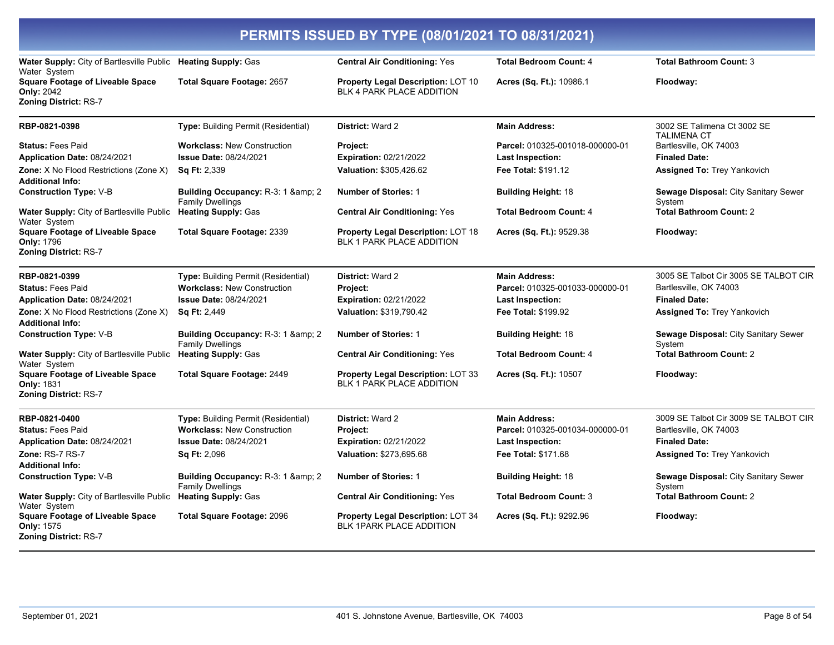| PERMITS ISSUED BY TYPE (08/01/2021 TO 08/31/2021)                                            |                                                                |                                                                               |                                 |                                                   |
|----------------------------------------------------------------------------------------------|----------------------------------------------------------------|-------------------------------------------------------------------------------|---------------------------------|---------------------------------------------------|
| Water Supply: City of Bartlesville Public Heating Supply: Gas<br>Water System                |                                                                | <b>Central Air Conditioning: Yes</b>                                          | <b>Total Bedroom Count: 4</b>   | <b>Total Bathroom Count: 3</b>                    |
| <b>Square Footage of Liveable Space</b><br><b>Only: 2042</b><br><b>Zoning District: RS-7</b> | <b>Total Square Footage: 2657</b>                              | <b>Property Legal Description: LOT 10</b><br>BLK 4 PARK PLACE ADDITION        | Acres (Sq. Ft.): 10986.1        | Floodway:                                         |
| RBP-0821-0398                                                                                | Type: Building Permit (Residential)                            | <b>District: Ward 2</b>                                                       | <b>Main Address:</b>            | 3002 SE Talimena Ct 3002 SE<br><b>TALIMENA CT</b> |
| <b>Status: Fees Paid</b>                                                                     | <b>Workclass: New Construction</b>                             | <b>Project:</b>                                                               | Parcel: 010325-001018-000000-01 | Bartlesville, OK 74003                            |
| Application Date: 08/24/2021                                                                 | <b>Issue Date: 08/24/2021</b>                                  | Expiration: 02/21/2022                                                        | Last Inspection:                | <b>Finaled Date:</b>                              |
| <b>Zone:</b> X No Flood Restrictions (Zone X)<br><b>Additional Info:</b>                     | <b>Sq Ft: 2,339</b>                                            | Valuation: \$305,426.62                                                       | <b>Fee Total: \$191.12</b>      | <b>Assigned To: Trey Yankovich</b>                |
| <b>Construction Type: V-B</b>                                                                | Building Occupancy: R-3: 1 & amp; 2<br><b>Family Dwellings</b> | <b>Number of Stories: 1</b>                                                   | <b>Building Height: 18</b>      | Sewage Disposal: City Sanitary Sewer<br>System    |
| Water Supply: City of Bartlesville Public<br>Water System                                    | <b>Heating Supply: Gas</b>                                     | <b>Central Air Conditioning: Yes</b>                                          | <b>Total Bedroom Count: 4</b>   | <b>Total Bathroom Count: 2</b>                    |
| <b>Square Footage of Liveable Space</b><br><b>Only: 1796</b><br><b>Zoning District: RS-7</b> | <b>Total Square Footage: 2339</b>                              | <b>Property Legal Description: LOT 18</b><br><b>BLK 1 PARK PLACE ADDITION</b> | Acres (Sq. Ft.): 9529.38        | Floodway:                                         |
| RBP-0821-0399                                                                                | Type: Building Permit (Residential)                            | District: Ward 2                                                              | <b>Main Address:</b>            | 3005 SE Talbot Cir 3005 SE TALBOT CIR             |
| <b>Status: Fees Paid</b>                                                                     | <b>Workclass: New Construction</b>                             | Project:                                                                      | Parcel: 010325-001033-000000-01 | Bartlesville, OK 74003                            |
| Application Date: 08/24/2021                                                                 | Issue Date: 08/24/2021                                         | Expiration: 02/21/2022                                                        | Last Inspection:                | <b>Finaled Date:</b>                              |
| Zone: X No Flood Restrictions (Zone X)<br><b>Additional Info:</b>                            | <b>Sq Ft: 2,449</b>                                            | Valuation: \$319,790.42                                                       | Fee Total: \$199.92             | <b>Assigned To: Trey Yankovich</b>                |
| <b>Construction Type: V-B</b>                                                                | Building Occupancy: R-3: 1 & 2<br><b>Family Dwellings</b>      | <b>Number of Stories: 1</b>                                                   | <b>Building Height: 18</b>      | Sewage Disposal: City Sanitary Sewer<br>System    |
| Water Supply: City of Bartlesville Public Heating Supply: Gas<br>Water System                |                                                                | <b>Central Air Conditioning: Yes</b>                                          | <b>Total Bedroom Count: 4</b>   | <b>Total Bathroom Count: 2</b>                    |
| <b>Square Footage of Liveable Space</b><br><b>Only: 1831</b><br><b>Zoning District: RS-7</b> | <b>Total Square Footage: 2449</b>                              | <b>Property Legal Description: LOT 33</b><br><b>BLK 1 PARK PLACE ADDITION</b> | Acres (Sq. Ft.): 10507          | Floodway:                                         |
| RBP-0821-0400                                                                                | <b>Type: Building Permit (Residential)</b>                     | District: Ward 2                                                              | <b>Main Address:</b>            | 3009 SE Talbot Cir 3009 SE TALBOT CIR             |
| <b>Status: Fees Paid</b>                                                                     | <b>Workclass: New Construction</b>                             | Project:                                                                      | Parcel: 010325-001034-000000-01 | Bartlesville, OK 74003                            |
| Application Date: 08/24/2021                                                                 | Issue Date: 08/24/2021                                         | Expiration: 02/21/2022                                                        | <b>Last Inspection:</b>         | <b>Finaled Date:</b>                              |
| Zone: RS-7 RS-7                                                                              | <b>Sq Ft: 2,096</b>                                            | Valuation: \$273,695.68                                                       | Fee Total: \$171.68             | <b>Assigned To: Trey Yankovich</b>                |
| <b>Additional Info:</b>                                                                      |                                                                |                                                                               |                                 |                                                   |
| <b>Construction Type: V-B</b>                                                                | Building Occupancy: R-3: 1 & 2<br><b>Family Dwellings</b>      | <b>Number of Stories: 1</b>                                                   | <b>Building Height: 18</b>      | Sewage Disposal: City Sanitary Sewer<br>System    |
| Water Supply: City of Bartlesville Public<br>Water System                                    | <b>Heating Supply: Gas</b>                                     | <b>Central Air Conditioning: Yes</b>                                          | <b>Total Bedroom Count: 3</b>   | <b>Total Bathroom Count: 2</b>                    |
| <b>Square Footage of Liveable Space</b><br><b>Only: 1575</b><br><b>Zoning District: RS-7</b> | <b>Total Square Footage: 2096</b>                              | <b>Property Legal Description: LOT 34</b><br><b>BLK 1PARK PLACE ADDITION</b>  | Acres (Sq. Ft.): 9292.96        | Floodway:                                         |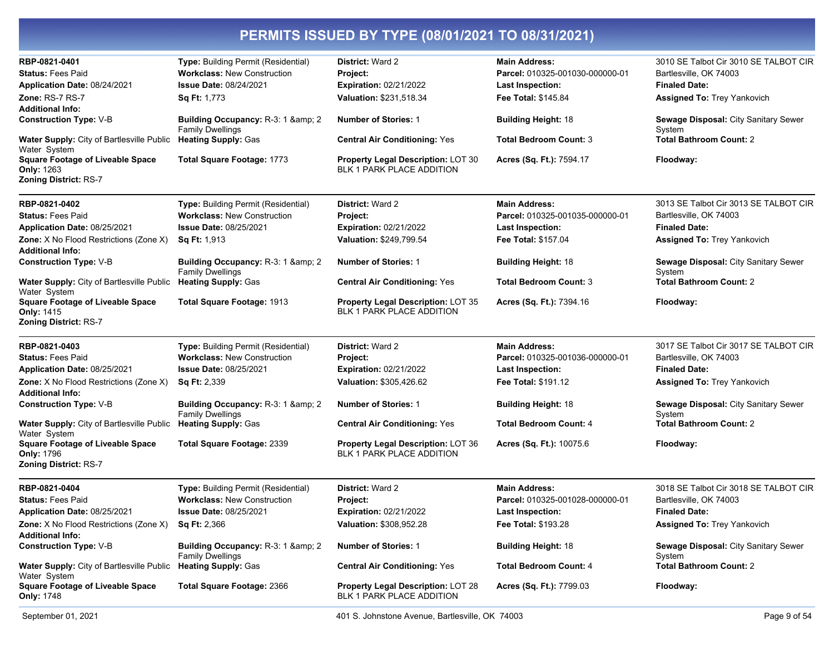| <b>Workclass: New Construction</b><br>Parcel: 010325-001030-000000-01<br><b>Status: Fees Paid</b><br>Project:<br>Application Date: 08/24/2021<br><b>Issue Date: 08/24/2021</b><br><b>Expiration: 02/21/2022</b><br><b>Finaled Date:</b><br><b>Last Inspection:</b><br>Valuation: \$231,518.34<br><b>Zone: RS-7 RS-7</b><br>Sq Ft: 1,773<br><b>Fee Total: \$145.84</b><br><b>Assigned To: Trey Yankovich</b><br><b>Additional Info:</b><br><b>Construction Type: V-B</b><br>Building Occupancy: R-3: 1 & amp; 2<br><b>Number of Stories: 1</b><br><b>Building Height: 18</b><br>Sewage Disposal: City Sanitary Sewer<br><b>Family Dwellings</b><br>System<br>Water Supply: City of Bartlesville Public<br><b>Heating Supply: Gas</b><br><b>Central Air Conditioning: Yes</b><br><b>Total Bedroom Count: 3</b><br><b>Total Bathroom Count: 2</b><br>Water System<br><b>Square Footage of Liveable Space</b><br>Total Square Footage: 1773<br>Property Legal Description: LOT 30<br>Acres (Sq. Ft.): 7594.17<br>Floodway:<br>BLK 1 PARK PLACE ADDITION<br><b>Only: 1263</b><br>RBP-0821-0402<br><b>Main Address:</b><br>3013 SE Talbot Cir 3013 SE TALBOT CIR<br>Type: Building Permit (Residential)<br><b>District: Ward 2</b><br><b>Workclass: New Construction</b><br>Bartlesville, OK 74003<br><b>Status: Fees Paid</b><br>Project:<br>Parcel: 010325-001035-000000-01<br>Application Date: 08/25/2021<br><b>Issue Date: 08/25/2021</b><br><b>Expiration: 02/21/2022</b><br><b>Finaled Date:</b><br><b>Last Inspection:</b><br>Valuation: \$249,799.54<br>Fee Total: \$157.04<br>Assigned To: Trey Yankovich<br><b>Sq Ft: 1,913</b><br>Additional Info:<br>Sewage Disposal: City Sanitary Sewer<br>Building Occupancy: R-3: 1 & 2<br><b>Number of Stories: 1</b><br><b>Building Height: 18</b><br><b>Family Dwellings</b><br>System<br><b>Total Bathroom Count: 2</b><br><b>Heating Supply: Gas</b><br><b>Total Bedroom Count: 3</b><br><b>Central Air Conditioning: Yes</b><br>Water System<br><b>Square Footage of Liveable Space</b><br>Total Square Footage: 1913<br>Property Legal Description: LOT 35<br>Acres (Sq. Ft.): 7394.16<br>Floodway:<br><b>BLK 1 PARK PLACE ADDITION</b><br><b>Only: 1415</b><br>District: Ward 2<br>RBP-0821-0403<br>Type: Building Permit (Residential)<br><b>Main Address:</b><br>Bartlesville, OK 74003<br><b>Status: Fees Paid</b><br><b>Workclass: New Construction</b><br>Parcel: 010325-001036-000000-01<br>Project:<br>Application Date: 08/25/2021<br><b>Issue Date: 08/25/2021</b><br><b>Expiration: 02/21/2022</b><br><b>Finaled Date:</b><br><b>Last Inspection:</b><br>Valuation: \$305,426.62<br>Sq Ft: 2,339<br><b>Fee Total: \$191.12</b><br><b>Assigned To: Trey Yankovich</b><br><b>Additional Info:</b><br><b>Number of Stories: 1</b><br><b>Construction Type: V-B</b><br>Building Occupancy: R-3: 1 & amp; 2<br><b>Building Height: 18</b><br>Sewage Disposal: City Sanitary Sewer<br><b>Family Dwellings</b><br>System<br>Water Supply: City of Bartlesville Public<br><b>Heating Supply: Gas</b><br><b>Central Air Conditioning: Yes</b><br><b>Total Bedroom Count: 4</b><br><b>Total Bathroom Count: 2</b><br>Water System<br><b>Square Footage of Liveable Space</b><br>Total Square Footage: 2339<br><b>Property Legal Description: LOT 36</b><br>Acres (Sq. Ft.): 10075.6<br>Floodway:<br><b>BLK 1 PARK PLACE ADDITION</b><br><b>Only: 1796</b><br>RBP-0821-0404<br>Type: Building Permit (Residential)<br>District: Ward 2<br><b>Main Address:</b><br>Bartlesville, OK 74003<br><b>Status: Fees Paid</b><br><b>Workclass: New Construction</b><br>Parcel: 010325-001028-000000-01<br>Project:<br>Application Date: 08/25/2021<br>Issue Date: 08/25/2021<br>Expiration: 02/21/2022<br><b>Finaled Date:</b><br><b>Last Inspection:</b><br>Zone: X No Flood Restrictions (Zone X)<br>Sq Ft: 2,366<br>Valuation: \$308,952.28<br>Fee Total: \$193.28<br>Assigned To: Trey Yankovich<br><b>Additional Info:</b><br><b>Construction Type: V-B</b><br>Building Occupancy: R-3: 1 & 2<br><b>Number of Stories: 1</b><br><b>Building Height: 18</b><br>Sewage Disposal: City Sanitary Sewer<br><b>Family Dwellings</b><br>System<br><b>Total Bathroom Count: 2</b><br><b>Heating Supply: Gas</b><br><b>Water Supply: City of Bartlesville Public</b><br><b>Central Air Conditioning: Yes</b><br><b>Total Bedroom Count: 4</b><br>Water System<br><b>Square Footage of Liveable Space</b><br>Total Square Footage: 2366<br><b>Property Legal Description: LOT 28</b><br>Acres (Sq. Ft.): 7799.03<br>Floodway:<br>BLK 1 PARK PLACE ADDITION<br><b>Only: 1748</b> | RBP-0821-0401 | Type: Building Permit (Residential) | <b>District: Ward 2</b> | <b>Main Address:</b> | 3010 SE Talbot Cir 3010 SE TALBOT CIR |
|---------------------------------------------------------------------------------------------------------------------------------------------------------------------------------------------------------------------------------------------------------------------------------------------------------------------------------------------------------------------------------------------------------------------------------------------------------------------------------------------------------------------------------------------------------------------------------------------------------------------------------------------------------------------------------------------------------------------------------------------------------------------------------------------------------------------------------------------------------------------------------------------------------------------------------------------------------------------------------------------------------------------------------------------------------------------------------------------------------------------------------------------------------------------------------------------------------------------------------------------------------------------------------------------------------------------------------------------------------------------------------------------------------------------------------------------------------------------------------------------------------------------------------------------------------------------------------------------------------------------------------------------------------------------------------------------------------------------------------------------------------------------------------------------------------------------------------------------------------------------------------------------------------------------------------------------------------------------------------------------------------------------------------------------------------------------------------------------------------------------------------------------------------------------------------------------------------------------------------------------------------------------------------------------------------------------------------------------------------------------------------------------------------------------------------------------------------------------------------------------------------------------------------------------------------------------------------------------------------------------------------------------------------------------------------------------------------------------------------------------------------------------------------------------------------------------------------------------------------------------------------------------------------------------------------------------------------------------------------------------------------------------------------------------------------------------------------------------------------------------------------------------------------------------------------------------------------------------------------------------------------------------------------------------------------------------------------------------------------------------------------------------------------------------------------------------------------------------------------------------------------------------------------------------------------------------------------------------------------------------------------------------------------------------------------------------------------------------------------------------------------------------------------------------------------------------------------------------------------------------------------------------------------------------------------------------------------------------------------------------------------------------------------------------------------------------------------------------------------------------------------------------------------------------------------------------------------------------------------------------------------------------------------------------------------------------------------------------------------------------------------------------------------------------------------------------------------------------------------------------------------------------------------------------------------------------------------------------------------------------|---------------|-------------------------------------|-------------------------|----------------------|---------------------------------------|
|                                                                                                                                                                                                                                                                                                                                                                                                                                                                                                                                                                                                                                                                                                                                                                                                                                                                                                                                                                                                                                                                                                                                                                                                                                                                                                                                                                                                                                                                                                                                                                                                                                                                                                                                                                                                                                                                                                                                                                                                                                                                                                                                                                                                                                                                                                                                                                                                                                                                                                                                                                                                                                                                                                                                                                                                                                                                                                                                                                                                                                                                                                                                                                                                                                                                                                                                                                                                                                                                                                                                                                                                                                                                                                                                                                                                                                                                                                                                                                                                                                                                                                                                                                                                                                                                                                                                                                                                                                                                                                                                                                                                                     |               |                                     |                         |                      | Bartlesville, OK 74003                |
|                                                                                                                                                                                                                                                                                                                                                                                                                                                                                                                                                                                                                                                                                                                                                                                                                                                                                                                                                                                                                                                                                                                                                                                                                                                                                                                                                                                                                                                                                                                                                                                                                                                                                                                                                                                                                                                                                                                                                                                                                                                                                                                                                                                                                                                                                                                                                                                                                                                                                                                                                                                                                                                                                                                                                                                                                                                                                                                                                                                                                                                                                                                                                                                                                                                                                                                                                                                                                                                                                                                                                                                                                                                                                                                                                                                                                                                                                                                                                                                                                                                                                                                                                                                                                                                                                                                                                                                                                                                                                                                                                                                                                     |               |                                     |                         |                      |                                       |
|                                                                                                                                                                                                                                                                                                                                                                                                                                                                                                                                                                                                                                                                                                                                                                                                                                                                                                                                                                                                                                                                                                                                                                                                                                                                                                                                                                                                                                                                                                                                                                                                                                                                                                                                                                                                                                                                                                                                                                                                                                                                                                                                                                                                                                                                                                                                                                                                                                                                                                                                                                                                                                                                                                                                                                                                                                                                                                                                                                                                                                                                                                                                                                                                                                                                                                                                                                                                                                                                                                                                                                                                                                                                                                                                                                                                                                                                                                                                                                                                                                                                                                                                                                                                                                                                                                                                                                                                                                                                                                                                                                                                                     |               |                                     |                         |                      |                                       |
| <b>Zoning District: RS-7</b><br>Zone: X No Flood Restrictions (Zone X)<br><b>Construction Type: V-B</b><br>Water Supply: City of Bartlesville Public<br><b>Zoning District: RS-7</b><br>Zone: X No Flood Restrictions (Zone X)<br><b>Zoning District: RS-7</b>                                                                                                                                                                                                                                                                                                                                                                                                                                                                                                                                                                                                                                                                                                                                                                                                                                                                                                                                                                                                                                                                                                                                                                                                                                                                                                                                                                                                                                                                                                                                                                                                                                                                                                                                                                                                                                                                                                                                                                                                                                                                                                                                                                                                                                                                                                                                                                                                                                                                                                                                                                                                                                                                                                                                                                                                                                                                                                                                                                                                                                                                                                                                                                                                                                                                                                                                                                                                                                                                                                                                                                                                                                                                                                                                                                                                                                                                                                                                                                                                                                                                                                                                                                                                                                                                                                                                                      |               |                                     |                         |                      |                                       |
|                                                                                                                                                                                                                                                                                                                                                                                                                                                                                                                                                                                                                                                                                                                                                                                                                                                                                                                                                                                                                                                                                                                                                                                                                                                                                                                                                                                                                                                                                                                                                                                                                                                                                                                                                                                                                                                                                                                                                                                                                                                                                                                                                                                                                                                                                                                                                                                                                                                                                                                                                                                                                                                                                                                                                                                                                                                                                                                                                                                                                                                                                                                                                                                                                                                                                                                                                                                                                                                                                                                                                                                                                                                                                                                                                                                                                                                                                                                                                                                                                                                                                                                                                                                                                                                                                                                                                                                                                                                                                                                                                                                                                     |               |                                     |                         |                      |                                       |
|                                                                                                                                                                                                                                                                                                                                                                                                                                                                                                                                                                                                                                                                                                                                                                                                                                                                                                                                                                                                                                                                                                                                                                                                                                                                                                                                                                                                                                                                                                                                                                                                                                                                                                                                                                                                                                                                                                                                                                                                                                                                                                                                                                                                                                                                                                                                                                                                                                                                                                                                                                                                                                                                                                                                                                                                                                                                                                                                                                                                                                                                                                                                                                                                                                                                                                                                                                                                                                                                                                                                                                                                                                                                                                                                                                                                                                                                                                                                                                                                                                                                                                                                                                                                                                                                                                                                                                                                                                                                                                                                                                                                                     |               |                                     |                         |                      |                                       |
|                                                                                                                                                                                                                                                                                                                                                                                                                                                                                                                                                                                                                                                                                                                                                                                                                                                                                                                                                                                                                                                                                                                                                                                                                                                                                                                                                                                                                                                                                                                                                                                                                                                                                                                                                                                                                                                                                                                                                                                                                                                                                                                                                                                                                                                                                                                                                                                                                                                                                                                                                                                                                                                                                                                                                                                                                                                                                                                                                                                                                                                                                                                                                                                                                                                                                                                                                                                                                                                                                                                                                                                                                                                                                                                                                                                                                                                                                                                                                                                                                                                                                                                                                                                                                                                                                                                                                                                                                                                                                                                                                                                                                     |               |                                     |                         |                      |                                       |
|                                                                                                                                                                                                                                                                                                                                                                                                                                                                                                                                                                                                                                                                                                                                                                                                                                                                                                                                                                                                                                                                                                                                                                                                                                                                                                                                                                                                                                                                                                                                                                                                                                                                                                                                                                                                                                                                                                                                                                                                                                                                                                                                                                                                                                                                                                                                                                                                                                                                                                                                                                                                                                                                                                                                                                                                                                                                                                                                                                                                                                                                                                                                                                                                                                                                                                                                                                                                                                                                                                                                                                                                                                                                                                                                                                                                                                                                                                                                                                                                                                                                                                                                                                                                                                                                                                                                                                                                                                                                                                                                                                                                                     |               |                                     |                         |                      |                                       |
|                                                                                                                                                                                                                                                                                                                                                                                                                                                                                                                                                                                                                                                                                                                                                                                                                                                                                                                                                                                                                                                                                                                                                                                                                                                                                                                                                                                                                                                                                                                                                                                                                                                                                                                                                                                                                                                                                                                                                                                                                                                                                                                                                                                                                                                                                                                                                                                                                                                                                                                                                                                                                                                                                                                                                                                                                                                                                                                                                                                                                                                                                                                                                                                                                                                                                                                                                                                                                                                                                                                                                                                                                                                                                                                                                                                                                                                                                                                                                                                                                                                                                                                                                                                                                                                                                                                                                                                                                                                                                                                                                                                                                     |               |                                     |                         |                      |                                       |
|                                                                                                                                                                                                                                                                                                                                                                                                                                                                                                                                                                                                                                                                                                                                                                                                                                                                                                                                                                                                                                                                                                                                                                                                                                                                                                                                                                                                                                                                                                                                                                                                                                                                                                                                                                                                                                                                                                                                                                                                                                                                                                                                                                                                                                                                                                                                                                                                                                                                                                                                                                                                                                                                                                                                                                                                                                                                                                                                                                                                                                                                                                                                                                                                                                                                                                                                                                                                                                                                                                                                                                                                                                                                                                                                                                                                                                                                                                                                                                                                                                                                                                                                                                                                                                                                                                                                                                                                                                                                                                                                                                                                                     |               |                                     |                         |                      |                                       |
|                                                                                                                                                                                                                                                                                                                                                                                                                                                                                                                                                                                                                                                                                                                                                                                                                                                                                                                                                                                                                                                                                                                                                                                                                                                                                                                                                                                                                                                                                                                                                                                                                                                                                                                                                                                                                                                                                                                                                                                                                                                                                                                                                                                                                                                                                                                                                                                                                                                                                                                                                                                                                                                                                                                                                                                                                                                                                                                                                                                                                                                                                                                                                                                                                                                                                                                                                                                                                                                                                                                                                                                                                                                                                                                                                                                                                                                                                                                                                                                                                                                                                                                                                                                                                                                                                                                                                                                                                                                                                                                                                                                                                     |               |                                     |                         |                      |                                       |
|                                                                                                                                                                                                                                                                                                                                                                                                                                                                                                                                                                                                                                                                                                                                                                                                                                                                                                                                                                                                                                                                                                                                                                                                                                                                                                                                                                                                                                                                                                                                                                                                                                                                                                                                                                                                                                                                                                                                                                                                                                                                                                                                                                                                                                                                                                                                                                                                                                                                                                                                                                                                                                                                                                                                                                                                                                                                                                                                                                                                                                                                                                                                                                                                                                                                                                                                                                                                                                                                                                                                                                                                                                                                                                                                                                                                                                                                                                                                                                                                                                                                                                                                                                                                                                                                                                                                                                                                                                                                                                                                                                                                                     |               |                                     |                         |                      |                                       |
|                                                                                                                                                                                                                                                                                                                                                                                                                                                                                                                                                                                                                                                                                                                                                                                                                                                                                                                                                                                                                                                                                                                                                                                                                                                                                                                                                                                                                                                                                                                                                                                                                                                                                                                                                                                                                                                                                                                                                                                                                                                                                                                                                                                                                                                                                                                                                                                                                                                                                                                                                                                                                                                                                                                                                                                                                                                                                                                                                                                                                                                                                                                                                                                                                                                                                                                                                                                                                                                                                                                                                                                                                                                                                                                                                                                                                                                                                                                                                                                                                                                                                                                                                                                                                                                                                                                                                                                                                                                                                                                                                                                                                     |               |                                     |                         |                      |                                       |
|                                                                                                                                                                                                                                                                                                                                                                                                                                                                                                                                                                                                                                                                                                                                                                                                                                                                                                                                                                                                                                                                                                                                                                                                                                                                                                                                                                                                                                                                                                                                                                                                                                                                                                                                                                                                                                                                                                                                                                                                                                                                                                                                                                                                                                                                                                                                                                                                                                                                                                                                                                                                                                                                                                                                                                                                                                                                                                                                                                                                                                                                                                                                                                                                                                                                                                                                                                                                                                                                                                                                                                                                                                                                                                                                                                                                                                                                                                                                                                                                                                                                                                                                                                                                                                                                                                                                                                                                                                                                                                                                                                                                                     |               |                                     |                         |                      |                                       |
|                                                                                                                                                                                                                                                                                                                                                                                                                                                                                                                                                                                                                                                                                                                                                                                                                                                                                                                                                                                                                                                                                                                                                                                                                                                                                                                                                                                                                                                                                                                                                                                                                                                                                                                                                                                                                                                                                                                                                                                                                                                                                                                                                                                                                                                                                                                                                                                                                                                                                                                                                                                                                                                                                                                                                                                                                                                                                                                                                                                                                                                                                                                                                                                                                                                                                                                                                                                                                                                                                                                                                                                                                                                                                                                                                                                                                                                                                                                                                                                                                                                                                                                                                                                                                                                                                                                                                                                                                                                                                                                                                                                                                     |               |                                     |                         |                      |                                       |
|                                                                                                                                                                                                                                                                                                                                                                                                                                                                                                                                                                                                                                                                                                                                                                                                                                                                                                                                                                                                                                                                                                                                                                                                                                                                                                                                                                                                                                                                                                                                                                                                                                                                                                                                                                                                                                                                                                                                                                                                                                                                                                                                                                                                                                                                                                                                                                                                                                                                                                                                                                                                                                                                                                                                                                                                                                                                                                                                                                                                                                                                                                                                                                                                                                                                                                                                                                                                                                                                                                                                                                                                                                                                                                                                                                                                                                                                                                                                                                                                                                                                                                                                                                                                                                                                                                                                                                                                                                                                                                                                                                                                                     |               |                                     |                         |                      |                                       |
|                                                                                                                                                                                                                                                                                                                                                                                                                                                                                                                                                                                                                                                                                                                                                                                                                                                                                                                                                                                                                                                                                                                                                                                                                                                                                                                                                                                                                                                                                                                                                                                                                                                                                                                                                                                                                                                                                                                                                                                                                                                                                                                                                                                                                                                                                                                                                                                                                                                                                                                                                                                                                                                                                                                                                                                                                                                                                                                                                                                                                                                                                                                                                                                                                                                                                                                                                                                                                                                                                                                                                                                                                                                                                                                                                                                                                                                                                                                                                                                                                                                                                                                                                                                                                                                                                                                                                                                                                                                                                                                                                                                                                     |               |                                     |                         |                      |                                       |
|                                                                                                                                                                                                                                                                                                                                                                                                                                                                                                                                                                                                                                                                                                                                                                                                                                                                                                                                                                                                                                                                                                                                                                                                                                                                                                                                                                                                                                                                                                                                                                                                                                                                                                                                                                                                                                                                                                                                                                                                                                                                                                                                                                                                                                                                                                                                                                                                                                                                                                                                                                                                                                                                                                                                                                                                                                                                                                                                                                                                                                                                                                                                                                                                                                                                                                                                                                                                                                                                                                                                                                                                                                                                                                                                                                                                                                                                                                                                                                                                                                                                                                                                                                                                                                                                                                                                                                                                                                                                                                                                                                                                                     |               |                                     |                         |                      |                                       |
|                                                                                                                                                                                                                                                                                                                                                                                                                                                                                                                                                                                                                                                                                                                                                                                                                                                                                                                                                                                                                                                                                                                                                                                                                                                                                                                                                                                                                                                                                                                                                                                                                                                                                                                                                                                                                                                                                                                                                                                                                                                                                                                                                                                                                                                                                                                                                                                                                                                                                                                                                                                                                                                                                                                                                                                                                                                                                                                                                                                                                                                                                                                                                                                                                                                                                                                                                                                                                                                                                                                                                                                                                                                                                                                                                                                                                                                                                                                                                                                                                                                                                                                                                                                                                                                                                                                                                                                                                                                                                                                                                                                                                     |               |                                     |                         |                      | 3017 SE Talbot Cir 3017 SE TALBOT CIR |
|                                                                                                                                                                                                                                                                                                                                                                                                                                                                                                                                                                                                                                                                                                                                                                                                                                                                                                                                                                                                                                                                                                                                                                                                                                                                                                                                                                                                                                                                                                                                                                                                                                                                                                                                                                                                                                                                                                                                                                                                                                                                                                                                                                                                                                                                                                                                                                                                                                                                                                                                                                                                                                                                                                                                                                                                                                                                                                                                                                                                                                                                                                                                                                                                                                                                                                                                                                                                                                                                                                                                                                                                                                                                                                                                                                                                                                                                                                                                                                                                                                                                                                                                                                                                                                                                                                                                                                                                                                                                                                                                                                                                                     |               |                                     |                         |                      |                                       |
|                                                                                                                                                                                                                                                                                                                                                                                                                                                                                                                                                                                                                                                                                                                                                                                                                                                                                                                                                                                                                                                                                                                                                                                                                                                                                                                                                                                                                                                                                                                                                                                                                                                                                                                                                                                                                                                                                                                                                                                                                                                                                                                                                                                                                                                                                                                                                                                                                                                                                                                                                                                                                                                                                                                                                                                                                                                                                                                                                                                                                                                                                                                                                                                                                                                                                                                                                                                                                                                                                                                                                                                                                                                                                                                                                                                                                                                                                                                                                                                                                                                                                                                                                                                                                                                                                                                                                                                                                                                                                                                                                                                                                     |               |                                     |                         |                      |                                       |
|                                                                                                                                                                                                                                                                                                                                                                                                                                                                                                                                                                                                                                                                                                                                                                                                                                                                                                                                                                                                                                                                                                                                                                                                                                                                                                                                                                                                                                                                                                                                                                                                                                                                                                                                                                                                                                                                                                                                                                                                                                                                                                                                                                                                                                                                                                                                                                                                                                                                                                                                                                                                                                                                                                                                                                                                                                                                                                                                                                                                                                                                                                                                                                                                                                                                                                                                                                                                                                                                                                                                                                                                                                                                                                                                                                                                                                                                                                                                                                                                                                                                                                                                                                                                                                                                                                                                                                                                                                                                                                                                                                                                                     |               |                                     |                         |                      |                                       |
|                                                                                                                                                                                                                                                                                                                                                                                                                                                                                                                                                                                                                                                                                                                                                                                                                                                                                                                                                                                                                                                                                                                                                                                                                                                                                                                                                                                                                                                                                                                                                                                                                                                                                                                                                                                                                                                                                                                                                                                                                                                                                                                                                                                                                                                                                                                                                                                                                                                                                                                                                                                                                                                                                                                                                                                                                                                                                                                                                                                                                                                                                                                                                                                                                                                                                                                                                                                                                                                                                                                                                                                                                                                                                                                                                                                                                                                                                                                                                                                                                                                                                                                                                                                                                                                                                                                                                                                                                                                                                                                                                                                                                     |               |                                     |                         |                      |                                       |
|                                                                                                                                                                                                                                                                                                                                                                                                                                                                                                                                                                                                                                                                                                                                                                                                                                                                                                                                                                                                                                                                                                                                                                                                                                                                                                                                                                                                                                                                                                                                                                                                                                                                                                                                                                                                                                                                                                                                                                                                                                                                                                                                                                                                                                                                                                                                                                                                                                                                                                                                                                                                                                                                                                                                                                                                                                                                                                                                                                                                                                                                                                                                                                                                                                                                                                                                                                                                                                                                                                                                                                                                                                                                                                                                                                                                                                                                                                                                                                                                                                                                                                                                                                                                                                                                                                                                                                                                                                                                                                                                                                                                                     |               |                                     |                         |                      |                                       |
|                                                                                                                                                                                                                                                                                                                                                                                                                                                                                                                                                                                                                                                                                                                                                                                                                                                                                                                                                                                                                                                                                                                                                                                                                                                                                                                                                                                                                                                                                                                                                                                                                                                                                                                                                                                                                                                                                                                                                                                                                                                                                                                                                                                                                                                                                                                                                                                                                                                                                                                                                                                                                                                                                                                                                                                                                                                                                                                                                                                                                                                                                                                                                                                                                                                                                                                                                                                                                                                                                                                                                                                                                                                                                                                                                                                                                                                                                                                                                                                                                                                                                                                                                                                                                                                                                                                                                                                                                                                                                                                                                                                                                     |               |                                     |                         |                      |                                       |
|                                                                                                                                                                                                                                                                                                                                                                                                                                                                                                                                                                                                                                                                                                                                                                                                                                                                                                                                                                                                                                                                                                                                                                                                                                                                                                                                                                                                                                                                                                                                                                                                                                                                                                                                                                                                                                                                                                                                                                                                                                                                                                                                                                                                                                                                                                                                                                                                                                                                                                                                                                                                                                                                                                                                                                                                                                                                                                                                                                                                                                                                                                                                                                                                                                                                                                                                                                                                                                                                                                                                                                                                                                                                                                                                                                                                                                                                                                                                                                                                                                                                                                                                                                                                                                                                                                                                                                                                                                                                                                                                                                                                                     |               |                                     |                         |                      |                                       |
|                                                                                                                                                                                                                                                                                                                                                                                                                                                                                                                                                                                                                                                                                                                                                                                                                                                                                                                                                                                                                                                                                                                                                                                                                                                                                                                                                                                                                                                                                                                                                                                                                                                                                                                                                                                                                                                                                                                                                                                                                                                                                                                                                                                                                                                                                                                                                                                                                                                                                                                                                                                                                                                                                                                                                                                                                                                                                                                                                                                                                                                                                                                                                                                                                                                                                                                                                                                                                                                                                                                                                                                                                                                                                                                                                                                                                                                                                                                                                                                                                                                                                                                                                                                                                                                                                                                                                                                                                                                                                                                                                                                                                     |               |                                     |                         |                      |                                       |
|                                                                                                                                                                                                                                                                                                                                                                                                                                                                                                                                                                                                                                                                                                                                                                                                                                                                                                                                                                                                                                                                                                                                                                                                                                                                                                                                                                                                                                                                                                                                                                                                                                                                                                                                                                                                                                                                                                                                                                                                                                                                                                                                                                                                                                                                                                                                                                                                                                                                                                                                                                                                                                                                                                                                                                                                                                                                                                                                                                                                                                                                                                                                                                                                                                                                                                                                                                                                                                                                                                                                                                                                                                                                                                                                                                                                                                                                                                                                                                                                                                                                                                                                                                                                                                                                                                                                                                                                                                                                                                                                                                                                                     |               |                                     |                         |                      | 3018 SE Talbot Cir 3018 SE TALBOT CIR |
|                                                                                                                                                                                                                                                                                                                                                                                                                                                                                                                                                                                                                                                                                                                                                                                                                                                                                                                                                                                                                                                                                                                                                                                                                                                                                                                                                                                                                                                                                                                                                                                                                                                                                                                                                                                                                                                                                                                                                                                                                                                                                                                                                                                                                                                                                                                                                                                                                                                                                                                                                                                                                                                                                                                                                                                                                                                                                                                                                                                                                                                                                                                                                                                                                                                                                                                                                                                                                                                                                                                                                                                                                                                                                                                                                                                                                                                                                                                                                                                                                                                                                                                                                                                                                                                                                                                                                                                                                                                                                                                                                                                                                     |               |                                     |                         |                      |                                       |
|                                                                                                                                                                                                                                                                                                                                                                                                                                                                                                                                                                                                                                                                                                                                                                                                                                                                                                                                                                                                                                                                                                                                                                                                                                                                                                                                                                                                                                                                                                                                                                                                                                                                                                                                                                                                                                                                                                                                                                                                                                                                                                                                                                                                                                                                                                                                                                                                                                                                                                                                                                                                                                                                                                                                                                                                                                                                                                                                                                                                                                                                                                                                                                                                                                                                                                                                                                                                                                                                                                                                                                                                                                                                                                                                                                                                                                                                                                                                                                                                                                                                                                                                                                                                                                                                                                                                                                                                                                                                                                                                                                                                                     |               |                                     |                         |                      |                                       |
|                                                                                                                                                                                                                                                                                                                                                                                                                                                                                                                                                                                                                                                                                                                                                                                                                                                                                                                                                                                                                                                                                                                                                                                                                                                                                                                                                                                                                                                                                                                                                                                                                                                                                                                                                                                                                                                                                                                                                                                                                                                                                                                                                                                                                                                                                                                                                                                                                                                                                                                                                                                                                                                                                                                                                                                                                                                                                                                                                                                                                                                                                                                                                                                                                                                                                                                                                                                                                                                                                                                                                                                                                                                                                                                                                                                                                                                                                                                                                                                                                                                                                                                                                                                                                                                                                                                                                                                                                                                                                                                                                                                                                     |               |                                     |                         |                      |                                       |
|                                                                                                                                                                                                                                                                                                                                                                                                                                                                                                                                                                                                                                                                                                                                                                                                                                                                                                                                                                                                                                                                                                                                                                                                                                                                                                                                                                                                                                                                                                                                                                                                                                                                                                                                                                                                                                                                                                                                                                                                                                                                                                                                                                                                                                                                                                                                                                                                                                                                                                                                                                                                                                                                                                                                                                                                                                                                                                                                                                                                                                                                                                                                                                                                                                                                                                                                                                                                                                                                                                                                                                                                                                                                                                                                                                                                                                                                                                                                                                                                                                                                                                                                                                                                                                                                                                                                                                                                                                                                                                                                                                                                                     |               |                                     |                         |                      |                                       |
|                                                                                                                                                                                                                                                                                                                                                                                                                                                                                                                                                                                                                                                                                                                                                                                                                                                                                                                                                                                                                                                                                                                                                                                                                                                                                                                                                                                                                                                                                                                                                                                                                                                                                                                                                                                                                                                                                                                                                                                                                                                                                                                                                                                                                                                                                                                                                                                                                                                                                                                                                                                                                                                                                                                                                                                                                                                                                                                                                                                                                                                                                                                                                                                                                                                                                                                                                                                                                                                                                                                                                                                                                                                                                                                                                                                                                                                                                                                                                                                                                                                                                                                                                                                                                                                                                                                                                                                                                                                                                                                                                                                                                     |               |                                     |                         |                      |                                       |
|                                                                                                                                                                                                                                                                                                                                                                                                                                                                                                                                                                                                                                                                                                                                                                                                                                                                                                                                                                                                                                                                                                                                                                                                                                                                                                                                                                                                                                                                                                                                                                                                                                                                                                                                                                                                                                                                                                                                                                                                                                                                                                                                                                                                                                                                                                                                                                                                                                                                                                                                                                                                                                                                                                                                                                                                                                                                                                                                                                                                                                                                                                                                                                                                                                                                                                                                                                                                                                                                                                                                                                                                                                                                                                                                                                                                                                                                                                                                                                                                                                                                                                                                                                                                                                                                                                                                                                                                                                                                                                                                                                                                                     |               |                                     |                         |                      |                                       |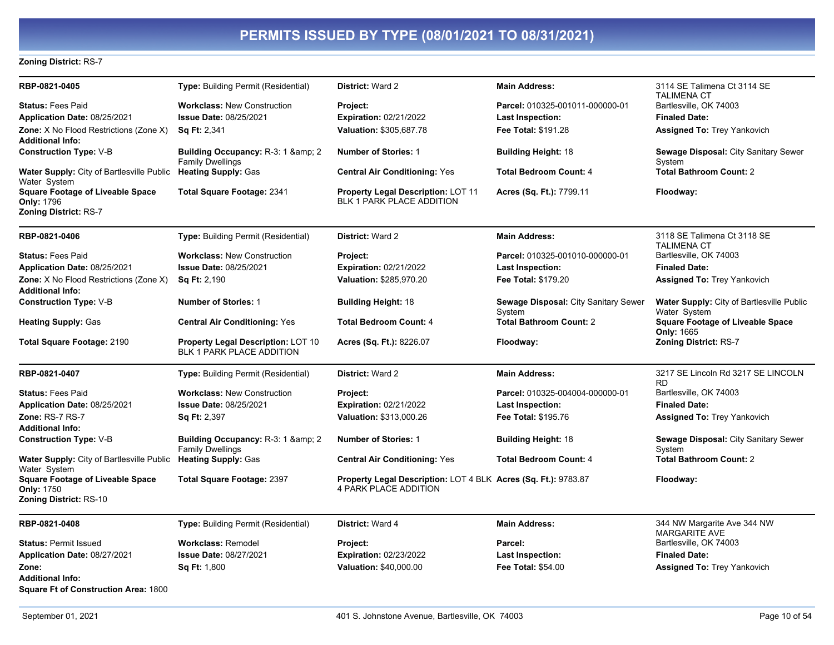#### **Zoning District: RS-7**

| RBP-0821-0405                                                                                | Type: Building Permit (Residential)                                       | District: Ward 2                                                                               | <b>Main Address:</b>                                 | 3114 SE Talimena Ct 3114 SE                               |
|----------------------------------------------------------------------------------------------|---------------------------------------------------------------------------|------------------------------------------------------------------------------------------------|------------------------------------------------------|-----------------------------------------------------------|
| <b>Status: Fees Paid</b>                                                                     | <b>Workclass: New Construction</b>                                        | Project:                                                                                       | Parcel: 010325-001011-000000-01                      | <b>TALIMENA CT</b><br>Bartlesville, OK 74003              |
| Application Date: 08/25/2021                                                                 | Issue Date: 08/25/2021                                                    | <b>Expiration: 02/21/2022</b>                                                                  | <b>Last Inspection:</b>                              | <b>Finaled Date:</b>                                      |
| Zone: X No Flood Restrictions (Zone X)<br><b>Additional Info:</b>                            | <b>Sq Ft: 2,341</b>                                                       | Valuation: \$305,687.78                                                                        | Fee Total: \$191.28                                  | Assigned To: Trey Yankovich                               |
| <b>Construction Type: V-B</b>                                                                | <b>Building Occupancy: R-3: 1 &amp; amp; 2</b><br><b>Family Dwellings</b> | <b>Number of Stories: 1</b>                                                                    | <b>Building Height: 18</b>                           | Sewage Disposal: City Sanitary Sewer<br>System            |
| Water Supply: City of Bartlesville Public Heating Supply: Gas<br>Water System                |                                                                           | <b>Central Air Conditioning: Yes</b>                                                           | <b>Total Bedroom Count: 4</b>                        | <b>Total Bathroom Count: 2</b>                            |
| <b>Square Footage of Liveable Space</b><br><b>Only: 1796</b><br><b>Zoning District: RS-7</b> | <b>Total Square Footage: 2341</b>                                         | <b>Property Legal Description: LOT 11</b><br>BLK 1 PARK PLACE ADDITION                         | Acres (Sq. Ft.): 7799.11                             | Floodway:                                                 |
| RBP-0821-0406                                                                                | Type: Building Permit (Residential)                                       | District: Ward 2                                                                               | <b>Main Address:</b>                                 | 3118 SE Talimena Ct 3118 SE<br><b>TALIMENA CT</b>         |
| <b>Status: Fees Paid</b>                                                                     | <b>Workclass: New Construction</b>                                        | Project:                                                                                       | Parcel: 010325-001010-000000-01                      | Bartlesville, OK 74003                                    |
| Application Date: 08/25/2021                                                                 | Issue Date: 08/25/2021                                                    | <b>Expiration: 02/21/2022</b>                                                                  | <b>Last Inspection:</b>                              | <b>Finaled Date:</b>                                      |
| Zone: X No Flood Restrictions (Zone X)<br><b>Additional Info:</b>                            | Sq Ft: 2,190                                                              | Valuation: \$285,970.20                                                                        | Fee Total: \$179.20                                  | <b>Assigned To: Trey Yankovich</b>                        |
| <b>Construction Type: V-B</b>                                                                | <b>Number of Stories: 1</b>                                               | <b>Building Height: 18</b>                                                                     | Sewage Disposal: City Sanitary Sewer<br>System       | Water Supply: City of Bartlesville Public<br>Water System |
| <b>Heating Supply: Gas</b>                                                                   | <b>Central Air Conditioning: Yes</b>                                      | <b>Total Bedroom Count: 4</b>                                                                  | <b>Total Bathroom Count: 2</b>                       | <b>Square Footage of Liveable Space</b><br>Only: 1665     |
| Total Square Footage: 2190                                                                   | Property Legal Description: LOT 10<br><b>BLK 1 PARK PLACE ADDITION</b>    | Acres (Sq. Ft.): 8226.07                                                                       | Floodway:                                            | Zoning District: RS-7                                     |
| RBP-0821-0407                                                                                | Type: Building Permit (Residential)                                       | <b>District: Ward 2</b>                                                                        | <b>Main Address:</b>                                 | 3217 SE Lincoln Rd 3217 SE LINCOLN<br><b>RD</b>           |
| <b>Status: Fees Paid</b>                                                                     | <b>Workclass: New Construction</b>                                        | Project:                                                                                       | Parcel: 010325-004004-000000-01                      | Bartlesville, OK 74003                                    |
| Application Date: 08/25/2021                                                                 | Issue Date: 08/25/2021                                                    | <b>Expiration: 02/21/2022</b>                                                                  | <b>Last Inspection:</b>                              | <b>Finaled Date:</b>                                      |
| Zone: RS-7 RS-7                                                                              | <b>Sq Ft: 2,397</b>                                                       | Valuation: \$313,000.26                                                                        | Fee Total: \$195.76                                  | <b>Assigned To: Trey Yankovich</b>                        |
| <b>Additional Info:</b>                                                                      |                                                                           |                                                                                                |                                                      |                                                           |
| <b>Construction Type: V-B</b>                                                                | Building Occupancy: R-3: 1 & amp; 2<br><b>Family Dwellings</b>            | <b>Number of Stories: 1</b>                                                                    | <b>Building Height: 18</b>                           | Sewage Disposal: City Sanitary Sewer<br>System            |
| Water Supply: City of Bartlesville Public Heating Supply: Gas<br>Water System                |                                                                           | <b>Central Air Conditioning: Yes</b>                                                           | <b>Total Bedroom Count: 4</b>                        | <b>Total Bathroom Count: 2</b>                            |
| <b>Square Footage of Liveable Space</b><br>Only: 1750<br>Zoning District: RS-10              | <b>Total Square Footage: 2397</b>                                         | Property Legal Description: LOT 4 BLK Acres (Sq. Ft.): 9783.87<br><b>4 PARK PLACE ADDITION</b> |                                                      | Floodway:                                                 |
| RBP-0821-0408                                                                                | <b>Type: Building Permit (Residential)</b>                                | District: Ward 4                                                                               | <b>Main Address:</b>                                 | 344 NW Margarite Ave 344 NW                               |
|                                                                                              |                                                                           |                                                                                                |                                                      | <b>MARGARITE AVE</b>                                      |
| <b>Status: Permit Issued</b><br>Application Date: 08/27/2021                                 | Workclass: Remodel<br>Issue Date: 08/27/2021                              | Project:<br><b>Expiration: 02/23/2022</b>                                                      | Parcel:                                              | Bartlesville, OK 74003<br><b>Finaled Date:</b>            |
| Zone:                                                                                        |                                                                           |                                                                                                | <b>Last Inspection:</b><br><b>Fee Total: \$54.00</b> |                                                           |
| <b>Additional Info:</b><br><b>Square Ft of Construction Area: 1800</b>                       | Sq Ft: 1,800                                                              | Valuation: \$40,000.00                                                                         |                                                      | <b>Assigned To: Trey Yankovich</b>                        |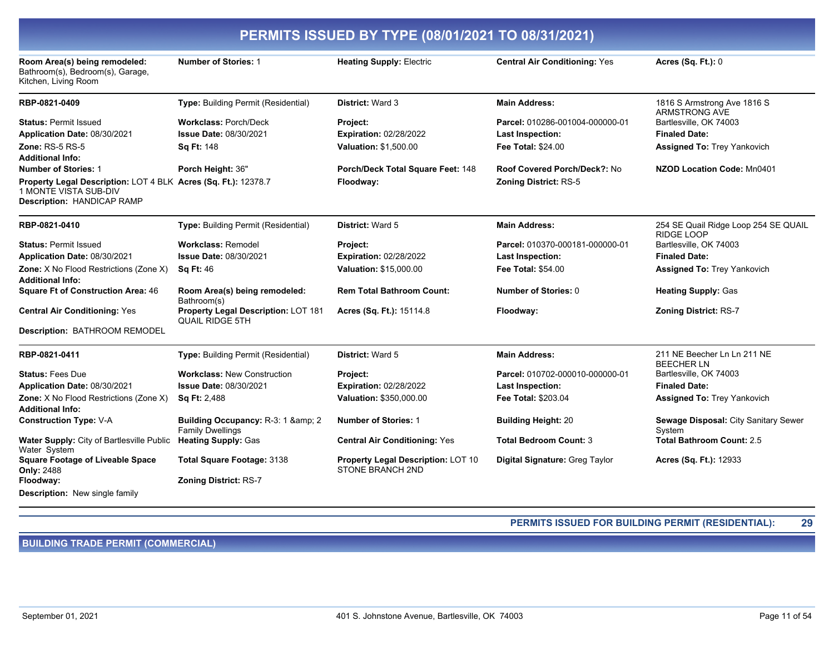| PERMITS ISSUED BY TYPE (08/01/2021 TO 08/31/2021)                                                                            |                                                                |                                                               |                                      |                                                     |
|------------------------------------------------------------------------------------------------------------------------------|----------------------------------------------------------------|---------------------------------------------------------------|--------------------------------------|-----------------------------------------------------|
| Room Area(s) being remodeled:<br>Bathroom(s), Bedroom(s), Garage,<br>Kitchen, Living Room                                    | <b>Number of Stories: 1</b>                                    | <b>Heating Supply: Electric</b>                               | <b>Central Air Conditioning: Yes</b> | Acres (Sq. Ft.): 0                                  |
| RBP-0821-0409                                                                                                                | Type: Building Permit (Residential)                            | District: Ward 3                                              | <b>Main Address:</b>                 | 1816 S Armstrong Ave 1816 S<br><b>ARMSTRONG AVE</b> |
| <b>Status: Permit Issued</b>                                                                                                 | <b>Workclass: Porch/Deck</b>                                   | <b>Project:</b>                                               | Parcel: 010286-001004-000000-01      | Bartlesville, OK 74003                              |
| Application Date: 08/30/2021                                                                                                 | <b>Issue Date: 08/30/2021</b>                                  | Expiration: 02/28/2022                                        | Last Inspection:                     | <b>Finaled Date:</b>                                |
| <b>Zone: RS-5 RS-5</b><br><b>Additional Info:</b>                                                                            | <b>Sq Ft: 148</b>                                              | Valuation: \$1,500.00                                         | Fee Total: \$24.00                   | <b>Assigned To: Trey Yankovich</b>                  |
| <b>Number of Stories: 1</b>                                                                                                  | Porch Height: 36"                                              | Porch/Deck Total Square Feet: 148                             | Roof Covered Porch/Deck?: No         | NZOD Location Code: Mn0401                          |
| Property Legal Description: LOT 4 BLK Acres (Sq. Ft.): 12378.7<br><b>1 MONTE VISTA SUB-DIV</b><br>Description: HANDICAP RAMP |                                                                | Floodway:                                                     | <b>Zoning District: RS-5</b>         |                                                     |
| RBP-0821-0410                                                                                                                | Type: Building Permit (Residential)                            | District: Ward 5                                              | <b>Main Address:</b>                 | 254 SE Quail Ridge Loop 254 SE QUAIL<br>RIDGE LOOP  |
| <b>Status: Permit Issued</b>                                                                                                 | <b>Workclass: Remodel</b>                                      | Project:                                                      | Parcel: 010370-000181-000000-01      | Bartlesville, OK 74003                              |
| Application Date: 08/30/2021                                                                                                 | <b>Issue Date: 08/30/2021</b>                                  | <b>Expiration: 02/28/2022</b>                                 | <b>Last Inspection:</b>              | <b>Finaled Date:</b>                                |
| Zone: X No Flood Restrictions (Zone X)<br><b>Additional Info:</b>                                                            | <b>Sq Ft: 46</b>                                               | Valuation: \$15,000.00                                        | <b>Fee Total: \$54.00</b>            | Assigned To: Trey Yankovich                         |
| <b>Square Ft of Construction Area: 46</b>                                                                                    | Room Area(s) being remodeled:<br>Bathroom(s)                   | <b>Rem Total Bathroom Count:</b>                              | Number of Stories: 0                 | <b>Heating Supply: Gas</b>                          |
| <b>Central Air Conditioning: Yes</b>                                                                                         | Property Legal Description: LOT 181<br><b>QUAIL RIDGE 5TH</b>  | <b>Acres (Sq. Ft.): 15114.8</b>                               | Floodway:                            | <b>Zoning District: RS-7</b>                        |
| Description: BATHROOM REMODEL                                                                                                |                                                                |                                                               |                                      |                                                     |
| RBP-0821-0411                                                                                                                | Type: Building Permit (Residential)                            | District: Ward 5                                              | <b>Main Address:</b>                 | 211 NE Beecher Ln Ln 211 NE<br><b>BEECHER LN</b>    |
| <b>Status: Fees Due</b>                                                                                                      | <b>Workclass: New Construction</b>                             | <b>Project:</b>                                               | Parcel: 010702-000010-000000-01      | Bartlesville, OK 74003                              |
| Application Date: 08/30/2021                                                                                                 | <b>Issue Date: 08/30/2021</b>                                  | Expiration: 02/28/2022                                        | <b>Last Inspection:</b>              | <b>Finaled Date:</b>                                |
| <b>Zone:</b> X No Flood Restrictions (Zone X)<br><b>Additional Info:</b>                                                     | <b>Sq Ft: 2,488</b>                                            | Valuation: \$350,000.00                                       | Fee Total: \$203.04                  | <b>Assigned To: Trey Yankovich</b>                  |
| <b>Construction Type: V-A</b>                                                                                                | Building Occupancy: R-3: 1 & amp; 2<br><b>Family Dwellings</b> | <b>Number of Stories: 1</b>                                   | <b>Building Height: 20</b>           | Sewage Disposal: City Sanitary Sewer<br>System      |
| Water Supply: City of Bartlesville Public<br>Water System                                                                    | <b>Heating Supply: Gas</b>                                     | <b>Central Air Conditioning: Yes</b>                          | <b>Total Bedroom Count: 3</b>        | <b>Total Bathroom Count: 2.5</b>                    |
| <b>Square Footage of Liveable Space</b><br><b>Only: 2488</b>                                                                 | Total Square Footage: 3138                                     | Property Legal Description: LOT 10<br><b>STONE BRANCH 2ND</b> | Digital Signature: Greg Taylor       | Acres (Sq. Ft.): 12933                              |
| Floodway:                                                                                                                    | <b>Zoning District: RS-7</b>                                   |                                                               |                                      |                                                     |
| <b>Description:</b> New single family                                                                                        |                                                                |                                                               |                                      |                                                     |

PERMITS ISSUED FOR BUILDING PERMIT (RESIDENTIAL): 29

**BUILDING TRADE PERMIT (COMMERCIAL)**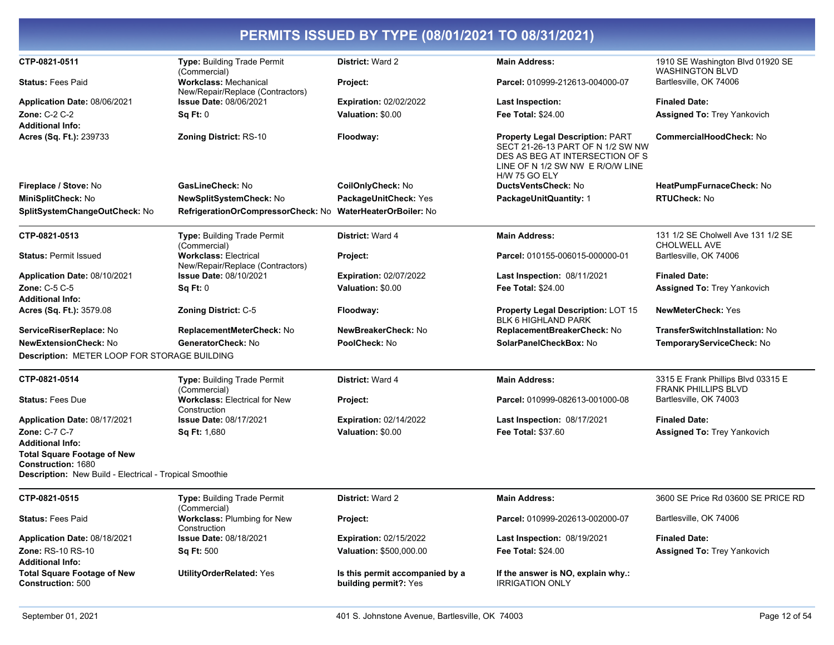| CTP-0821-0511                                                                 |                                                                  | <b>District: Ward 2</b>                                  | <b>Main Address:</b>                                                                                                                                                 | 1910 SE Washington Blvd 01920 SE                                 |
|-------------------------------------------------------------------------------|------------------------------------------------------------------|----------------------------------------------------------|----------------------------------------------------------------------------------------------------------------------------------------------------------------------|------------------------------------------------------------------|
|                                                                               | Type: Building Trade Permit<br>(Commercial)                      |                                                          |                                                                                                                                                                      | <b>WASHINGTON BLVD</b>                                           |
| <b>Status: Fees Paid</b>                                                      | <b>Workclass: Mechanical</b><br>New/Repair/Replace (Contractors) | Project:                                                 | Parcel: 010999-212613-004000-07                                                                                                                                      | Bartlesville, OK 74006                                           |
| Application Date: 08/06/2021                                                  | <b>Issue Date: 08/06/2021</b>                                    | <b>Expiration: 02/02/2022</b>                            | <b>Last Inspection:</b>                                                                                                                                              | <b>Finaled Date:</b>                                             |
| Zone: C-2 C-2                                                                 | Sq Ft: 0                                                         | Valuation: \$0.00                                        | Fee Total: \$24.00                                                                                                                                                   | <b>Assigned To: Trey Yankovich</b>                               |
| Additional Info:                                                              |                                                                  |                                                          |                                                                                                                                                                      |                                                                  |
| Acres (Sq. Ft.): 239733                                                       | <b>Zoning District: RS-10</b>                                    | Floodway:                                                | <b>Property Legal Description: PART</b><br>SECT 21-26-13 PART OF N 1/2 SW NW<br>DES AS BEG AT INTERSECTION OF S<br>LINE OF N 1/2 SW NW E R/O/W LINE<br>H/W 75 GO ELY | CommercialHoodCheck: No                                          |
| Fireplace / Stove: No                                                         | GasLineCheck: No                                                 | CoilOnlyCheck: No                                        | DuctsVentsCheck: No                                                                                                                                                  | HeatPumpFurnaceCheck: No                                         |
| MiniSplitCheck: No                                                            | NewSplitSystemCheck: No                                          | PackageUnitCheck: Yes                                    | <b>PackageUnitQuantity: 1</b>                                                                                                                                        | RTUCheck: No                                                     |
| SplitSystemChangeOutCheck: No                                                 | RefrigerationOrCompressorCheck: No WaterHeaterOrBoiler: No       |                                                          |                                                                                                                                                                      |                                                                  |
| CTP-0821-0513                                                                 | Type: Building Trade Permit<br>(Commercial)                      | <b>District: Ward 4</b>                                  | <b>Main Address:</b>                                                                                                                                                 | 131 1/2 SE Cholwell Ave 131 1/2 SE<br>CHOLWELL AVE               |
| <b>Status: Permit Issued</b>                                                  | <b>Workclass: Electrical</b><br>New/Repair/Replace (Contractors) | Project:                                                 | Parcel: 010155-006015-000000-01                                                                                                                                      | Bartlesville, OK 74006                                           |
| Application Date: 08/10/2021                                                  | <b>Issue Date: 08/10/2021</b>                                    | <b>Expiration: 02/07/2022</b>                            | <b>Last Inspection: 08/11/2021</b>                                                                                                                                   | <b>Finaled Date:</b>                                             |
| Zone: C-5 C-5                                                                 | Sq Ft: 0                                                         | Valuation: \$0.00                                        | <b>Fee Total: \$24.00</b>                                                                                                                                            | <b>Assigned To: Trey Yankovich</b>                               |
| Additional Info:                                                              |                                                                  |                                                          |                                                                                                                                                                      |                                                                  |
| Acres (Sq. Ft.): 3579.08                                                      | <b>Zoning District: C-5</b>                                      | Floodway:                                                | <b>Property Legal Description: LOT 15</b><br><b>BLK 6 HIGHLAND PARK</b>                                                                                              | <b>NewMeterCheck: Yes</b>                                        |
| ServiceRiserReplace: No                                                       | ReplacementMeterCheck: No                                        | NewBreakerCheck: No                                      | ReplacementBreakerCheck: No                                                                                                                                          | TransferSwitchInstallation: No                                   |
| NewExtensionCheck: No                                                         | GeneratorCheck: No                                               | PoolCheck: No                                            | SolarPanelCheckBox: No                                                                                                                                               | TemporaryServiceCheck: No                                        |
| Description: METER LOOP FOR STORAGE BUILDING                                  |                                                                  |                                                          |                                                                                                                                                                      |                                                                  |
| CTP-0821-0514                                                                 | Type: Building Trade Permit<br>(Commercial)                      | <b>District: Ward 4</b>                                  | <b>Main Address:</b>                                                                                                                                                 | 3315 E Frank Phillips Blvd 03315 E<br><b>FRANK PHILLIPS BLVD</b> |
| <b>Status: Fees Due</b>                                                       | <b>Workclass: Electrical for New</b><br>Construction             | <b>Project:</b>                                          | Parcel: 010999-082613-001000-08                                                                                                                                      | Bartlesville, OK 74003                                           |
| Application Date: 08/17/2021                                                  | <b>Issue Date: 08/17/2021</b>                                    | <b>Expiration: 02/14/2022</b>                            | <b>Last Inspection: 08/17/2021</b>                                                                                                                                   | <b>Finaled Date:</b>                                             |
| Zone: C-7 C-7                                                                 | <b>Sq Ft: 1,680</b>                                              | Valuation: \$0.00                                        | Fee Total: \$37.60                                                                                                                                                   | <b>Assigned To: Trey Yankovich</b>                               |
| <b>Additional Info:</b>                                                       |                                                                  |                                                          |                                                                                                                                                                      |                                                                  |
| <b>Total Square Footage of New</b>                                            |                                                                  |                                                          |                                                                                                                                                                      |                                                                  |
| Construction: 1680<br>Description: New Build - Electrical - Tropical Smoothie |                                                                  |                                                          |                                                                                                                                                                      |                                                                  |
| CTP-0821-0515                                                                 | Type: Building Trade Permit<br>(Commercial)                      | District: Ward 2                                         | <b>Main Address:</b>                                                                                                                                                 | 3600 SE Price Rd 03600 SE PRICE RD                               |
| <b>Status: Fees Paid</b>                                                      | <b>Workclass: Plumbing for New</b><br>Construction               | Project:                                                 | Parcel: 010999-202613-002000-07                                                                                                                                      | Bartlesville, OK 74006                                           |
| Application Date: 08/18/2021                                                  | <b>Issue Date: 08/18/2021</b>                                    | <b>Expiration: 02/15/2022</b>                            | Last Inspection: 08/19/2021                                                                                                                                          | <b>Finaled Date:</b>                                             |
| Zone: RS-10 RS-10                                                             | <b>Sq Ft: 500</b>                                                | Valuation: \$500,000.00                                  | Fee Total: \$24.00                                                                                                                                                   | <b>Assigned To: Trey Yankovich</b>                               |
| Additional Info:                                                              |                                                                  |                                                          |                                                                                                                                                                      |                                                                  |
| Total Square Footage of New<br>Construction: 500                              | <b>UtilityOrderRelated: Yes</b>                                  | Is this permit accompanied by a<br>building permit?: Yes | If the answer is NO, explain why.:<br><b>IRRIGATION ONLY</b>                                                                                                         |                                                                  |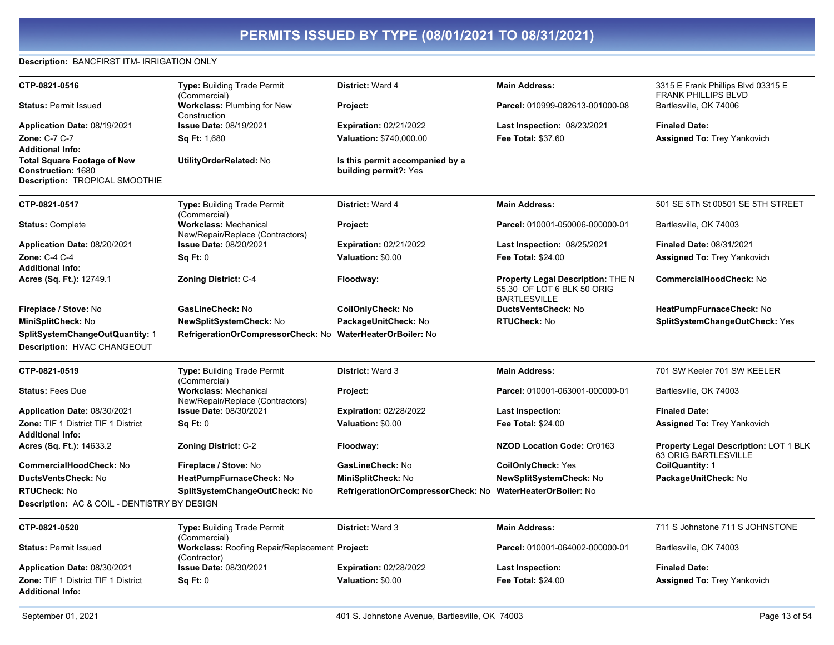#### **Description: BANCFIRST ITM- IRRIGATION ONLY**

| CTP-0821-0516                                                         | Type: Building Trade Permit                                      | District: Ward 4                                           | <b>Main Address:</b>                                                                          | 3315 E Frank Phillips Blvd 03315 E                            |
|-----------------------------------------------------------------------|------------------------------------------------------------------|------------------------------------------------------------|-----------------------------------------------------------------------------------------------|---------------------------------------------------------------|
|                                                                       | (Commercial)                                                     |                                                            |                                                                                               | <b>FRANK PHILLIPS BLVD</b>                                    |
| <b>Status: Permit Issued</b>                                          | <b>Workclass: Plumbing for New</b><br>Construction               | Project:                                                   | Parcel: 010999-082613-001000-08                                                               | Bartlesville, OK 74006                                        |
| Application Date: 08/19/2021                                          | <b>Issue Date: 08/19/2021</b>                                    | <b>Expiration: 02/21/2022</b>                              | <b>Last Inspection: 08/23/2021</b>                                                            | <b>Finaled Date:</b>                                          |
| Zone: C-7 C-7                                                         | <b>Sq Ft: 1,680</b>                                              | Valuation: \$740,000.00                                    | Fee Total: \$37.60                                                                            | <b>Assigned To: Trey Yankovich</b>                            |
| <b>Additional Info:</b>                                               |                                                                  |                                                            |                                                                                               |                                                               |
| <b>Total Square Footage of New</b>                                    | <b>UtilityOrderRelated: No</b>                                   | Is this permit accompanied by a                            |                                                                                               |                                                               |
| Construction: 1680<br><b>Description: TROPICAL SMOOTHIE</b>           |                                                                  | building permit?: Yes                                      |                                                                                               |                                                               |
|                                                                       |                                                                  |                                                            |                                                                                               |                                                               |
| CTP-0821-0517                                                         | <b>Type: Building Trade Permit</b><br>(Commercial)               | <b>District: Ward 4</b>                                    | <b>Main Address:</b>                                                                          | 501 SE 5Th St 00501 SE 5TH STREET                             |
| <b>Status: Complete</b>                                               | <b>Workclass: Mechanical</b><br>New/Repair/Replace (Contractors) | Project:                                                   | Parcel: 010001-050006-000000-01                                                               | Bartlesville, OK 74003                                        |
| Application Date: 08/20/2021                                          | <b>Issue Date: 08/20/2021</b>                                    | <b>Expiration: 02/21/2022</b>                              | <b>Last Inspection: 08/25/2021</b>                                                            | <b>Finaled Date: 08/31/2021</b>                               |
| Zone: C-4 C-4                                                         | Sq Ft: 0                                                         | Valuation: \$0.00                                          | Fee Total: \$24.00                                                                            | <b>Assigned To: Trey Yankovich</b>                            |
| <b>Additional Info:</b>                                               |                                                                  |                                                            |                                                                                               |                                                               |
| Acres (Sq. Ft.): 12749.1                                              | <b>Zoning District: C-4</b>                                      | Floodway:                                                  | <b>Property Legal Description: THE N</b><br>55.30 OF LOT 6 BLK 50 ORIG<br><b>BARTLESVILLE</b> | <b>CommercialHoodCheck: No</b>                                |
| Fireplace / Stove: No                                                 | GasLineCheck: No                                                 | CoilOnlyCheck: No                                          | DuctsVentsCheck: No                                                                           | HeatPumpFurnaceCheck: No                                      |
| MiniSplitCheck: No                                                    | NewSplitSystemCheck: No                                          | PackageUnitCheck: No                                       | RTUCheck: No                                                                                  | SplitSystemChangeOutCheck: Yes                                |
| SplitSystemChangeOutQuantity: 1<br>Description: HVAC CHANGEOUT        | RefrigerationOrCompressorCheck: No WaterHeaterOrBoiler: No       |                                                            |                                                                                               |                                                               |
| CTP-0821-0519                                                         | Type: Building Trade Permit<br>(Commercial)                      | <b>District: Ward 3</b>                                    | <b>Main Address:</b>                                                                          | 701 SW Keeler 701 SW KEELER                                   |
| <b>Status: Fees Due</b>                                               | <b>Workclass: Mechanical</b><br>New/Repair/Replace (Contractors) | Project:                                                   | Parcel: 010001-063001-000000-01                                                               | Bartlesville, OK 74003                                        |
| Application Date: 08/30/2021                                          | <b>Issue Date: 08/30/2021</b>                                    | <b>Expiration: 02/28/2022</b>                              | <b>Last Inspection:</b>                                                                       | <b>Finaled Date:</b>                                          |
| <b>Zone: TIF 1 District TIF 1 District</b><br><b>Additional Info:</b> | Sq Ft: 0                                                         | Valuation: \$0.00                                          | <b>Fee Total: \$24.00</b>                                                                     | <b>Assigned To: Trey Yankovich</b>                            |
| Acres (Sq. Ft.): 14633.2                                              | <b>Zoning District: C-2</b>                                      | Floodway:                                                  | <b>NZOD Location Code: Or0163</b>                                                             | Property Legal Description: LOT 1 BLK<br>63 ORIG BARTLESVILLE |
| <b>CommercialHoodCheck: No</b>                                        | Fireplace / Stove: No                                            | GasLineCheck: No                                           | <b>CoilOnlyCheck: Yes</b>                                                                     | CoilQuantity: 1                                               |
| DuctsVentsCheck: No                                                   | HeatPumpFurnaceCheck: No                                         | MiniSplitCheck: No                                         | NewSplitSystemCheck: No                                                                       | PackageUnitCheck: No                                          |
| <b>RTUCheck: No</b>                                                   | SplitSystemChangeOutCheck: No                                    | RefrigerationOrCompressorCheck: No WaterHeaterOrBoiler: No |                                                                                               |                                                               |
| <b>Description: AC &amp; COIL - DENTISTRY BY DESIGN</b>               |                                                                  |                                                            |                                                                                               |                                                               |
| CTP-0821-0520                                                         | <b>Type: Building Trade Permit</b><br>(Commercial)               | <b>District: Ward 3</b>                                    | <b>Main Address:</b>                                                                          | 711 S Johnstone 711 S JOHNSTONE                               |
| <b>Status: Permit Issued</b>                                          | Workclass: Roofing Repair/Replacement Project:<br>(Contractor)   |                                                            | Parcel: 010001-064002-000000-01                                                               | Bartlesville, OK 74003                                        |
| Application Date: 08/30/2021                                          | Issue Date: 08/30/2021                                           | <b>Expiration: 02/28/2022</b>                              | Last Inspection:                                                                              | <b>Finaled Date:</b>                                          |
| Zone: TIF 1 District TIF 1 District                                   | Sa Ft: 0                                                         | Valuation: \$0.00                                          | <b>Fee Total: \$24.00</b>                                                                     | <b>Assigned To: Trey Yankovich</b>                            |

**Additional Info:**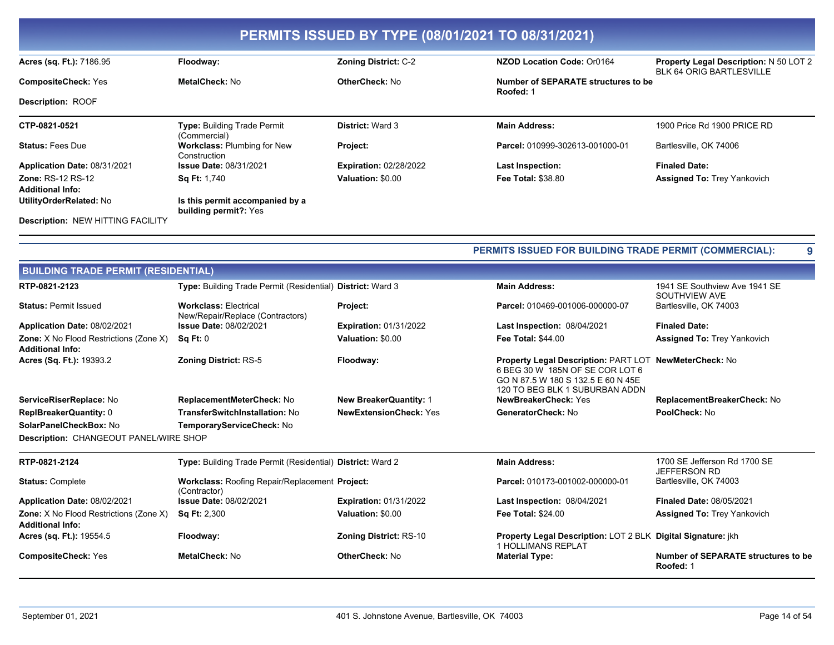| PERMITS ISSUED BY TYPE (08/01/2021 TO 08/31/2021) |                                                    |                               |                                                  |                                                                           |
|---------------------------------------------------|----------------------------------------------------|-------------------------------|--------------------------------------------------|---------------------------------------------------------------------------|
| Acres (sq. Ft.): 7186.95                          | Floodway:                                          | <b>Zoning District: C-2</b>   | NZOD Location Code: Or0164                       | <b>Property Legal Description: N 50 LOT 2</b><br>BLK 64 ORIG BARTLESVILLE |
| <b>CompositeCheck: Yes</b>                        | MetalCheck: No                                     | <b>OtherCheck: No</b>         | Number of SEPARATE structures to be<br>Roofed: 1 |                                                                           |
| <b>Description: ROOF</b>                          |                                                    |                               |                                                  |                                                                           |
| CTP-0821-0521                                     | <b>Type: Building Trade Permit</b><br>(Commercial) | <b>District: Ward 3</b>       | <b>Main Address:</b>                             | 1900 Price Rd 1900 PRICE RD                                               |
| <b>Status: Fees Due</b>                           | <b>Workclass: Plumbing for New</b><br>Construction | Project:                      | Parcel: 010999-302613-001000-01                  | Bartlesville, OK 74006                                                    |
| Application Date: 08/31/2021                      | <b>Issue Date: 08/31/2021</b>                      | <b>Expiration: 02/28/2022</b> | Last Inspection:                                 | <b>Finaled Date:</b>                                                      |
| <b>Zone: RS-12 RS-12</b>                          | <b>Sq Ft: 1,740</b>                                | Valuation: \$0.00             | <b>Fee Total: \$38.80</b>                        | <b>Assigned To: Trey Yankovich</b>                                        |
| <b>Additional Info:</b>                           |                                                    |                               |                                                  |                                                                           |
| UtilityOrderRelated: No                           | Is this permit accompanied by a                    |                               |                                                  |                                                                           |
| <b>Description: NEW HITTING FACILITY</b>          | building permit?: Yes                              |                               |                                                  |                                                                           |

#### PERMITS ISSUED FOR BUILDING TRADE PERMIT (COMMERCIAL):

| <b>BUILDING TRADE PERMIT (RESIDENTIAL)</b>                               |                                                                  |                               |                                                                                                                                                                          |                                                     |  |  |
|--------------------------------------------------------------------------|------------------------------------------------------------------|-------------------------------|--------------------------------------------------------------------------------------------------------------------------------------------------------------------------|-----------------------------------------------------|--|--|
| RTP-0821-2123                                                            | Type: Building Trade Permit (Residential) District: Ward 3       |                               | <b>Main Address:</b>                                                                                                                                                     | 1941 SE Southview Ave 1941 SE<br>SOUTHVIEW AVE      |  |  |
| <b>Status: Permit Issued</b>                                             | <b>Workclass: Electrical</b><br>New/Repair/Replace (Contractors) | Project:                      | Parcel: 010469-001006-000000-07                                                                                                                                          | Bartlesville, OK 74003                              |  |  |
| Application Date: 08/02/2021                                             | <b>Issue Date: 08/02/2021</b>                                    | <b>Expiration: 01/31/2022</b> | <b>Last Inspection: 08/04/2021</b>                                                                                                                                       | <b>Finaled Date:</b>                                |  |  |
| <b>Zone:</b> X No Flood Restrictions (Zone X)<br><b>Additional Info:</b> | Sq Ft: 0                                                         | Valuation: \$0.00             | <b>Fee Total: \$44.00</b>                                                                                                                                                | <b>Assigned To: Trey Yankovich</b>                  |  |  |
| Acres (Sq. Ft.): 19393.2                                                 | <b>Zoning District: RS-5</b>                                     | Floodway:                     | <b>Property Legal Description: PART LOT NewMeterCheck: No</b><br>6 BEG 30 W 185N OF SE COR LOT 6<br>GO N 87.5 W 180 S 132.5 E 60 N 45E<br>120 TO BEG BLK 1 SUBURBAN ADDN |                                                     |  |  |
| ServiceRiserReplace: No                                                  | ReplacementMeterCheck: No                                        | <b>New BreakerQuantity: 1</b> | <b>NewBreakerCheck: Yes</b>                                                                                                                                              | ReplacementBreakerCheck: No                         |  |  |
| <b>ReplBreakerQuantity: 0</b>                                            | TransferSwitchInstallation: No                                   | <b>NewExtensionCheck: Yes</b> | GeneratorCheck: No                                                                                                                                                       | PoolCheck: No                                       |  |  |
| SolarPanelCheckBox: No                                                   | TemporaryServiceCheck: No                                        |                               |                                                                                                                                                                          |                                                     |  |  |
| Description: CHANGEOUT PANEL/WIRE SHOP                                   |                                                                  |                               |                                                                                                                                                                          |                                                     |  |  |
| RTP-0821-2124                                                            | Type: Building Trade Permit (Residential) District: Ward 2       |                               | <b>Main Address:</b>                                                                                                                                                     | 1700 SE Jefferson Rd 1700 SE<br><b>JEFFERSON RD</b> |  |  |
| <b>Status: Complete</b>                                                  | Workclass: Roofing Repair/Replacement Project:<br>(Contractor)   |                               | Parcel: 010173-001002-000000-01                                                                                                                                          | Bartlesville, OK 74003                              |  |  |
| Application Date: 08/02/2021                                             | <b>Issue Date: 08/02/2021</b>                                    | <b>Expiration: 01/31/2022</b> | Last Inspection: 08/04/2021                                                                                                                                              | <b>Finaled Date: 08/05/2021</b>                     |  |  |
| Zone: X No Flood Restrictions (Zone X)<br><b>Additional Info:</b>        | <b>Sq Ft: 2,300</b>                                              | Valuation: \$0.00             | <b>Fee Total: \$24.00</b>                                                                                                                                                | <b>Assigned To: Trey Yankovich</b>                  |  |  |
| Acres (sq. Ft.): 19554.5                                                 | Floodway:                                                        | <b>Zoning District: RS-10</b> | <b>Property Legal Description: LOT 2 BLK Digital Signature: jkh</b><br><b>1 HOLLIMANS REPLAT</b>                                                                         |                                                     |  |  |
| <b>CompositeCheck: Yes</b>                                               | <b>MetalCheck: No</b>                                            | OtherCheck: No                | <b>Material Type:</b>                                                                                                                                                    | Number of SEPARATE structures to be<br>Roofed: 1    |  |  |

 $\overline{9}$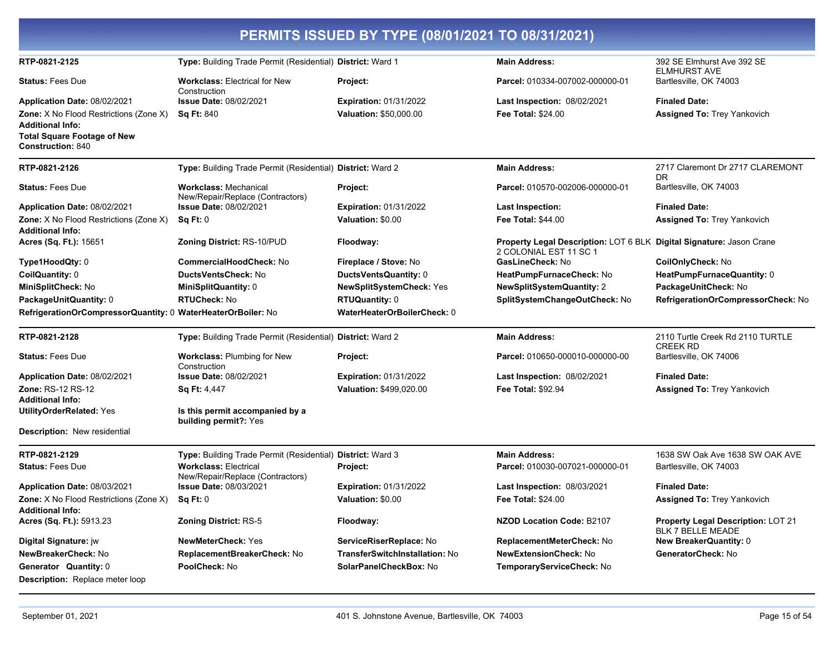| PERMITS ISSUED BY TYPE (08/01/2021 TO 08/31/2021)                        |                                                                  |                                |                                                                                                |                                                     |  |
|--------------------------------------------------------------------------|------------------------------------------------------------------|--------------------------------|------------------------------------------------------------------------------------------------|-----------------------------------------------------|--|
| RTP-0821-2125                                                            | Type: Building Trade Permit (Residential) District: Ward 1       |                                | <b>Main Address:</b>                                                                           | 392 SE Elmhurst Ave 392 SE<br><b>ELMHURST AVE</b>   |  |
| <b>Status: Fees Due</b>                                                  | <b>Workclass: Electrical for New</b><br>Construction             | Project:                       | Parcel: 010334-007002-000000-01                                                                | Bartlesville, OK 74003                              |  |
| Application Date: 08/02/2021                                             | Issue Date: 08/02/2021                                           | <b>Expiration: 01/31/2022</b>  | Last Inspection: 08/02/2021                                                                    | <b>Finaled Date:</b>                                |  |
| <b>Zone:</b> X No Flood Restrictions (Zone X)                            | <b>Sq Ft: 840</b>                                                | Valuation: \$50,000.00         | <b>Fee Total: \$24.00</b>                                                                      | <b>Assigned To: Trey Yankovich</b>                  |  |
| <b>Additional Info:</b>                                                  |                                                                  |                                |                                                                                                |                                                     |  |
| <b>Total Square Footage of New</b><br><b>Construction: 840</b>           |                                                                  |                                |                                                                                                |                                                     |  |
| RTP-0821-2126                                                            | Type: Building Trade Permit (Residential) District: Ward 2       |                                | <b>Main Address:</b>                                                                           | 2717 Claremont Dr 2717 CLAREMONT<br>DR              |  |
| <b>Status: Fees Due</b>                                                  | <b>Workclass: Mechanical</b><br>New/Repair/Replace (Contractors) | Project:                       | Parcel: 010570-002006-000000-01                                                                | Bartlesville, OK 74003                              |  |
| Application Date: 08/02/2021                                             | <b>Issue Date: 08/02/2021</b>                                    | <b>Expiration: 01/31/2022</b>  | <b>Last Inspection:</b>                                                                        | <b>Finaled Date:</b>                                |  |
| <b>Zone:</b> X No Flood Restrictions (Zone X)<br><b>Additional Info:</b> | Sq Ft: 0                                                         | Valuation: \$0.00              | <b>Fee Total: \$44.00</b>                                                                      | <b>Assigned To: Trey Yankovich</b>                  |  |
| Acres (Sq. Ft.): 15651                                                   | <b>Zoning District: RS-10/PUD</b>                                | Floodway:                      | Property Legal Description: LOT 6 BLK Digital Signature: Jason Crane<br>2 COLONIAL EST 11 SC 1 |                                                     |  |
| Type1HoodQty: 0                                                          | <b>CommercialHoodCheck: No</b>                                   | Fireplace / Stove: No          | GasLineCheck: No                                                                               | CoilOnlyCheck: No                                   |  |
| CoilQuantity: 0                                                          | <b>DuctsVentsCheck: No</b>                                       | DuctsVentsQuantity: 0          | HeatPumpFurnaceCheck: No                                                                       | HeatPumpFurnaceQuantity: 0                          |  |
| MiniSplitCheck: No                                                       | MiniSplitQuantity: 0                                             | NewSplitSystemCheck: Yes       | <b>NewSplitSystemQuantity: 2</b>                                                               | PackageUnitCheck: No                                |  |
| PackageUnitQuantity: 0                                                   | <b>RTUCheck: No</b>                                              | <b>RTUQuantity: 0</b>          | SplitSystemChangeOutCheck: No                                                                  | RefrigerationOrCompressorCheck: No                  |  |
| RefrigerationOrCompressorQuantity: 0 WaterHeaterOrBoiler: No             |                                                                  | WaterHeaterOrBoilerCheck: 0    |                                                                                                |                                                     |  |
| RTP-0821-2128                                                            | Type: Building Trade Permit (Residential) District: Ward 2       |                                | <b>Main Address:</b>                                                                           | 2110 Turtle Creek Rd 2110 TURTLE<br><b>CREEK RD</b> |  |
| <b>Status: Fees Due</b>                                                  | <b>Workclass: Plumbing for New</b><br>Construction               | Project:                       | Parcel: 010650-000010-000000-00                                                                | Bartlesville, OK 74006                              |  |
| Application Date: 08/02/2021                                             | <b>Issue Date: 08/02/2021</b>                                    | <b>Expiration: 01/31/2022</b>  | Last Inspection: 08/02/2021                                                                    | <b>Finaled Date:</b>                                |  |
| <b>Zone: RS-12 RS-12</b>                                                 | <b>Sq Ft: 4,447</b>                                              | Valuation: \$499,020.00        | <b>Fee Total: \$92.94</b>                                                                      | Assigned To: Trey Yankovich                         |  |
| <b>Additional Info:</b>                                                  |                                                                  |                                |                                                                                                |                                                     |  |
| <b>UtilityOrderRelated: Yes</b>                                          | Is this permit accompanied by a<br>building permit?: Yes         |                                |                                                                                                |                                                     |  |
| Description: New residential                                             |                                                                  |                                |                                                                                                |                                                     |  |
| RTP-0821-2129                                                            | Type: Building Trade Permit (Residential) District: Ward 3       |                                | <b>Main Address:</b>                                                                           | 1638 SW Oak Ave 1638 SW OAK AVE                     |  |
| <b>Status: Fees Due</b>                                                  | <b>Workclass: Electrical</b><br>New/Repair/Replace (Contractors) | Project:                       | Parcel: 010030-007021-000000-01                                                                | Bartlesville, OK 74003                              |  |
| Application Date: 08/03/2021                                             | <b>Issue Date: 08/03/2021</b>                                    | <b>Expiration: 01/31/2022</b>  | Last Inspection: 08/03/2021                                                                    | <b>Finaled Date:</b>                                |  |
| Zone: X No Flood Restrictions (Zone X)                                   | Sq Ft: 0                                                         | Valuation: \$0.00              | Fee Total: \$24.00                                                                             | Assigned To: Trey Yankovich                         |  |
| <b>Additional Info:</b>                                                  | <b>Zoning District: RS-5</b>                                     |                                | NZOD Location Code: B2107                                                                      | <b>Property Legal Description: LOT 21</b>           |  |
| Acres (Sq. Ft.): 5913.23                                                 |                                                                  | Floodway:                      |                                                                                                | <b>BLK 7 BELLE MEADE</b>                            |  |
| Digital Signature: jw                                                    | <b>NewMeterCheck: Yes</b>                                        | ServiceRiserReplace: No        | ReplacementMeterCheck: No                                                                      | <b>New BreakerQuantity: 0</b>                       |  |
| NewBreakerCheck: No                                                      | ReplacementBreakerCheck: No                                      | TransferSwitchInstallation: No | <b>NewExtensionCheck: No</b>                                                                   | GeneratorCheck: No                                  |  |
| Generator Quantity: 0<br>Description: Replace meter loop                 | PoolCheck: No                                                    | SolarPanelCheckBox: No         | TemporaryServiceCheck: No                                                                      |                                                     |  |
|                                                                          |                                                                  |                                |                                                                                                |                                                     |  |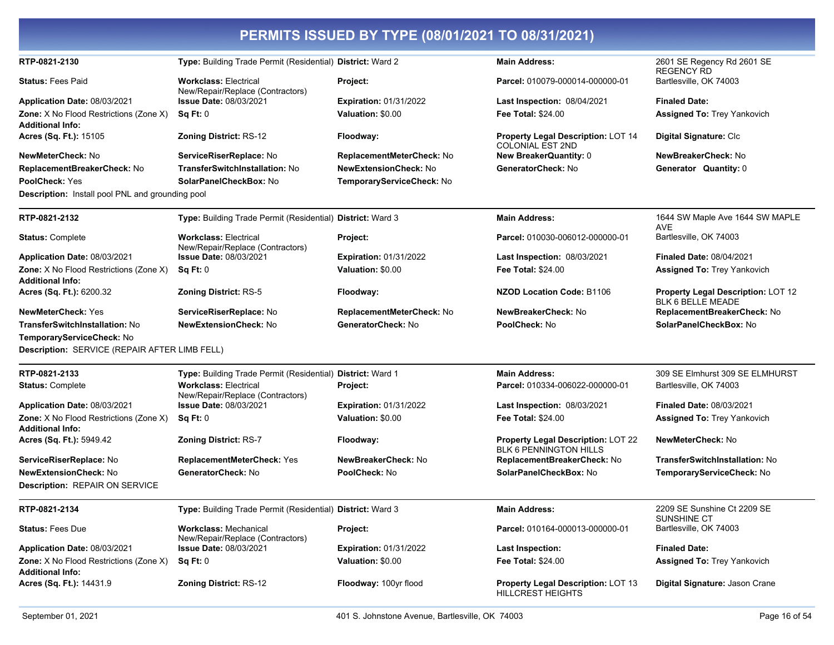| RTP-0821-2130                                                            | Type: Building Trade Permit (Residential) District: Ward 2       |                               | <b>Main Address:</b>                                                       | 2601 SE Regency Rd 2601 SE<br><b>REGENCY RD</b>                       |
|--------------------------------------------------------------------------|------------------------------------------------------------------|-------------------------------|----------------------------------------------------------------------------|-----------------------------------------------------------------------|
| <b>Status: Fees Paid</b>                                                 | <b>Workclass: Electrical</b><br>New/Repair/Replace (Contractors) | Project:                      | Parcel: 010079-000014-000000-01                                            | Bartlesville, OK 74003                                                |
| Application Date: 08/03/2021                                             | <b>Issue Date: 08/03/2021</b>                                    | <b>Expiration: 01/31/2022</b> | <b>Last Inspection: 08/04/2021</b>                                         | <b>Finaled Date:</b>                                                  |
| <b>Zone:</b> X No Flood Restrictions (Zone X)<br><b>Additional Info:</b> | Sq Ft: 0                                                         | Valuation: \$0.00             | <b>Fee Total: \$24.00</b>                                                  | <b>Assigned To: Trey Yankovich</b>                                    |
| Acres (Sq. Ft.): 15105                                                   | <b>Zoning District: RS-12</b>                                    | Floodway:                     | Property Legal Description: LOT 14<br><b>COLONIAL EST 2ND</b>              | Digital Signature: Clc                                                |
| NewMeterCheck: No                                                        | ServiceRiserReplace: No                                          | ReplacementMeterCheck: No     | New BreakerQuantity: 0                                                     | NewBreakerCheck: No                                                   |
| ReplacementBreakerCheck: No                                              | TransferSwitchInstallation: No                                   | <b>NewExtensionCheck: No</b>  | GeneratorCheck: No                                                         | Generator Quantity: 0                                                 |
| PoolCheck: Yes                                                           | SolarPanelCheckBox: No                                           | TemporaryServiceCheck: No     |                                                                            |                                                                       |
| <b>Description:</b> Install pool PNL and grounding pool                  |                                                                  |                               |                                                                            |                                                                       |
| RTP-0821-2132                                                            | Type: Building Trade Permit (Residential) District: Ward 3       |                               | <b>Main Address:</b>                                                       | 1644 SW Maple Ave 1644 SW MAPLE<br>AVE                                |
| <b>Status: Complete</b>                                                  | <b>Workclass: Electrical</b><br>New/Repair/Replace (Contractors) | Project:                      | Parcel: 010030-006012-000000-01                                            | Bartlesville, OK 74003                                                |
| Application Date: 08/03/2021                                             | <b>Issue Date: 08/03/2021</b>                                    | <b>Expiration: 01/31/2022</b> | Last Inspection: 08/03/2021                                                | <b>Finaled Date: 08/04/2021</b>                                       |
| <b>Zone:</b> X No Flood Restrictions (Zone X)<br><b>Additional Info:</b> | Sq Ft: 0                                                         | Valuation: \$0.00             | <b>Fee Total: \$24.00</b>                                                  | <b>Assigned To: Trey Yankovich</b>                                    |
| Acres (Sq. Ft.): 6200.32                                                 | <b>Zoning District: RS-5</b>                                     | Floodway:                     | <b>NZOD Location Code: B1106</b>                                           | <b>Property Legal Description: LOT 12</b><br><b>BLK 6 BELLE MEADE</b> |
| <b>NewMeterCheck: Yes</b>                                                | <b>ServiceRiserReplace:</b> No                                   | ReplacementMeterCheck: No     | NewBreakerCheck: No                                                        | ReplacementBreakerCheck: No                                           |
| TransferSwitchInstallation: No                                           | <b>NewExtensionCheck: No</b>                                     | GeneratorCheck: No            | PoolCheck: No                                                              | SolarPanelCheckBox: No                                                |
| TemporaryServiceCheck: No                                                |                                                                  |                               |                                                                            |                                                                       |
| Description: SERVICE (REPAIR AFTER LIMB FELL)                            |                                                                  |                               |                                                                            |                                                                       |
| RTP-0821-2133                                                            | Type: Building Trade Permit (Residential) District: Ward 1       |                               | <b>Main Address:</b>                                                       | 309 SE Elmhurst 309 SE ELMHURST                                       |
| <b>Status: Complete</b>                                                  | <b>Workclass: Electrical</b><br>New/Repair/Replace (Contractors) | Project:                      | Parcel: 010334-006022-000000-01                                            | Bartlesville, OK 74003                                                |
| Application Date: 08/03/2021                                             | <b>Issue Date: 08/03/2021</b>                                    | <b>Expiration: 01/31/2022</b> | Last Inspection: 08/03/2021                                                | Finaled Date: 08/03/2021                                              |
| Zone: X No Flood Restrictions (Zone X)                                   | Sq Ft: 0                                                         | Valuation: \$0.00             | <b>Fee Total: \$24.00</b>                                                  | <b>Assigned To: Trey Yankovich</b>                                    |
| <b>Additional Info:</b><br>Acres (Sq. Ft.): 5949.42                      | <b>Zoning District: RS-7</b>                                     | Floodway:                     | <b>Property Legal Description: LOT 22</b><br><b>BLK 6 PENNINGTON HILLS</b> | <b>NewMeterCheck: No</b>                                              |
| ServiceRiserReplace: No                                                  | ReplacementMeterCheck: Yes                                       | NewBreakerCheck: No           | ReplacementBreakerCheck: No                                                | TransferSwitchInstallation: No                                        |
| <b>NewExtensionCheck: No</b>                                             | GeneratorCheck: No                                               | PoolCheck: No                 | SolarPanelCheckBox: No                                                     | TemporaryServiceCheck: No                                             |
| Description: REPAIR ON SERVICE                                           |                                                                  |                               |                                                                            |                                                                       |
| RTP-0821-2134                                                            | Type: Building Trade Permit (Residential) District: Ward 3       |                               | <b>Main Address:</b>                                                       | 2209 SE Sunshine Ct 2209 SE<br><b>SUNSHINE CT</b>                     |
| <b>Status: Fees Due</b>                                                  | <b>Workclass: Mechanical</b><br>New/Repair/Replace (Contractors) | Project:                      | Parcel: 010164-000013-000000-01                                            | Bartlesville, OK 74003                                                |
| Application Date: 08/03/2021                                             | Issue Date: 08/03/2021                                           | <b>Expiration: 01/31/2022</b> | <b>Last Inspection:</b>                                                    | <b>Finaled Date:</b>                                                  |
| <b>Zone:</b> X No Flood Restrictions (Zone X)<br><b>Additional Info:</b> | Sq Ft: 0                                                         | Valuation: \$0.00             | <b>Fee Total: \$24.00</b>                                                  | <b>Assigned To: Trey Yankovich</b>                                    |
| Acres (Sq. Ft.): 14431.9                                                 | <b>Zoning District: RS-12</b>                                    | Floodway: 100yr flood         | <b>Property Legal Description: LOT 13</b><br><b>HILLCREST HEIGHTS</b>      | Digital Signature: Jason Crane                                        |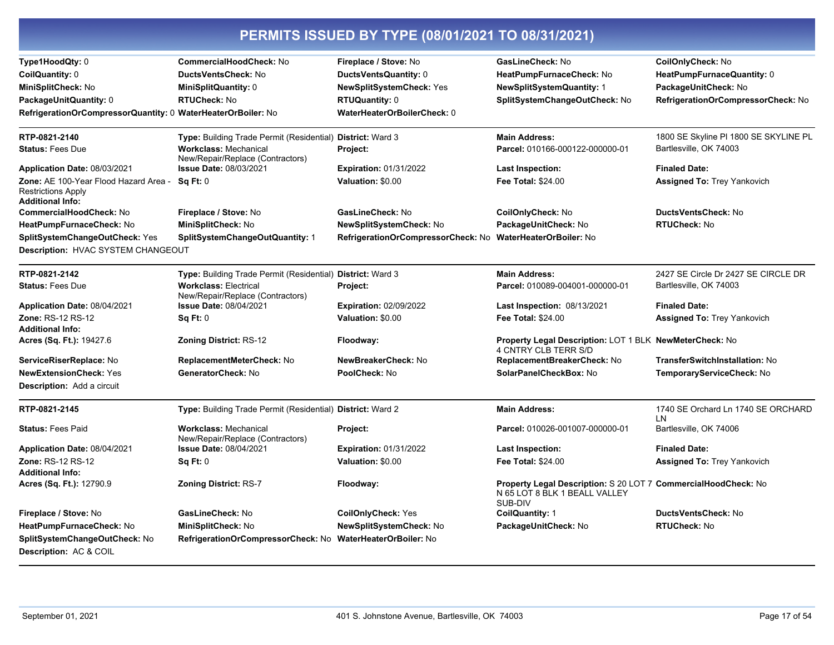| Type1HoodQty: 0                                                                               | <b>CommercialHoodCheck: No</b>                                   | Fireplace / Stove: No              | GasLineCheck: No                                                                                           | CoilOnlyCheck: No                        |
|-----------------------------------------------------------------------------------------------|------------------------------------------------------------------|------------------------------------|------------------------------------------------------------------------------------------------------------|------------------------------------------|
| CoilQuantity: 0                                                                               | DuctsVentsCheck: No                                              | DuctsVentsQuantity: 0              | HeatPumpFurnaceCheck: No                                                                                   | HeatPumpFurnaceQuantity: 0               |
| MiniSplitCheck: No                                                                            | <b>MiniSplitQuantity: 0</b>                                      | NewSplitSystemCheck: Yes           | <b>NewSplitSystemQuantity: 1</b>                                                                           | PackageUnitCheck: No                     |
| PackageUnitQuantity: 0                                                                        | <b>RTUCheck: No</b>                                              | <b>RTUQuantity: 0</b>              | SplitSystemChangeOutCheck: No                                                                              | RefrigerationOrCompressorCheck: No       |
| RefrigerationOrCompressorQuantity: 0 WaterHeaterOrBoiler: No                                  |                                                                  | WaterHeaterOrBoilerCheck: 0        |                                                                                                            |                                          |
| RTP-0821-2140                                                                                 | Type: Building Trade Permit (Residential) District: Ward 3       |                                    | <b>Main Address:</b>                                                                                       | 1800 SE Skyline PI 1800 SE SKYLINE PL    |
| <b>Status: Fees Due</b>                                                                       | <b>Workclass: Mechanical</b><br>New/Repair/Replace (Contractors) | Project:                           | Parcel: 010166-000122-000000-01                                                                            | Bartlesville, OK 74003                   |
| Application Date: 08/03/2021                                                                  | <b>Issue Date: 08/03/2021</b>                                    | <b>Expiration: 01/31/2022</b>      | <b>Last Inspection:</b>                                                                                    | <b>Finaled Date:</b>                     |
| Zone: AE 100-Year Flood Hazard Area -<br><b>Restrictions Apply</b><br><b>Additional Info:</b> | Sq Ft: 0                                                         | Valuation: \$0.00                  | Fee Total: \$24.00                                                                                         | Assigned To: Trey Yankovich              |
| <b>CommercialHoodCheck: No</b>                                                                | Fireplace / Stove: No                                            | GasLineCheck: No                   | CoilOnlyCheck: No                                                                                          | DuctsVentsCheck: No                      |
| HeatPumpFurnaceCheck: No                                                                      | MiniSplitCheck: No                                               | NewSplitSystemCheck: No            | PackageUnitCheck: No                                                                                       | <b>RTUCheck: No</b>                      |
| SplitSystemChangeOutCheck: Yes                                                                | SplitSystemChangeOutQuantity: 1                                  | RefrigerationOrCompressorCheck: No | WaterHeaterOrBoiler: No                                                                                    |                                          |
| Description: HVAC SYSTEM CHANGEOUT                                                            |                                                                  |                                    |                                                                                                            |                                          |
| RTP-0821-2142                                                                                 | Type: Building Trade Permit (Residential) District: Ward 3       |                                    | <b>Main Address:</b>                                                                                       | 2427 SE Circle Dr 2427 SE CIRCLE DR      |
| <b>Status: Fees Due</b>                                                                       | <b>Workclass: Electrical</b><br>New/Repair/Replace (Contractors) | <b>Project:</b>                    | Parcel: 010089-004001-000000-01                                                                            | Bartlesville, OK 74003                   |
| Application Date: 08/04/2021                                                                  | <b>Issue Date: 08/04/2021</b>                                    | <b>Expiration: 02/09/2022</b>      | <b>Last Inspection: 08/13/2021</b>                                                                         | <b>Finaled Date:</b>                     |
| <b>Zone: RS-12 RS-12</b><br><b>Additional Info:</b>                                           | Sq Ft: 0                                                         | Valuation: \$0.00                  | <b>Fee Total: \$24.00</b>                                                                                  | Assigned To: Trey Yankovich              |
| Acres (Sq. Ft.): 19427.6                                                                      | <b>Zoning District: RS-12</b>                                    | Floodway:                          | Property Legal Description: LOT 1 BLK NewMeterCheck: No<br>4 CNTRY CLB TERR S/D                            |                                          |
| ServiceRiserReplace: No                                                                       | ReplacementMeterCheck: No                                        | NewBreakerCheck: No                | ReplacementBreakerCheck: No                                                                                | <b>TransferSwitchInstallation: No</b>    |
| <b>NewExtensionCheck: Yes</b>                                                                 | GeneratorCheck: No                                               | PoolCheck: No                      | SolarPanelCheckBox: No                                                                                     | TemporaryServiceCheck: No                |
| <b>Description:</b> Add a circuit                                                             |                                                                  |                                    |                                                                                                            |                                          |
| RTP-0821-2145                                                                                 | Type: Building Trade Permit (Residential) District: Ward 2       |                                    | <b>Main Address:</b>                                                                                       | 1740 SE Orchard Ln 1740 SE ORCHARD<br>LN |
| <b>Status: Fees Paid</b>                                                                      | <b>Workclass: Mechanical</b><br>New/Repair/Replace (Contractors) | Project:                           | Parcel: 010026-001007-000000-01                                                                            | Bartlesville, OK 74006                   |
| Application Date: 08/04/2021                                                                  | <b>Issue Date: 08/04/2021</b>                                    | <b>Expiration: 01/31/2022</b>      | <b>Last Inspection:</b>                                                                                    | <b>Finaled Date:</b>                     |
| <b>Zone: RS-12 RS-12</b>                                                                      | Sq Ft: 0                                                         | Valuation: \$0.00                  | <b>Fee Total: \$24.00</b>                                                                                  | <b>Assigned To: Trey Yankovich</b>       |
| <b>Additional Info:</b>                                                                       |                                                                  |                                    |                                                                                                            |                                          |
| Acres (Sq. Ft.): 12790.9                                                                      | Zoning District: RS-7                                            | Floodway:                          | Property Legal Description: S 20 LOT 7 CommercialHoodCheck: No<br>N 65 LOT 8 BLK 1 BEALL VALLEY<br>SUB-DIV |                                          |
| Fireplace / Stove: No                                                                         | GasLineCheck: No                                                 | <b>CoilOnlyCheck: Yes</b>          | CoilQuantity: 1                                                                                            | <b>DuctsVentsCheck: No</b>               |
| HeatPumpFurnaceCheck: No                                                                      | MiniSplitCheck: No                                               | NewSplitSystemCheck: No            | PackageUnitCheck: No                                                                                       | <b>RTUCheck: No</b>                      |
| SplitSystemChangeOutCheck: No                                                                 | RefrigerationOrCompressorCheck: No WaterHeaterOrBoiler: No       |                                    |                                                                                                            |                                          |
| <b>Description: AC &amp; COIL</b>                                                             |                                                                  |                                    |                                                                                                            |                                          |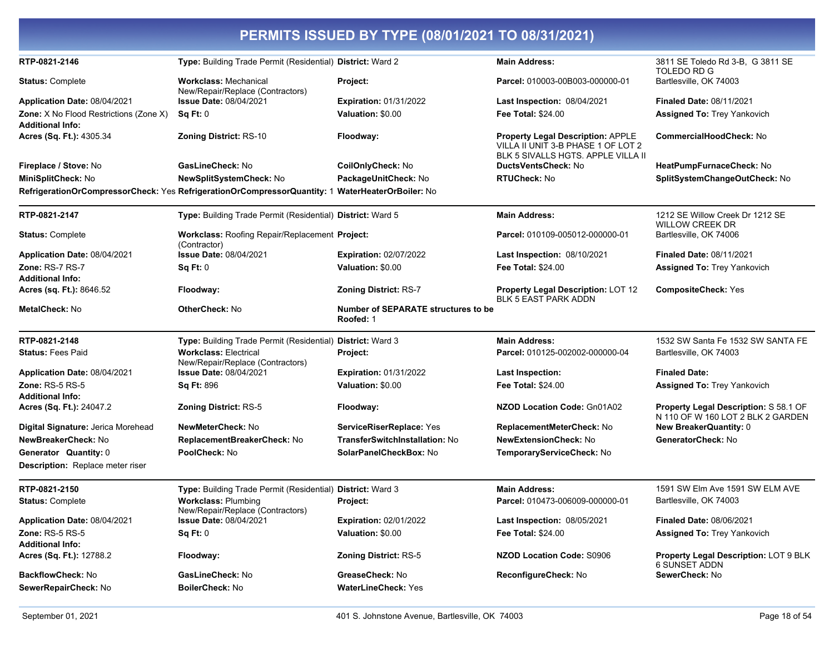| PERMITS ISSUED BY TYPE (08/01/2021 TO 08/31/2021)   |                                                                                                  |                                                  |                                                                                                                      |                                                                            |  |
|-----------------------------------------------------|--------------------------------------------------------------------------------------------------|--------------------------------------------------|----------------------------------------------------------------------------------------------------------------------|----------------------------------------------------------------------------|--|
| RTP-0821-2146                                       | Type: Building Trade Permit (Residential) District: Ward 2                                       |                                                  | <b>Main Address:</b>                                                                                                 | 3811 SE Toledo Rd 3-B, G 3811 SE<br><b>TOLEDO RD G</b>                     |  |
| <b>Status: Complete</b>                             | <b>Workclass: Mechanical</b><br>New/Repair/Replace (Contractors)                                 | Project:                                         | Parcel: 010003-00B003-000000-01                                                                                      | Bartlesville, OK 74003                                                     |  |
| <b>Application Date: 08/04/2021</b>                 | <b>Issue Date: 08/04/2021</b>                                                                    | <b>Expiration: 01/31/2022</b>                    | Last Inspection: 08/04/2021                                                                                          | <b>Finaled Date: 08/11/2021</b>                                            |  |
| Zone: X No Flood Restrictions (Zone X)              | Sq Ft: 0                                                                                         | Valuation: \$0.00                                | <b>Fee Total: \$24.00</b>                                                                                            | <b>Assigned To: Trey Yankovich</b>                                         |  |
| <b>Additional Info:</b>                             |                                                                                                  |                                                  |                                                                                                                      |                                                                            |  |
| Acres (Sq. Ft.): 4305.34                            | Zoning District: RS-10                                                                           | Floodway:                                        | <b>Property Legal Description: APPLE</b><br>VILLA II UNIT 3-B PHASE 1 OF LOT 2<br>BLK 5 SIVALLS HGTS. APPLE VILLA II | <b>CommercialHoodCheck: No</b>                                             |  |
| Fireplace / Stove: No                               | GasLineCheck: No                                                                                 | CoilOnlyCheck: No                                | DuctsVentsCheck: No                                                                                                  | HeatPumpFurnaceCheck: No                                                   |  |
| MiniSplitCheck: No                                  | NewSplitSystemCheck: No                                                                          | PackageUnitCheck: No                             | <b>RTUCheck: No</b>                                                                                                  | SplitSystemChangeOutCheck: No                                              |  |
|                                                     | RefrigerationOrCompressorCheck: Yes RefrigerationOrCompressorQuantity: 1 WaterHeaterOrBoiler: No |                                                  |                                                                                                                      |                                                                            |  |
| RTP-0821-2147                                       | Type: Building Trade Permit (Residential) District: Ward 5                                       |                                                  | <b>Main Address:</b>                                                                                                 | 1212 SE Willow Creek Dr 1212 SE<br><b>WILLOW CREEK DR</b>                  |  |
| <b>Status: Complete</b>                             | Workclass: Roofing Repair/Replacement Project:<br>(Contractor)                                   |                                                  | Parcel: 010109-005012-000000-01                                                                                      | Bartlesville, OK 74006                                                     |  |
| Application Date: 08/04/2021                        | <b>Issue Date: 08/04/2021</b>                                                                    | <b>Expiration: 02/07/2022</b>                    | <b>Last Inspection: 08/10/2021</b>                                                                                   | <b>Finaled Date: 08/11/2021</b>                                            |  |
| Zone: RS-7 RS-7<br><b>Additional Info:</b>          | Sq Ft: 0                                                                                         | Valuation: \$0.00                                | <b>Fee Total: \$24.00</b>                                                                                            | <b>Assigned To: Trey Yankovich</b>                                         |  |
| Acres (sq. Ft.): 8646.52                            | Floodway:                                                                                        | Zoning District: RS-7                            | <b>Property Legal Description: LOT 12</b><br><b>BLK 5 EAST PARK ADDN</b>                                             | <b>CompositeCheck: Yes</b>                                                 |  |
| MetalCheck: No                                      | OtherCheck: No                                                                                   | Number of SEPARATE structures to be<br>Roofed: 1 |                                                                                                                      |                                                                            |  |
| RTP-0821-2148                                       | Type: Building Trade Permit (Residential) District: Ward 3                                       |                                                  | <b>Main Address:</b>                                                                                                 | 1532 SW Santa Fe 1532 SW SANTA FE                                          |  |
| <b>Status: Fees Paid</b>                            | <b>Workclass: Electrical</b><br>New/Repair/Replace (Contractors)                                 | Project:                                         | Parcel: 010125-002002-000000-04                                                                                      | Bartlesville, OK 74003                                                     |  |
| Application Date: 08/04/2021                        | <b>Issue Date: 08/04/2021</b>                                                                    | <b>Expiration: 01/31/2022</b>                    | <b>Last Inspection:</b>                                                                                              | <b>Finaled Date:</b>                                                       |  |
| Zone: $RS-5RS-5$                                    | <b>Sq Ft: 896</b>                                                                                | Valuation: \$0.00                                | <b>Fee Total: \$24.00</b>                                                                                            | <b>Assigned To: Trey Yankovich</b>                                         |  |
| <b>Additional Info:</b><br>Acres (Sq. Ft.): 24047.2 | <b>Zoning District: RS-5</b>                                                                     | Floodway:                                        | NZOD Location Code: Gn01A02                                                                                          | Property Legal Description: S 58.1 OF<br>N 110 OF W 160 LOT 2 BLK 2 GARDEN |  |
| Digital Signature: Jerica Morehead                  | NewMeterCheck: No                                                                                | ServiceRiserReplace: Yes                         | ReplacementMeterCheck: No                                                                                            | <b>New BreakerQuantity: 0</b>                                              |  |
| NewBreakerCheck: No                                 | ReplacementBreakerCheck: No                                                                      | <b>TransferSwitchInstallation: No</b>            | <b>NewExtensionCheck: No</b>                                                                                         | GeneratorCheck: No                                                         |  |
| Generator Quantity: 0                               | PoolCheck: No                                                                                    | SolarPanelCheckBox: No                           | TemporaryServiceCheck: No                                                                                            |                                                                            |  |
| Description: Replace meter riser                    |                                                                                                  |                                                  |                                                                                                                      |                                                                            |  |
| RTP-0821-2150                                       | Type: Building Trade Permit (Residential) District: Ward 3                                       |                                                  | <b>Main Address:</b>                                                                                                 | 1591 SW Elm Ave 1591 SW ELM AVE                                            |  |
| <b>Status: Complete</b>                             | <b>Workclass: Plumbing</b><br>New/Repair/Replace (Contractors)                                   | Project:                                         | Parcel: 010473-006009-000000-01                                                                                      | Bartlesville, OK 74003                                                     |  |
| Application Date: 08/04/2021                        | <b>Issue Date: 08/04/2021</b>                                                                    | <b>Expiration: 02/01/2022</b>                    | Last Inspection: 08/05/2021                                                                                          | <b>Finaled Date: 08/06/2021</b>                                            |  |
| <b>Zone: RS-5 RS-5</b><br><b>Additional Info:</b>   | Sq Ft: 0                                                                                         | Valuation: \$0.00                                | Fee Total: \$24.00                                                                                                   | <b>Assigned To: Trey Yankovich</b>                                         |  |
| Acres (Sq. Ft.): 12788.2                            | Floodway:                                                                                        | Zoning District: RS-5                            | <b>NZOD Location Code: S0906</b>                                                                                     | Property Legal Description: LOT 9 BLK<br>6 SUNSET ADDN                     |  |
| BackflowCheck: No                                   | GasLineCheck: No                                                                                 | GreaseCheck: No                                  | ReconfigureCheck: No                                                                                                 | SewerCheck: No                                                             |  |
| SewerRepairCheck: No                                | <b>BoilerCheck: No</b>                                                                           | <b>WaterLineCheck: Yes</b>                       |                                                                                                                      |                                                                            |  |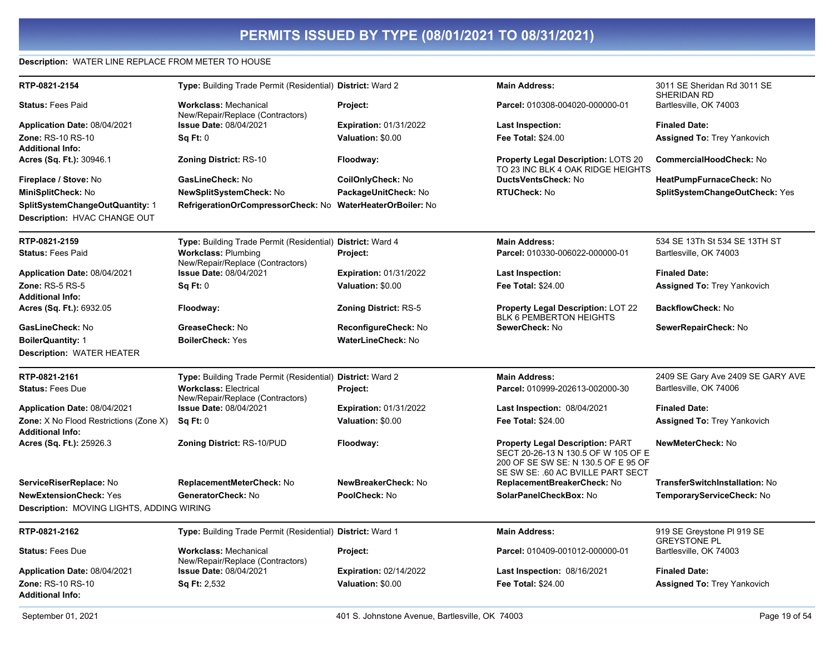#### Description: WATER LINE REPLACE FROM METER TO HOUSE

| RTP-0821-2154                                 | Type: Building Trade Permit (Residential) District: Ward 2       |                               | <b>Main Address:</b>                                                                                                                                       | 3011 SE Sheridan Rd 3011 SE<br>SHERIDAN RD        |
|-----------------------------------------------|------------------------------------------------------------------|-------------------------------|------------------------------------------------------------------------------------------------------------------------------------------------------------|---------------------------------------------------|
| <b>Status: Fees Paid</b>                      | <b>Workclass: Mechanical</b><br>New/Repair/Replace (Contractors) | Project:                      | Parcel: 010308-004020-000000-01                                                                                                                            | Bartlesville, OK 74003                            |
| Application Date: 08/04/2021                  | Issue Date: 08/04/2021                                           | <b>Expiration: 01/31/2022</b> | <b>Last Inspection:</b>                                                                                                                                    | <b>Finaled Date:</b>                              |
| Zone: RS-10 RS-10                             | Sq Ft: 0                                                         | Valuation: \$0.00             | Fee Total: \$24.00                                                                                                                                         | <b>Assigned To: Trey Yankovich</b>                |
| <b>Additional Info:</b>                       |                                                                  |                               |                                                                                                                                                            |                                                   |
| Acres (Sq. Ft.): 30946.1                      | Zoning District: RS-10                                           | Floodway:                     | Property Legal Description: LOTS 20<br>TO 23 INC BLK 4 OAK RIDGE HEIGHTS                                                                                   | <b>CommercialHoodCheck: No</b>                    |
| Fireplace / Stove: No                         | GasLineCheck: No                                                 | CoilOnlyCheck: No             | DuctsVentsCheck: No                                                                                                                                        | HeatPumpFurnaceCheck: No                          |
| MiniSplitCheck: No                            | NewSplitSystemCheck: No                                          | PackageUnitCheck: No          | <b>RTUCheck: No</b>                                                                                                                                        | SplitSystemChangeOutCheck: Yes                    |
| SplitSystemChangeOutQuantity: 1               | RefrigerationOrCompressorCheck: No                               | WaterHeaterOrBoiler: No       |                                                                                                                                                            |                                                   |
| Description: HVAC CHANGE OUT                  |                                                                  |                               |                                                                                                                                                            |                                                   |
| RTP-0821-2159                                 | Type: Building Trade Permit (Residential) District: Ward 4       |                               | <b>Main Address:</b>                                                                                                                                       | 534 SE 13Th St 534 SE 13TH ST                     |
| <b>Status: Fees Paid</b>                      | <b>Workclass: Plumbing</b><br>New/Repair/Replace (Contractors)   | Project:                      | Parcel: 010330-006022-000000-01                                                                                                                            | Bartlesville, OK 74003                            |
| Application Date: 08/04/2021                  | <b>Issue Date: 08/04/2021</b>                                    | <b>Expiration: 01/31/2022</b> | Last Inspection:                                                                                                                                           | <b>Finaled Date:</b>                              |
| Zone: RS-5 RS-5<br><b>Additional Info:</b>    | Sq Ft: 0                                                         | Valuation: \$0.00             | <b>Fee Total: \$24.00</b>                                                                                                                                  | <b>Assigned To: Trey Yankovich</b>                |
| Acres (Sq. Ft.): 6932.05                      | Floodway:                                                        | <b>Zoning District: RS-5</b>  | <b>Property Legal Description: LOT 22</b><br>BLK 6 PEMBERTON HEIGHTS                                                                                       | <b>BackflowCheck: No</b>                          |
| GasLineCheck: No                              | GreaseCheck: No                                                  | ReconfigureCheck: No          | SewerCheck: No                                                                                                                                             | SewerRepairCheck: No                              |
| <b>BoilerQuantity: 1</b>                      | <b>BoilerCheck: Yes</b>                                          | <b>WaterLineCheck: No</b>     |                                                                                                                                                            |                                                   |
| <b>Description: WATER HEATER</b>              |                                                                  |                               |                                                                                                                                                            |                                                   |
| RTP-0821-2161                                 | Type: Building Trade Permit (Residential) District: Ward 2       |                               | <b>Main Address:</b>                                                                                                                                       | 2409 SE Gary Ave 2409 SE GARY AVE                 |
| <b>Status: Fees Due</b>                       | <b>Workclass: Electrical</b><br>New/Repair/Replace (Contractors) | Project:                      | Parcel: 010999-202613-002000-30                                                                                                                            | Bartlesville, OK 74006                            |
| Application Date: 08/04/2021                  | Issue Date: 08/04/2021                                           | <b>Expiration: 01/31/2022</b> | Last Inspection: 08/04/2021                                                                                                                                | <b>Finaled Date:</b>                              |
| <b>Zone:</b> X No Flood Restrictions (Zone X) | Sq Ft: 0                                                         | Valuation: \$0.00             | Fee Total: \$24.00                                                                                                                                         | <b>Assigned To: Trey Yankovich</b>                |
| <b>Additional Info:</b>                       |                                                                  |                               |                                                                                                                                                            |                                                   |
| Acres (Sq. Ft.): 25926.3                      | <b>Zoning District: RS-10/PUD</b>                                | Floodway:                     | <b>Property Legal Description: PART</b><br>SECT 20-26-13 N 130.5 OF W 105 OF E<br>200 OF SE SW SE: N 130.5 OF E 95 OF<br>SE SW SE: .60 AC BVILLE PART SECT | NewMeterCheck: No                                 |
| ServiceRiserReplace: No                       | ReplacementMeterCheck: No                                        | NewBreakerCheck: No           | ReplacementBreakerCheck: No                                                                                                                                | <b>TransferSwitchInstallation: No</b>             |
| <b>NewExtensionCheck: Yes</b>                 | GeneratorCheck: No                                               | PoolCheck: No                 | SolarPanelCheckBox: No                                                                                                                                     | TemporaryServiceCheck: No                         |
| Description: MOVING LIGHTS, ADDING WIRING     |                                                                  |                               |                                                                                                                                                            |                                                   |
| RTP-0821-2162                                 | Type: Building Trade Permit (Residential) District: Ward 1       |                               | <b>Main Address:</b>                                                                                                                                       | 919 SE Greystone PI 919 SE<br><b>GREYSTONE PL</b> |
| <b>Status: Fees Due</b>                       | <b>Workclass: Mechanical</b><br>New/Repair/Replace (Contractors) | Project:                      | Parcel: 010409-001012-000000-01                                                                                                                            | Bartlesville, OK 74003                            |
| Application Date: 08/04/2021                  | Issue Date: 08/04/2021                                           | <b>Expiration: 02/14/2022</b> | Last Inspection: 08/16/2021                                                                                                                                | <b>Finaled Date:</b>                              |
| Zone: RS-10 RS-10                             | <b>Sq Ft: 2,532</b>                                              | Valuation: \$0.00             | Fee Total: \$24.00                                                                                                                                         | <b>Assigned To: Trey Yankovich</b>                |
| <b>Additional Info:</b>                       |                                                                  |                               |                                                                                                                                                            |                                                   |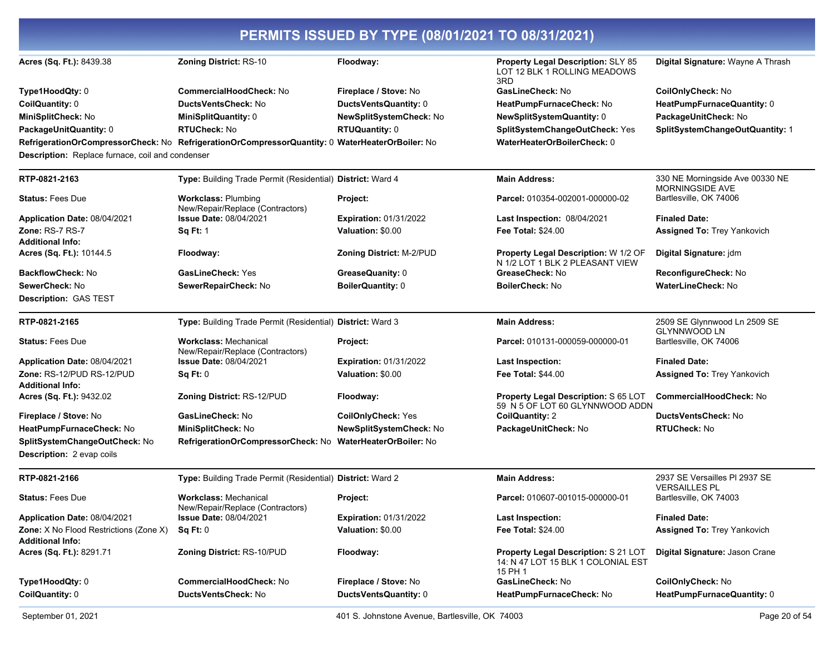| PERMITS ISSUED BY TYPE (08/01/2021 TO 08/31/2021)                 |                                                                                                 |                                 |                                                                                              |                                                           |
|-------------------------------------------------------------------|-------------------------------------------------------------------------------------------------|---------------------------------|----------------------------------------------------------------------------------------------|-----------------------------------------------------------|
| Acres (Sq. Ft.): 8439.38                                          | Zoning District: RS-10                                                                          | Floodway:                       | <b>Property Legal Description: SLY 85</b><br>LOT 12 BLK 1 ROLLING MEADOWS<br>3RD             | Digital Signature: Wayne A Thrash                         |
| Type1HoodQty: 0                                                   | <b>CommercialHoodCheck: No</b>                                                                  | Fireplace / Stove: No           | GasLineCheck: No                                                                             | CoilOnlyCheck: No                                         |
| CoilQuantity: 0                                                   | DuctsVentsCheck: No                                                                             | DuctsVentsQuantity: 0           | HeatPumpFurnaceCheck: No                                                                     | HeatPumpFurnaceQuantity: 0                                |
| MiniSplitCheck: No                                                | MiniSplitQuantity: 0                                                                            | NewSplitSystemCheck: No         | NewSplitSystemQuantity: 0                                                                    | PackageUnitCheck: No                                      |
| PackageUnitQuantity: 0                                            | <b>RTUCheck: No</b>                                                                             | <b>RTUQuantity: 0</b>           | SplitSystemChangeOutCheck: Yes                                                               | SplitSystemChangeOutQuantity: 1                           |
|                                                                   | RefrigerationOrCompressorCheck: No RefrigerationOrCompressorQuantity: 0 WaterHeaterOrBoiler: No |                                 | WaterHeaterOrBoilerCheck: 0                                                                  |                                                           |
| Description: Replace furnace, coil and condenser                  |                                                                                                 |                                 |                                                                                              |                                                           |
| RTP-0821-2163                                                     | Type: Building Trade Permit (Residential) District: Ward 4                                      |                                 | <b>Main Address:</b>                                                                         | 330 NE Morningside Ave 00330 NE<br><b>MORNINGSIDE AVE</b> |
| <b>Status: Fees Due</b>                                           | <b>Workclass: Plumbing</b><br>New/Repair/Replace (Contractors)                                  | Project:                        | Parcel: 010354-002001-000000-02                                                              | Bartlesville, OK 74006                                    |
| Application Date: 08/04/2021                                      | <b>Issue Date: 08/04/2021</b>                                                                   | <b>Expiration: 01/31/2022</b>   | Last Inspection: 08/04/2021                                                                  | <b>Finaled Date:</b>                                      |
| Zone: RS-7 RS-7                                                   | <b>Sq Ft: 1</b>                                                                                 | Valuation: \$0.00               | <b>Fee Total: \$24.00</b>                                                                    | <b>Assigned To: Trey Yankovich</b>                        |
| <b>Additional Info:</b><br>Acres (Sq. Ft.): 10144.5               | Floodway:                                                                                       | <b>Zoning District: M-2/PUD</b> | Property Legal Description: W 1/2 OF<br>N 1/2 LOT 1 BLK 2 PLEASANT VIEW                      | Digital Signature: jdm                                    |
| <b>BackflowCheck: No</b>                                          | GasLineCheck: Yes                                                                               | GreaseQuanity: 0                | GreaseCheck: No                                                                              | ReconfigureCheck: No                                      |
| SewerCheck: No                                                    | SewerRepairCheck: No                                                                            | <b>BoilerQuantity: 0</b>        | <b>BoilerCheck: No</b>                                                                       | WaterLineCheck: No                                        |
| Description: GAS TEST                                             |                                                                                                 |                                 |                                                                                              |                                                           |
| RTP-0821-2165                                                     | Type: Building Trade Permit (Residential) District: Ward 3                                      |                                 | <b>Main Address:</b>                                                                         | 2509 SE Glynnwood Ln 2509 SE<br><b>GLYNNWOOD LN</b>       |
| <b>Status: Fees Due</b>                                           | <b>Workclass: Mechanical</b><br>New/Repair/Replace (Contractors)                                | Project:                        | Parcel: 010131-000059-000000-01                                                              | Bartlesville, OK 74006                                    |
| Application Date: 08/04/2021                                      | <b>Issue Date: 08/04/2021</b>                                                                   | <b>Expiration: 01/31/2022</b>   | <b>Last Inspection:</b>                                                                      | <b>Finaled Date:</b>                                      |
| Zone: RS-12/PUD RS-12/PUD<br><b>Additional Info:</b>              | Sq Ft: 0                                                                                        | Valuation: \$0.00               | Fee Total: \$44.00                                                                           | <b>Assigned To: Trey Yankovich</b>                        |
| Acres (Sq. Ft.): 9432.02                                          | Zoning District: RS-12/PUD                                                                      | Floodway:                       | <b>Property Legal Description: S 65 LOT</b><br>59 N 5 OF LOT 60 GLYNNWOOD ADDN               | CommercialHoodCheck: No                                   |
| Fireplace / Stove: No                                             | GasLineCheck: No                                                                                | <b>CoilOnlyCheck: Yes</b>       | <b>CoilQuantity: 2</b>                                                                       | <b>DuctsVentsCheck: No</b>                                |
| HeatPumpFurnaceCheck: No                                          | MiniSplitCheck: No                                                                              | NewSplitSystemCheck: No         | PackageUnitCheck: No                                                                         | <b>RTUCheck: No</b>                                       |
| SplitSystemChangeOutCheck: No<br><b>Description: 2 evap coils</b> | RefrigerationOrCompressorCheck: No WaterHeaterOrBoiler: No                                      |                                 |                                                                                              |                                                           |
| RTP-0821-2166                                                     | Type: Building Trade Permit (Residential) District: Ward 2                                      |                                 | <b>Main Address:</b>                                                                         | 2937 SE Versailles PI 2937 SE<br><b>VERSAILLES PL</b>     |
| <b>Status: Fees Due</b>                                           | <b>Workclass: Mechanical</b><br>New/Repair/Replace (Contractors)                                | Project:                        | Parcel: 010607-001015-000000-01                                                              | Bartlesville, OK 74003                                    |
| Application Date: 08/04/2021                                      | <b>Issue Date: 08/04/2021</b>                                                                   | <b>Expiration: 01/31/2022</b>   | <b>Last Inspection:</b>                                                                      | <b>Finaled Date:</b>                                      |
| Zone: X No Flood Restrictions (Zone X)<br><b>Additional Info:</b> | Sq Ft: 0                                                                                        | Valuation: \$0.00               | Fee Total: \$24.00                                                                           | Assigned To: Trey Yankovich                               |
| Acres (Sq. Ft.): 8291.71                                          | Zoning District: RS-10/PUD                                                                      | Floodway:                       | <b>Property Legal Description: S 21 LOT</b><br>14: N 47 LOT 15 BLK 1 COLONIAL EST<br>15 PH 1 | Digital Signature: Jason Crane                            |
| Type1HoodQty: 0                                                   | CommercialHoodCheck: No                                                                         | Fireplace / Stove: No           | GasLineCheck: No                                                                             | CoilOnlyCheck: No                                         |
| CoilQuantity: 0                                                   | DuctsVentsCheck: No                                                                             | DuctsVentsQuantity: 0           | HeatPumpFurnaceCheck: No                                                                     | HeatPumpFurnaceQuantity: 0                                |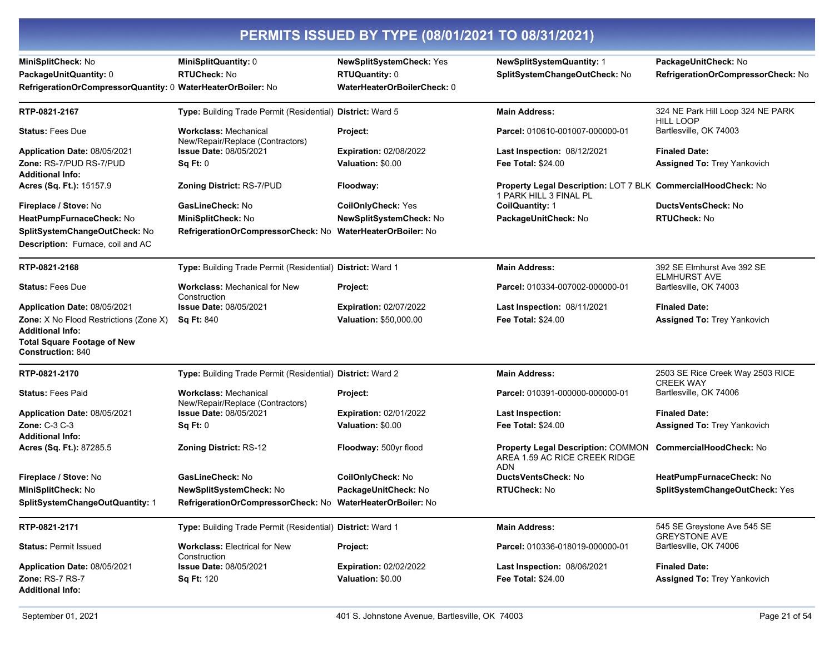|  | PERMITS ISSUED BY TYPE (08/01/2021 TO 08/31/2021) |
|--|---------------------------------------------------|
|  |                                                   |

| MiniSplitCheck: No<br>PackageUnitQuantity: 0<br>RefrigerationOrCompressorQuantity: 0 WaterHeaterOrBoiler: No                               | MiniSplitQuantity: 0<br><b>RTUCheck: No</b>                      | <b>NewSplitSystemCheck: Yes</b><br><b>RTUQuantity: 0</b><br>WaterHeaterOrBoilerCheck: 0 | <b>NewSplitSystemQuantity: 1</b><br>SplitSystemChangeOutCheck: No                              | PackageUnitCheck: No<br>RefrigerationOrCompressorCheck: No |
|--------------------------------------------------------------------------------------------------------------------------------------------|------------------------------------------------------------------|-----------------------------------------------------------------------------------------|------------------------------------------------------------------------------------------------|------------------------------------------------------------|
| RTP-0821-2167                                                                                                                              | Type: Building Trade Permit (Residential) District: Ward 5       |                                                                                         | <b>Main Address:</b>                                                                           | 324 NE Park Hill Loop 324 NE PARK<br><b>HILL LOOP</b>      |
| <b>Status: Fees Due</b>                                                                                                                    | <b>Workclass: Mechanical</b><br>New/Repair/Replace (Contractors) | Project:                                                                                | Parcel: 010610-001007-000000-01                                                                | Bartlesville, OK 74003                                     |
| Application Date: 08/05/2021                                                                                                               | <b>Issue Date: 08/05/2021</b>                                    | <b>Expiration: 02/08/2022</b>                                                           | Last Inspection: 08/12/2021                                                                    | <b>Finaled Date:</b>                                       |
| Zone: RS-7/PUD RS-7/PUD                                                                                                                    | Sq Ft: 0                                                         | Valuation: \$0.00                                                                       | <b>Fee Total: \$24.00</b>                                                                      | Assigned To: Trey Yankovich                                |
| <b>Additional Info:</b><br>Acres (Sq. Ft.): 15157.9                                                                                        | <b>Zoning District: RS-7/PUD</b>                                 | Floodway:                                                                               | <b>Property Legal Description: LOT 7 BLK CommercialHoodCheck: No</b><br>1 PARK HILL 3 FINAL PL |                                                            |
| Fireplace / Stove: No                                                                                                                      | <b>GasLineCheck: No</b>                                          | <b>CoilOnlyCheck: Yes</b>                                                               | <b>CoilQuantity: 1</b>                                                                         | <b>DuctsVentsCheck: No</b>                                 |
| HeatPumpFurnaceCheck: No                                                                                                                   | MiniSplitCheck: No                                               | <b>NewSplitSystemCheck: No</b>                                                          | PackageUnitCheck: No                                                                           | <b>RTUCheck: No</b>                                        |
| SplitSystemChangeOutCheck: No<br><b>Description:</b> Furnace, coil and AC                                                                  | RefrigerationOrCompressorCheck: No WaterHeaterOrBoiler: No       |                                                                                         |                                                                                                |                                                            |
| RTP-0821-2168                                                                                                                              | Type: Building Trade Permit (Residential) District: Ward 1       |                                                                                         | <b>Main Address:</b>                                                                           | 392 SE Elmhurst Ave 392 SE<br><b>ELMHURST AVE</b>          |
| <b>Status: Fees Due</b>                                                                                                                    | <b>Workclass: Mechanical for New</b><br>Construction             | <b>Project:</b>                                                                         | Parcel: 010334-007002-000000-01                                                                | Bartlesville, OK 74003                                     |
| Application Date: 08/05/2021                                                                                                               | <b>Issue Date: 08/05/2021</b>                                    | <b>Expiration: 02/07/2022</b>                                                           | <b>Last Inspection: 08/11/2021</b>                                                             | <b>Finaled Date:</b>                                       |
| <b>Zone:</b> X No Flood Restrictions (Zone X)<br><b>Additional Info:</b><br><b>Total Square Footage of New</b><br><b>Construction: 840</b> | <b>Sq Ft: 840</b>                                                | <b>Valuation: \$50,000.00</b>                                                           | <b>Fee Total: \$24.00</b>                                                                      | <b>Assigned To: Trey Yankovich</b>                         |
| RTP-0821-2170                                                                                                                              | Type: Building Trade Permit (Residential) District: Ward 2       |                                                                                         | <b>Main Address:</b>                                                                           | 2503 SE Rice Creek Way 2503 RICE<br><b>CREEK WAY</b>       |
| <b>Status: Fees Paid</b>                                                                                                                   | <b>Workclass: Mechanical</b><br>New/Repair/Replace (Contractors) | Project:                                                                                | Parcel: 010391-000000-000000-01                                                                | Bartlesville, OK 74006                                     |
| Application Date: 08/05/2021                                                                                                               | <b>Issue Date: 08/05/2021</b>                                    | <b>Expiration: 02/01/2022</b>                                                           | <b>Last Inspection:</b>                                                                        | <b>Finaled Date:</b>                                       |
| Zone: C-3 C-3<br><b>Additional Info:</b>                                                                                                   | Sq Ft: 0                                                         | Valuation: \$0.00                                                                       | <b>Fee Total: \$24.00</b>                                                                      | <b>Assigned To: Trey Yankovich</b>                         |
| Acres (Sq. Ft.): 87285.5                                                                                                                   | <b>Zoning District: RS-12</b>                                    | Floodway: 500yr flood                                                                   | <b>Property Legal Description: COMMON</b><br>AREA 1.59 AC RICE CREEK RIDGE<br><b>ADN</b>       | CommercialHoodCheck: No                                    |
| Fireplace / Stove: No                                                                                                                      | GasLineCheck: No                                                 | CoilOnlyCheck: No                                                                       | DuctsVentsCheck: No                                                                            | HeatPumpFurnaceCheck: No                                   |
| MiniSplitCheck: No                                                                                                                         | <b>NewSplitSystemCheck: No</b>                                   | PackageUnitCheck: No                                                                    | <b>RTUCheck: No</b>                                                                            | SplitSystemChangeOutCheck: Yes                             |
| SplitSystemChangeOutQuantity: 1                                                                                                            | RefrigerationOrCompressorCheck: No                               | WaterHeaterOrBoiler: No                                                                 |                                                                                                |                                                            |
| RTP-0821-2171                                                                                                                              | Type: Building Trade Permit (Residential) District: Ward 1       |                                                                                         | <b>Main Address:</b>                                                                           | 545 SE Greystone Ave 545 SE<br><b>GREYSTONE AVE</b>        |
| <b>Status: Permit Issued</b>                                                                                                               | <b>Workclass: Electrical for New</b><br>Construction             | Project:                                                                                | Parcel: 010336-018019-000000-01                                                                | Bartlesville, OK 74006                                     |
| Application Date: 08/05/2021                                                                                                               | <b>Issue Date: 08/05/2021</b>                                    | <b>Expiration: 02/02/2022</b>                                                           | <b>Last Inspection: 08/06/2021</b>                                                             | <b>Finaled Date:</b>                                       |
| <b>Zone: RS-7 RS-7</b><br><b>Additional Info:</b>                                                                                          | <b>Sq Ft: 120</b>                                                | Valuation: \$0.00                                                                       | Fee Total: \$24.00                                                                             | <b>Assigned To: Trey Yankovich</b>                         |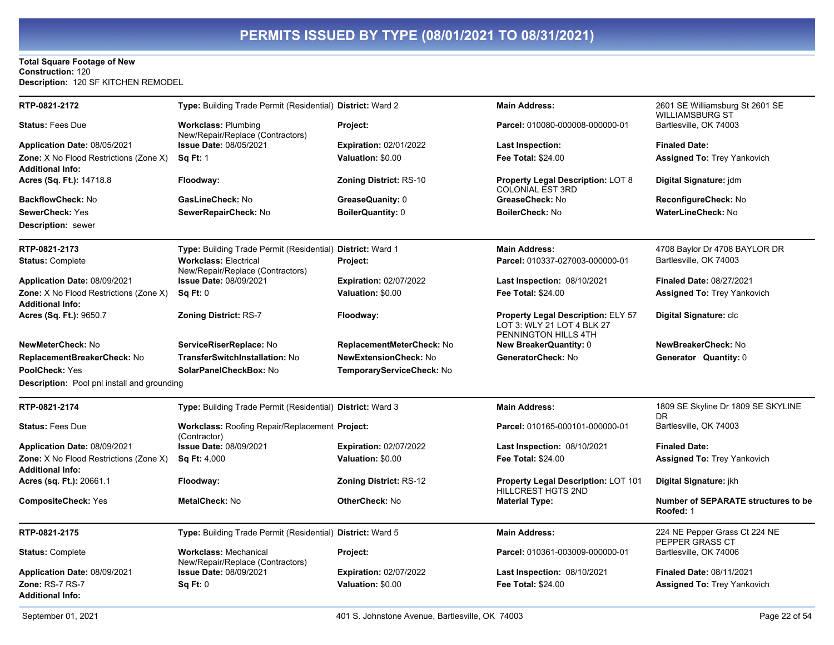#### **Total Square Footage of New** Construction: 120 Description: 120 SF KITCHEN REMODEL

| RTP-0821-2172                                                     | Type: Building Trade Permit (Residential) District: Ward 2            |                               | <b>Main Address:</b>                                                                            | 2601 SE Williamsburg St 2601 SE<br><b>WILLIAMSBURG ST</b> |
|-------------------------------------------------------------------|-----------------------------------------------------------------------|-------------------------------|-------------------------------------------------------------------------------------------------|-----------------------------------------------------------|
| <b>Status: Fees Due</b>                                           | <b>Workclass: Plumbing</b><br>New/Repair/Replace (Contractors)        | Project:                      | Parcel: 010080-000008-000000-01                                                                 | Bartlesville, OK 74003                                    |
| Application Date: 08/05/2021                                      | <b>Issue Date: 08/05/2021</b>                                         | <b>Expiration: 02/01/2022</b> | Last Inspection:                                                                                | <b>Finaled Date:</b>                                      |
| Zone: X No Flood Restrictions (Zone X)<br><b>Additional Info:</b> | <b>Sq Ft: 1</b>                                                       | Valuation: \$0.00             | Fee Total: \$24.00                                                                              | <b>Assigned To: Trey Yankovich</b>                        |
| Acres (Sq. Ft.): 14718.8                                          | Floodway:                                                             | <b>Zoning District: RS-10</b> | <b>Property Legal Description: LOT 8</b><br><b>COLONIAL EST 3RD</b>                             | Digital Signature: jdm                                    |
| <b>BackflowCheck: No</b>                                          | GasLineCheck: No                                                      | GreaseQuanity: 0              | GreaseCheck: No                                                                                 | ReconfigureCheck: No                                      |
| <b>SewerCheck: Yes</b>                                            | SewerRepairCheck: No                                                  | <b>BoilerQuantity: 0</b>      | <b>BoilerCheck: No</b>                                                                          | WaterLineCheck: No                                        |
| <b>Description: sewer</b>                                         |                                                                       |                               |                                                                                                 |                                                           |
| RTP-0821-2173                                                     | Type: Building Trade Permit (Residential) District: Ward 1            |                               | <b>Main Address:</b>                                                                            | 4708 Baylor Dr 4708 BAYLOR DR                             |
| <b>Status: Complete</b>                                           | <b>Workclass: Electrical</b><br>New/Repair/Replace (Contractors)      | Project:                      | Parcel: 010337-027003-000000-01                                                                 | Bartlesville, OK 74003                                    |
| Application Date: 08/09/2021                                      | <b>Issue Date: 08/09/2021</b>                                         | <b>Expiration: 02/07/2022</b> | <b>Last Inspection: 08/10/2021</b>                                                              | <b>Finaled Date: 08/27/2021</b>                           |
| Zone: X No Flood Restrictions (Zone X)<br><b>Additional Info:</b> | Sq Ft: 0                                                              | Valuation: \$0.00             | Fee Total: \$24.00                                                                              | <b>Assigned To: Trey Yankovich</b>                        |
| Acres (Sq. Ft.): 9650.7                                           | <b>Zoning District: RS-7</b>                                          | Floodway:                     | <b>Property Legal Description: ELY 57</b><br>LOT 3: WLY 21 LOT 4 BLK 27<br>PENNINGTON HILLS 4TH | Digital Signature: clc                                    |
| NewMeterCheck: No                                                 | ServiceRiserReplace: No                                               | ReplacementMeterCheck: No     | <b>New BreakerQuantity: 0</b>                                                                   | NewBreakerCheck: No                                       |
| ReplacementBreakerCheck: No                                       | TransferSwitchInstallation: No                                        | <b>NewExtensionCheck: No</b>  | GeneratorCheck: No                                                                              | Generator Quantity: 0                                     |
| PoolCheck: Yes                                                    | SolarPanelCheckBox: No                                                | TemporaryServiceCheck: No     |                                                                                                 |                                                           |
| Description: Pool pnl install and grounding                       |                                                                       |                               |                                                                                                 |                                                           |
| RTP-0821-2174                                                     | Type: Building Trade Permit (Residential) District: Ward 3            |                               | <b>Main Address:</b>                                                                            | 1809 SE Skyline Dr 1809 SE SKYLINE<br>DR                  |
| <b>Status: Fees Due</b>                                           | <b>Workclass: Roofing Repair/Replacement Project:</b><br>(Contractor) |                               | Parcel: 010165-000101-000000-01                                                                 | Bartlesville, OK 74003                                    |
| Application Date: 08/09/2021                                      | <b>Issue Date: 08/09/2021</b>                                         | <b>Expiration: 02/07/2022</b> | Last Inspection: 08/10/2021                                                                     | <b>Finaled Date:</b>                                      |
| Zone: X No Flood Restrictions (Zone X)<br><b>Additional Info:</b> | <b>Sq Ft: 4,000</b>                                                   | Valuation: \$0.00             | <b>Fee Total: \$24.00</b>                                                                       | <b>Assigned To: Trey Yankovich</b>                        |
| Acres (sq. Ft.): 20661.1                                          | Floodway:                                                             | <b>Zoning District: RS-12</b> | <b>Property Legal Description: LOT 101</b><br>HILLCREST HGTS 2ND                                | Digital Signature: jkh                                    |
| <b>CompositeCheck: Yes</b>                                        | MetalCheck: No                                                        | OtherCheck: No                | <b>Material Type:</b>                                                                           | <b>Number of SEPARATE structures to be</b><br>Roofed: 1   |
| RTP-0821-2175                                                     | Type: Building Trade Permit (Residential) District: Ward 5            |                               | <b>Main Address:</b>                                                                            | 224 NE Pepper Grass Ct 224 NE<br>PEPPER GRASS CT          |
| <b>Status: Complete</b>                                           | <b>Workclass: Mechanical</b><br>New/Repair/Replace (Contractors)      | Project:                      | Parcel: 010361-003009-000000-01                                                                 | Bartlesville, OK 74006                                    |
| <b>Application Date: 08/09/2021</b>                               | Issue Date: 08/09/2021                                                | <b>Expiration: 02/07/2022</b> | <b>Last Inspection: 08/10/2021</b>                                                              | Finaled Date: 08/11/2021                                  |
| Zone: RS-7 RS-7<br><b>Additional Info:</b>                        | Sq Ft: 0                                                              | Valuation: \$0.00             | <b>Fee Total: \$24.00</b>                                                                       | <b>Assigned To: Trey Yankovich</b>                        |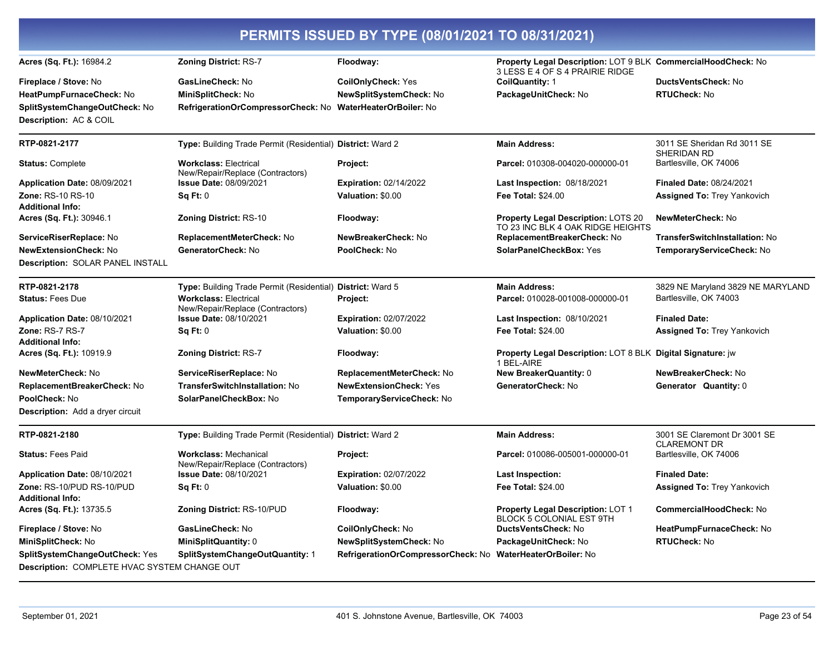|                                                                                       |                                                                  | PERMITS ISSUED BY TYPE (08/01/2021 TO 08/31/2021)          |                                                                                                  |                                                     |
|---------------------------------------------------------------------------------------|------------------------------------------------------------------|------------------------------------------------------------|--------------------------------------------------------------------------------------------------|-----------------------------------------------------|
| Acres (Sq. Ft.): 16984.2                                                              | <b>Zoning District: RS-7</b>                                     | Floodway:                                                  | Property Legal Description: LOT 9 BLK CommercialHoodCheck: No<br>3 LESS E 4 OF S 4 PRAIRIE RIDGE |                                                     |
| <b>Fireplace / Stove: No</b>                                                          | GasLineCheck: No                                                 | <b>CoilOnlyCheck: Yes</b>                                  | CoilQuantity: 1                                                                                  | <b>DuctsVentsCheck: No</b>                          |
| HeatPumpFurnaceCheck: No<br>SplitSystemChangeOutCheck: No<br>Description: AC & COIL   | MiniSplitCheck: No<br>RefrigerationOrCompressorCheck: No         | NewSplitSystemCheck: No<br><b>WaterHeaterOrBoiler: No</b>  | PackageUnitCheck: No                                                                             | <b>RTUCheck: No</b>                                 |
| RTP-0821-2177                                                                         | Type: Building Trade Permit (Residential) District: Ward 2       |                                                            | <b>Main Address:</b>                                                                             | 3011 SE Sheridan Rd 3011 SE<br>SHERIDAN RD          |
| <b>Status: Complete</b>                                                               | <b>Workclass: Electrical</b><br>New/Repair/Replace (Contractors) | Project:                                                   | Parcel: 010308-004020-000000-01                                                                  | Bartlesville, OK 74006                              |
| Application Date: 08/09/2021                                                          | <b>Issue Date: 08/09/2021</b>                                    | <b>Expiration: 02/14/2022</b>                              | Last Inspection: 08/18/2021                                                                      | <b>Finaled Date: 08/24/2021</b>                     |
| <b>Zone: RS-10 RS-10</b><br><b>Additional Info:</b>                                   | SqFt:0                                                           | Valuation: \$0.00                                          | <b>Fee Total: \$24.00</b>                                                                        | Assigned To: Trey Yankovich                         |
| Acres (Sq. Ft.): 30946.1                                                              | <b>Zoning District: RS-10</b>                                    | Floodway:                                                  | <b>Property Legal Description: LOTS 20</b><br>TO 23 INC BLK 4 OAK RIDGE HEIGHTS                  | NewMeterCheck: No                                   |
| ServiceRiserReplace: No                                                               | ReplacementMeterCheck: No                                        | NewBreakerCheck: No                                        | ReplacementBreakerCheck: No                                                                      | <b>TransferSwitchInstallation: No</b>               |
| <b>NewExtensionCheck: No</b><br>Description: SOLAR PANEL INSTALL                      | GeneratorCheck: No                                               | PoolCheck: No                                              | SolarPanelCheckBox: Yes                                                                          | TemporaryServiceCheck: No                           |
| RTP-0821-2178                                                                         | Type: Building Trade Permit (Residential) District: Ward 5       |                                                            | <b>Main Address:</b>                                                                             | 3829 NE Maryland 3829 NE MARYLAND                   |
| <b>Status: Fees Due</b>                                                               | <b>Workclass: Electrical</b><br>New/Repair/Replace (Contractors) | Project:                                                   | Parcel: 010028-001008-000000-01                                                                  | Bartlesville, OK 74003                              |
| Application Date: 08/10/2021                                                          | <b>Issue Date: 08/10/2021</b>                                    | <b>Expiration: 02/07/2022</b>                              | Last Inspection: 08/10/2021                                                                      | <b>Finaled Date:</b>                                |
| Zone: RS-7 RS-7<br><b>Additional Info:</b>                                            | Sq Ft: 0                                                         | Valuation: \$0.00                                          | Fee Total: \$24.00                                                                               | <b>Assigned To: Trey Yankovich</b>                  |
| Acres (Sq. Ft.): 10919.9                                                              | Zoning District: RS-7                                            | Floodway:                                                  | Property Legal Description: LOT 8 BLK Digital Signature: jw<br>1 BEL-AIRE                        |                                                     |
| NewMeterCheck: No                                                                     | ServiceRiserReplace: No                                          | ReplacementMeterCheck: No                                  | <b>New BreakerQuantity: 0</b>                                                                    | NewBreakerCheck: No                                 |
| ReplacementBreakerCheck: No                                                           | TransferSwitchInstallation: No                                   | <b>NewExtensionCheck: Yes</b>                              | GeneratorCheck: No                                                                               | Generator Quantity: 0                               |
| PoolCheck: No<br><b>Description:</b> Add a dryer circuit                              | SolarPanelCheckBox: No                                           | TemporaryServiceCheck: No                                  |                                                                                                  |                                                     |
| RTP-0821-2180                                                                         | Type: Building Trade Permit (Residential) District: Ward 2       |                                                            | <b>Main Address:</b>                                                                             | 3001 SE Claremont Dr 3001 SE<br><b>CLAREMONT DR</b> |
| <b>Status: Fees Paid</b>                                                              | <b>Workclass: Mechanical</b><br>New/Repair/Replace (Contractors) | Project:                                                   | Parcel: 010086-005001-000000-01                                                                  | Bartlesville, OK 74006                              |
| Application Date: 08/10/2021                                                          | <b>Issue Date: 08/10/2021</b>                                    | <b>Expiration: 02/07/2022</b>                              | <b>Last Inspection:</b>                                                                          | <b>Finaled Date:</b>                                |
| Zone: RS-10/PUD RS-10/PUD<br><b>Additional Info:</b>                                  | SqFt:0                                                           | Valuation: \$0.00                                          | Fee Total: \$24.00                                                                               | <b>Assigned To: Trey Yankovich</b>                  |
| Acres (Sq. Ft.): 13735.5                                                              | Zoning District: RS-10/PUD                                       | Floodway:                                                  | Property Legal Description: LOT 1<br>BLOCK 5 COLONIAL EST 9TH                                    | CommercialHoodCheck: No                             |
| Fireplace / Stove: No                                                                 | GasLineCheck: No                                                 | CoilOnlyCheck: No                                          | DuctsVentsCheck: No                                                                              | HeatPumpFurnaceCheck: No                            |
| MiniSplitCheck: No                                                                    | <b>MiniSplitQuantity: 0</b>                                      | <b>NewSplitSystemCheck: No</b>                             | PackageUnitCheck: No                                                                             | <b>RTUCheck: No</b>                                 |
| SplitSystemChangeOutCheck: Yes<br><b>Description: COMPLETE HVAC SYSTEM CHANGE OUT</b> | SplitSystemChangeOutQuantity: 1                                  | RefrigerationOrCompressorCheck: No WaterHeaterOrBoiler: No |                                                                                                  |                                                     |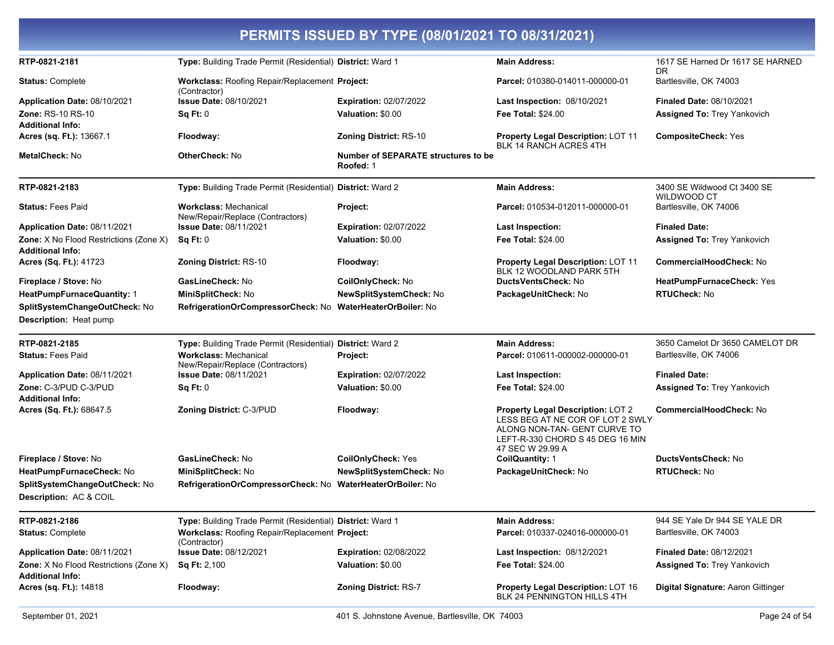|                                                                                     |                                                                  | PERMITS ISSUED BY TYPE (08/01/2021 TO 08/31/2021)       |                                                                                                                                                               |                                                                       |
|-------------------------------------------------------------------------------------|------------------------------------------------------------------|---------------------------------------------------------|---------------------------------------------------------------------------------------------------------------------------------------------------------------|-----------------------------------------------------------------------|
| RTP-0821-2181                                                                       | Type: Building Trade Permit (Residential) District: Ward 1       |                                                         | <b>Main Address:</b>                                                                                                                                          | 1617 SE Harned Dr 1617 SE HARNED<br>DR                                |
| <b>Status: Complete</b>                                                             | Workclass: Roofing Repair/Replacement Project:                   |                                                         | Parcel: 010380-014011-000000-01                                                                                                                               | Bartlesville, OK 74003                                                |
| Application Date: 08/10/2021<br><b>Zone: RS-10 RS-10</b><br><b>Additional Info:</b> | (Contractor)<br><b>Issue Date: 08/10/2021</b><br>Sq Ft: 0        | <b>Expiration: 02/07/2022</b><br>Valuation: \$0.00      | <b>Last Inspection: 08/10/2021</b><br><b>Fee Total: \$24.00</b>                                                                                               | <b>Finaled Date: 08/10/2021</b><br><b>Assigned To: Trey Yankovich</b> |
| Acres (sq. Ft.): 13667.1                                                            | Floodway:                                                        | <b>Zoning District: RS-10</b>                           | <b>Property Legal Description: LOT 11</b><br><b>BLK 14 RANCH ACRES 4TH</b>                                                                                    | <b>CompositeCheck: Yes</b>                                            |
| MetalCheck: No                                                                      | <b>OtherCheck: No</b>                                            | <b>Number of SEPARATE structures to be</b><br>Roofed: 1 |                                                                                                                                                               |                                                                       |
| RTP-0821-2183                                                                       | Type: Building Trade Permit (Residential) District: Ward 2       |                                                         | <b>Main Address:</b>                                                                                                                                          | 3400 SE Wildwood Ct 3400 SE<br><b>WILDWOOD CT</b>                     |
| <b>Status: Fees Paid</b>                                                            | <b>Workclass: Mechanical</b><br>New/Repair/Replace (Contractors) | Project:                                                | Parcel: 010534-012011-000000-01                                                                                                                               | Bartlesville, OK 74006                                                |
| Application Date: 08/11/2021                                                        | <b>Issue Date: 08/11/2021</b>                                    | <b>Expiration: 02/07/2022</b>                           | <b>Last Inspection:</b>                                                                                                                                       | <b>Finaled Date:</b>                                                  |
| Zone: X No Flood Restrictions (Zone X)<br><b>Additional Info:</b>                   | Sq Ft: 0                                                         | Valuation: \$0.00                                       | <b>Fee Total: \$24.00</b>                                                                                                                                     | <b>Assigned To: Trey Yankovich</b>                                    |
| Acres (Sq. Ft.): 41723                                                              | <b>Zoning District: RS-10</b>                                    | Floodway:                                               | <b>Property Legal Description: LOT 11</b><br>BLK 12 WOODLAND PARK 5TH                                                                                         | <b>CommercialHoodCheck: No</b>                                        |
| Fireplace / Stove: No                                                               | GasLineCheck: No                                                 | CoilOnlyCheck: No                                       | DuctsVentsCheck: No                                                                                                                                           | HeatPumpFurnaceCheck: Yes                                             |
| HeatPumpFurnaceQuantity: 1                                                          | MiniSplitCheck: No                                               | NewSplitSystemCheck: No                                 | PackageUnitCheck: No                                                                                                                                          | <b>RTUCheck: No</b>                                                   |
| SplitSystemChangeOutCheck: No                                                       | RefrigerationOrCompressorCheck: No WaterHeaterOrBoiler: No       |                                                         |                                                                                                                                                               |                                                                       |
| Description: Heat pump                                                              |                                                                  |                                                         |                                                                                                                                                               |                                                                       |
| RTP-0821-2185                                                                       | Type: Building Trade Permit (Residential) District: Ward 2       |                                                         | <b>Main Address:</b>                                                                                                                                          | 3650 Camelot Dr 3650 CAMELOT DR                                       |
| <b>Status: Fees Paid</b>                                                            | <b>Workclass: Mechanical</b><br>New/Repair/Replace (Contractors) | Project:                                                | Parcel: 010611-000002-000000-01                                                                                                                               | Bartlesville, OK 74006                                                |
| Application Date: 08/11/2021                                                        | <b>Issue Date: 08/11/2021</b>                                    | <b>Expiration: 02/07/2022</b>                           | <b>Last Inspection:</b>                                                                                                                                       | <b>Finaled Date:</b>                                                  |
| Zone: C-3/PUD C-3/PUD                                                               | Sq Ft: 0                                                         | Valuation: \$0.00                                       | <b>Fee Total: \$24.00</b>                                                                                                                                     | <b>Assigned To: Trey Yankovich</b>                                    |
| <b>Additional Info:</b>                                                             |                                                                  |                                                         |                                                                                                                                                               |                                                                       |
| Acres (Sq. Ft.): 68647.5                                                            | <b>Zoning District: C-3/PUD</b>                                  | Floodway:                                               | Property Legal Description: LOT 2<br>LESS BEG AT NE COR OF LOT 2 SWLY<br>ALONG NON-TAN- GENT CURVE TO<br>LEFT-R-330 CHORD S 45 DEG 16 MIN<br>47 SEC W 29.99 A | <b>CommercialHoodCheck: No</b>                                        |
| Fireplace / Stove: No                                                               | GasLineCheck: No                                                 | <b>CoilOnlyCheck: Yes</b>                               | <b>CoilQuantity: 1</b>                                                                                                                                        | <b>DuctsVentsCheck: No</b>                                            |
| HeatPumpFurnaceCheck: No                                                            | MiniSplitCheck: No                                               | NewSplitSystemCheck: No                                 | PackageUnitCheck: No                                                                                                                                          | <b>RTUCheck: No</b>                                                   |
| SplitSystemChangeOutCheck: No                                                       | RefrigerationOrCompressorCheck: No WaterHeaterOrBoiler: No       |                                                         |                                                                                                                                                               |                                                                       |
| Description: AC & COIL                                                              |                                                                  |                                                         |                                                                                                                                                               |                                                                       |
| RTP-0821-2186                                                                       | Type: Building Trade Permit (Residential) District: Ward 1       |                                                         | <b>Main Address:</b>                                                                                                                                          | 944 SE Yale Dr 944 SE YALE DR                                         |
| <b>Status: Complete</b>                                                             | Workclass: Roofing Repair/Replacement Project:<br>(Contractor)   |                                                         | Parcel: 010337-024016-000000-01                                                                                                                               | Bartlesville, OK 74003                                                |
| Application Date: 08/11/2021                                                        | <b>Issue Date: 08/12/2021</b>                                    | Expiration: 02/08/2022                                  | Last Inspection: 08/12/2021                                                                                                                                   | <b>Finaled Date: 08/12/2021</b>                                       |
| Zone: X No Flood Restrictions (Zone X)<br><b>Additional Info:</b>                   | <b>Sq Ft: 2,100</b>                                              | Valuation: \$0.00                                       | Fee Total: \$24.00                                                                                                                                            | <b>Assigned To: Trey Yankovich</b>                                    |
| <b>Acres (sq. Ft.): 14818</b>                                                       | Floodway:                                                        | Zoning District: RS-7                                   | Property Legal Description: LOT 16<br>BLK 24 PENNINGTON HILLS 4TH                                                                                             | Digital Signature: Aaron Gittinger                                    |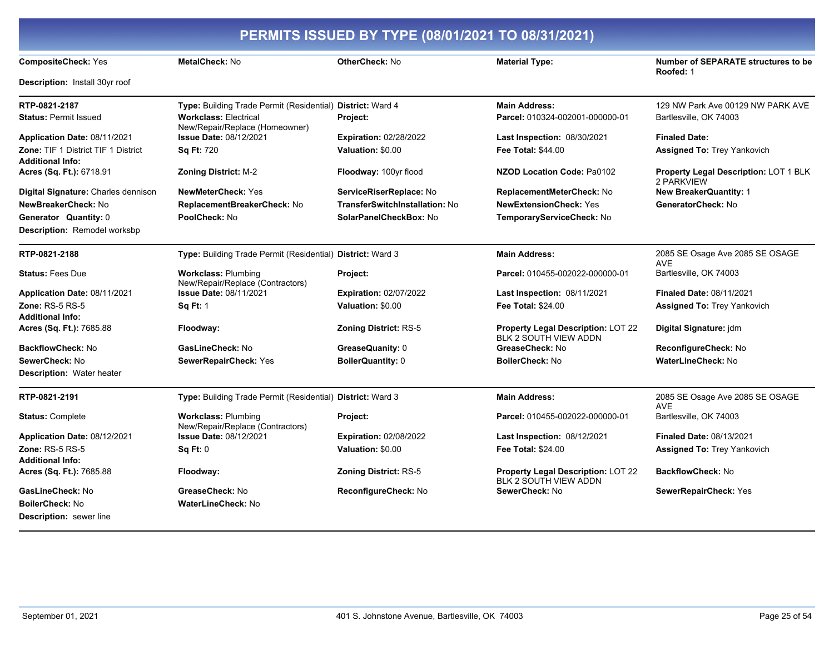| PERMITS ISSUED BY TYPE (08/01/2021 TO 08/31/2021)                     |                                                                |                                |                                                                    |                                                            |
|-----------------------------------------------------------------------|----------------------------------------------------------------|--------------------------------|--------------------------------------------------------------------|------------------------------------------------------------|
| <b>CompositeCheck: Yes</b>                                            | MetalCheck: No                                                 | <b>OtherCheck: No</b>          | <b>Material Type:</b>                                              | <b>Number of SEPARATE structures to be</b><br>Roofed: 1    |
| Description: Install 30yr roof                                        |                                                                |                                |                                                                    |                                                            |
| RTP-0821-2187                                                         | Type: Building Trade Permit (Residential) District: Ward 4     |                                | <b>Main Address:</b>                                               | 129 NW Park Ave 00129 NW PARK AVE                          |
| <b>Status: Permit Issued</b>                                          | <b>Workclass: Electrical</b><br>New/Repair/Replace (Homeowner) | Project:                       | Parcel: 010324-002001-000000-01                                    | Bartlesville, OK 74003                                     |
| Application Date: 08/11/2021                                          | Issue Date: 08/12/2021                                         | Expiration: 02/28/2022         | <b>Last Inspection: 08/30/2021</b>                                 | <b>Finaled Date:</b>                                       |
| <b>Zone: TIF 1 District TIF 1 District</b><br><b>Additional Info:</b> | <b>Sq Ft: 720</b>                                              | Valuation: \$0.00              | <b>Fee Total: \$44.00</b>                                          | <b>Assigned To: Trey Yankovich</b>                         |
| Acres (Sq. Ft.): 6718.91                                              | <b>Zoning District: M-2</b>                                    | Floodway: 100yr flood          | <b>NZOD Location Code: Pa0102</b>                                  | <b>Property Legal Description: LOT 1 BLK</b><br>2 PARKVIEW |
| Digital Signature: Charles dennison                                   | <b>NewMeterCheck: Yes</b>                                      | ServiceRiserReplace: No        | ReplacementMeterCheck: No                                          | <b>New BreakerQuantity: 1</b>                              |
| NewBreakerCheck: No                                                   | ReplacementBreakerCheck: No                                    | TransferSwitchInstallation: No | <b>NewExtensionCheck: Yes</b>                                      | GeneratorCheck: No                                         |
| Generator Quantity: 0                                                 | PoolCheck: No                                                  | SolarPanelCheckBox: No         | TemporaryServiceCheck: No                                          |                                                            |
| <b>Description: Remodel worksbp</b>                                   |                                                                |                                |                                                                    |                                                            |
| RTP-0821-2188                                                         | Type: Building Trade Permit (Residential) District: Ward 3     |                                | <b>Main Address:</b>                                               | 2085 SE Osage Ave 2085 SE OSAGE                            |
| <b>Status: Fees Due</b>                                               | <b>Workclass: Plumbing</b><br>New/Repair/Replace (Contractors) | Project:                       | Parcel: 010455-002022-000000-01                                    | <b>AVE</b><br>Bartlesville, OK 74003                       |
| Application Date: 08/11/2021                                          | <b>Issue Date: 08/11/2021</b>                                  | <b>Expiration: 02/07/2022</b>  | <b>Last Inspection: 08/11/2021</b>                                 | <b>Finaled Date: 08/11/2021</b>                            |
| Zone: RS-5 RS-5                                                       | <b>Sq Ft: 1</b>                                                | Valuation: \$0.00              | Fee Total: \$24.00                                                 | <b>Assigned To: Trey Yankovich</b>                         |
| <b>Additional Info:</b>                                               |                                                                |                                |                                                                    |                                                            |
| Acres (Sq. Ft.): 7685.88                                              | Floodway:                                                      | Zoning District: RS-5          | Property Legal Description: LOT 22<br><b>BLK 2 SOUTH VIEW ADDN</b> | Digital Signature: jdm                                     |
| <b>BackflowCheck: No</b>                                              | GasLineCheck: No                                               | GreaseQuanity: 0               | GreaseCheck: No                                                    | ReconfigureCheck: No                                       |
| SewerCheck: No                                                        | SewerRepairCheck: Yes                                          | <b>BoilerQuantity: 0</b>       | <b>BoilerCheck: No</b>                                             | <b>WaterLineCheck: No</b>                                  |
| <b>Description: Water heater</b>                                      |                                                                |                                |                                                                    |                                                            |
| RTP-0821-2191                                                         | Type: Building Trade Permit (Residential) District: Ward 3     |                                | <b>Main Address:</b>                                               | 2085 SE Osage Ave 2085 SE OSAGE<br><b>AVE</b>              |
| <b>Status: Complete</b>                                               | <b>Workclass: Plumbing</b><br>New/Repair/Replace (Contractors) | Project:                       | Parcel: 010455-002022-000000-01                                    | Bartlesville, OK 74003                                     |
| Application Date: 08/12/2021                                          | Issue Date: 08/12/2021                                         | <b>Expiration: 02/08/2022</b>  | <b>Last Inspection: 08/12/2021</b>                                 | <b>Finaled Date: 08/13/2021</b>                            |
| <b>Zone: RS-5 RS-5</b>                                                | Sq Ft: 0                                                       | Valuation: \$0.00              | <b>Fee Total: \$24.00</b>                                          | <b>Assigned To: Trey Yankovich</b>                         |
| <b>Additional Info:</b>                                               |                                                                |                                |                                                                    |                                                            |
| Acres (Sq. Ft.): 7685.88                                              | Floodway:                                                      | <b>Zoning District: RS-5</b>   | Property Legal Description: LOT 22<br>BLK 2 SOUTH VIEW ADDN        | <b>BackflowCheck: No</b>                                   |
| GasLineCheck: No                                                      | GreaseCheck: No                                                | ReconfigureCheck: No           | SewerCheck: No                                                     | SewerRepairCheck: Yes                                      |
| <b>BoilerCheck: No</b>                                                | WaterLineCheck: No                                             |                                |                                                                    |                                                            |
| <b>Description:</b> sewer line                                        |                                                                |                                |                                                                    |                                                            |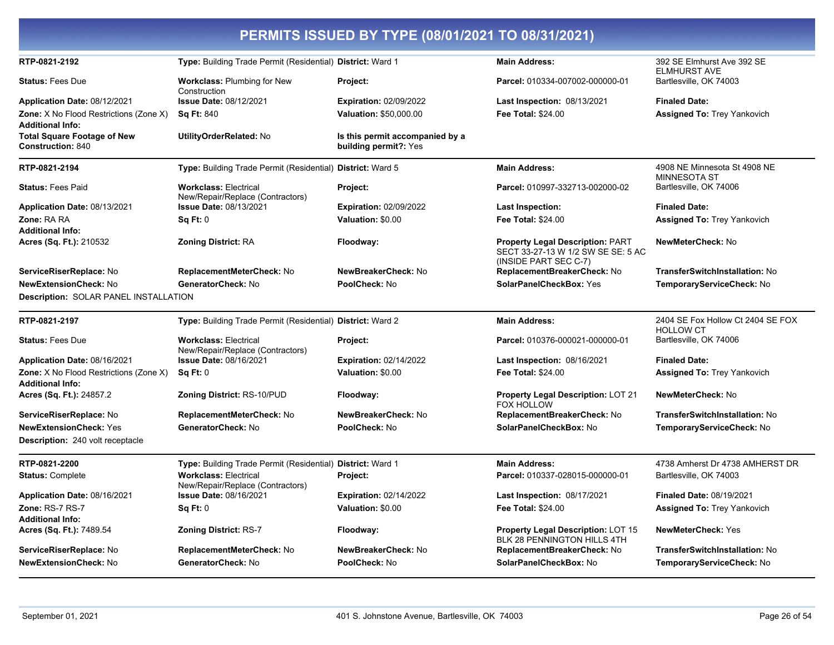| PERMITS ISSUED BY TYPE (08/01/2021 TO 08/31/2021)                            |                                                                  |                                                          |                                                                                                        |                                                       |  |
|------------------------------------------------------------------------------|------------------------------------------------------------------|----------------------------------------------------------|--------------------------------------------------------------------------------------------------------|-------------------------------------------------------|--|
| RTP-0821-2192                                                                | Type: Building Trade Permit (Residential) District: Ward 1       |                                                          | <b>Main Address:</b>                                                                                   | 392 SE Elmhurst Ave 392 SE<br><b>ELMHURST AVE</b>     |  |
| <b>Status: Fees Due</b>                                                      | <b>Workclass: Plumbing for New</b><br>Construction               | Project:                                                 | Parcel: 010334-007002-000000-01                                                                        | Bartlesville, OK 74003                                |  |
| Application Date: 08/12/2021                                                 | <b>Issue Date: 08/12/2021</b>                                    | <b>Expiration: 02/09/2022</b>                            | Last Inspection: 08/13/2021                                                                            | <b>Finaled Date:</b>                                  |  |
| Zone: X No Flood Restrictions (Zone X)<br><b>Additional Info:</b>            | <b>Sq Ft: 840</b>                                                | <b>Valuation: \$50,000.00</b>                            | <b>Fee Total: \$24.00</b>                                                                              | <b>Assigned To: Trey Yankovich</b>                    |  |
| <b>Total Square Footage of New</b><br><b>Construction: 840</b>               | UtilityOrderRelated: No                                          | Is this permit accompanied by a<br>building permit?: Yes |                                                                                                        |                                                       |  |
| RTP-0821-2194                                                                | Type: Building Trade Permit (Residential) District: Ward 5       |                                                          | <b>Main Address:</b>                                                                                   | 4908 NE Minnesota St 4908 NE<br><b>MINNESOTA ST</b>   |  |
| <b>Status: Fees Paid</b>                                                     | <b>Workclass: Electrical</b><br>New/Repair/Replace (Contractors) | Project:                                                 | Parcel: 010997-332713-002000-02                                                                        | Bartlesville, OK 74006                                |  |
| Application Date: 08/13/2021                                                 | <b>Issue Date: 08/13/2021</b>                                    | <b>Expiration: 02/09/2022</b>                            | <b>Last Inspection:</b>                                                                                | <b>Finaled Date:</b>                                  |  |
| Zone: RA RA<br><b>Additional Info:</b>                                       | Sq Ft: 0                                                         | Valuation: \$0.00                                        | Fee Total: \$24.00                                                                                     | <b>Assigned To: Trey Yankovich</b>                    |  |
| Acres (Sq. Ft.): 210532                                                      | Zoning District: RA                                              | Floodway:                                                | <b>Property Legal Description: PART</b><br>SECT 33-27-13 W 1/2 SW SE SE: 5 AC<br>(INSIDE PART SEC C-7) | NewMeterCheck: No                                     |  |
| ServiceRiserReplace: No                                                      | ReplacementMeterCheck: No                                        | NewBreakerCheck: No                                      | ReplacementBreakerCheck: No                                                                            | TransferSwitchInstallation: No                        |  |
| <b>NewExtensionCheck: No</b><br><b>Description: SOLAR PANEL INSTALLATION</b> | GeneratorCheck: No                                               | PoolCheck: No                                            | <b>SolarPanelCheckBox: Yes</b>                                                                         | TemporaryServiceCheck: No                             |  |
| RTP-0821-2197                                                                | Type: Building Trade Permit (Residential) District: Ward 2       |                                                          | <b>Main Address:</b>                                                                                   | 2404 SE Fox Hollow Ct 2404 SE FOX<br><b>HOLLOW CT</b> |  |
| <b>Status: Fees Due</b>                                                      | <b>Workclass: Electrical</b><br>New/Repair/Replace (Contractors) | Project:                                                 | Parcel: 010376-000021-000000-01                                                                        | Bartlesville, OK 74006                                |  |
| Application Date: 08/16/2021                                                 | <b>Issue Date: 08/16/2021</b>                                    | <b>Expiration: 02/14/2022</b>                            | Last Inspection: 08/16/2021                                                                            | <b>Finaled Date:</b>                                  |  |
| Zone: X No Flood Restrictions (Zone X)<br><b>Additional Info:</b>            | Sq Ft: 0                                                         | Valuation: \$0.00                                        | Fee Total: \$24.00                                                                                     | <b>Assigned To: Trey Yankovich</b>                    |  |
| Acres (Sq. Ft.): 24857.2                                                     | Zoning District: RS-10/PUD                                       | Floodway:                                                | <b>Property Legal Description: LOT 21</b><br>FOX HOLLOW                                                | NewMeterCheck: No                                     |  |
| ServiceRiserReplace: No                                                      | ReplacementMeterCheck: No                                        | NewBreakerCheck: No                                      | ReplacementBreakerCheck: No                                                                            | <b>TransferSwitchInstallation: No</b>                 |  |
| <b>NewExtensionCheck: Yes</b><br>Description: 240 volt receptacle            | GeneratorCheck: No                                               | PoolCheck: No                                            | SolarPanelCheckBox: No                                                                                 | TemporaryServiceCheck: No                             |  |
| RTP-0821-2200                                                                | Type: Building Trade Permit (Residential) District: Ward 1       |                                                          | <b>Main Address:</b>                                                                                   | 4738 Amherst Dr 4738 AMHERST DR                       |  |
| <b>Status: Complete</b>                                                      | <b>Workclass: Electrical</b><br>New/Repair/Replace (Contractors) | Project:                                                 | Parcel: 010337-028015-000000-01                                                                        | Bartlesville, OK 74003                                |  |
| Application Date: 08/16/2021                                                 | <b>Issue Date: 08/16/2021</b>                                    | <b>Expiration: 02/14/2022</b>                            | Last Inspection: 08/17/2021                                                                            | Finaled Date: 08/19/2021                              |  |
| Zone: RS-7 RS-7<br><b>Additional Info:</b>                                   | Sq Ft: 0                                                         | Valuation: \$0.00                                        | <b>Fee Total: \$24.00</b>                                                                              | <b>Assigned To: Trey Yankovich</b>                    |  |
| Acres (Sq. Ft.): 7489.54                                                     | Zoning District: RS-7                                            | Floodway:                                                | Property Legal Description: LOT 15<br>BLK 28 PENNINGTON HILLS 4TH                                      | NewMeterCheck: Yes                                    |  |
| ServiceRiserReplace: No                                                      | ReplacementMeterCheck: No                                        | NewBreakerCheck: No                                      | ReplacementBreakerCheck: No                                                                            | TransferSwitchInstallation: No                        |  |
| <b>NewExtensionCheck: No</b>                                                 | GeneratorCheck: No                                               | PoolCheck: No                                            | SolarPanelCheckBox: No                                                                                 | TemporaryServiceCheck: No                             |  |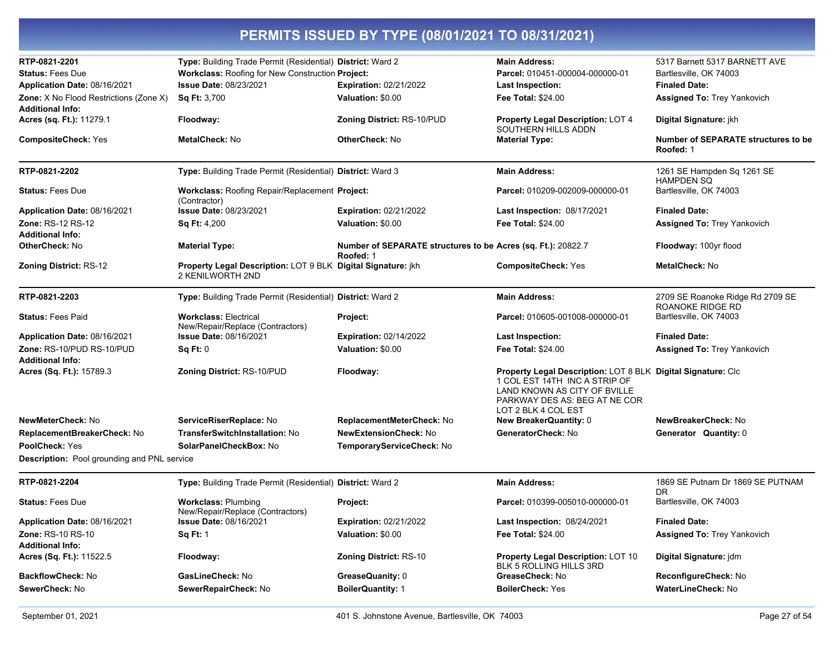| RTP-0821-2201                                                     | Type: Building Trade Permit (Residential) District: Ward 2                       |                                                                           | <b>Main Address:</b>                                                                                                                                                                  | 5317 Barnett 5317 BARNETT AVE                           |
|-------------------------------------------------------------------|----------------------------------------------------------------------------------|---------------------------------------------------------------------------|---------------------------------------------------------------------------------------------------------------------------------------------------------------------------------------|---------------------------------------------------------|
| <b>Status: Fees Due</b>                                           | Workclass: Roofing for New Construction Project:                                 |                                                                           | Parcel: 010451-000004-000000-01                                                                                                                                                       | Bartlesville, OK 74003                                  |
| Application Date: 08/16/2021                                      | <b>Issue Date: 08/23/2021</b>                                                    | <b>Expiration: 02/21/2022</b>                                             | <b>Last Inspection:</b>                                                                                                                                                               | <b>Finaled Date:</b>                                    |
| Zone: X No Flood Restrictions (Zone X)<br><b>Additional Info:</b> | Sq Ft: 3,700                                                                     | Valuation: \$0.00                                                         | <b>Fee Total: \$24.00</b>                                                                                                                                                             | <b>Assigned To: Trey Yankovich</b>                      |
| Acres (sq. Ft.): 11279.1                                          | Floodway:                                                                        | Zoning District: RS-10/PUD                                                | <b>Property Legal Description: LOT 4</b><br>SOUTHERN HILLS ADDN                                                                                                                       | Digital Signature: jkh                                  |
| <b>CompositeCheck: Yes</b>                                        | MetalCheck: No                                                                   | <b>OtherCheck: No</b>                                                     | <b>Material Type:</b>                                                                                                                                                                 | <b>Number of SEPARATE structures to be</b><br>Roofed: 1 |
| RTP-0821-2202                                                     | Type: Building Trade Permit (Residential) District: Ward 3                       |                                                                           | <b>Main Address:</b>                                                                                                                                                                  | 1261 SE Hampden Sq 1261 SE<br><b>HAMPDEN SO</b>         |
| <b>Status: Fees Due</b>                                           | Workclass: Roofing Repair/Replacement Project:<br>(Contractor)                   |                                                                           | Parcel: 010209-002009-000000-01                                                                                                                                                       | Bartlesville, OK 74003                                  |
| Application Date: 08/16/2021                                      | <b>Issue Date: 08/23/2021</b>                                                    | <b>Expiration: 02/21/2022</b>                                             | Last Inspection: 08/17/2021                                                                                                                                                           | <b>Finaled Date:</b>                                    |
| <b>Zone: RS-12 RS-12</b><br><b>Additional Info:</b>               | <b>Sq Ft: 4,200</b>                                                              | Valuation: \$0.00                                                         | <b>Fee Total: \$24.00</b>                                                                                                                                                             | <b>Assigned To: Trey Yankovich</b>                      |
| <b>OtherCheck: No</b>                                             | <b>Material Type:</b>                                                            | Number of SEPARATE structures to be Acres (sq. Ft.): 20822.7<br>Roofed: 1 |                                                                                                                                                                                       | Floodway: 100yr flood                                   |
| <b>Zoning District: RS-12</b>                                     | Property Legal Description: LOT 9 BLK Digital Signature: jkh<br>2 KENILWORTH 2ND |                                                                           | <b>CompositeCheck: Yes</b>                                                                                                                                                            | <b>MetalCheck: No</b>                                   |
| RTP-0821-2203                                                     | Type: Building Trade Permit (Residential) District: Ward 2                       |                                                                           | <b>Main Address:</b>                                                                                                                                                                  | 2709 SE Roanoke Ridge Rd 2709 SE<br>ROANOKE RIDGE RD    |
| <b>Status: Fees Paid</b>                                          | <b>Workclass: Electrical</b><br>New/Repair/Replace (Contractors)                 | Project:                                                                  | Parcel: 010605-001008-000000-01                                                                                                                                                       | Bartlesville, OK 74003                                  |
| Application Date: 08/16/2021                                      | <b>Issue Date: 08/16/2021</b>                                                    | <b>Expiration: 02/14/2022</b>                                             | <b>Last Inspection:</b>                                                                                                                                                               | <b>Finaled Date:</b>                                    |
| Zone: RS-10/PUD RS-10/PUD                                         | Sq Ft: 0                                                                         | Valuation: \$0.00                                                         | <b>Fee Total: \$24.00</b>                                                                                                                                                             | Assigned To: Trey Yankovich                             |
| <b>Additional Info:</b>                                           |                                                                                  |                                                                           |                                                                                                                                                                                       |                                                         |
| Acres (Sq. Ft.): 15789.3                                          | Zoning District: RS-10/PUD                                                       | Floodway:                                                                 | Property Legal Description: LOT 8 BLK Digital Signature: Clc<br>1 COL EST 14TH INC A STRIP OF<br>LAND KNOWN AS CITY OF BVILLE<br>PARKWAY DES AS: BEG AT NE COR<br>LOT 2 BLK 4 COL EST |                                                         |
| NewMeterCheck: No                                                 | ServiceRiserReplace: No                                                          | ReplacementMeterCheck: No                                                 | <b>New BreakerQuantity: 0</b>                                                                                                                                                         | NewBreakerCheck: No                                     |
| ReplacementBreakerCheck: No                                       | <b>TransferSwitchInstallation: No</b>                                            | <b>NewExtensionCheck: No</b>                                              | GeneratorCheck: No                                                                                                                                                                    | Generator Quantity: 0                                   |
| PoolCheck: Yes                                                    | SolarPanelCheckBox: No                                                           | TemporaryServiceCheck: No                                                 |                                                                                                                                                                                       |                                                         |
| Description: Pool grounding and PNL service                       |                                                                                  |                                                                           |                                                                                                                                                                                       |                                                         |
| RTP-0821-2204                                                     | Type: Building Trade Permit (Residential) District: Ward 2                       |                                                                           | <b>Main Address:</b>                                                                                                                                                                  | 1869 SE Putnam Dr 1869 SE PUTNAM<br>DR.                 |
| <b>Status: Fees Due</b>                                           | <b>Workclass: Plumbing</b><br>New/Repair/Replace (Contractors)                   | Project:                                                                  | Parcel: 010399-005010-000000-01                                                                                                                                                       | Bartlesville, OK 74003                                  |
| Application Date: 08/16/2021                                      | Issue Date: 08/16/2021                                                           | Expiration: 02/21/2022                                                    | Last Inspection: 08/24/2021                                                                                                                                                           | <b>Finaled Date:</b>                                    |
| Zone: RS-10 RS-10<br><b>Additional Info:</b>                      | <b>Sq Ft: 1</b>                                                                  | Valuation: \$0.00                                                         | <b>Fee Total: \$24.00</b>                                                                                                                                                             | <b>Assigned To: Trey Yankovich</b>                      |
| Acres (Sq. Ft.): 11522.5                                          | Floodway:                                                                        | <b>Zoning District: RS-10</b>                                             | Property Legal Description: LOT 10<br>BLK 5 ROLLING HILLS 3RD                                                                                                                         | Digital Signature: jdm                                  |
| <b>BackflowCheck: No</b>                                          | GasLineCheck: No                                                                 | GreaseQuanity: 0                                                          | GreaseCheck: No                                                                                                                                                                       | ReconfigureCheck: No                                    |
| SewerCheck: No                                                    | SewerRepairCheck: No                                                             | <b>BoilerQuantity: 1</b>                                                  | <b>BoilerCheck: Yes</b>                                                                                                                                                               | WaterLineCheck: No                                      |
|                                                                   |                                                                                  |                                                                           |                                                                                                                                                                                       |                                                         |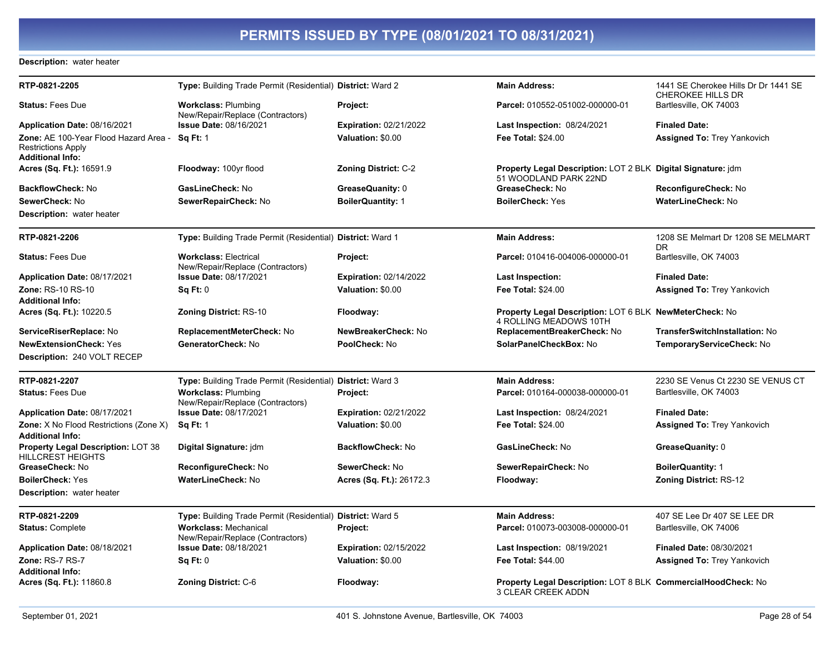#### Description: water heater

| RTP-0821-2205                                                                                 | Type: Building Trade Permit (Residential) District: Ward 2       |                               | <b>Main Address:</b>                                                                  | 1441 SE Cherokee Hills Dr Dr 1441 SE<br><b>CHEROKEE HILLS DR</b> |
|-----------------------------------------------------------------------------------------------|------------------------------------------------------------------|-------------------------------|---------------------------------------------------------------------------------------|------------------------------------------------------------------|
| <b>Status: Fees Due</b>                                                                       | <b>Workclass: Plumbing</b><br>New/Repair/Replace (Contractors)   | Project:                      | Parcel: 010552-051002-000000-01                                                       | Bartlesville, OK 74003                                           |
| Application Date: 08/16/2021                                                                  | Issue Date: 08/16/2021                                           | <b>Expiration: 02/21/2022</b> | Last Inspection: 08/24/2021                                                           | <b>Finaled Date:</b>                                             |
| Zone: AE 100-Year Flood Hazard Area -<br><b>Restrictions Apply</b><br><b>Additional Info:</b> | <b>Sq Ft: 1</b>                                                  | Valuation: \$0.00             | Fee Total: \$24.00                                                                    | <b>Assigned To: Trey Yankovich</b>                               |
| Acres (Sq. Ft.): 16591.9                                                                      | Floodway: 100yr flood                                            | <b>Zoning District: C-2</b>   | Property Legal Description: LOT 2 BLK Digital Signature: jdm<br>51 WOODLAND PARK 22ND |                                                                  |
| <b>BackflowCheck: No</b>                                                                      | GasLineCheck: No                                                 | GreaseQuanity: 0              | GreaseCheck: No                                                                       | ReconfigureCheck: No                                             |
| SewerCheck: No                                                                                | SewerRepairCheck: No                                             | <b>BoilerQuantity: 1</b>      | <b>BoilerCheck: Yes</b>                                                               | <b>WaterLineCheck: No</b>                                        |
| <b>Description:</b> water heater                                                              |                                                                  |                               |                                                                                       |                                                                  |
| RTP-0821-2206                                                                                 | Type: Building Trade Permit (Residential) District: Ward 1       |                               | <b>Main Address:</b>                                                                  | 1208 SE Melmart Dr 1208 SE MELMART<br><b>DR</b>                  |
| <b>Status: Fees Due</b>                                                                       | <b>Workclass: Electrical</b><br>New/Repair/Replace (Contractors) | Project:                      | Parcel: 010416-004006-000000-01                                                       | Bartlesville, OK 74003                                           |
| Application Date: 08/17/2021                                                                  | <b>Issue Date: 08/17/2021</b>                                    | <b>Expiration: 02/14/2022</b> | <b>Last Inspection:</b>                                                               | <b>Finaled Date:</b>                                             |
| Zone: RS-10 RS-10<br><b>Additional Info:</b>                                                  | Sq Ft: 0                                                         | Valuation: \$0.00             | Fee Total: \$24.00                                                                    | <b>Assigned To: Trey Yankovich</b>                               |
| Acres (Sq. Ft.): 10220.5                                                                      | <b>Zoning District: RS-10</b>                                    | Floodway:                     | Property Legal Description: LOT 6 BLK NewMeterCheck: No<br>4 ROLLING MEADOWS 10TH     |                                                                  |
| ServiceRiserReplace: No                                                                       | ReplacementMeterCheck: No                                        | NewBreakerCheck: No           | ReplacementBreakerCheck: No                                                           | TransferSwitchInstallation: No                                   |
| <b>NewExtensionCheck: Yes</b>                                                                 | GeneratorCheck: No                                               | PoolCheck: No                 | SolarPanelCheckBox: No                                                                | TemporaryServiceCheck: No                                        |
| Description: 240 VOLT RECEP                                                                   |                                                                  |                               |                                                                                       |                                                                  |
| RTP-0821-2207                                                                                 | Type: Building Trade Permit (Residential) District: Ward 3       |                               | <b>Main Address:</b>                                                                  | 2230 SE Venus Ct 2230 SE VENUS CT                                |
| <b>Status: Fees Due</b>                                                                       | <b>Workclass: Plumbing</b><br>New/Repair/Replace (Contractors)   | Project:                      | Parcel: 010164-000038-000000-01                                                       | Bartlesville, OK 74003                                           |
| Application Date: 08/17/2021                                                                  | Issue Date: 08/17/2021                                           | <b>Expiration: 02/21/2022</b> | Last Inspection: 08/24/2021                                                           | <b>Finaled Date:</b>                                             |
| Zone: X No Flood Restrictions (Zone X)<br><b>Additional Info:</b>                             | <b>Sq Ft: 1</b>                                                  | Valuation: \$0.00             | Fee Total: \$24.00                                                                    | <b>Assigned To: Trey Yankovich</b>                               |
| <b>Property Legal Description: LOT 38</b><br><b>HILLCREST HEIGHTS</b>                         | Digital Signature: jdm                                           | <b>BackflowCheck: No</b>      | GasLineCheck: No                                                                      | GreaseQuanity: 0                                                 |
| GreaseCheck: No                                                                               | ReconfigureCheck: No                                             | SewerCheck: No                | SewerRepairCheck: No                                                                  | <b>BoilerQuantity: 1</b>                                         |
| <b>BoilerCheck: Yes</b>                                                                       | <b>WaterLineCheck: No</b>                                        | Acres (Sq. Ft.): 26172.3      | Floodway:                                                                             | <b>Zoning District: RS-12</b>                                    |
| <b>Description:</b> water heater                                                              |                                                                  |                               |                                                                                       |                                                                  |
| RTP-0821-2209                                                                                 | Type: Building Trade Permit (Residential) District: Ward 5       |                               | <b>Main Address:</b>                                                                  | 407 SE Lee Dr 407 SE LEE DR                                      |
| <b>Status: Complete</b>                                                                       | <b>Workclass: Mechanical</b><br>New/Repair/Replace (Contractors) | Project:                      | Parcel: 010073-003008-000000-01                                                       | Bartlesville, OK 74006                                           |
| Application Date: 08/18/2021                                                                  | Issue Date: 08/18/2021                                           | <b>Expiration: 02/15/2022</b> | <b>Last Inspection: 08/19/2021</b>                                                    | <b>Finaled Date: 08/30/2021</b>                                  |
| Zone: RS-7 RS-7<br><b>Additional Info:</b>                                                    | Sq Ft: 0                                                         | Valuation: \$0.00             | <b>Fee Total: \$44.00</b>                                                             | <b>Assigned To: Trey Yankovich</b>                               |
| Acres (Sq. Ft.): 11860.8                                                                      | <b>Zoning District: C-6</b>                                      | Floodway:                     | Property Legal Description: LOT 8 BLK CommercialHoodCheck: No<br>3 CLEAR CREEK ADDN   |                                                                  |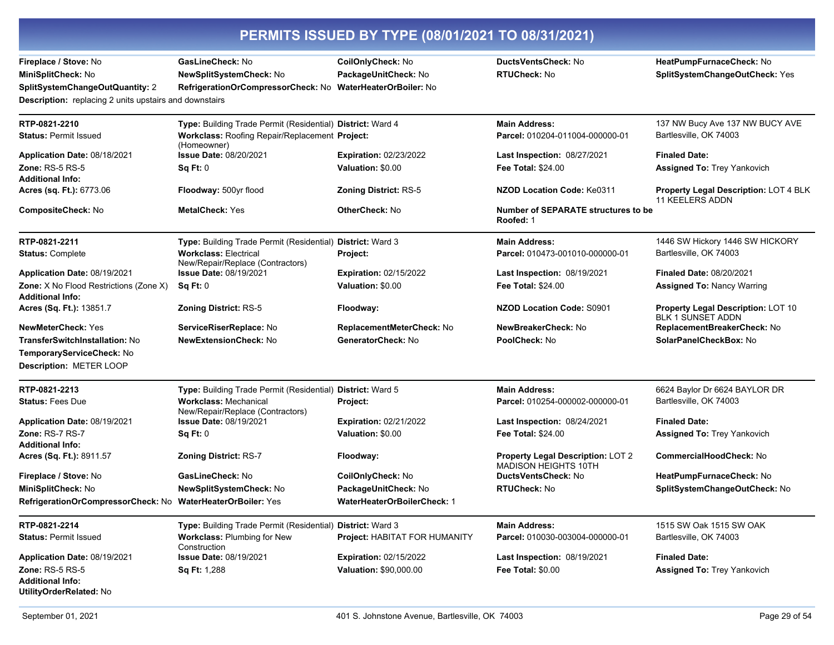Fireplace / Stove: No MiniSplitCheck: No **SplitSystemChangeOutQuantity: 2** 

GasLineCheck: No NewSplitSystemCheck: No

CoilOnlyCheck: No PackageUnitCheck: No RefrigerationOrCompressorCheck: No WaterHeaterOrBoiler: No

DuctsVentsCheck: No **RTUCheck: No** 

HeatPumpFurnaceCheck: No SplitSystemChangeOutCheck: Yes

Description: replacing 2 units upstairs and downstairs

| RTP-0821-2210                                                                | Type: Building Trade Permit (Residential) District: Ward 4       |                                    | <b>Main Address:</b>                                                    | 137 NW Bucy Ave 137 NW BUCY AVE                                 |
|------------------------------------------------------------------------------|------------------------------------------------------------------|------------------------------------|-------------------------------------------------------------------------|-----------------------------------------------------------------|
| <b>Status: Permit Issued</b>                                                 | Workclass: Roofing Repair/Replacement Project:<br>(Homeowner)    |                                    | Parcel: 010204-011004-000000-01                                         | Bartlesville, OK 74003                                          |
| Application Date: 08/18/2021                                                 | <b>Issue Date: 08/20/2021</b>                                    | Expiration: 02/23/2022             | Last Inspection: 08/27/2021                                             | <b>Finaled Date:</b>                                            |
| Zone: $RS-5RS-5$                                                             | Sq Ft: 0                                                         | Valuation: \$0.00                  | <b>Fee Total: \$24.00</b>                                               | <b>Assigned To: Trey Yankovich</b>                              |
| <b>Additional Info:</b>                                                      |                                                                  |                                    |                                                                         |                                                                 |
| Acres (sq. Ft.): 6773.06                                                     | Floodway: 500yr flood                                            | <b>Zoning District: RS-5</b>       | NZOD Location Code: Ke0311                                              | Property Legal Description: LOT 4 BLK<br><b>11 KEELERS ADDN</b> |
| CompositeCheck: No                                                           | <b>MetalCheck: Yes</b>                                           | OtherCheck: No                     | Number of SEPARATE structures to be<br>Roofed: 1                        |                                                                 |
| RTP-0821-2211                                                                | Type: Building Trade Permit (Residential) District: Ward 3       |                                    | <b>Main Address:</b>                                                    | 1446 SW Hickory 1446 SW HICKORY                                 |
| <b>Status: Complete</b>                                                      | <b>Workclass: Electrical</b><br>New/Repair/Replace (Contractors) | Project:                           | Parcel: 010473-001010-000000-01                                         | Bartlesville, OK 74003                                          |
| Application Date: 08/19/2021                                                 | Issue Date: 08/19/2021                                           | <b>Expiration: 02/15/2022</b>      | Last Inspection: 08/19/2021                                             | <b>Finaled Date: 08/20/2021</b>                                 |
| <b>Zone:</b> X No Flood Restrictions (Zone X)<br><b>Additional Info:</b>     | Sq Ft: 0                                                         | Valuation: \$0.00                  | <b>Fee Total: \$24.00</b>                                               | <b>Assigned To: Nancy Warring</b>                               |
| Acres (Sq. Ft.): 13851.7                                                     | <b>Zoning District: RS-5</b>                                     | Floodway:                          | <b>NZOD Location Code: S0901</b>                                        | Property Legal Description: LOT 10<br><b>BLK 1 SUNSET ADDN</b>  |
| <b>NewMeterCheck: Yes</b>                                                    | ServiceRiserReplace: No                                          | ReplacementMeterCheck: No          | NewBreakerCheck: No                                                     | ReplacementBreakerCheck: No                                     |
| <b>TransferSwitchInstallation: No</b>                                        | <b>NewExtensionCheck: No</b>                                     | GeneratorCheck: No                 | PoolCheck: No                                                           | SolarPanelCheckBox: No                                          |
| TemporaryServiceCheck: No                                                    |                                                                  |                                    |                                                                         |                                                                 |
| Description: METER LOOP                                                      |                                                                  |                                    |                                                                         |                                                                 |
| RTP-0821-2213                                                                | Type: Building Trade Permit (Residential) District: Ward 5       |                                    | <b>Main Address:</b>                                                    | 6624 Baylor Dr 6624 BAYLOR DR                                   |
| <b>Status: Fees Due</b>                                                      | <b>Workclass: Mechanical</b><br>New/Repair/Replace (Contractors) | Project:                           | Parcel: 010254-000002-000000-01                                         | Bartlesville, OK 74003                                          |
| Application Date: 08/19/2021                                                 | <b>Issue Date: 08/19/2021</b>                                    | <b>Expiration: 02/21/2022</b>      | Last Inspection: 08/24/2021                                             | <b>Finaled Date:</b>                                            |
| Zone: RS-7 RS-7<br><b>Additional Info:</b>                                   | Sq Ft: 0                                                         | Valuation: \$0.00                  | Fee Total: \$24.00                                                      | <b>Assigned To: Trey Yankovich</b>                              |
| Acres (Sq. Ft.): 8911.57                                                     | <b>Zoning District: RS-7</b>                                     | Floodway:                          | <b>Property Legal Description: LOT 2</b><br><b>MADISON HEIGHTS 10TH</b> | CommercialHoodCheck: No                                         |
| Fireplace / Stove: No                                                        | GasLineCheck: No                                                 | CoilOnlyCheck: No                  | <b>DuctsVentsCheck: No</b>                                              | HeatPumpFurnaceCheck: No                                        |
| MiniSplitCheck: No                                                           | NewSplitSystemCheck: No                                          | PackageUnitCheck: No               | <b>RTUCheck: No</b>                                                     | SplitSystemChangeOutCheck: No                                   |
| RefrigerationOrCompressorCheck: No WaterHeaterOrBoiler: Yes                  |                                                                  | <b>WaterHeaterOrBoilerCheck: 1</b> |                                                                         |                                                                 |
| RTP-0821-2214                                                                | Type: Building Trade Permit (Residential) District: Ward 3       |                                    | <b>Main Address:</b>                                                    | 1515 SW Oak 1515 SW OAK                                         |
| <b>Status: Permit Issued</b>                                                 | Workclass: Plumbing for New<br>Construction                      | Project: HABITAT FOR HUMANITY      | Parcel: 010030-003004-000000-01                                         | Bartlesville, OK 74003                                          |
| Application Date: 08/19/2021                                                 | Issue Date: 08/19/2021                                           | <b>Expiration: 02/15/2022</b>      | <b>Last Inspection: 08/19/2021</b>                                      | <b>Finaled Date:</b>                                            |
| <b>Zone: RS-5 RS-5</b><br><b>Additional Info:</b><br>UtilityOrderRelated: No | Sq Ft: 1,288                                                     | Valuation: \$90,000.00             | <b>Fee Total: \$0.00</b>                                                | <b>Assigned To: Trey Yankovich</b>                              |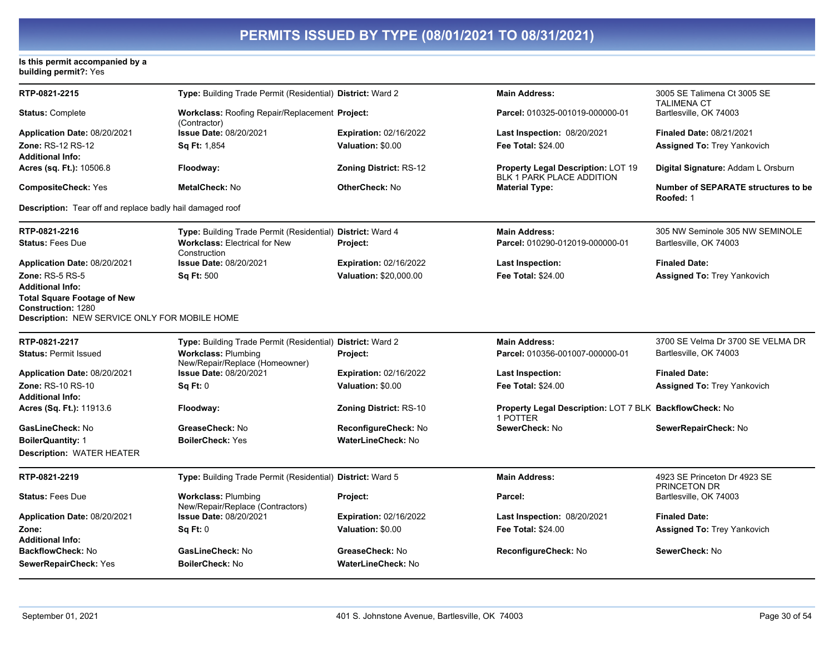# Is this permit accompanied by a<br>building permit?: Yes

| RTP-0821-2215                                                                     | Type: Building Trade Permit (Residential) District: Ward 2     |                               | <b>Main Address:</b>                                                   | 3005 SE Talimena Ct 3005 SE<br><b>TALIMENA CT</b>       |
|-----------------------------------------------------------------------------------|----------------------------------------------------------------|-------------------------------|------------------------------------------------------------------------|---------------------------------------------------------|
| <b>Status: Complete</b>                                                           | Workclass: Roofing Repair/Replacement Project:<br>(Contractor) |                               | Parcel: 010325-001019-000000-01                                        | Bartlesville, OK 74003                                  |
| Application Date: 08/20/2021                                                      | Issue Date: 08/20/2021                                         | <b>Expiration: 02/16/2022</b> | Last Inspection: 08/20/2021                                            | <b>Finaled Date: 08/21/2021</b>                         |
| Zone: RS-12 RS-12                                                                 | <b>Sq Ft: 1,854</b>                                            | Valuation: \$0.00             | <b>Fee Total: \$24.00</b>                                              | <b>Assigned To: Trey Yankovich</b>                      |
| <b>Additional Info:</b>                                                           |                                                                |                               |                                                                        |                                                         |
| <b>Acres (sq. Ft.): 10506.8</b>                                                   | Floodway:                                                      | <b>Zoning District: RS-12</b> | Property Legal Description: LOT 19<br><b>BLK 1 PARK PLACE ADDITION</b> | Digital Signature: Addam L Orsburn                      |
| <b>CompositeCheck: Yes</b>                                                        | <b>MetalCheck: No</b>                                          | <b>OtherCheck: No</b>         | <b>Material Type:</b>                                                  | <b>Number of SEPARATE structures to be</b><br>Roofed: 1 |
| <b>Description:</b> Tear off and replace badly hail damaged roof                  |                                                                |                               |                                                                        |                                                         |
| RTP-0821-2216                                                                     | Type: Building Trade Permit (Residential) District: Ward 4     |                               | <b>Main Address:</b>                                                   | 305 NW Seminole 305 NW SEMINOLE                         |
| <b>Status: Fees Due</b>                                                           | <b>Workclass: Electrical for New</b><br>Construction           | Project:                      | Parcel: 010290-012019-000000-01                                        | Bartlesville, OK 74003                                  |
| Application Date: 08/20/2021                                                      | <b>Issue Date: 08/20/2021</b>                                  | <b>Expiration: 02/16/2022</b> | <b>Last Inspection:</b>                                                | <b>Finaled Date:</b>                                    |
| <b>Zone: RS-5 RS-5</b>                                                            | <b>Sq Ft: 500</b>                                              | Valuation: \$20,000.00        | Fee Total: \$24.00                                                     | <b>Assigned To: Trey Yankovich</b>                      |
| <b>Additional Info:</b>                                                           |                                                                |                               |                                                                        |                                                         |
| <b>Total Square Footage of New</b>                                                |                                                                |                               |                                                                        |                                                         |
| <b>Construction: 1280</b><br><b>Description: NEW SERVICE ONLY FOR MOBILE HOME</b> |                                                                |                               |                                                                        |                                                         |
|                                                                                   |                                                                |                               |                                                                        |                                                         |
| RTP-0821-2217                                                                     | Type: Building Trade Permit (Residential) District: Ward 2     |                               | <b>Main Address:</b>                                                   | 3700 SE Velma Dr 3700 SE VELMA DR                       |
| <b>Status: Permit Issued</b>                                                      | <b>Workclass: Plumbing</b><br>New/Repair/Replace (Homeowner)   | Project:                      | Parcel: 010356-001007-000000-01                                        | Bartlesville, OK 74003                                  |
| Application Date: 08/20/2021                                                      | <b>Issue Date: 08/20/2021</b>                                  | <b>Expiration: 02/16/2022</b> | <b>Last Inspection:</b>                                                | <b>Finaled Date:</b>                                    |
| Zone: RS-10 RS-10                                                                 | Sq Ft: 0                                                       | Valuation: \$0.00             | <b>Fee Total: \$24.00</b>                                              | Assigned To: Trey Yankovich                             |
| <b>Additional Info:</b>                                                           |                                                                |                               |                                                                        |                                                         |
| Acres (Sq. Ft.): 11913.6                                                          | Floodway:                                                      | Zoning District: RS-10        | Property Legal Description: LOT 7 BLK BackflowCheck: No<br>1 POTTER    |                                                         |
| GasLineCheck: No                                                                  | GreaseCheck: No                                                | ReconfigureCheck: No          | SewerCheck: No                                                         | SewerRepairCheck: No                                    |
| <b>BoilerQuantity: 1</b>                                                          | <b>BoilerCheck: Yes</b>                                        | <b>WaterLineCheck: No</b>     |                                                                        |                                                         |
| <b>Description: WATER HEATER</b>                                                  |                                                                |                               |                                                                        |                                                         |
| RTP-0821-2219                                                                     | Type: Building Trade Permit (Residential) District: Ward 5     |                               | <b>Main Address:</b>                                                   | 4923 SE Princeton Dr 4923 SE<br><b>PRINCETON DR</b>     |
| <b>Status: Fees Due</b>                                                           | <b>Workclass: Plumbing</b><br>New/Repair/Replace (Contractors) | Project:                      | Parcel:                                                                | Bartlesville, OK 74003                                  |
| Application Date: 08/20/2021                                                      | Issue Date: 08/20/2021                                         | <b>Expiration: 02/16/2022</b> | <b>Last Inspection: 08/20/2021</b>                                     | <b>Finaled Date:</b>                                    |
| Zone:                                                                             | Sq Ft: 0                                                       | Valuation: \$0.00             | Fee Total: \$24.00                                                     | <b>Assigned To: Trey Yankovich</b>                      |
| <b>Additional Info:</b>                                                           |                                                                |                               |                                                                        |                                                         |
| <b>BackflowCheck: No</b>                                                          | GasLineCheck: No                                               | GreaseCheck: No               | ReconfigureCheck: No                                                   | SewerCheck: No                                          |
| SewerRepairCheck: Yes                                                             | <b>BoilerCheck: No</b>                                         | WaterLineCheck: No            |                                                                        |                                                         |
|                                                                                   |                                                                |                               |                                                                        |                                                         |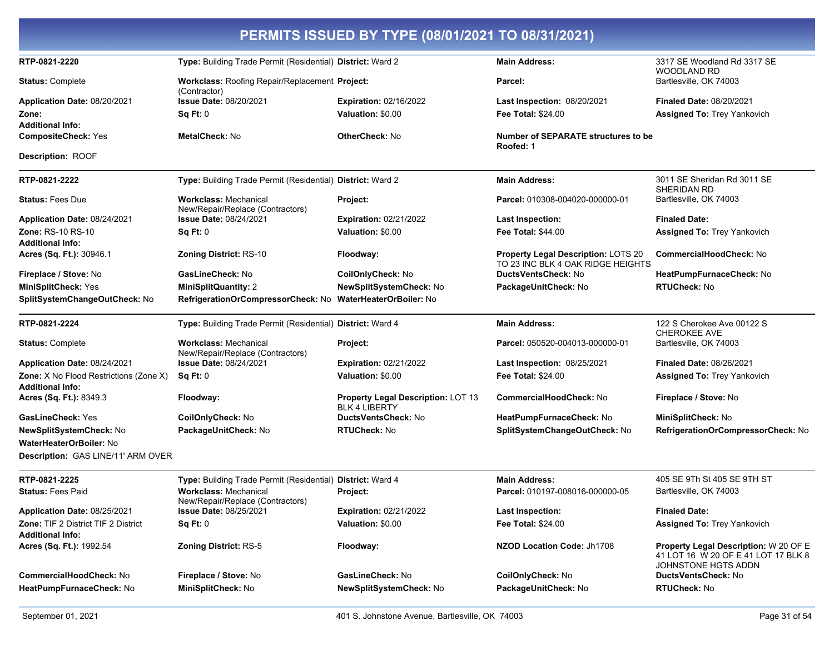| PERMITS ISSUED BY TYPE (08/01/2021 TO 08/31/2021)                        |                                                                  |                                                            |                                                                                 |                                                                                                     |
|--------------------------------------------------------------------------|------------------------------------------------------------------|------------------------------------------------------------|---------------------------------------------------------------------------------|-----------------------------------------------------------------------------------------------------|
| RTP-0821-2220                                                            | Type: Building Trade Permit (Residential) District: Ward 2       |                                                            | <b>Main Address:</b>                                                            | 3317 SE Woodland Rd 3317 SE<br><b>WOODLAND RD</b>                                                   |
| <b>Status: Complete</b>                                                  | Workclass: Roofing Repair/Replacement Project:<br>(Contractor)   |                                                            | Parcel:                                                                         | Bartlesville, OK 74003                                                                              |
| Application Date: 08/20/2021                                             | <b>Issue Date: 08/20/2021</b>                                    | <b>Expiration: 02/16/2022</b>                              | <b>Last Inspection: 08/20/2021</b>                                              | <b>Finaled Date: 08/20/2021</b>                                                                     |
| Zone:<br><b>Additional Info:</b>                                         | Sq Ft: 0                                                         | Valuation: \$0.00                                          | <b>Fee Total: \$24.00</b>                                                       | <b>Assigned To: Trey Yankovich</b>                                                                  |
| <b>CompositeCheck: Yes</b>                                               | <b>MetalCheck: No</b>                                            | <b>OtherCheck: No</b>                                      | <b>Number of SEPARATE structures to be</b><br>Roofed: 1                         |                                                                                                     |
| Description: ROOF                                                        |                                                                  |                                                            |                                                                                 |                                                                                                     |
| RTP-0821-2222                                                            | Type: Building Trade Permit (Residential) District: Ward 2       |                                                            | <b>Main Address:</b>                                                            | 3011 SE Sheridan Rd 3011 SE<br>SHERIDAN RD                                                          |
| <b>Status: Fees Due</b>                                                  | <b>Workclass: Mechanical</b><br>New/Repair/Replace (Contractors) | Project:                                                   | Parcel: 010308-004020-000000-01                                                 | Bartlesville, OK 74003                                                                              |
| Application Date: 08/24/2021                                             | <b>Issue Date: 08/24/2021</b>                                    | <b>Expiration: 02/21/2022</b>                              | <b>Last Inspection:</b>                                                         | <b>Finaled Date:</b>                                                                                |
| Zone: RS-10 RS-10                                                        | Sq Ft: 0                                                         | Valuation: \$0.00                                          | Fee Total: \$44.00                                                              | Assigned To: Trey Yankovich                                                                         |
| <b>Additional Info:</b><br>Acres (Sq. Ft.): 30946.1                      | <b>Zoning District: RS-10</b>                                    | Floodway:                                                  | <b>Property Legal Description: LOTS 20</b><br>TO 23 INC BLK 4 OAK RIDGE HEIGHTS | <b>CommercialHoodCheck: No</b>                                                                      |
| Fireplace / Stove: No                                                    | GasLineCheck: No                                                 | CoilOnlyCheck: No                                          | DuctsVentsCheck: No                                                             | HeatPumpFurnaceCheck: No                                                                            |
| <b>MiniSplitCheck: Yes</b>                                               | <b>MiniSplitQuantity: 2</b>                                      | NewSplitSystemCheck: No                                    | PackageUnitCheck: No                                                            | <b>RTUCheck: No</b>                                                                                 |
| SplitSystemChangeOutCheck: No                                            | RefrigerationOrCompressorCheck: No WaterHeaterOrBoiler: No       |                                                            |                                                                                 |                                                                                                     |
| RTP-0821-2224                                                            | Type: Building Trade Permit (Residential) District: Ward 4       |                                                            | <b>Main Address:</b>                                                            | 122 S Cherokee Ave 00122 S<br>CHEROKEE AVE                                                          |
| <b>Status: Complete</b>                                                  | <b>Workclass: Mechanical</b><br>New/Repair/Replace (Contractors) | Project:                                                   | Parcel: 050520-004013-000000-01                                                 | Bartlesville, OK 74003                                                                              |
| Application Date: 08/24/2021                                             | <b>Issue Date: 08/24/2021</b>                                    | <b>Expiration: 02/21/2022</b>                              | Last Inspection: 08/25/2021                                                     | <b>Finaled Date: 08/26/2021</b>                                                                     |
| <b>Zone:</b> X No Flood Restrictions (Zone X)<br><b>Additional Info:</b> | Sq Ft: 0                                                         | Valuation: \$0.00                                          | <b>Fee Total: \$24.00</b>                                                       | <b>Assigned To: Trey Yankovich</b>                                                                  |
| Acres (Sq. Ft.): 8349.3                                                  | Floodway:                                                        | Property Legal Description: LOT 13<br><b>BLK 4 LIBERTY</b> | CommercialHoodCheck: No                                                         | Fireplace / Stove: No                                                                               |
| GasLineCheck: Yes                                                        | CoilOnlyCheck: No                                                | DuctsVentsCheck: No                                        | HeatPumpFurnaceCheck: No                                                        | MiniSplitCheck: No                                                                                  |
| NewSplitSystemCheck: No                                                  | PackageUnitCheck: No                                             | <b>RTUCheck: No</b>                                        | SplitSystemChangeOutCheck: No                                                   | RefrigerationOrCompressorCheck: No                                                                  |
| WaterHeaterOrBoiler: No                                                  |                                                                  |                                                            |                                                                                 |                                                                                                     |
| Description: GAS LINE/11' ARM OVER                                       |                                                                  |                                                            |                                                                                 |                                                                                                     |
| RTP-0821-2225                                                            | Type: Building Trade Permit (Residential) District: Ward 4       |                                                            | <b>Main Address:</b>                                                            | 405 SE 9Th St 405 SE 9TH ST                                                                         |
| <b>Status: Fees Paid</b>                                                 | <b>Workclass: Mechanical</b><br>New/Repair/Replace (Contractors) | <b>Project:</b>                                            | Parcel: 010197-008016-000000-05                                                 | Bartlesville, OK 74003                                                                              |
| Application Date: 08/25/2021                                             | <b>Issue Date: 08/25/2021</b>                                    | <b>Expiration: 02/21/2022</b>                              | <b>Last Inspection:</b>                                                         | <b>Finaled Date:</b>                                                                                |
| <b>Zone: TIF 2 District TIF 2 District</b><br><b>Additional Info:</b>    | Sq Ft: 0                                                         | Valuation: \$0.00                                          | <b>Fee Total: \$24.00</b>                                                       | Assigned To: Trey Yankovich                                                                         |
| Acres (Sq. Ft.): 1992.54                                                 | <b>Zoning District: RS-5</b>                                     | Floodway:                                                  | NZOD Location Code: Jh1708                                                      | Property Legal Description: W 20 OF E<br>41 LOT 16 W 20 OF E 41 LOT 17 BLK 8<br>JOHNSTONE HGTS ADDN |
| <b>CommercialHoodCheck: No</b>                                           | Fireplace / Stove: No                                            | GasLineCheck: No                                           | CoilOnlyCheck: No                                                               | DuctsVentsCheck: No                                                                                 |
| HeatPumpFurnaceCheck: No                                                 | MiniSplitCheck: No                                               | NewSplitSystemCheck: No                                    | PackageUnitCheck: No                                                            | <b>RTUCheck: No</b>                                                                                 |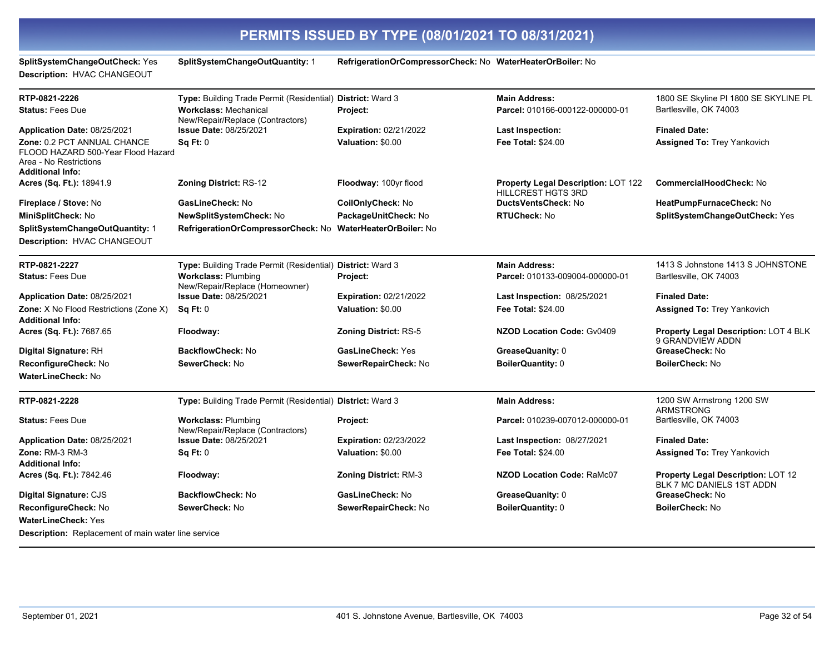| SplitSystemChangeOutCheck: Yes<br>Description: HVAC CHANGEOUT                                                          | <b>SplitSystemChangeOutQuantity: 1</b>                           | RefrigerationOrCompressorCheck: No WaterHeaterOrBoiler: No |                                                                  |                                                                 |
|------------------------------------------------------------------------------------------------------------------------|------------------------------------------------------------------|------------------------------------------------------------|------------------------------------------------------------------|-----------------------------------------------------------------|
| RTP-0821-2226                                                                                                          | Type: Building Trade Permit (Residential) District: Ward 3       |                                                            | <b>Main Address:</b>                                             | 1800 SE Skyline PI 1800 SE SKYLINE PL                           |
| <b>Status: Fees Due</b>                                                                                                | <b>Workclass: Mechanical</b><br>New/Repair/Replace (Contractors) | Project:                                                   | Parcel: 010166-000122-000000-01                                  | Bartlesville, OK 74003                                          |
| Application Date: 08/25/2021                                                                                           | <b>Issue Date: 08/25/2021</b>                                    | <b>Expiration: 02/21/2022</b>                              | <b>Last Inspection:</b>                                          | <b>Finaled Date:</b>                                            |
| Zone: 0.2 PCT ANNUAL CHANCE<br>FLOOD HAZARD 500-Year Flood Hazard<br>Area - No Restrictions<br><b>Additional Info:</b> | Sq Ft: 0                                                         | Valuation: \$0.00                                          | Fee Total: \$24.00                                               | <b>Assigned To: Trey Yankovich</b>                              |
| Acres (Sq. Ft.): 18941.9                                                                                               | <b>Zoning District: RS-12</b>                                    | Floodway: 100yr flood                                      | Property Legal Description: LOT 122<br><b>HILLCREST HGTS 3RD</b> | <b>CommercialHoodCheck: No</b>                                  |
| Fireplace / Stove: No                                                                                                  | GasLineCheck: No                                                 | CoilOnlyCheck: No                                          | DuctsVentsCheck: No                                              | HeatPumpFurnaceCheck: No                                        |
| MiniSplitCheck: No                                                                                                     | <b>NewSplitSystemCheck: No</b>                                   | PackageUnitCheck: No                                       | <b>RTUCheck: No</b>                                              | SplitSystemChangeOutCheck: Yes                                  |
| SplitSystemChangeOutQuantity: 1<br>Description: HVAC CHANGEOUT                                                         | RefrigerationOrCompressorCheck: No WaterHeaterOrBoiler: No       |                                                            |                                                                  |                                                                 |
| RTP-0821-2227                                                                                                          | Type: Building Trade Permit (Residential) District: Ward 3       |                                                            | <b>Main Address:</b>                                             | 1413 S Johnstone 1413 S JOHNSTONE                               |
| <b>Status: Fees Due</b>                                                                                                | <b>Workclass: Plumbing</b><br>New/Repair/Replace (Homeowner)     | Project:                                                   | Parcel: 010133-009004-000000-01                                  | Bartlesville, OK 74003                                          |
| Application Date: 08/25/2021                                                                                           | <b>Issue Date: 08/25/2021</b>                                    | <b>Expiration: 02/21/2022</b>                              | <b>Last Inspection: 08/25/2021</b>                               | <b>Finaled Date:</b>                                            |
| <b>Zone:</b> X No Flood Restrictions (Zone X)<br><b>Additional Info:</b>                                               | Sq Ft: 0                                                         | Valuation: \$0.00                                          | Fee Total: \$24.00                                               | <b>Assigned To: Trey Yankovich</b>                              |
| Acres (Sq. Ft.): 7687.65                                                                                               | Floodway:                                                        | <b>Zoning District: RS-5</b>                               | NZOD Location Code: Gv0409                                       | Property Legal Description: LOT 4 BLK<br>9 GRANDVIEW ADDN       |
| Digital Signature: RH                                                                                                  | BackflowCheck: No                                                | GasLineCheck: Yes                                          | GreaseQuanity: 0                                                 | GreaseCheck: No                                                 |
| ReconfigureCheck: No<br><b>WaterLineCheck: No</b>                                                                      | SewerCheck: No                                                   | SewerRepairCheck: No                                       | <b>BoilerQuantity: 0</b>                                         | BoilerCheck: No                                                 |
| RTP-0821-2228                                                                                                          | Type: Building Trade Permit (Residential) District: Ward 3       |                                                            | <b>Main Address:</b>                                             | 1200 SW Armstrong 1200 SW<br><b>ARMSTRONG</b>                   |
| <b>Status: Fees Due</b>                                                                                                | <b>Workclass: Plumbing</b><br>New/Repair/Replace (Contractors)   | Project:                                                   | Parcel: 010239-007012-000000-01                                  | Bartlesville, OK 74003                                          |
| Application Date: 08/25/2021                                                                                           | <b>Issue Date: 08/25/2021</b>                                    | <b>Expiration: 02/23/2022</b>                              | Last Inspection: 08/27/2021                                      | <b>Finaled Date:</b>                                            |
| <b>Zone: RM-3 RM-3</b><br><b>Additional Info:</b>                                                                      | Sq Ft: 0                                                         | Valuation: \$0.00                                          | <b>Fee Total: \$24.00</b>                                        | <b>Assigned To: Trey Yankovich</b>                              |
| Acres (Sq. Ft.): 7842.46                                                                                               | Floodway:                                                        | <b>Zoning District: RM-3</b>                               | <b>NZOD Location Code: RaMc07</b>                                | Property Legal Description: LOT 12<br>BLK 7 MC DANIELS 1ST ADDN |
| Digital Signature: CJS                                                                                                 | <b>BackflowCheck: No</b>                                         | GasLineCheck: No                                           | GreaseQuanity: 0                                                 | GreaseCheck: No                                                 |
| ReconfigureCheck: No                                                                                                   | SewerCheck: No                                                   | SewerRepairCheck: No                                       | <b>BoilerQuantity: 0</b>                                         | <b>BoilerCheck: No</b>                                          |
| <b>WaterLineCheck: Yes</b>                                                                                             |                                                                  |                                                            |                                                                  |                                                                 |
| <b>Description:</b> Replacement of main water line service                                                             |                                                                  |                                                            |                                                                  |                                                                 |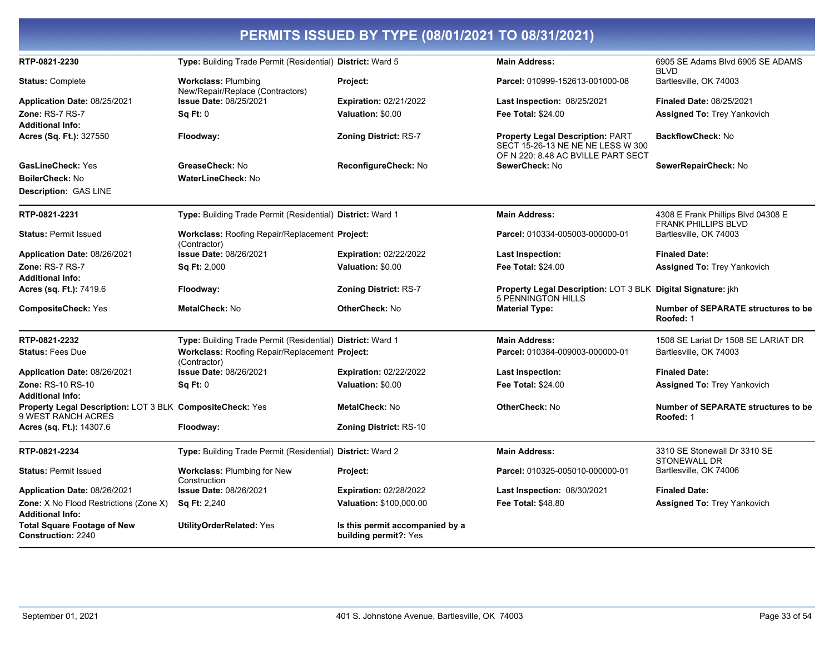|                                                                                      |                                                                       | PERMITS ISSUED BY TYPE (08/01/2021 TO 08/31/2021)        |                                                                                                                    |                                                                  |
|--------------------------------------------------------------------------------------|-----------------------------------------------------------------------|----------------------------------------------------------|--------------------------------------------------------------------------------------------------------------------|------------------------------------------------------------------|
| RTP-0821-2230                                                                        | Type: Building Trade Permit (Residential) District: Ward 5            |                                                          | <b>Main Address:</b>                                                                                               | 6905 SE Adams Blvd 6905 SE ADAMS<br><b>BLVD</b>                  |
| <b>Status: Complete</b>                                                              | <b>Workclass: Plumbing</b><br>New/Repair/Replace (Contractors)        | Project:                                                 | Parcel: 010999-152613-001000-08                                                                                    | Bartlesville, OK 74003                                           |
| Application Date: 08/25/2021                                                         | Issue Date: 08/25/2021                                                | Expiration: 02/21/2022                                   | <b>Last Inspection: 08/25/2021</b>                                                                                 | <b>Finaled Date: 08/25/2021</b>                                  |
| Zone: RS-7 RS-7                                                                      | $\text{Sa Et: } 0$                                                    | Valuation: \$0.00                                        | <b>Fee Total: \$24.00</b>                                                                                          | <b>Assigned To: Trey Yankovich</b>                               |
| <b>Additional Info:</b>                                                              |                                                                       |                                                          |                                                                                                                    |                                                                  |
| Acres (Sq. Ft.): 327550                                                              | Floodway:                                                             | <b>Zoning District: RS-7</b>                             | <b>Property Legal Description: PART</b><br>SECT 15-26-13 NE NE NE LESS W 300<br>OF N 220: 8.48 AC BVILLE PART SECT | <b>BackflowCheck: No</b>                                         |
| <b>GasLineCheck: Yes</b>                                                             | GreaseCheck: No                                                       | ReconfigureCheck: No                                     | SewerCheck: No                                                                                                     | SewerRepairCheck: No                                             |
| <b>BoilerCheck: No</b>                                                               | <b>WaterLineCheck: No</b>                                             |                                                          |                                                                                                                    |                                                                  |
| <b>Description: GAS LINE</b>                                                         |                                                                       |                                                          |                                                                                                                    |                                                                  |
| RTP-0821-2231                                                                        | Type: Building Trade Permit (Residential) District: Ward 1            |                                                          | <b>Main Address:</b>                                                                                               | 4308 E Frank Phillips Blvd 04308 E<br><b>FRANK PHILLIPS BLVD</b> |
| <b>Status: Permit Issued</b>                                                         | <b>Workclass: Roofing Repair/Replacement Project:</b><br>(Contractor) |                                                          | Parcel: 010334-005003-000000-01                                                                                    | Bartlesville, OK 74003                                           |
| Application Date: 08/26/2021                                                         | Issue Date: 08/26/2021                                                | <b>Expiration: 02/22/2022</b>                            | <b>Last Inspection:</b>                                                                                            | <b>Finaled Date:</b>                                             |
| Zone: RS-7 RS-7                                                                      | <b>Sq Ft: 2,000</b>                                                   | Valuation: \$0.00                                        | <b>Fee Total: \$24.00</b>                                                                                          | <b>Assigned To: Trey Yankovich</b>                               |
| <b>Additional Info:</b>                                                              |                                                                       |                                                          |                                                                                                                    |                                                                  |
| Acres (sq. Ft.): 7419.6                                                              | Floodway:                                                             | <b>Zoning District: RS-7</b>                             | <b>Property Legal Description: LOT 3 BLK Digital Signature: jkh</b><br><b>5 PENNINGTON HILLS</b>                   |                                                                  |
| <b>CompositeCheck: Yes</b>                                                           | MetalCheck: No                                                        | OtherCheck: No                                           | <b>Material Type:</b>                                                                                              | <b>Number of SEPARATE structures to be</b><br>Roofed: 1          |
| RTP-0821-2232                                                                        | Type: Building Trade Permit (Residential) District: Ward 1            |                                                          | <b>Main Address:</b>                                                                                               | 1508 SE Lariat Dr 1508 SE LARIAT DR                              |
| <b>Status: Fees Due</b>                                                              | Workclass: Roofing Repair/Replacement Project:<br>(Contractor)        |                                                          | Parcel: 010384-009003-000000-01                                                                                    | Bartlesville, OK 74003                                           |
| Application Date: 08/26/2021                                                         | Issue Date: 08/26/2021                                                | <b>Expiration: 02/22/2022</b>                            | <b>Last Inspection:</b>                                                                                            | <b>Finaled Date:</b>                                             |
| Zone: RS-10 RS-10                                                                    | Sq Ft: 0                                                              | Valuation: \$0.00                                        | <b>Fee Total: \$24.00</b>                                                                                          | <b>Assigned To: Trey Yankovich</b>                               |
| <b>Additional Info:</b><br>Property Legal Description: LOT 3 BLK CompositeCheck: Yes |                                                                       | MetalCheck: No                                           | <b>OtherCheck: No</b>                                                                                              | Number of SEPARATE structures to be                              |
| 9 WEST RANCH ACRES                                                                   |                                                                       |                                                          |                                                                                                                    | Roofed: 1                                                        |
| Acres (sq. Ft.): 14307.6                                                             | Floodway:                                                             | <b>Zoning District: RS-10</b>                            |                                                                                                                    |                                                                  |
| RTP-0821-2234                                                                        | Type: Building Trade Permit (Residential) District: Ward 2            |                                                          | <b>Main Address:</b>                                                                                               | 3310 SE Stonewall Dr 3310 SE<br><b>STONEWALL DR</b>              |
| <b>Status: Permit Issued</b>                                                         | <b>Workclass: Plumbing for New</b><br>Construction                    | Project:                                                 | Parcel: 010325-005010-000000-01                                                                                    | Bartlesville, OK 74006                                           |
| Application Date: 08/26/2021                                                         | Issue Date: 08/26/2021                                                | Expiration: 02/28/2022                                   | Last Inspection: 08/30/2021                                                                                        | <b>Finaled Date:</b>                                             |
| Zone: X No Flood Restrictions (Zone X)<br><b>Additional Info:</b>                    | <b>Sq Ft: 2,240</b>                                                   | Valuation: \$100,000.00                                  | <b>Fee Total: \$48.80</b>                                                                                          | Assigned To: Trey Yankovich                                      |
| <b>Total Square Footage of New</b><br><b>Construction: 2240</b>                      | <b>UtilityOrderRelated: Yes</b>                                       | Is this permit accompanied by a<br>building permit?: Yes |                                                                                                                    |                                                                  |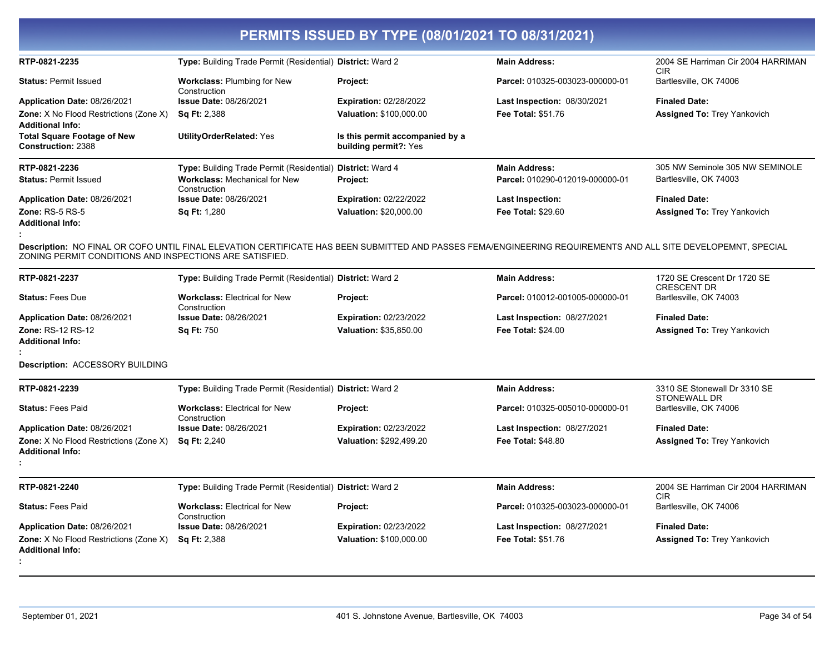| RTP-0821-2235<br>Type: Building Trade Permit (Residential) District: Ward 2<br>2004 SE Harriman Cir 2004 HARRIMAN<br><b>Main Address:</b><br><b>CIR</b><br>Bartlesville, OK 74006<br><b>Status: Permit Issued</b><br><b>Workclass: Plumbing for New</b><br>Project:<br>Parcel: 010325-003023-000000-01<br>Construction<br>Issue Date: 08/26/2021<br><b>Finaled Date:</b><br>Application Date: 08/26/2021<br><b>Expiration: 02/28/2022</b><br><b>Last Inspection: 08/30/2021</b><br>Zone: X No Flood Restrictions (Zone X)<br>Valuation: \$100,000.00<br>Fee Total: \$51.76<br><b>Assigned To: Trey Yankovich</b><br><b>Sq Ft: 2,388</b><br><b>Additional Info:</b><br><b>Total Square Footage of New</b><br><b>UtilityOrderRelated: Yes</b><br>Is this permit accompanied by a |  |
|--------------------------------------------------------------------------------------------------------------------------------------------------------------------------------------------------------------------------------------------------------------------------------------------------------------------------------------------------------------------------------------------------------------------------------------------------------------------------------------------------------------------------------------------------------------------------------------------------------------------------------------------------------------------------------------------------------------------------------------------------------------------------------|--|
|                                                                                                                                                                                                                                                                                                                                                                                                                                                                                                                                                                                                                                                                                                                                                                                |  |
|                                                                                                                                                                                                                                                                                                                                                                                                                                                                                                                                                                                                                                                                                                                                                                                |  |
|                                                                                                                                                                                                                                                                                                                                                                                                                                                                                                                                                                                                                                                                                                                                                                                |  |
|                                                                                                                                                                                                                                                                                                                                                                                                                                                                                                                                                                                                                                                                                                                                                                                |  |
| Construction: 2388<br>building permit?: Yes                                                                                                                                                                                                                                                                                                                                                                                                                                                                                                                                                                                                                                                                                                                                    |  |
| RTP-0821-2236<br>305 NW Seminole 305 NW SEMINOLE<br>Type: Building Trade Permit (Residential)<br><b>District: Ward 4</b><br><b>Main Address:</b>                                                                                                                                                                                                                                                                                                                                                                                                                                                                                                                                                                                                                               |  |
| <b>Workclass: Mechanical for New</b><br>Parcel: 010290-012019-000000-01<br>Bartlesville, OK 74003<br><b>Status: Permit Issued</b><br>Project:<br>Construction                                                                                                                                                                                                                                                                                                                                                                                                                                                                                                                                                                                                                  |  |
| Application Date: 08/26/2021<br><b>Issue Date: 08/26/2021</b><br><b>Expiration: 02/22/2022</b><br><b>Finaled Date:</b><br>Last Inspection:                                                                                                                                                                                                                                                                                                                                                                                                                                                                                                                                                                                                                                     |  |
| <b>Zone: RS-5 RS-5</b><br>Valuation: \$20,000.00<br><b>Sq Ft: 1,280</b><br><b>Fee Total: \$29.60</b><br><b>Assigned To: Trey Yankovich</b><br><b>Additional Info:</b>                                                                                                                                                                                                                                                                                                                                                                                                                                                                                                                                                                                                          |  |
| Description: NO FINAL OR COFO UNTIL FINAL ELEVATION CERTIFICATE HAS BEEN SUBMITTED AND PASSES FEMA/ENGINEERING REQUIREMENTS AND ALL SITE DEVELOPEMNT, SPECIAL<br>ZONING PERMIT CONDITIONS AND INSPECTIONS ARE SATISFIED.                                                                                                                                                                                                                                                                                                                                                                                                                                                                                                                                                       |  |
| RTP-0821-2237<br>1720 SE Crescent Dr 1720 SE<br>Type: Building Trade Permit (Residential) District: Ward 2<br><b>Main Address:</b><br><b>CRESCENT DR</b>                                                                                                                                                                                                                                                                                                                                                                                                                                                                                                                                                                                                                       |  |
| <b>Status: Fees Due</b><br><b>Workclass: Electrical for New</b><br>Parcel: 010012-001005-000000-01<br>Bartlesville, OK 74003<br>Project:<br>Construction                                                                                                                                                                                                                                                                                                                                                                                                                                                                                                                                                                                                                       |  |
| Application Date: 08/26/2021<br>Issue Date: 08/26/2021<br><b>Expiration: 02/23/2022</b><br><b>Finaled Date:</b><br><b>Last Inspection: 08/27/2021</b>                                                                                                                                                                                                                                                                                                                                                                                                                                                                                                                                                                                                                          |  |
| Zone: RS-12 RS-12<br><b>Sq Ft: 750</b><br>Valuation: \$35,850.00<br><b>Fee Total: \$24.00</b><br><b>Assigned To: Trey Yankovich</b><br><b>Additional Info:</b>                                                                                                                                                                                                                                                                                                                                                                                                                                                                                                                                                                                                                 |  |
| Description: ACCESSORY BUILDING                                                                                                                                                                                                                                                                                                                                                                                                                                                                                                                                                                                                                                                                                                                                                |  |
| 3310 SE Stonewall Dr 3310 SE<br>RTP-0821-2239<br>Type: Building Trade Permit (Residential) District: Ward 2<br><b>Main Address:</b><br><b>STONEWALL DR</b>                                                                                                                                                                                                                                                                                                                                                                                                                                                                                                                                                                                                                     |  |
| <b>Workclass: Electrical for New</b><br>Bartlesville, OK 74006<br><b>Status: Fees Paid</b><br>Project:<br>Parcel: 010325-005010-000000-01<br>Construction                                                                                                                                                                                                                                                                                                                                                                                                                                                                                                                                                                                                                      |  |
| Application Date: 08/26/2021<br><b>Issue Date: 08/26/2021</b><br><b>Expiration: 02/23/2022</b><br><b>Last Inspection: 08/27/2021</b><br><b>Finaled Date:</b>                                                                                                                                                                                                                                                                                                                                                                                                                                                                                                                                                                                                                   |  |
| Zone: X No Flood Restrictions (Zone X)<br><b>Sq Ft: 2,240</b><br>Valuation: \$292,499.20<br><b>Fee Total: \$48.80</b><br><b>Assigned To: Trey Yankovich</b><br><b>Additional Info:</b>                                                                                                                                                                                                                                                                                                                                                                                                                                                                                                                                                                                         |  |
| 2004 SE Harriman Cir 2004 HARRIMAN<br>RTP-0821-2240<br>Type: Building Trade Permit (Residential) District: Ward 2<br><b>Main Address:</b><br><b>CIR</b>                                                                                                                                                                                                                                                                                                                                                                                                                                                                                                                                                                                                                        |  |
| Bartlesville, OK 74006<br><b>Status: Fees Paid</b><br><b>Workclass: Electrical for New</b><br>Parcel: 010325-003023-000000-01<br>Project:<br>Construction                                                                                                                                                                                                                                                                                                                                                                                                                                                                                                                                                                                                                      |  |
| <b>Issue Date: 08/26/2021</b><br>Expiration: 02/23/2022<br><b>Finaled Date:</b><br>Application Date: 08/26/2021<br><b>Last Inspection: 08/27/2021</b>                                                                                                                                                                                                                                                                                                                                                                                                                                                                                                                                                                                                                          |  |
| Zone: X No Flood Restrictions (Zone X)<br>Valuation: \$100,000.00<br>Fee Total: \$51.76<br><b>Assigned To: Trey Yankovich</b><br><b>Sq Ft: 2,388</b><br><b>Additional Info:</b>                                                                                                                                                                                                                                                                                                                                                                                                                                                                                                                                                                                                |  |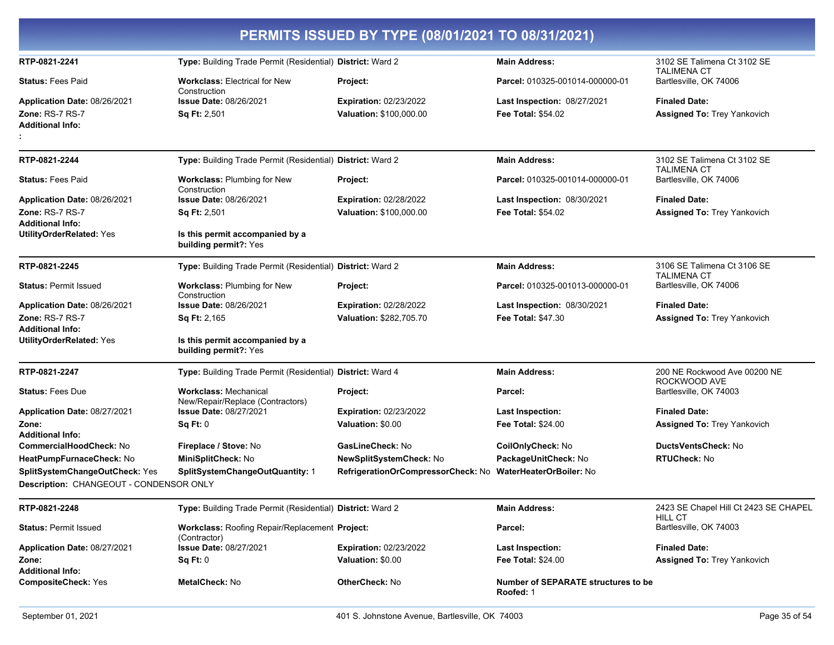|                                                                           |                                                                  | PERMITS ISSUED BY TYPE (08/01/2021 TO 08/31/2021) |                                                         |                                                   |
|---------------------------------------------------------------------------|------------------------------------------------------------------|---------------------------------------------------|---------------------------------------------------------|---------------------------------------------------|
| RTP-0821-2241                                                             | Type: Building Trade Permit (Residential) District: Ward 2       |                                                   | <b>Main Address:</b>                                    | 3102 SE Talimena Ct 3102 SE<br><b>TALIMENA CT</b> |
| <b>Status: Fees Paid</b>                                                  | <b>Workclass: Electrical for New</b><br>Construction             | Project:                                          | Parcel: 010325-001014-000000-01                         | Bartlesville, OK 74006                            |
| Application Date: 08/26/2021                                              | <b>Issue Date: 08/26/2021</b>                                    | <b>Expiration: 02/23/2022</b>                     | Last Inspection: 08/27/2021                             | <b>Finaled Date:</b>                              |
| <b>Zone: RS-7 RS-7</b><br><b>Additional Info:</b>                         | Sq Ft: 2,501                                                     | <b>Valuation: \$100,000.00</b>                    | <b>Fee Total: \$54.02</b>                               | <b>Assigned To: Trey Yankovich</b>                |
| RTP-0821-2244                                                             | Type: Building Trade Permit (Residential) District: Ward 2       |                                                   | <b>Main Address:</b>                                    | 3102 SE Talimena Ct 3102 SE                       |
| <b>Status: Fees Paid</b>                                                  | <b>Workclass: Plumbing for New</b><br>Construction               | Project:                                          | Parcel: 010325-001014-000000-01                         | <b>TALIMENA CT</b><br>Bartlesville, OK 74006      |
| Application Date: 08/26/2021                                              | <b>Issue Date: 08/26/2021</b>                                    | <b>Expiration: 02/28/2022</b>                     | Last Inspection: 08/30/2021                             | <b>Finaled Date:</b>                              |
| <b>Zone: RS-7 RS-7</b>                                                    | Sq Ft: 2,501                                                     | <b>Valuation: \$100,000.00</b>                    | <b>Fee Total: \$54.02</b>                               | <b>Assigned To: Trey Yankovich</b>                |
| <b>Additional Info:</b><br><b>UtilityOrderRelated: Yes</b>                | Is this permit accompanied by a<br>building permit?: Yes         |                                                   |                                                         |                                                   |
| RTP-0821-2245                                                             | Type: Building Trade Permit (Residential) District: Ward 2       |                                                   | <b>Main Address:</b>                                    | 3106 SE Talimena Ct 3106 SE<br><b>TALIMENA CT</b> |
| <b>Status: Permit Issued</b>                                              | Workclass: Plumbing for New<br>Construction                      | Project:                                          | Parcel: 010325-001013-000000-01                         | Bartlesville, OK 74006                            |
| Application Date: 08/26/2021                                              | <b>Issue Date: 08/26/2021</b>                                    | <b>Expiration: 02/28/2022</b>                     | Last Inspection: 08/30/2021                             | <b>Finaled Date:</b>                              |
| Zone: RS-7 RS-7<br><b>Additional Info:</b>                                | <b>Sq Ft: 2,165</b>                                              | Valuation: \$282,705.70                           | <b>Fee Total: \$47.30</b>                               | <b>Assigned To: Trey Yankovich</b>                |
| <b>UtilityOrderRelated: Yes</b>                                           | Is this permit accompanied by a<br>building permit?: Yes         |                                                   |                                                         |                                                   |
| RTP-0821-2247                                                             | Type: Building Trade Permit (Residential) District: Ward 4       |                                                   | <b>Main Address:</b>                                    | 200 NE Rockwood Ave 00200 NE<br>ROCKWOOD AVE      |
| <b>Status: Fees Due</b>                                                   | <b>Workclass: Mechanical</b><br>New/Repair/Replace (Contractors) | Project:                                          | Parcel:                                                 | Bartlesville, OK 74003                            |
| Application Date: 08/27/2021                                              | <b>Issue Date: 08/27/2021</b>                                    | <b>Expiration: 02/23/2022</b>                     | <b>Last Inspection:</b>                                 | <b>Finaled Date:</b>                              |
| Zone:<br><b>Additional Info:</b>                                          | Sq Ft: 0                                                         | Valuation: \$0.00                                 | <b>Fee Total: \$24.00</b>                               | <b>Assigned To: Trey Yankovich</b>                |
| CommercialHoodCheck: No                                                   | Fireplace / Stove: No                                            | GasLineCheck: No                                  | CoilOnlyCheck: No                                       | <b>DuctsVentsCheck: No</b>                        |
| HeatPumpFurnaceCheck: No                                                  | MiniSplitCheck: No                                               | NewSplitSystemCheck: No                           | PackageUnitCheck: No                                    | <b>RTUCheck: No</b>                               |
| SplitSystemChangeOutCheck: Yes<br>Description: CHANGEOUT - CONDENSOR ONLY | SplitSystemChangeOutQuantity: 1                                  | RefrigerationOrCompressorCheck: No                | <b>WaterHeaterOrBoiler: No</b>                          |                                                   |
| RTP-0821-2248                                                             | Type: Building Trade Permit (Residential) District: Ward 2       |                                                   | <b>Main Address:</b>                                    | 2423 SE Chapel Hill Ct 2423 SE CHAPEL             |
| <b>Status: Permit Issued</b>                                              | Workclass: Roofing Repair/Replacement Project:<br>(Contractor)   |                                                   | Parcel:                                                 | <b>HILL CT</b><br>Bartlesville, OK 74003          |
| Application Date: 08/27/2021                                              | <b>Issue Date: 08/27/2021</b>                                    | <b>Expiration: 02/23/2022</b>                     | <b>Last Inspection:</b>                                 | <b>Finaled Date:</b>                              |
| Zone:<br><b>Additional Info:</b>                                          | Sq Ft: 0                                                         | Valuation: \$0.00                                 | Fee Total: \$24.00                                      | Assigned To: Trey Yankovich                       |
| <b>CompositeCheck: Yes</b>                                                | <b>MetalCheck: No</b>                                            | <b>OtherCheck: No</b>                             | <b>Number of SEPARATE structures to be</b><br>Roofed: 1 |                                                   |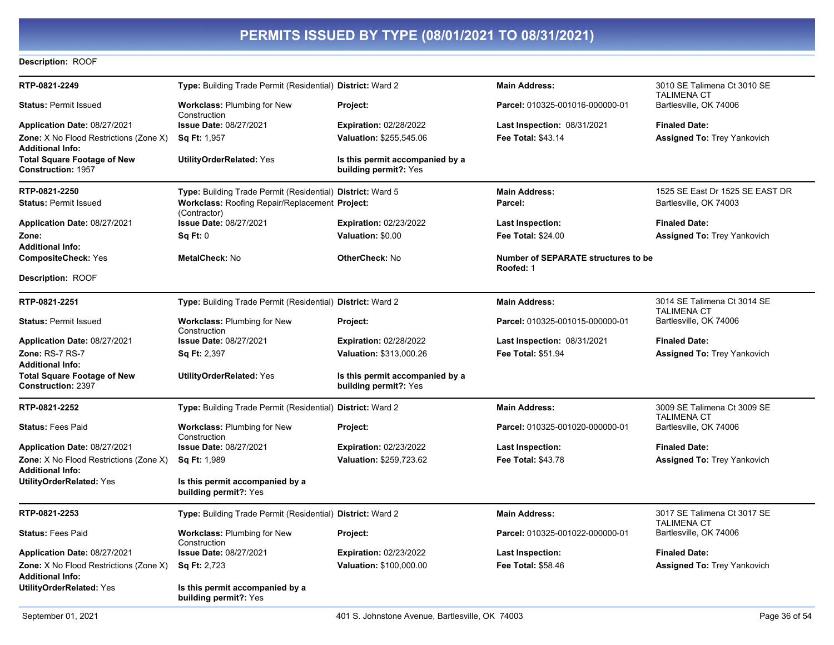#### **Description: ROOF**

|                                                          |                                                                                                                                                   | <b>Main Address:</b>                                                                                                                                                                                                                                                                                                                                                                                                             | 3010 SE Talimena Ct 3010 SE<br><b>TALIMENA CT</b> |
|----------------------------------------------------------|---------------------------------------------------------------------------------------------------------------------------------------------------|----------------------------------------------------------------------------------------------------------------------------------------------------------------------------------------------------------------------------------------------------------------------------------------------------------------------------------------------------------------------------------------------------------------------------------|---------------------------------------------------|
| <b>Workclass: Plumbing for New</b>                       | Project:                                                                                                                                          | Parcel: 010325-001016-000000-01                                                                                                                                                                                                                                                                                                                                                                                                  | Bartlesville, OK 74006                            |
| <b>Issue Date: 08/27/2021</b>                            | <b>Expiration: 02/28/2022</b>                                                                                                                     | <b>Last Inspection: 08/31/2021</b>                                                                                                                                                                                                                                                                                                                                                                                               | <b>Finaled Date:</b>                              |
| <b>Sq Ft: 1,957</b>                                      | Valuation: \$255,545.06                                                                                                                           | <b>Fee Total: \$43.14</b>                                                                                                                                                                                                                                                                                                                                                                                                        | <b>Assigned To: Trey Yankovich</b>                |
|                                                          |                                                                                                                                                   |                                                                                                                                                                                                                                                                                                                                                                                                                                  |                                                   |
| <b>UtilityOrderRelated: Yes</b>                          | Is this permit accompanied by a<br>building permit?: Yes                                                                                          |                                                                                                                                                                                                                                                                                                                                                                                                                                  |                                                   |
|                                                          |                                                                                                                                                   | <b>Main Address:</b>                                                                                                                                                                                                                                                                                                                                                                                                             | 1525 SE East Dr 1525 SE EAST DR                   |
|                                                          |                                                                                                                                                   | Parcel:                                                                                                                                                                                                                                                                                                                                                                                                                          | Bartlesville, OK 74003                            |
| Issue Date: 08/27/2021                                   | <b>Expiration: 02/23/2022</b>                                                                                                                     | <b>Last Inspection:</b>                                                                                                                                                                                                                                                                                                                                                                                                          | <b>Finaled Date:</b>                              |
| Sq Ft: 0                                                 | Valuation: \$0.00                                                                                                                                 | <b>Fee Total: \$24.00</b>                                                                                                                                                                                                                                                                                                                                                                                                        | <b>Assigned To: Trey Yankovich</b>                |
|                                                          |                                                                                                                                                   |                                                                                                                                                                                                                                                                                                                                                                                                                                  |                                                   |
|                                                          |                                                                                                                                                   | Roofed: 1                                                                                                                                                                                                                                                                                                                                                                                                                        |                                                   |
|                                                          |                                                                                                                                                   |                                                                                                                                                                                                                                                                                                                                                                                                                                  |                                                   |
|                                                          |                                                                                                                                                   | <b>Main Address:</b>                                                                                                                                                                                                                                                                                                                                                                                                             | 3014 SE Talimena Ct 3014 SE<br><b>TALIMENA CT</b> |
| Workclass: Plumbing for New                              | Project:                                                                                                                                          | Parcel: 010325-001015-000000-01                                                                                                                                                                                                                                                                                                                                                                                                  | Bartlesville, OK 74006                            |
| <b>Issue Date: 08/27/2021</b>                            | <b>Expiration: 02/28/2022</b>                                                                                                                     | <b>Last Inspection: 08/31/2021</b>                                                                                                                                                                                                                                                                                                                                                                                               | <b>Finaled Date:</b>                              |
| <b>Sq Ft: 2,397</b>                                      | Valuation: \$313,000.26                                                                                                                           | Fee Total: \$51.94                                                                                                                                                                                                                                                                                                                                                                                                               | <b>Assigned To: Trey Yankovich</b>                |
|                                                          |                                                                                                                                                   |                                                                                                                                                                                                                                                                                                                                                                                                                                  |                                                   |
|                                                          | building permit?: Yes                                                                                                                             |                                                                                                                                                                                                                                                                                                                                                                                                                                  |                                                   |
|                                                          |                                                                                                                                                   | <b>Main Address:</b>                                                                                                                                                                                                                                                                                                                                                                                                             | 3009 SE Talimena Ct 3009 SE<br><b>TALIMENA CT</b> |
| <b>Workclass: Plumbing for New</b><br>Construction       | Project:                                                                                                                                          | Parcel: 010325-001020-000000-01                                                                                                                                                                                                                                                                                                                                                                                                  | Bartlesville, OK 74006                            |
| <b>Issue Date: 08/27/2021</b>                            | <b>Expiration: 02/23/2022</b>                                                                                                                     | <b>Last Inspection:</b>                                                                                                                                                                                                                                                                                                                                                                                                          | <b>Finaled Date:</b>                              |
| <b>Sq Ft: 1,989</b>                                      | Valuation: \$259,723.62                                                                                                                           | <b>Fee Total: \$43.78</b>                                                                                                                                                                                                                                                                                                                                                                                                        | <b>Assigned To: Trey Yankovich</b>                |
| Is this permit accompanied by a<br>building permit?: Yes |                                                                                                                                                   |                                                                                                                                                                                                                                                                                                                                                                                                                                  |                                                   |
|                                                          |                                                                                                                                                   | <b>Main Address:</b>                                                                                                                                                                                                                                                                                                                                                                                                             | 3017 SE Talimena Ct 3017 SE<br><b>TALIMENA CT</b> |
| <b>Workclass: Plumbing for New</b>                       | Project:                                                                                                                                          | Parcel: 010325-001022-000000-01                                                                                                                                                                                                                                                                                                                                                                                                  | Bartlesville, OK 74006                            |
| <b>Issue Date: 08/27/2021</b>                            | <b>Expiration: 02/23/2022</b>                                                                                                                     | Last Inspection:                                                                                                                                                                                                                                                                                                                                                                                                                 | <b>Finaled Date:</b>                              |
| <b>Sq Ft: 2,723</b>                                      | Valuation: \$100,000.00                                                                                                                           | <b>Fee Total: \$58.46</b>                                                                                                                                                                                                                                                                                                                                                                                                        | <b>Assigned To: Trey Yankovich</b>                |
| Is this permit accompanied by a                          |                                                                                                                                                   |                                                                                                                                                                                                                                                                                                                                                                                                                                  |                                                   |
|                                                          | Construction<br>(Contractor)<br><b>MetalCheck: No</b><br>Construction<br><b>UtilityOrderRelated: Yes</b><br>Construction<br>building permit?: Yes | Type: Building Trade Permit (Residential) District: Ward 2<br>Type: Building Trade Permit (Residential) District: Ward 5<br>Workclass: Roofing Repair/Replacement Project:<br><b>OtherCheck: No</b><br>Type: Building Trade Permit (Residential) District: Ward 2<br>Is this permit accompanied by a<br>Type: Building Trade Permit (Residential) District: Ward 2<br>Type: Building Trade Permit (Residential) District: Ward 2 | Number of SEPARATE structures to be               |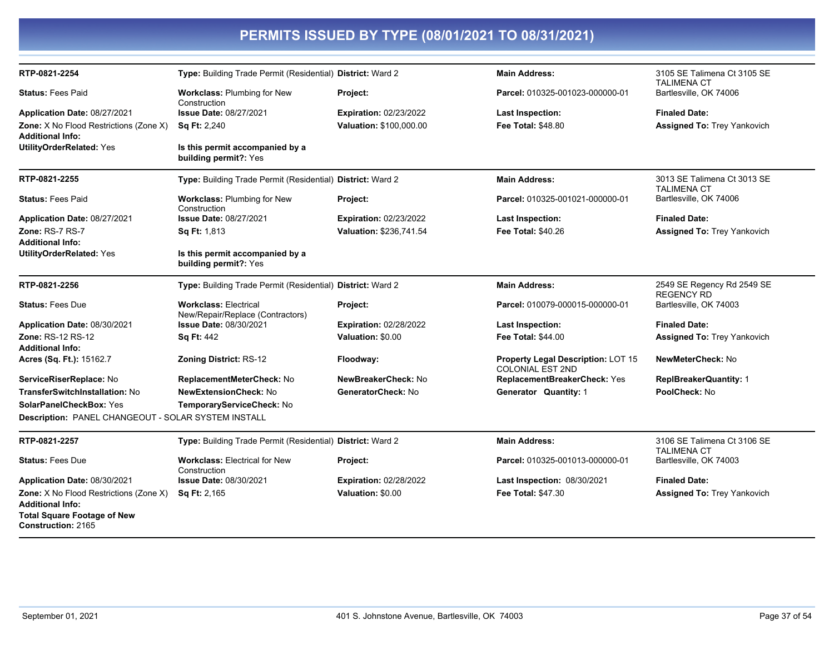| RTP-0821-2254                                       | Type: Building Trade Permit (Residential) District: Ward 2       |                               | <b>Main Address:</b>                                                 | 3105 SE Talimena Ct 3105 SE<br><b>TALIMENA CT</b> |
|-----------------------------------------------------|------------------------------------------------------------------|-------------------------------|----------------------------------------------------------------------|---------------------------------------------------|
| <b>Status: Fees Paid</b>                            | Workclass: Plumbing for New<br>Construction                      | Project:                      | Parcel: 010325-001023-000000-01                                      | Bartlesville, OK 74006                            |
| Application Date: 08/27/2021                        | <b>Issue Date: 08/27/2021</b>                                    | <b>Expiration: 02/23/2022</b> | Last Inspection:                                                     | <b>Finaled Date:</b>                              |
| Zone: X No Flood Restrictions (Zone X)              | <b>Sq Ft: 2,240</b>                                              | Valuation: \$100,000.00       | <b>Fee Total: \$48.80</b>                                            | <b>Assigned To: Trey Yankovich</b>                |
| <b>Additional Info:</b>                             |                                                                  |                               |                                                                      |                                                   |
| <b>UtilityOrderRelated: Yes</b>                     | Is this permit accompanied by a<br>building permit?: Yes         |                               |                                                                      |                                                   |
| RTP-0821-2255                                       | Type: Building Trade Permit (Residential) District: Ward 2       |                               | <b>Main Address:</b>                                                 | 3013 SE Talimena Ct 3013 SE<br><b>TALIMENA CT</b> |
| <b>Status: Fees Paid</b>                            | <b>Workclass: Plumbing for New</b><br>Construction               | Project:                      | Parcel: 010325-001021-000000-01                                      | Bartlesville, OK 74006                            |
| Application Date: 08/27/2021                        | Issue Date: 08/27/2021                                           | <b>Expiration: 02/23/2022</b> | <b>Last Inspection:</b>                                              | <b>Finaled Date:</b>                              |
| <b>Zone: RS-7 RS-7</b>                              | <b>Sq Ft: 1,813</b>                                              | Valuation: \$236,741.54       | Fee Total: \$40.26                                                   | <b>Assigned To: Trey Yankovich</b>                |
| <b>Additional Info:</b>                             |                                                                  |                               |                                                                      |                                                   |
| <b>UtilityOrderRelated: Yes</b>                     | Is this permit accompanied by a<br>building permit?: Yes         |                               |                                                                      |                                                   |
| RTP-0821-2256                                       | Type: Building Trade Permit (Residential) District: Ward 2       |                               | <b>Main Address:</b>                                                 | 2549 SE Regency Rd 2549 SE<br><b>REGENCY RD</b>   |
| <b>Status: Fees Due</b>                             | <b>Workclass: Electrical</b><br>New/Repair/Replace (Contractors) | Project:                      | Parcel: 010079-000015-000000-01                                      | Bartlesville, OK 74003                            |
| Application Date: 08/30/2021                        | Issue Date: 08/30/2021                                           | <b>Expiration: 02/28/2022</b> | Last Inspection:                                                     | <b>Finaled Date:</b>                              |
| Zone: RS-12 RS-12                                   | <b>Sq Ft: 442</b>                                                | Valuation: \$0.00             | <b>Fee Total: \$44.00</b>                                            | <b>Assigned To: Trey Yankovich</b>                |
| <b>Additional Info:</b>                             |                                                                  |                               |                                                                      |                                                   |
| Acres (Sq. Ft.): 15162.7                            | <b>Zoning District: RS-12</b>                                    | Floodway:                     | <b>Property Legal Description: LOT 15</b><br><b>COLONIAL EST 2ND</b> | NewMeterCheck: No                                 |
| ServiceRiserReplace: No                             | ReplacementMeterCheck: No                                        | NewBreakerCheck: No           | ReplacementBreakerCheck: Yes                                         | <b>ReplBreakerQuantity: 1</b>                     |
| <b>TransferSwitchInstallation: No</b>               | <b>NewExtensionCheck: No</b>                                     | GeneratorCheck: No            | Generator Quantity: 1                                                | PoolCheck: No                                     |
| <b>SolarPanelCheckBox: Yes</b>                      | TemporaryServiceCheck: No                                        |                               |                                                                      |                                                   |
| Description: PANEL CHANGEOUT - SOLAR SYSTEM INSTALL |                                                                  |                               |                                                                      |                                                   |
| RTP-0821-2257                                       | Type: Building Trade Permit (Residential) District: Ward 2       |                               | <b>Main Address:</b>                                                 | 3106 SE Talimena Ct 3106 SE<br><b>TALIMENA CT</b> |
| <b>Status: Fees Due</b>                             | <b>Workclass: Electrical for New</b><br>Construction             | Project:                      | Parcel: 010325-001013-000000-01                                      | Bartlesville, OK 74003                            |
| Application Date: 08/30/2021                        | <b>Issue Date: 08/30/2021</b>                                    | <b>Expiration: 02/28/2022</b> | Last Inspection: 08/30/2021                                          | <b>Finaled Date:</b>                              |
| <b>Zone:</b> X No Flood Restrictions (Zone X)       | Sq Ft: 2,165                                                     | Valuation: \$0.00             | Fee Total: \$47.30                                                   | <b>Assigned To: Trey Yankovich</b>                |
| <b>Additional Info:</b>                             |                                                                  |                               |                                                                      |                                                   |

**Total Square Footage of New** 

Construction: 2165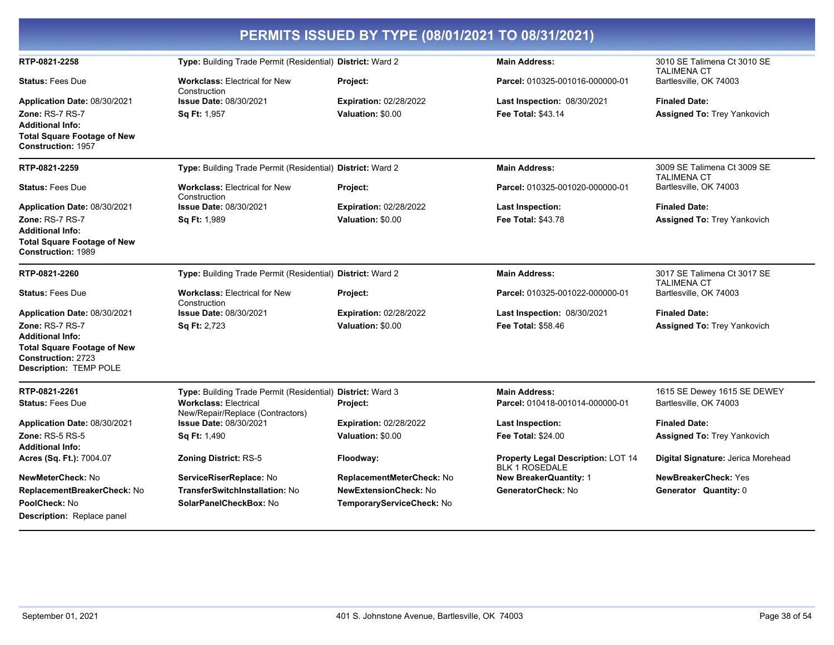| PERMITS ISSUED BY TYPE (08/01/2021 TO 08/31/2021)                                                                                              |                                                                  |                               |                                                             |                                                   |  |
|------------------------------------------------------------------------------------------------------------------------------------------------|------------------------------------------------------------------|-------------------------------|-------------------------------------------------------------|---------------------------------------------------|--|
| RTP-0821-2258                                                                                                                                  | Type: Building Trade Permit (Residential) District: Ward 2       |                               | <b>Main Address:</b>                                        | 3010 SE Talimena Ct 3010 SE<br><b>TALIMENA CT</b> |  |
| <b>Status: Fees Due</b>                                                                                                                        | <b>Workclass: Electrical for New</b><br>Construction             | Project:                      | Parcel: 010325-001016-000000-01                             | Bartlesville, OK 74003                            |  |
| <b>Application Date: 08/30/2021</b>                                                                                                            | <b>Issue Date: 08/30/2021</b>                                    | <b>Expiration: 02/28/2022</b> | <b>Last Inspection: 08/30/2021</b>                          | <b>Finaled Date:</b>                              |  |
| Zone: RS-7 RS-7<br><b>Additional Info:</b><br><b>Total Square Footage of New</b><br><b>Construction: 1957</b>                                  | Sq Ft: 1,957                                                     | Valuation: \$0.00             | <b>Fee Total: \$43.14</b>                                   | <b>Assigned To: Trey Yankovich</b>                |  |
| RTP-0821-2259                                                                                                                                  | Type: Building Trade Permit (Residential) District: Ward 2       |                               | <b>Main Address:</b>                                        | 3009 SE Talimena Ct 3009 SE<br><b>TALIMENA CT</b> |  |
| <b>Status: Fees Due</b>                                                                                                                        | <b>Workclass: Electrical for New</b><br>Construction             | Project:                      | Parcel: 010325-001020-000000-01                             | Bartlesville, OK 74003                            |  |
| Application Date: 08/30/2021                                                                                                                   | <b>Issue Date: 08/30/2021</b>                                    | <b>Expiration: 02/28/2022</b> | <b>Last Inspection:</b>                                     | <b>Finaled Date:</b>                              |  |
| Zone: RS-7 RS-7<br><b>Additional Info:</b><br><b>Total Square Footage of New</b><br><b>Construction: 1989</b>                                  | <b>Sq Ft: 1,989</b>                                              | Valuation: \$0.00             | Fee Total: \$43.78                                          | <b>Assigned To: Trey Yankovich</b>                |  |
| RTP-0821-2260                                                                                                                                  | Type: Building Trade Permit (Residential) District: Ward 2       |                               | <b>Main Address:</b>                                        | 3017 SE Talimena Ct 3017 SE<br><b>TALIMENA CT</b> |  |
| <b>Status: Fees Due</b>                                                                                                                        | <b>Workclass: Electrical for New</b><br>Construction             | Project:                      | Parcel: 010325-001022-000000-01                             | Bartlesville, OK 74003                            |  |
| Application Date: 08/30/2021                                                                                                                   | Issue Date: 08/30/2021                                           | <b>Expiration: 02/28/2022</b> | <b>Last Inspection: 08/30/2021</b>                          | <b>Finaled Date:</b>                              |  |
| <b>Zone: RS-7 RS-7</b><br><b>Additional Info:</b><br><b>Total Square Footage of New</b><br><b>Construction: 2723</b><br>Description: TEMP POLE | <b>Sq Ft: 2,723</b>                                              | Valuation: \$0.00             | <b>Fee Total: \$58.46</b>                                   | <b>Assigned To: Trey Yankovich</b>                |  |
| RTP-0821-2261                                                                                                                                  | Type: Building Trade Permit (Residential) District: Ward 3       |                               | <b>Main Address:</b>                                        | 1615 SE Dewey 1615 SE DEWEY                       |  |
| <b>Status: Fees Due</b>                                                                                                                        | <b>Workclass: Electrical</b><br>New/Repair/Replace (Contractors) | Project:                      | Parcel: 010418-001014-000000-01                             | Bartlesville, OK 74003                            |  |
| Application Date: 08/30/2021                                                                                                                   | Issue Date: 08/30/2021                                           | <b>Expiration: 02/28/2022</b> | Last Inspection:                                            | <b>Finaled Date:</b>                              |  |
| <b>Zone: RS-5 RS-5</b><br><b>Additional Info:</b>                                                                                              | <b>Sq Ft: 1,490</b>                                              | Valuation: \$0.00             | <b>Fee Total: \$24.00</b>                                   | <b>Assigned To: Trey Yankovich</b>                |  |
| Acres (Sq. Ft.): 7004.07                                                                                                                       | <b>Zoning District: RS-5</b>                                     | Floodway:                     | Property Legal Description: LOT 14<br><b>BLK 1 ROSEDALE</b> | Digital Signature: Jerica Morehead                |  |
| NewMeterCheck: No                                                                                                                              | ServiceRiserReplace: No                                          | ReplacementMeterCheck: No     | <b>New BreakerQuantity: 1</b>                               | NewBreakerCheck: Yes                              |  |
| ReplacementBreakerCheck: No                                                                                                                    | <b>TransferSwitchInstallation: No</b>                            | <b>NewExtensionCheck: No</b>  | GeneratorCheck: No                                          | Generator Quantity: 0                             |  |
| PoolCheck: No<br><b>Description: Replace panel</b>                                                                                             | SolarPanelCheckBox: No                                           | TemporaryServiceCheck: No     |                                                             |                                                   |  |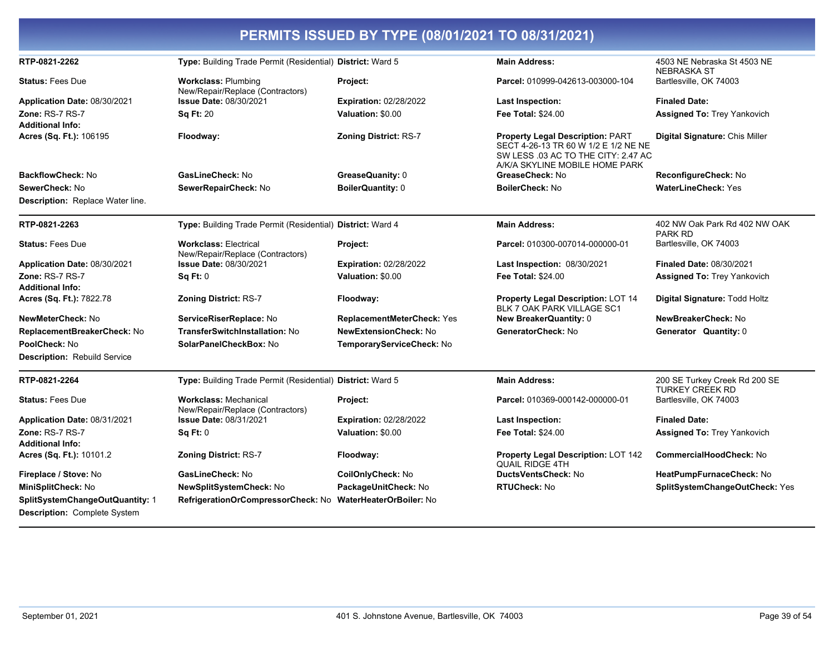| PERMITS ISSUED BY TYPE (08/01/2021 TO 08/31/2021)                      |                                                                  |                                   |                                                                                                                                                          |                                                         |  |  |
|------------------------------------------------------------------------|------------------------------------------------------------------|-----------------------------------|----------------------------------------------------------------------------------------------------------------------------------------------------------|---------------------------------------------------------|--|--|
| RTP-0821-2262                                                          | Type: Building Trade Permit (Residential) District: Ward 5       |                                   | <b>Main Address:</b>                                                                                                                                     | 4503 NE Nebraska St 4503 NE<br><b>NEBRASKA ST</b>       |  |  |
| <b>Status: Fees Due</b>                                                | <b>Workclass: Plumbing</b><br>New/Repair/Replace (Contractors)   | Project:                          | Parcel: 010999-042613-003000-104                                                                                                                         | Bartlesville, OK 74003                                  |  |  |
| Application Date: 08/30/2021                                           | <b>Issue Date: 08/30/2021</b>                                    | <b>Expiration: 02/28/2022</b>     | Last Inspection:                                                                                                                                         | <b>Finaled Date:</b>                                    |  |  |
| Zone: RS-7 RS-7<br><b>Additional Info:</b>                             | <b>Sq Ft: 20</b>                                                 | Valuation: \$0.00                 | <b>Fee Total: \$24.00</b>                                                                                                                                | <b>Assigned To: Trey Yankovich</b>                      |  |  |
| Acres (Sq. Ft.): 106195                                                | Floodway:                                                        | Zoning District: RS-7             | <b>Property Legal Description: PART</b><br>SECT 4-26-13 TR 60 W 1/2 E 1/2 NE NE<br>SW LESS .03 AC TO THE CITY: 2.47 AC<br>A/K/A SKYLINE MOBILE HOME PARK | Digital Signature: Chis Miller                          |  |  |
| <b>BackflowCheck: No</b>                                               | GasLineCheck: No                                                 | GreaseQuanity: 0                  | GreaseCheck: No                                                                                                                                          | ReconfigureCheck: No                                    |  |  |
| SewerCheck: No                                                         | SewerRepairCheck: No                                             | BoilerQuantity: 0                 | <b>BoilerCheck: No</b>                                                                                                                                   | <b>WaterLineCheck: Yes</b>                              |  |  |
| Description: Replace Water line.                                       |                                                                  |                                   |                                                                                                                                                          |                                                         |  |  |
| RTP-0821-2263                                                          | Type: Building Trade Permit (Residential) District: Ward 4       |                                   | <b>Main Address:</b>                                                                                                                                     | 402 NW Oak Park Rd 402 NW OAK<br><b>PARK RD</b>         |  |  |
| <b>Status: Fees Due</b>                                                | <b>Workclass: Electrical</b><br>New/Repair/Replace (Contractors) | Project:                          | Parcel: 010300-007014-000000-01                                                                                                                          | Bartlesville, OK 74003                                  |  |  |
| Application Date: 08/30/2021                                           | <b>Issue Date: 08/30/2021</b>                                    | <b>Expiration: 02/28/2022</b>     | Last Inspection: 08/30/2021                                                                                                                              | <b>Finaled Date: 08/30/2021</b>                         |  |  |
| Zone: RS-7 RS-7                                                        | Sq Ft: 0                                                         | Valuation: \$0.00                 | <b>Fee Total: \$24.00</b>                                                                                                                                | <b>Assigned To: Trey Yankovich</b>                      |  |  |
| <b>Additional Info:</b>                                                |                                                                  |                                   |                                                                                                                                                          |                                                         |  |  |
| Acres (Sq. Ft.): 7822.78                                               | <b>Zoning District: RS-7</b>                                     | Floodway:                         | <b>Property Legal Description: LOT 14</b><br><b>BLK 7 OAK PARK VILLAGE SC1</b>                                                                           | Digital Signature: Todd Holtz                           |  |  |
| NewMeterCheck: No                                                      | ServiceRiserReplace: No                                          | <b>ReplacementMeterCheck: Yes</b> | New BreakerQuantity: 0                                                                                                                                   | NewBreakerCheck: No                                     |  |  |
| ReplacementBreakerCheck: No                                            | <b>TransferSwitchInstallation: No</b>                            | <b>NewExtensionCheck: No</b>      | GeneratorCheck: No                                                                                                                                       | Generator Quantity: 0                                   |  |  |
| PoolCheck: No                                                          | SolarPanelCheckBox: No                                           | TemporaryServiceCheck: No         |                                                                                                                                                          |                                                         |  |  |
| Description: Rebuild Service                                           |                                                                  |                                   |                                                                                                                                                          |                                                         |  |  |
| RTP-0821-2264                                                          | Type: Building Trade Permit (Residential) District: Ward 5       |                                   | <b>Main Address:</b>                                                                                                                                     | 200 SE Turkey Creek Rd 200 SE<br><b>TURKEY CREEK RD</b> |  |  |
| <b>Status: Fees Due</b>                                                | <b>Workclass: Mechanical</b><br>New/Repair/Replace (Contractors) | Project:                          | Parcel: 010369-000142-000000-01                                                                                                                          | Bartlesville, OK 74003                                  |  |  |
| Application Date: 08/31/2021                                           | <b>Issue Date: 08/31/2021</b>                                    | <b>Expiration: 02/28/2022</b>     | Last Inspection:                                                                                                                                         | <b>Finaled Date:</b>                                    |  |  |
| <b>Zone: RS-7 RS-7</b>                                                 | Sq Ft: 0                                                         | Valuation: \$0.00                 | <b>Fee Total: \$24.00</b>                                                                                                                                | Assigned To: Trey Yankovich                             |  |  |
| <b>Additional Info:</b>                                                |                                                                  |                                   |                                                                                                                                                          |                                                         |  |  |
| Acres (Sq. Ft.): 10101.2                                               | <b>Zoning District: RS-7</b>                                     | Floodway:                         | <b>Property Legal Description: LOT 142</b><br><b>QUAIL RIDGE 4TH</b>                                                                                     | <b>CommercialHoodCheck: No</b>                          |  |  |
| Fireplace / Stove: No                                                  | GasLineCheck: No                                                 | CoilOnlyCheck: No                 | DuctsVentsCheck: No                                                                                                                                      | HeatPumpFurnaceCheck: No                                |  |  |
| MiniSplitCheck: No                                                     | NewSplitSystemCheck: No                                          | PackageUnitCheck: No              | <b>RTUCheck: No</b>                                                                                                                                      | SplitSystemChangeOutCheck: Yes                          |  |  |
| SplitSystemChangeOutQuantity: 1<br><b>Description: Complete System</b> | RefrigerationOrCompressorCheck: No                               | WaterHeaterOrBoiler: No           |                                                                                                                                                          |                                                         |  |  |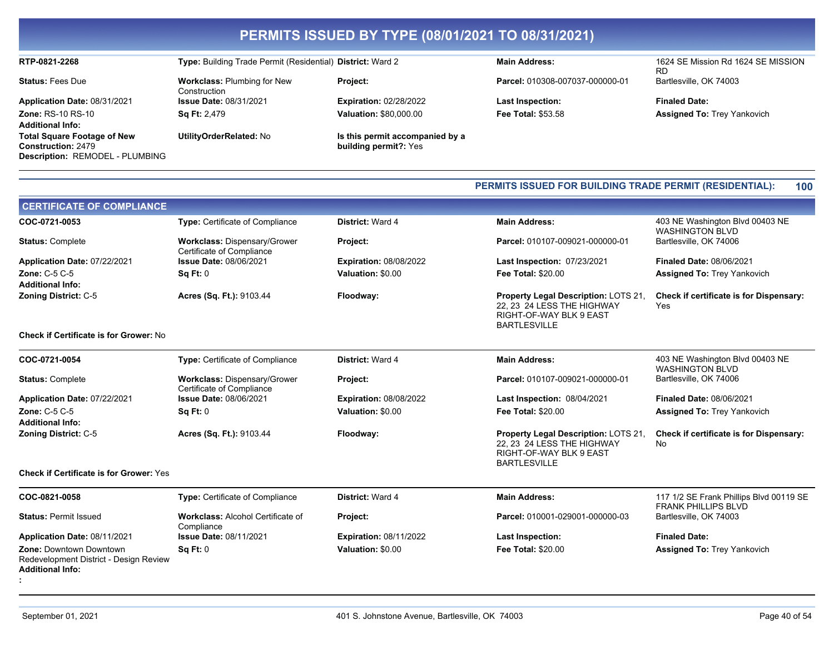#### RTP-0821-2268

**Status: Fees Due** 

Application Date: 08/31/2021 Zone: RS-10 RS-10 **Additional Info: Total Square Footage of New Construction: 2479** 

Description: REMODEL - PLUMBING

**Workclass: Plumbing for New** Construction **Issue Date: 08/31/2021** Sa Ft: 2.479

Type: Building Trade Permit (Residential) District: Ward 2

UtilityOrderRelated: No

Project: **Expiration: 02/28/2022** 

Valuation: \$80,000.00

Is this permit accompanied by a building permit?: Yes

**Main Address:** 

Parcel: 010308-007037-000000-01

**Last Inspection:** Fee Total: \$53.58 1624 SE Mission Rd 1624 SE MISSION **RD** Bartlesville, OK 74003

**Finaled Date:** Assigned To: Trey Yankovich

#### PERMITS ISSUED FOR BUILDING TRADE PERMIT (RESIDENTIAL): 100

| <b>CERTIFICATE OF COMPLIANCE</b>                                                                    |                                                                                            |                               |                                                                                                                      |                                                                       |
|-----------------------------------------------------------------------------------------------------|--------------------------------------------------------------------------------------------|-------------------------------|----------------------------------------------------------------------------------------------------------------------|-----------------------------------------------------------------------|
| COC-0721-0053                                                                                       | Type: Certificate of Compliance                                                            | District: Ward 4              | <b>Main Address:</b>                                                                                                 | 403 NE Washington Blvd 00403 NE<br><b>WASHINGTON BLVD</b>             |
| <b>Status: Complete</b>                                                                             | Workclass: Dispensary/Grower<br>Certificate of Compliance<br><b>Issue Date: 08/06/2021</b> | Project:                      | Parcel: 010107-009021-000000-01                                                                                      | Bartlesville, OK 74006                                                |
| Application Date: 07/22/2021                                                                        |                                                                                            | <b>Expiration: 08/08/2022</b> | Last Inspection: 07/23/2021                                                                                          | <b>Finaled Date: 08/06/2021</b>                                       |
| <b>Zone: C-5 C-5</b>                                                                                | Sq Ft: 0                                                                                   | Valuation: \$0.00             | <b>Fee Total: \$20.00</b>                                                                                            | <b>Assigned To: Trey Yankovich</b>                                    |
| <b>Additional Info:</b>                                                                             |                                                                                            |                               |                                                                                                                      |                                                                       |
| <b>Zoning District: C-5</b>                                                                         | Acres (Sq. Ft.): 9103.44                                                                   | Floodway:                     | Property Legal Description: LOTS 21,<br>22. 23 24 LESS THE HIGHWAY<br>RIGHT-OF-WAY BLK 9 EAST<br><b>BARTLESVILLE</b> | Check if certificate is for Dispensary:<br>Yes                        |
| <b>Check if Certificate is for Grower: No</b>                                                       |                                                                                            |                               |                                                                                                                      |                                                                       |
| COC-0721-0054                                                                                       | <b>Type: Certificate of Compliance</b>                                                     | <b>District: Ward 4</b>       | <b>Main Address:</b>                                                                                                 | 403 NE Washington Blvd 00403 NE<br><b>WASHINGTON BLVD</b>             |
| <b>Status: Complete</b>                                                                             | Workclass: Dispensary/Grower<br>Certificate of Compliance                                  | Project:                      | Parcel: 010107-009021-000000-01                                                                                      | Bartlesville, OK 74006                                                |
| Application Date: 07/22/2021                                                                        | <b>Issue Date: 08/06/2021</b>                                                              | <b>Expiration: 08/08/2022</b> | Last Inspection: 08/04/2021                                                                                          | <b>Finaled Date: 08/06/2021</b>                                       |
| Zone: C-5 C-5                                                                                       | Sq Ft: 0                                                                                   | Valuation: \$0.00             | <b>Fee Total: \$20.00</b>                                                                                            | <b>Assigned To: Trey Yankovich</b>                                    |
| <b>Additional Info:</b>                                                                             |                                                                                            |                               |                                                                                                                      |                                                                       |
| <b>Zoning District: C-5</b>                                                                         | Acres (Sq. Ft.): 9103.44                                                                   | Floodway:                     | Property Legal Description: LOTS 21,<br>22. 23 24 LESS THE HIGHWAY<br>RIGHT-OF-WAY BLK 9 EAST<br><b>BARTLESVILLE</b> | Check if certificate is for Dispensary:<br>No                         |
| <b>Check if Certificate is for Grower: Yes</b>                                                      |                                                                                            |                               |                                                                                                                      |                                                                       |
| COC-0821-0058                                                                                       | Type: Certificate of Compliance                                                            | District: Ward 4              | <b>Main Address:</b>                                                                                                 | 117 1/2 SE Frank Phillips Blvd 00119 SE<br><b>FRANK PHILLIPS BLVD</b> |
| <b>Status: Permit Issued</b>                                                                        | <b>Workclass: Alcohol Certificate of</b><br>Compliance                                     | Project:                      | Parcel: 010001-029001-000000-03                                                                                      | Bartlesville, OK 74003                                                |
| Application Date: 08/11/2021                                                                        | <b>Issue Date: 08/11/2021</b>                                                              | <b>Expiration: 08/11/2022</b> | <b>Last Inspection:</b>                                                                                              | <b>Finaled Date:</b>                                                  |
| <b>Zone: Downtown Downtown</b><br>Redevelopment District - Design Review<br><b>Additional Info:</b> | Sq Ft: 0                                                                                   | Valuation: \$0.00             | <b>Fee Total: \$20.00</b>                                                                                            | <b>Assigned To: Trey Yankovich</b>                                    |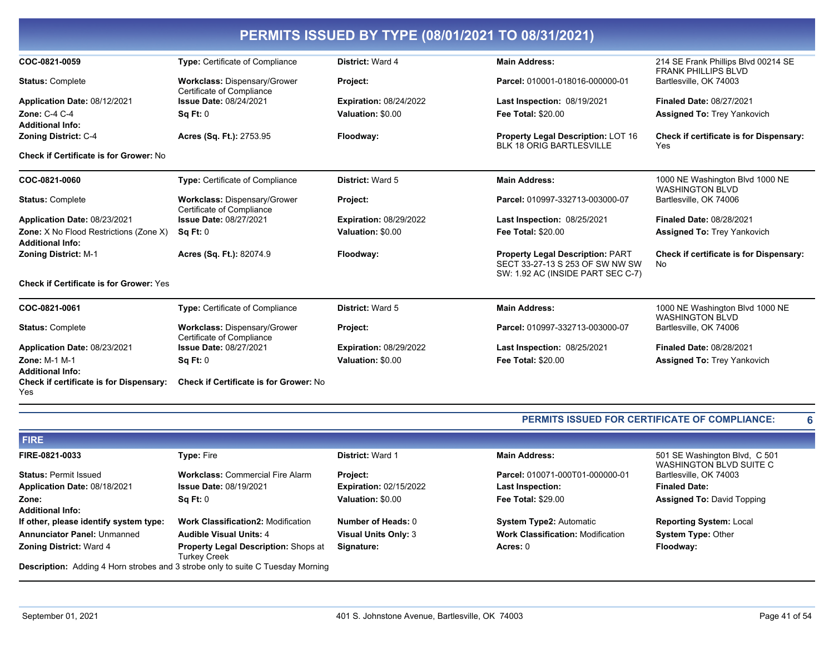| PERMITS ISSUED BY TYPE (08/01/2021 TO 08/31/2021)                 |                                                                  |                               |                                                                                                                 |                                                                   |  |
|-------------------------------------------------------------------|------------------------------------------------------------------|-------------------------------|-----------------------------------------------------------------------------------------------------------------|-------------------------------------------------------------------|--|
| COC-0821-0059                                                     | Type: Certificate of Compliance                                  | District: Ward 4              | <b>Main Address:</b>                                                                                            | 214 SE Frank Phillips Blvd 00214 SE<br><b>FRANK PHILLIPS BLVD</b> |  |
| <b>Status: Complete</b>                                           | Workclass: Dispensary/Grower<br>Certificate of Compliance        | Project:                      | Parcel: 010001-018016-000000-01                                                                                 | Bartlesville, OK 74003                                            |  |
| Application Date: 08/12/2021                                      | <b>Issue Date: 08/24/2021</b>                                    | <b>Expiration: 08/24/2022</b> | Last Inspection: 08/19/2021                                                                                     | <b>Finaled Date: 08/27/2021</b>                                   |  |
| <b>Zone: C-4 C-4</b><br><b>Additional Info:</b>                   | Sq Ft: 0                                                         | Valuation: \$0.00             | <b>Fee Total: \$20.00</b>                                                                                       | <b>Assigned To: Trey Yankovich</b>                                |  |
| <b>Zoning District: C-4</b>                                       | Acres (Sq. Ft.): 2753.95                                         | Floodway:                     | Property Legal Description: LOT 16<br><b>BLK 18 ORIG BARTLESVILLE</b>                                           | Check if certificate is for Dispensary:<br>Yes                    |  |
| Check if Certificate is for Grower: No                            |                                                                  |                               |                                                                                                                 |                                                                   |  |
| COC-0821-0060                                                     | <b>Type: Certificate of Compliance</b>                           | District: Ward 5              | <b>Main Address:</b>                                                                                            | 1000 NE Washington Blvd 1000 NE<br><b>WASHINGTON BLVD</b>         |  |
| <b>Status: Complete</b>                                           | Workclass: Dispensary/Grower<br>Certificate of Compliance        | Project:                      | Parcel: 010997-332713-003000-07                                                                                 | Bartlesville, OK 74006                                            |  |
| Application Date: 08/23/2021                                      | <b>Issue Date: 08/27/2021</b>                                    | <b>Expiration: 08/29/2022</b> | Last Inspection: 08/25/2021                                                                                     | <b>Finaled Date: 08/28/2021</b>                                   |  |
| Zone: X No Flood Restrictions (Zone X)<br><b>Additional Info:</b> | Sq Ft: 0                                                         | Valuation: \$0.00             | <b>Fee Total: \$20.00</b>                                                                                       | Assigned To: Trey Yankovich                                       |  |
| <b>Zoning District: M-1</b>                                       | Acres (Sq. Ft.): 82074.9                                         | Floodway:                     | <b>Property Legal Description: PART</b><br>SECT 33-27-13 S 253 OF SW NW SW<br>SW: 1.92 AC (INSIDE PART SEC C-7) | Check if certificate is for Dispensary:<br><b>No</b>              |  |
| <b>Check if Certificate is for Grower: Yes</b>                    |                                                                  |                               |                                                                                                                 |                                                                   |  |
| COC-0821-0061                                                     | <b>Type:</b> Certificate of Compliance                           | <b>District: Ward 5</b>       | <b>Main Address:</b>                                                                                            | 1000 NE Washington Blvd 1000 NE<br><b>WASHINGTON BLVD</b>         |  |
| <b>Status: Complete</b>                                           | <b>Workclass: Dispensary/Grower</b><br>Certificate of Compliance | Project:                      | Parcel: 010997-332713-003000-07                                                                                 | Bartlesville, OK 74006                                            |  |
| Application Date: 08/23/2021                                      | <b>Issue Date: 08/27/2021</b>                                    | <b>Expiration: 08/29/2022</b> | <b>Last Inspection: 08/25/2021</b>                                                                              | Finaled Date: 08/28/2021                                          |  |
| <b>Zone: M-1 M-1</b><br><b>Additional Info:</b>                   | Sq Ft: 0                                                         | Valuation: \$0.00             | <b>Fee Total: \$20.00</b>                                                                                       | <b>Assigned To: Trey Yankovich</b>                                |  |

| <b>PERMITS ISSUED FOR CERTIFICATE OF COMPLIANCE:</b> |
|------------------------------------------------------|
|                                                      |

| <b>FIRE</b>                                                                            |                                                                    |                               |                                          |                                                          |
|----------------------------------------------------------------------------------------|--------------------------------------------------------------------|-------------------------------|------------------------------------------|----------------------------------------------------------|
| FIRE-0821-0033                                                                         | <b>Type: Fire</b>                                                  | <b>District: Ward 1</b>       | <b>Main Address:</b>                     | 501 SE Washington Blvd, C 501<br>WASHINGTON BLVD SUITE C |
| <b>Status: Permit Issued</b>                                                           | <b>Workclass: Commercial Fire Alarm</b>                            | <b>Project:</b>               | Parcel: 010071-000T01-000000-01          | Bartlesville, OK 74003                                   |
| Application Date: 08/18/2021                                                           | <b>Issue Date: 08/19/2021</b>                                      | <b>Expiration: 02/15/2022</b> | <b>Last Inspection:</b>                  | <b>Finaled Date:</b>                                     |
| Zone:                                                                                  | Sa Ft: 0                                                           | Valuation: \$0.00             | <b>Fee Total: \$29.00</b>                | <b>Assigned To: David Topping</b>                        |
| <b>Additional Info:</b>                                                                |                                                                    |                               |                                          |                                                          |
| If other, please identify system type:                                                 | <b>Work Classification2: Modification</b>                          | Number of Heads: 0            | <b>System Type2: Automatic</b>           | <b>Reporting System: Local</b>                           |
| <b>Annunciator Panel: Unmanned</b>                                                     | <b>Audible Visual Units: 4</b>                                     | <b>Visual Units Only: 3</b>   | <b>Work Classification: Modification</b> | <b>System Type: Other</b>                                |
| <b>Zoning District: Ward 4</b>                                                         | <b>Property Legal Description: Shops at</b><br><b>Turkey Creek</b> | Signature:                    | Acres: 0                                 | Floodway:                                                |
| <b>Description:</b> Adding 4 Horn strobes and 3 strobe only to suite C Tuesday Morning |                                                                    |                               |                                          |                                                          |

Yes

Check if certificate is for Dispensary: Check if Certificate is for Grower: No

 $6\phantom{a}$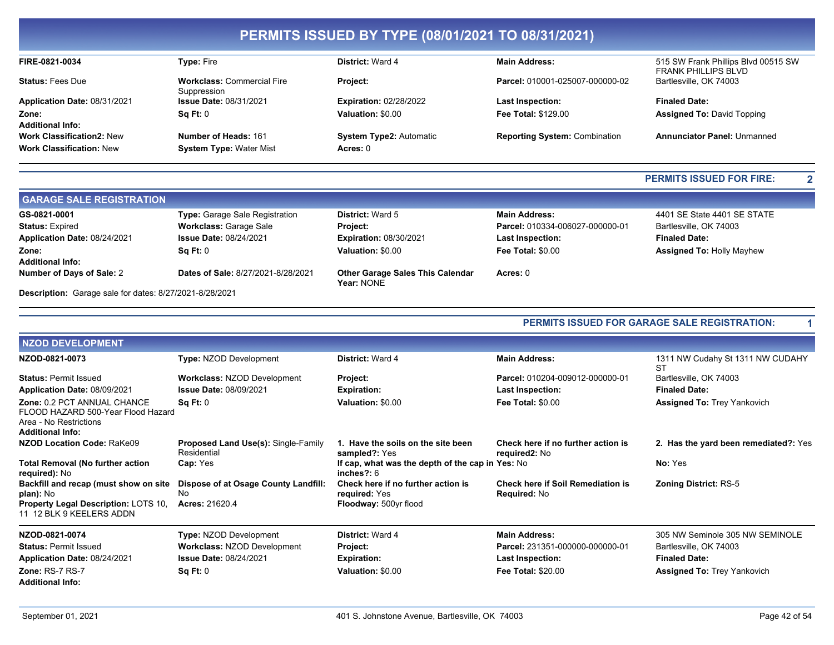#### FIRE-0821-0034 Type: Fire **District: Ward 4 Main Address: Status: Fees Due Workclass: Commercial Fire** Project: Suppression Application Date: 08/31/2021 **Issue Date: 08/31/2021 Expiration: 02/28/2022 Last Inspection:** Zone:  $Sq Ft: 0$ Valuation: \$0.00 Fee Total: \$129.00 **Additional Info: Work Classification2: New** Number of Heads: 161 System Type2: Automatic

**System Type: Water Mist** 

Acres: 0

Parcel: 010001-025007-000000-02

**Reporting System: Combination** 

#### 515 SW Frank Phillips Blvd 00515 SW **FRANK PHILLIPS BLVD** Bartlesville, OK 74003

**Finaled Date: Assigned To: David Topping** 

Annunciator Panel: Unmanned

#### **PERMITS ISSUED FOR FIRE:**

 $\overline{2}$ 

 $\blacktriangleleft$ 

| <b>GARAGE SALE REGISTRATION</b>                         |                                    |                                                       |                                 |                                  |
|---------------------------------------------------------|------------------------------------|-------------------------------------------------------|---------------------------------|----------------------------------|
| GS-0821-0001                                            | Type: Garage Sale Registration     | <b>District: Ward 5</b>                               | <b>Main Address:</b>            | 4401 SE State 4401 SE STATE      |
| <b>Status: Expired</b>                                  | <b>Workclass: Garage Sale</b>      | <b>Project:</b>                                       | Parcel: 010334-006027-000000-01 | Bartlesville, OK 74003           |
| Application Date: 08/24/2021                            | <b>Issue Date: 08/24/2021</b>      | <b>Expiration: 08/30/2021</b>                         | <b>Last Inspection:</b>         | <b>Finaled Date:</b>             |
| Zone:                                                   | $\textsf{Sa} \, \textsf{Ft}$ : 0   | Valuation: \$0.00                                     | <b>Fee Total: \$0.00</b>        | <b>Assigned To: Holly Mayhew</b> |
| <b>Additional Info:</b>                                 |                                    |                                                       |                                 |                                  |
| Number of Days of Sale: 2                               | Dates of Sale: 8/27/2021-8/28/2021 | <b>Other Garage Sales This Calendar</b><br>Year: NONE | Acres: 0                        |                                  |
| Description: Garage sale for dates: 8/27/2021-8/28/2021 |                                    |                                                       |                                 |                                  |

#### PERMITS ISSUED FOR GARAGE SALE REGISTRATION:

| <b>NZOD DEVELOPMENT</b>                                                                                                       |                                                                     |                                                                              |                                                                 |                                        |  |  |
|-------------------------------------------------------------------------------------------------------------------------------|---------------------------------------------------------------------|------------------------------------------------------------------------------|-----------------------------------------------------------------|----------------------------------------|--|--|
| NZOD-0821-0073                                                                                                                | Type: NZOD Development                                              | District: Ward 4                                                             | <b>Main Address:</b>                                            | 1311 NW Cudahy St 1311 NW CUDAHY<br>ST |  |  |
| <b>Status: Permit Issued</b>                                                                                                  | <b>Workclass: NZOD Development</b>                                  | Project:                                                                     | Parcel: 010204-009012-000000-01                                 | Bartlesville, OK 74003                 |  |  |
| Application Date: 08/09/2021                                                                                                  | <b>Issue Date: 08/09/2021</b>                                       | <b>Expiration:</b>                                                           | <b>Last Inspection:</b>                                         | <b>Finaled Date:</b>                   |  |  |
| Zone: 0.2 PCT ANNUAL CHANCE<br>FLOOD HAZARD 500-Year Flood Hazard<br>Area - No Restrictions<br><b>Additional Info:</b>        | Sq Ft: 0                                                            | Valuation: \$0.00                                                            | <b>Fee Total: \$0.00</b>                                        | <b>Assigned To: Trey Yankovich</b>     |  |  |
| NZOD Location Code: RaKe09                                                                                                    | <b>Proposed Land Use(s): Single-Family</b><br>Residential           | 1. Have the soils on the site been<br>sampled?: Yes                          | Check here if no further action is<br>required2: No             | 2. Has the yard been remediated?: Yes  |  |  |
| <b>Total Removal (No further action</b><br>required): No                                                                      | Cap: Yes                                                            | If cap, what was the depth of the cap in Yes: No<br>inches $?:6$             |                                                                 | No: Yes                                |  |  |
| Backfill and recap (must show on site<br>plan): No<br><b>Property Legal Description: LOTS 10.</b><br>11 12 BLK 9 KEELERS ADDN | Dispose of at Osage County Landfill:<br>No<br><b>Acres: 21620.4</b> | Check here if no further action is<br>required: Yes<br>Floodway: 500yr flood | <b>Check here if Soil Remediation is</b><br><b>Required: No</b> | <b>Zoning District: RS-5</b>           |  |  |
| NZOD-0821-0074                                                                                                                | Type: NZOD Development                                              | <b>District: Ward 4</b>                                                      | <b>Main Address:</b>                                            | 305 NW Seminole 305 NW SEMINOLE        |  |  |
| <b>Status: Permit Issued</b>                                                                                                  | <b>Workclass: NZOD Development</b>                                  | Project:                                                                     | Parcel: 231351-000000-000000-01                                 | Bartlesville, OK 74003                 |  |  |
| Application Date: 08/24/2021                                                                                                  | <b>Issue Date: 08/24/2021</b>                                       | <b>Expiration:</b>                                                           | Last Inspection:                                                | <b>Finaled Date:</b>                   |  |  |
| Zone: RS-7 RS-7<br><b>Additional Info:</b>                                                                                    | Sq Ft: 0                                                            | Valuation: \$0.00                                                            | <b>Fee Total: \$20.00</b>                                       | <b>Assigned To: Trey Yankovich</b>     |  |  |

**Work Classification: New**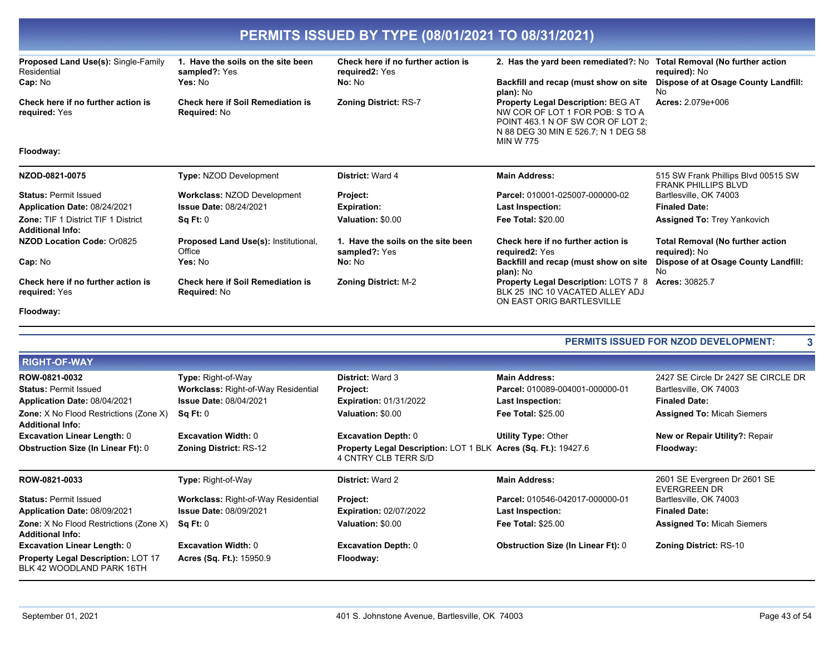| PERMITS ISSUED BY TYPE (08/01/2021 TO 08/31/2021)                     |                                                                 |                                                      |                                                                                                                                                                              |                                                                   |  |
|-----------------------------------------------------------------------|-----------------------------------------------------------------|------------------------------------------------------|------------------------------------------------------------------------------------------------------------------------------------------------------------------------------|-------------------------------------------------------------------|--|
| Proposed Land Use(s): Single-Family<br>Residential                    | 1. Have the soils on the site been<br>sampled?: Yes             | Check here if no further action is<br>required2: Yes | 2. Has the yard been remediated?: No                                                                                                                                         | <b>Total Removal (No further action</b><br>required): No          |  |
| Cap: No                                                               | Yes: No                                                         | No: No                                               | Backfill and recap (must show on site<br>plan): No                                                                                                                           | Dispose of at Osage County Landfill:<br>No                        |  |
| Check here if no further action is<br>required: Yes                   | <b>Check here if Soil Remediation is</b><br>Required: No        | <b>Zoning District: RS-7</b>                         | <b>Property Legal Description: BEG AT</b><br>NW COR OF LOT 1 FOR POB: S TO A<br>POINT 463.1 N OF SW COR OF LOT 2:<br>N 88 DEG 30 MIN E 526.7: N 1 DEG 58<br><b>MIN W 775</b> | Acres: 2.079e+006                                                 |  |
| Floodway:                                                             |                                                                 |                                                      |                                                                                                                                                                              |                                                                   |  |
| NZOD-0821-0075                                                        | <b>Type: NZOD Development</b>                                   | <b>District: Ward 4</b>                              | <b>Main Address:</b>                                                                                                                                                         | 515 SW Frank Phillips Blvd 00515 SW<br><b>FRANK PHILLIPS BLVD</b> |  |
| <b>Status: Permit Issued</b>                                          | <b>Workclass: NZOD Development</b>                              | Project:                                             | Parcel: 010001-025007-000000-02                                                                                                                                              | Bartlesville, OK 74003                                            |  |
| Application Date: 08/24/2021                                          | <b>Issue Date: 08/24/2021</b>                                   | <b>Expiration:</b>                                   | Last Inspection:                                                                                                                                                             | <b>Finaled Date:</b>                                              |  |
| <b>Zone: TIF 1 District TIF 1 District</b><br><b>Additional Info:</b> | Sq Ft: 0                                                        | Valuation: \$0.00                                    | <b>Fee Total: \$20.00</b>                                                                                                                                                    | <b>Assigned To: Trey Yankovich</b>                                |  |
| NZOD Location Code: Or0825                                            | <b>Proposed Land Use(s): Institutional,</b><br>Office           | 1. Have the soils on the site been<br>sampled?: Yes  | Check here if no further action is<br>required2: Yes                                                                                                                         | <b>Total Removal (No further action</b><br>required): No          |  |
| Cap: No                                                               | Yes: No                                                         | No: No                                               | Backfill and recap (must show on site<br>plan): No                                                                                                                           | Dispose of at Osage County Landfill:<br>No                        |  |
| Check here if no further action is<br>required: Yes                   | <b>Check here if Soil Remediation is</b><br><b>Required: No</b> | <b>Zoning District: M-2</b>                          | <b>Property Legal Description: LOTS 7 8</b><br>BLK 25 INC 10 VACATED ALLEY ADJ<br>ON EAST ORIG BARTLESVILLE                                                                  | Acres: 30825.7                                                    |  |
| Floodway:                                                             |                                                                 |                                                      |                                                                                                                                                                              |                                                                   |  |

#### PERMITS ISSUED FOR NZOD DEVELOPMENT:

| <b>RIGHT-OF-WAY</b>                                                      |                                            |                                                                                        |                                           |                                                     |
|--------------------------------------------------------------------------|--------------------------------------------|----------------------------------------------------------------------------------------|-------------------------------------------|-----------------------------------------------------|
| ROW-0821-0032                                                            | <b>Type: Right-of-Way</b>                  | <b>District: Ward 3</b>                                                                | <b>Main Address:</b>                      | 2427 SE Circle Dr 2427 SE CIRCLE DR                 |
| <b>Status: Permit Issued</b>                                             | <b>Workclass: Right-of-Way Residential</b> | <b>Project:</b>                                                                        | Parcel: 010089-004001-000000-01           | Bartlesville, OK 74003                              |
| Application Date: 08/04/2021                                             | <b>Issue Date: 08/04/2021</b>              | <b>Expiration: 01/31/2022</b>                                                          | <b>Last Inspection:</b>                   | <b>Finaled Date:</b>                                |
| <b>Zone:</b> X No Flood Restrictions (Zone X)<br><b>Additional Info:</b> | Sq Ft: 0                                   | Valuation: \$0.00                                                                      | <b>Fee Total: \$25.00</b>                 | <b>Assigned To: Micah Siemers</b>                   |
| <b>Excavation Linear Length: 0</b>                                       | <b>Excavation Width: 0</b>                 | <b>Excavation Depth: 0</b>                                                             | <b>Utility Type: Other</b>                | New or Repair Utility?: Repair                      |
| <b>Obstruction Size (In Linear Ft): 0</b>                                | <b>Zoning District: RS-12</b>              | Property Legal Description: LOT 1 BLK Acres (Sq. Ft.): 19427.6<br>4 CNTRY CLB TERR S/D |                                           | Floodway:                                           |
|                                                                          |                                            |                                                                                        |                                           |                                                     |
| ROW-0821-0033                                                            | <b>Type: Right-of-Way</b>                  | <b>District: Ward 2</b>                                                                | <b>Main Address:</b>                      | 2601 SE Evergreen Dr 2601 SE<br><b>EVERGREEN DR</b> |
| <b>Status: Permit Issued</b>                                             | Workclass: Right-of-Way Residential        | Project:                                                                               | Parcel: 010546-042017-000000-01           | Bartlesville, OK 74003                              |
| Application Date: 08/09/2021                                             | <b>Issue Date: 08/09/2021</b>              | <b>Expiration: 02/07/2022</b>                                                          | Last Inspection:                          | <b>Finaled Date:</b>                                |
| <b>Zone:</b> X No Flood Restrictions (Zone X)<br><b>Additional Info:</b> | Sq Ft: 0                                   | Valuation: \$0.00                                                                      | <b>Fee Total: \$25.00</b>                 | <b>Assigned To: Micah Siemers</b>                   |
| <b>Excavation Linear Length: 0</b>                                       | <b>Excavation Width: 0</b>                 | <b>Excavation Depth: 0</b>                                                             | <b>Obstruction Size (In Linear Ft): 0</b> | <b>Zoning District: RS-10</b>                       |

 $\overline{\mathbf{3}}$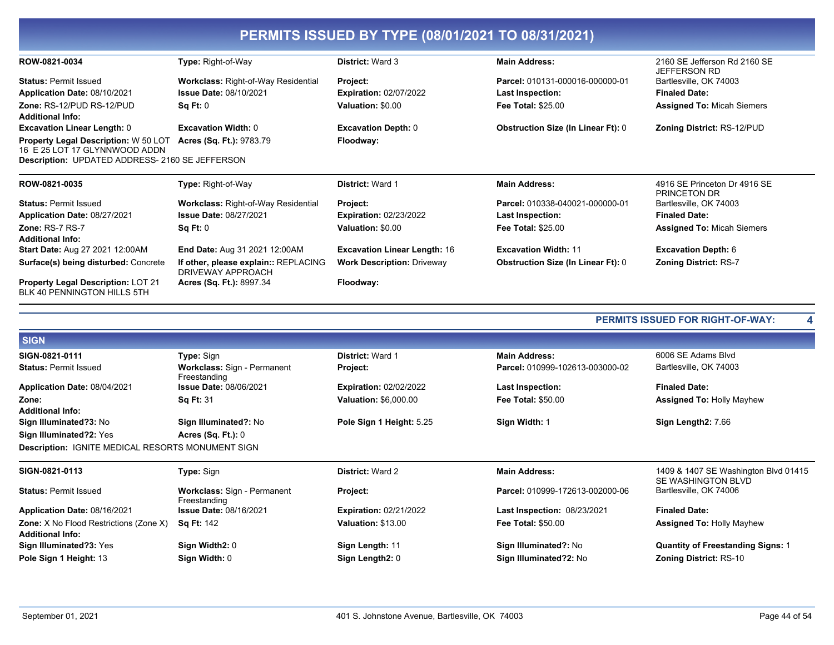| PERMITS 1550ED BT TTPE (06/01/2021 TO 06/31/2021)                            |                                                           |                                     |                                           |                                                     |  |
|------------------------------------------------------------------------------|-----------------------------------------------------------|-------------------------------------|-------------------------------------------|-----------------------------------------------------|--|
| ROW-0821-0034                                                                | Type: Right-of-Way                                        | District: Ward 3                    | <b>Main Address:</b>                      | 2160 SE Jefferson Rd 2160 SE<br><b>JEFFERSON RD</b> |  |
| <b>Status: Permit Issued</b>                                                 | <b>Workclass: Right-of-Way Residential</b>                | Project:                            | Parcel: 010131-000016-000000-01           | Bartlesville, OK 74003                              |  |
| Application Date: 08/10/2021                                                 | <b>Issue Date: 08/10/2021</b>                             | <b>Expiration: 02/07/2022</b>       | Last Inspection:                          | <b>Finaled Date:</b>                                |  |
| Zone: RS-12/PUD RS-12/PUD<br><b>Additional Info:</b>                         | Sq Ft: 0                                                  | Valuation: \$0.00                   | Fee Total: \$25.00                        | <b>Assigned To: Micah Siemers</b>                   |  |
| <b>Excavation Linear Length: 0</b>                                           | <b>Excavation Width: 0</b>                                | <b>Excavation Depth: 0</b>          | <b>Obstruction Size (In Linear Ft): 0</b> | <b>Zoning District: RS-12/PUD</b>                   |  |
| <b>Property Legal Description: W 50 LOT</b><br>16 E 25 LOT 17 GLYNNWOOD ADDN | <b>Acres (Sq. Ft.): 9783.79</b>                           | Floodway:                           |                                           |                                                     |  |
| Description: UPDATED ADDRESS- 2160 SE JEFFERSON                              |                                                           |                                     |                                           |                                                     |  |
| ROW-0821-0035                                                                | Type: Right-of-Way                                        | <b>District: Ward 1</b>             | <b>Main Address:</b>                      | 4916 SE Princeton Dr 4916 SE<br><b>PRINCETON DR</b> |  |
| <b>Status: Permit Issued</b>                                                 | <b>Workclass: Right-of-Way Residential</b>                | Project:                            | Parcel: 010338-040021-000000-01           | Bartlesville, OK 74003                              |  |
| Application Date: 08/27/2021                                                 | <b>Issue Date: 08/27/2021</b>                             | <b>Expiration: 02/23/2022</b>       | <b>Last Inspection:</b>                   | <b>Finaled Date:</b>                                |  |
| Zone: RS-7 RS-7                                                              | Sq Ft: 0                                                  | Valuation: \$0.00                   | <b>Fee Total: \$25.00</b>                 | <b>Assigned To: Micah Siemers</b>                   |  |
| <b>Additional Info:</b>                                                      |                                                           |                                     |                                           |                                                     |  |
| Start Date: Aug 27 2021 12:00AM                                              | End Date: Aug 31 2021 12:00AM                             | <b>Excavation Linear Length: 16</b> | <b>Excavation Width: 11</b>               | <b>Excavation Depth: 6</b>                          |  |
| Surface(s) being disturbed: Concrete                                         | If other, please explain:: REPLACING<br>DRIVEWAY APPROACH | <b>Work Description: Driveway</b>   | <b>Obstruction Size (In Linear Ft): 0</b> | <b>Zoning District: RS-7</b>                        |  |
| <b>Property Legal Description: LOT 21</b><br>BLK 40 PENNINGTON HILLS 5TH     | Acres (Sq. Ft.): 8997.34                                  | Floodway:                           |                                           |                                                     |  |
|                                                                              |                                                           |                                     |                                           | <b>PERMITS ISSUED FOR RIGHT-OF-WAY:</b>             |  |
| <b>SIGN</b>                                                                  |                                                           |                                     |                                           |                                                     |  |
| SIGN-0821-0111                                                               | Type: Sign                                                | <b>District: Ward 1</b>             | <b>Main Address:</b>                      | 6006 SE Adams Blvd                                  |  |
| <b>Status: Permit Issued</b>                                                 | Workclass: Sign - Permanent<br>Freestanding               | <b>Project:</b>                     | Parcel: 010999-102613-003000-02           | Bartlesville, OK 74003                              |  |

**DEDMITE ISSUED BY TVDE (ASIALISAS TO ASISAISAS)** 

**Finaled Date:** Application Date: 08/04/2021 **Issue Date: 08/06/2021 Expiration: 02/02/2022 Last Inspection:** Zone: Sq Ft: 31 Valuation: \$6,000.00 **Fee Total: \$50.00 Assigned To: Holly Mayhew Additional Info:** Sign Illuminated?3: No Sign Illuminated?: No Pole Sign 1 Height: 5.25 Sign Width: 1 Sign Length2: 7.66 Sign Illuminated?2: Yes Acres (Sq. Ft.): 0 **Description: IGNITE MEDICAL RESORTS MONUMENT SIGN** SIGN-0821-0113 District: Ward 2 1409 & 1407 SE Washington Blvd 01415 Type: Sign **Main Address:** SE WASHINGTON BLVD **Status: Permit Issued** Workclass: Sign - Permanent Project: Parcel: 010999-172613-002000-06 Bartlesville, OK 74006 Freestanding **Expiration: 02/21/2022** Application Date: 08/16/2021 **Issue Date: 08/16/2021** Last Inspection: 08/23/2021 **Finaled Date:** Zone: X No Flood Restrictions (Zone X) Valuation: \$13.00 Fee Total: \$50.00 Sq Ft: 142 **Assigned To: Holly Mayhew Additional Info:** Sign Illuminated?3: Yes Sign Width2: 0 Sign Length: 11 Sign Illuminated?: No **Quantity of Freestanding Signs: 1** Pole Sign 1 Height: 13 Sign Width: 0 Sign Length2: 0 Sign Illuminated?2: No **Zoning District: RS-10**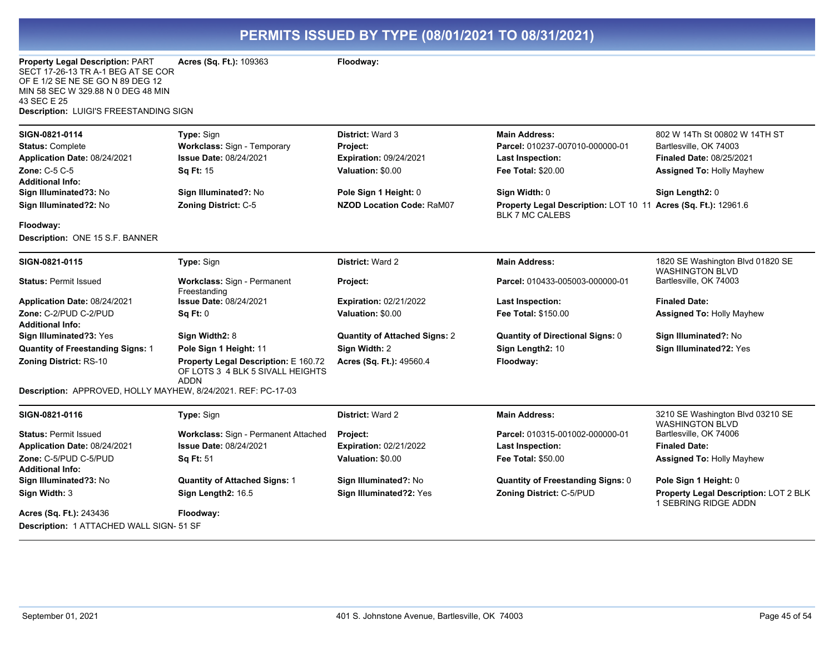| Property Legal Description: PART<br>SECT 17-26-13 TR A-1 BEG AT SE COR<br>OF E 1/2 SE NE SE GO N 89 DEG 12<br>MIN 58 SEC W 329.88 N 0 DEG 48 MIN<br>43 SEC E 25<br>Description: LUIGI'S FREESTANDING SIGN | Acres (Sq. Ft.): 109363                                                                        | Floodway:                                                                                 |                                                                                                                 |                                                                                                                                |
|-----------------------------------------------------------------------------------------------------------------------------------------------------------------------------------------------------------|------------------------------------------------------------------------------------------------|-------------------------------------------------------------------------------------------|-----------------------------------------------------------------------------------------------------------------|--------------------------------------------------------------------------------------------------------------------------------|
| SIGN-0821-0114<br><b>Status: Complete</b><br>Application Date: 08/24/2021<br><b>Zone: C-5 C-5</b><br><b>Additional Info:</b>                                                                              | Type: Sign<br>Workclass: Sign - Temporary<br><b>Issue Date: 08/24/2021</b><br><b>Sq Ft: 15</b> | <b>District: Ward 3</b><br>Project:<br><b>Expiration: 09/24/2021</b><br>Valuation: \$0.00 | <b>Main Address:</b><br>Parcel: 010237-007010-000000-01<br><b>Last Inspection:</b><br><b>Fee Total: \$20.00</b> | 802 W 14Th St 00802 W 14TH ST<br>Bartlesville, OK 74003<br><b>Finaled Date: 08/25/2021</b><br><b>Assigned To: Holly Mayhew</b> |
| Sign Illuminated?3: No<br>Sign Illuminated?2: No                                                                                                                                                          | Sign Illuminated?: No<br><b>Zoning District: C-5</b>                                           | Pole Sign 1 Height: 0<br><b>NZOD Location Code: RaM07</b>                                 | Sign Width: 0<br>Property Legal Description: LOT 10 11 Acres (Sq. Ft.): 12961.6<br><b>BLK 7 MC CALEBS</b>       | Sign Length2: 0                                                                                                                |
| Floodway:<br>Description: ONE 15 S.F. BANNER                                                                                                                                                              |                                                                                                |                                                                                           |                                                                                                                 |                                                                                                                                |
| SIGN-0821-0115                                                                                                                                                                                            | Type: Sign                                                                                     | <b>District: Ward 2</b>                                                                   | <b>Main Address:</b>                                                                                            | 1820 SE Washington Blvd 01820 SE<br><b>WASHINGTON BLVD</b>                                                                     |
| <b>Status: Permit Issued</b>                                                                                                                                                                              | Workclass: Sign - Permanent<br>Freestanding                                                    | Project:                                                                                  | Parcel: 010433-005003-000000-01                                                                                 | Bartlesville, OK 74003                                                                                                         |
| Application Date: 08/24/2021                                                                                                                                                                              | <b>Issue Date: 08/24/2021</b>                                                                  | <b>Expiration: 02/21/2022</b>                                                             | <b>Last Inspection:</b>                                                                                         | <b>Finaled Date:</b>                                                                                                           |
| Zone: C-2/PUD C-2/PUD<br><b>Additional Info:</b>                                                                                                                                                          | Sq Ft: 0                                                                                       | Valuation: \$0.00                                                                         | <b>Fee Total: \$150.00</b>                                                                                      | <b>Assigned To: Holly Mayhew</b>                                                                                               |
| Sign Illuminated?3: Yes                                                                                                                                                                                   | Sign Width2: 8                                                                                 | <b>Quantity of Attached Signs: 2</b>                                                      | <b>Quantity of Directional Signs: 0</b>                                                                         | Sign Illuminated?: No                                                                                                          |
| <b>Quantity of Freestanding Signs: 1</b>                                                                                                                                                                  | Pole Sign 1 Height: 11                                                                         | Sign Width: 2                                                                             | Sign Length2: 10                                                                                                | Sign Illuminated?2: Yes                                                                                                        |
| Zoning District: RS-10                                                                                                                                                                                    | Property Legal Description: E 160.72<br>OF LOTS 3 4 BLK 5 SIVALL HEIGHTS<br><b>ADDN</b>        | Acres (Sq. Ft.): 49560.4                                                                  | Floodway:                                                                                                       |                                                                                                                                |
| Description: APPROVED, HOLLY MAYHEW, 8/24/2021. REF: PC-17-03                                                                                                                                             |                                                                                                |                                                                                           |                                                                                                                 |                                                                                                                                |
| SIGN-0821-0116                                                                                                                                                                                            | Type: Sign                                                                                     | <b>District: Ward 2</b>                                                                   | <b>Main Address:</b>                                                                                            | 3210 SE Washington Blvd 03210 SE<br><b>WASHINGTON BLVD</b>                                                                     |
| <b>Status: Permit Issued</b>                                                                                                                                                                              | Workclass: Sign - Permanent Attached                                                           | Project:                                                                                  | Parcel: 010315-001002-000000-01                                                                                 | Bartlesville, OK 74006                                                                                                         |
| Application Date: 08/24/2021                                                                                                                                                                              | <b>Issue Date: 08/24/2021</b>                                                                  | <b>Expiration: 02/21/2022</b>                                                             | <b>Last Inspection:</b>                                                                                         | <b>Finaled Date:</b>                                                                                                           |
| Zone: C-5/PUD C-5/PUD<br><b>Additional Info:</b>                                                                                                                                                          | <b>Sq Ft: 51</b>                                                                               | Valuation: \$0.00                                                                         | <b>Fee Total: \$50.00</b>                                                                                       | <b>Assigned To: Holly Mayhew</b>                                                                                               |
| Sign Illuminated?3: No                                                                                                                                                                                    | <b>Quantity of Attached Signs: 1</b>                                                           | Sign Illuminated?: No                                                                     | <b>Quantity of Freestanding Signs: 0</b>                                                                        | Pole Sign 1 Height: 0                                                                                                          |
| Sign Width: 3                                                                                                                                                                                             | Sign Length2: 16.5                                                                             | Sign Illuminated?2: Yes                                                                   | Zoning District: C-5/PUD                                                                                        | Property Legal Description: LOT 2 BLK<br>1 SEBRING RIDGE ADDN                                                                  |
| Acres (Sq. Ft.): 243436<br>Description: 1 ATTACHED WALL SIGN- 51 SF                                                                                                                                       | Floodway:                                                                                      |                                                                                           |                                                                                                                 |                                                                                                                                |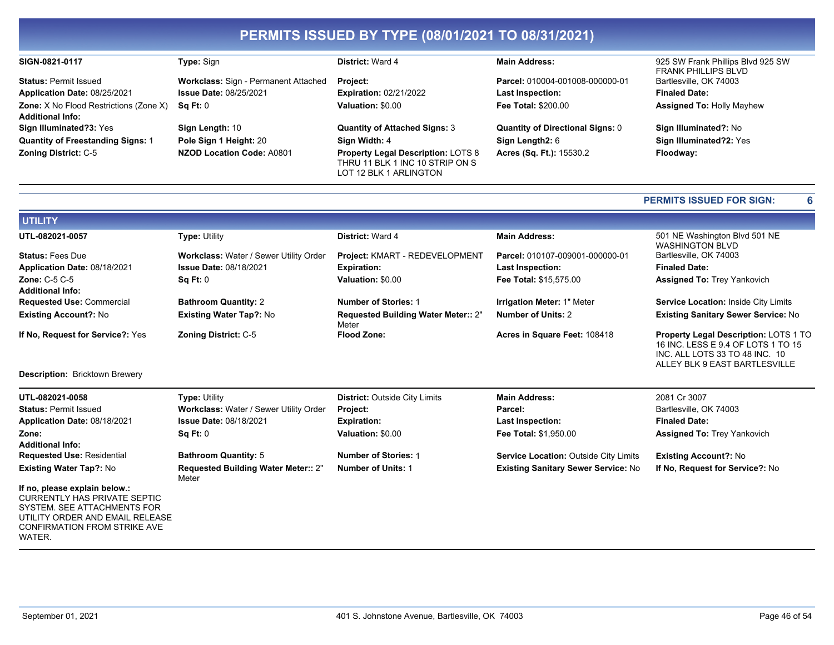| SIGN-0821-0117                                                           | <b>Type:</b> Sign                    | <b>District: Ward 4</b>                                                                                | <b>Main Address:</b>                    | 925 SW Frank Phillips Blvd 925 SW<br><b>FRANK PHILLIPS BLVD</b> |
|--------------------------------------------------------------------------|--------------------------------------|--------------------------------------------------------------------------------------------------------|-----------------------------------------|-----------------------------------------------------------------|
| <b>Status: Permit Issued</b>                                             | Workclass: Sign - Permanent Attached | <b>Project:</b>                                                                                        | Parcel: 010004-001008-000000-01         | Bartlesville, OK 74003                                          |
| Application Date: 08/25/2021                                             | <b>Issue Date: 08/25/2021</b>        | <b>Expiration: 02/21/2022</b>                                                                          | <b>Last Inspection:</b>                 | <b>Finaled Date:</b>                                            |
| <b>Zone:</b> X No Flood Restrictions (Zone X)<br><b>Additional Info:</b> | Sq Ft: 0                             | Valuation: \$0.00                                                                                      | <b>Fee Total: \$200.00</b>              | <b>Assigned To: Holly Mayhew</b>                                |
| Sign Illuminated?3: Yes                                                  | Sign Length: 10                      | <b>Quantity of Attached Signs: 3</b>                                                                   | <b>Quantity of Directional Signs: 0</b> | Sign Illuminated?: No                                           |
| <b>Quantity of Freestanding Signs: 1</b>                                 | Pole Sign 1 Height: 20               | Sign Width: 4                                                                                          | Sign Length2: 6                         | Sign Illuminated?2: Yes                                         |
| <b>Zoning District: C-5</b>                                              | NZOD Location Code: A0801            | <b>Property Legal Description: LOTS 8</b><br>THRU 11 BLK 1 INC 10 STRIP ON S<br>LOT 12 BLK 1 ARLINGTON | Acres (Sq. Ft.): 15530.2                | Floodway:                                                       |

#### **PERMITS ISSUED FOR SIGN:**

 $6\phantom{a}$ 

| <b>UTILITY</b>                                  |                                        |                                                     |                                   |                                                                                                                                                |
|-------------------------------------------------|----------------------------------------|-----------------------------------------------------|-----------------------------------|------------------------------------------------------------------------------------------------------------------------------------------------|
| UTL-082021-0057                                 | <b>Type: Utility</b>                   | District: Ward 4                                    | <b>Main Address:</b>              | 501 NE Washington Blvd 501 NE<br><b>WASHINGTON BLVD</b>                                                                                        |
| <b>Status: Fees Due</b>                         | Workclass: Water / Sewer Utility Order | Project: KMART - REDEVELOPMENT                      | Parcel: 010107-009001-000000-01   | Bartlesville, OK 74003                                                                                                                         |
| Application Date: 08/18/2021                    | <b>Issue Date: 08/18/2021</b>          | <b>Expiration:</b>                                  | <b>Last Inspection:</b>           | <b>Finaled Date:</b>                                                                                                                           |
| <b>Zone: C-5 C-5</b><br><b>Additional Info:</b> | Sq Ft: 0                               | Valuation: \$0.00                                   | Fee Total: \$15.575.00            | <b>Assigned To: Trey Yankovich</b>                                                                                                             |
| <b>Requested Use: Commercial</b>                | <b>Bathroom Quantity: 2</b>            | <b>Number of Stories: 1</b>                         | <b>Irrigation Meter: 1" Meter</b> | Service Location: Inside City Limits                                                                                                           |
| <b>Existing Account?: No</b>                    | <b>Existing Water Tap?: No</b>         | <b>Requested Building Water Meter:: 2"</b><br>Meter | <b>Number of Units: 2</b>         | Existing Sanitary Sewer Service: No                                                                                                            |
| If No. Request for Service?: Yes                | <b>Zoning District: C-5</b>            | <b>Flood Zone:</b>                                  | Acres in Square Feet: 108418      | Property Legal Description: LOTS 1 TO<br>16 INC. LESS E 9.4 OF LOTS 1 TO 15<br>INC. ALL LOTS 33 TO 48 INC. 10<br>ALLEY BLK 9 EAST BARTLESVILLE |

Description: Bricktown Brewery

| UTL-082021-0058<br><b>Status: Permit Issued</b>                                                                                                                                  | <b>Type: Utility</b><br>Workclass: Water / Sewer Utility Order | <b>District: Outside City Limits</b><br><b>Project:</b> | <b>Main Address:</b><br>Parcel:              | 2081 Cr 3007<br>Bartlesville, OK 74003 |
|----------------------------------------------------------------------------------------------------------------------------------------------------------------------------------|----------------------------------------------------------------|---------------------------------------------------------|----------------------------------------------|----------------------------------------|
| Application Date: 08/18/2021                                                                                                                                                     | <b>Issue Date: 08/18/2021</b>                                  | <b>Expiration:</b>                                      | <b>Last Inspection:</b>                      | <b>Finaled Date:</b>                   |
| Zone:                                                                                                                                                                            | Sq Ft: 0                                                       | Valuation: \$0.00                                       | Fee Total: \$1.950.00                        | <b>Assigned To: Trey Yankovich</b>     |
| <b>Additional Info:</b>                                                                                                                                                          |                                                                |                                                         |                                              |                                        |
| <b>Requested Use: Residential</b>                                                                                                                                                | <b>Bathroom Quantity: 5</b>                                    | <b>Number of Stories: 1</b>                             | <b>Service Location: Outside City Limits</b> | <b>Existing Account?: No</b>           |
| <b>Existing Water Tap?: No</b>                                                                                                                                                   | <b>Requested Building Water Meter:: 2"</b><br>Meter            | <b>Number of Units: 1</b>                               | <b>Existing Sanitary Sewer Service: No</b>   | If No. Request for Service?: No        |
| If no, please explain below.:<br>CURRENTLY HAS PRIVATE SEPTIC<br>SYSTEM, SEE ATTACHMENTS FOR<br>UTILITY ORDER AND EMAIL RELEASE<br><b>CONFIRMATION FROM STRIKE AVE</b><br>WATER. |                                                                |                                                         |                                              |                                        |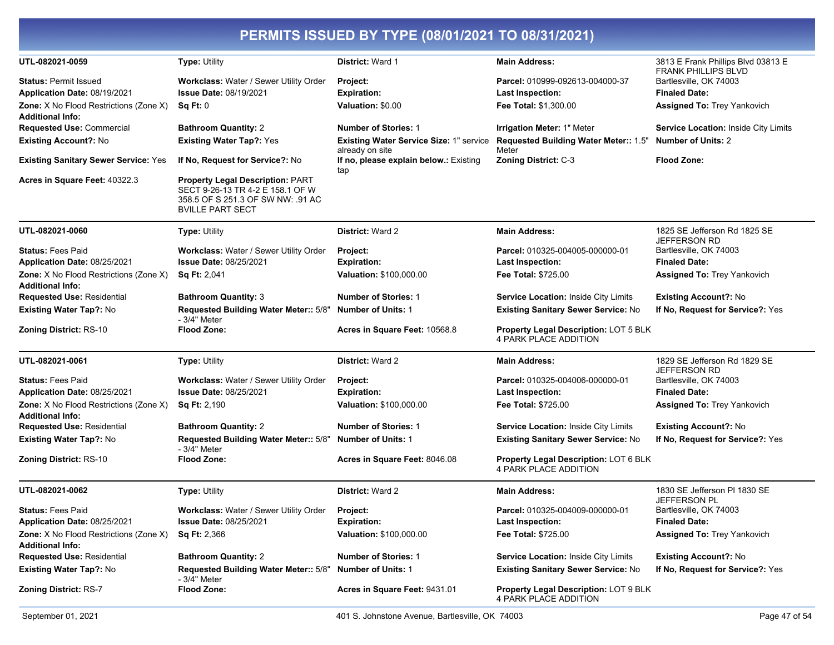| UTL-082021-0059                                                          | Type: Utility                                                                                                                               | District: Ward 1                                           | <b>Main Address:</b>                                                  | 3813 E Frank Phillips Blvd 03813 E<br><b>FRANK PHILLIPS BLVD</b> |
|--------------------------------------------------------------------------|---------------------------------------------------------------------------------------------------------------------------------------------|------------------------------------------------------------|-----------------------------------------------------------------------|------------------------------------------------------------------|
| <b>Status: Permit Issued</b>                                             | Workclass: Water / Sewer Utility Order                                                                                                      | Project:                                                   | Parcel: 010999-092613-004000-37                                       | Bartlesville, OK 74003                                           |
| Application Date: 08/19/2021                                             | <b>Issue Date: 08/19/2021</b>                                                                                                               | <b>Expiration:</b>                                         | <b>Last Inspection:</b>                                               | <b>Finaled Date:</b>                                             |
| <b>Zone:</b> X No Flood Restrictions (Zone X)<br><b>Additional Info:</b> | Sq Ft: 0                                                                                                                                    | Valuation: \$0.00                                          | Fee Total: \$1,300.00                                                 | <b>Assigned To: Trey Yankovich</b>                               |
| <b>Requested Use: Commercial</b>                                         | <b>Bathroom Quantity: 2</b>                                                                                                                 | <b>Number of Stories: 1</b>                                | Irrigation Meter: 1" Meter                                            | Service Location: Inside City Limits                             |
| <b>Existing Account?: No</b>                                             | <b>Existing Water Tap?: Yes</b>                                                                                                             | Existing Water Service Size: 1" service<br>already on site | Requested Building Water Meter:: 1.5"<br>Meter                        | <b>Number of Units: 2</b>                                        |
| <b>Existing Sanitary Sewer Service: Yes</b>                              | If No, Request for Service?: No                                                                                                             | If no, please explain below.: Existing<br>tap              | <b>Zoning District: C-3</b>                                           | <b>Flood Zone:</b>                                               |
| Acres in Square Feet: 40322.3                                            | <b>Property Legal Description: PART</b><br>SECT 9-26-13 TR 4-2 E 158.1 OF W<br>358.5 OF S 251.3 OF SW NW: .91 AC<br><b>BVILLE PART SECT</b> |                                                            |                                                                       |                                                                  |
| UTL-082021-0060                                                          | <b>Type: Utility</b>                                                                                                                        | <b>District: Ward 2</b>                                    | <b>Main Address:</b>                                                  | 1825 SE Jefferson Rd 1825 SE<br><b>JEFFERSON RD</b>              |
| <b>Status: Fees Paid</b>                                                 | Workclass: Water / Sewer Utility Order                                                                                                      | Project:                                                   | Parcel: 010325-004005-000000-01                                       | Bartlesville, OK 74003                                           |
| Application Date: 08/25/2021                                             | <b>Issue Date: 08/25/2021</b>                                                                                                               | <b>Expiration:</b>                                         | <b>Last Inspection:</b>                                               | <b>Finaled Date:</b>                                             |
| Zone: X No Flood Restrictions (Zone X)                                   | <b>Sq Ft: 2,041</b>                                                                                                                         | <b>Valuation: \$100,000.00</b>                             | <b>Fee Total: \$725.00</b>                                            | <b>Assigned To: Trey Yankovich</b>                               |
| <b>Additional Info:</b>                                                  |                                                                                                                                             |                                                            |                                                                       |                                                                  |
| <b>Requested Use: Residential</b>                                        | <b>Bathroom Quantity: 3</b>                                                                                                                 | <b>Number of Stories: 1</b>                                | <b>Service Location: Inside City Limits</b>                           | <b>Existing Account?: No</b>                                     |
| <b>Existing Water Tap?: No</b>                                           | Requested Building Water Meter:: 5/8"<br>- 3/4" Meter                                                                                       | <b>Number of Units: 1</b>                                  | Existing Sanitary Sewer Service: No                                   | If No, Request for Service?: Yes                                 |
| <b>Zoning District: RS-10</b>                                            | <b>Flood Zone:</b>                                                                                                                          | Acres in Square Feet: 10568.8                              | <b>Property Legal Description: LOT 5 BLK</b><br>4 PARK PLACE ADDITION |                                                                  |
| UTL-082021-0061                                                          | <b>Type: Utility</b>                                                                                                                        | District: Ward 2                                           | <b>Main Address:</b>                                                  | 1829 SE Jefferson Rd 1829 SE<br>JEFFERSON RD                     |
| <b>Status: Fees Paid</b>                                                 | Workclass: Water / Sewer Utility Order                                                                                                      | Project:                                                   | Parcel: 010325-004006-000000-01                                       | Bartlesville, OK 74003                                           |
| Application Date: 08/25/2021                                             | <b>Issue Date: 08/25/2021</b>                                                                                                               | <b>Expiration:</b>                                         | <b>Last Inspection:</b>                                               | <b>Finaled Date:</b>                                             |
| Zone: X No Flood Restrictions (Zone X)<br><b>Additional Info:</b>        | <b>Sq Ft: 2,190</b>                                                                                                                         | Valuation: \$100,000.00                                    | <b>Fee Total: \$725.00</b>                                            | Assigned To: Trey Yankovich                                      |
| <b>Requested Use: Residential</b>                                        | <b>Bathroom Quantity: 2</b>                                                                                                                 | <b>Number of Stories: 1</b>                                | Service Location: Inside City Limits                                  | <b>Existing Account?: No</b>                                     |
| Existing Water Tap?: No                                                  | Requested Building Water Meter:: 5/8"<br>- 3/4" Meter                                                                                       | <b>Number of Units: 1</b>                                  | Existing Sanitary Sewer Service: No                                   | If No, Request for Service?: Yes                                 |
| <b>Zoning District: RS-10</b>                                            | <b>Flood Zone:</b>                                                                                                                          | Acres in Square Feet: 8046.08                              | Property Legal Description: LOT 6 BLK<br><b>4 PARK PLACE ADDITION</b> |                                                                  |
| UTL-082021-0062                                                          | <b>Type: Utility</b>                                                                                                                        | <b>District: Ward 2</b>                                    | <b>Main Address:</b>                                                  | 1830 SE Jefferson PI 1830 SE<br>JEFFERSON PL                     |
| <b>Status: Fees Paid</b>                                                 | Workclass: Water / Sewer Utility Order                                                                                                      | <b>Project:</b>                                            | Parcel: 010325-004009-000000-01                                       | Bartlesville, OK 74003                                           |
| Application Date: 08/25/2021                                             | <b>Issue Date: 08/25/2021</b>                                                                                                               | <b>Expiration:</b>                                         | <b>Last Inspection:</b>                                               | <b>Finaled Date:</b>                                             |
| Zone: X No Flood Restrictions (Zone X)<br><b>Additional Info:</b>        | <b>Sq Ft: 2,366</b>                                                                                                                         | <b>Valuation: \$100,000.00</b>                             | Fee Total: \$725.00                                                   | <b>Assigned To: Trey Yankovich</b>                               |
| <b>Requested Use: Residential</b>                                        | <b>Bathroom Quantity: 2</b>                                                                                                                 | <b>Number of Stories: 1</b>                                | Service Location: Inside City Limits                                  | <b>Existing Account?: No</b>                                     |
| Existing Water Tap?: No                                                  | Requested Building Water Meter:: 5/8"<br>- 3/4" Meter                                                                                       | <b>Number of Units: 1</b>                                  | Existing Sanitary Sewer Service: No                                   | If No, Request for Service?: Yes                                 |
| <b>Zoning District: RS-7</b>                                             | <b>Flood Zone:</b>                                                                                                                          | Acres in Square Feet: 9431.01                              | Property Legal Description: LOT 9 BLK<br>4 PARK PLACE ADDITION        |                                                                  |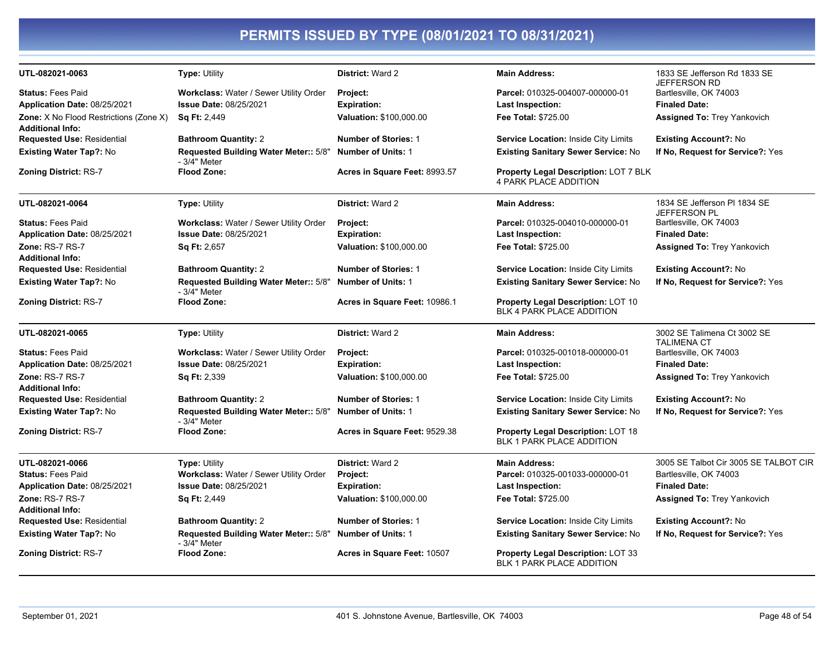| UTL-082021-0063                               | <b>Type: Utility</b>                                  | <b>District: Ward 2</b>       | <b>Main Address:</b>                                                         | 1833 SE Jefferson Rd 1833 SE<br><b>JEFFERSON RD</b> |
|-----------------------------------------------|-------------------------------------------------------|-------------------------------|------------------------------------------------------------------------------|-----------------------------------------------------|
| <b>Status: Fees Paid</b>                      | Workclass: Water / Sewer Utility Order                | <b>Project:</b>               | Parcel: 010325-004007-000000-01                                              | Bartlesville, OK 74003                              |
| Application Date: 08/25/2021                  | <b>Issue Date: 08/25/2021</b>                         | <b>Expiration:</b>            | <b>Last Inspection:</b>                                                      | <b>Finaled Date:</b>                                |
| <b>Zone:</b> X No Flood Restrictions (Zone X) | <b>Sq Ft: 2,449</b>                                   | Valuation: \$100,000.00       | <b>Fee Total: \$725.00</b>                                                   | <b>Assigned To: Trey Yankovich</b>                  |
| <b>Additional Info:</b>                       |                                                       |                               |                                                                              |                                                     |
| <b>Requested Use: Residential</b>             | <b>Bathroom Quantity: 2</b>                           | <b>Number of Stories: 1</b>   | <b>Service Location: Inside City Limits</b>                                  | <b>Existing Account?: No</b>                        |
| <b>Existing Water Tap?: No</b>                | Requested Building Water Meter:: 5/8"<br>- 3/4" Meter | <b>Number of Units: 1</b>     | <b>Existing Sanitary Sewer Service: No</b>                                   | If No, Request for Service?: Yes                    |
| <b>Zoning District: RS-7</b>                  | <b>Flood Zone:</b>                                    | Acres in Square Feet: 8993.57 | <b>Property Legal Description: LOT 7 BLK</b><br><b>4 PARK PLACE ADDITION</b> |                                                     |
| UTL-082021-0064                               | <b>Type: Utility</b>                                  | <b>District: Ward 2</b>       | <b>Main Address:</b>                                                         | 1834 SE Jefferson PI 1834 SE<br>JEFFERSON PL        |
| <b>Status: Fees Paid</b>                      | Workclass: Water / Sewer Utility Order                | Project:                      | Parcel: 010325-004010-000000-01                                              | Bartlesville, OK 74003                              |
| Application Date: 08/25/2021                  | Issue Date: 08/25/2021                                | <b>Expiration:</b>            | <b>Last Inspection:</b>                                                      | <b>Finaled Date:</b>                                |
| <b>Zone: RS-7 RS-7</b>                        | Sq Ft: 2,657                                          | Valuation: \$100,000.00       | <b>Fee Total: \$725.00</b>                                                   | <b>Assigned To: Trey Yankovich</b>                  |
| <b>Additional Info:</b>                       |                                                       |                               |                                                                              |                                                     |
| <b>Requested Use: Residential</b>             | <b>Bathroom Quantity: 2</b>                           | <b>Number of Stories: 1</b>   | <b>Service Location: Inside City Limits</b>                                  | <b>Existing Account?: No</b>                        |
| Existing Water Tap?: No                       | Requested Building Water Meter:: 5/8"<br>- 3/4" Meter | <b>Number of Units: 1</b>     | <b>Existing Sanitary Sewer Service: No</b>                                   | If No, Request for Service?: Yes                    |
| <b>Zoning District: RS-7</b>                  | <b>Flood Zone:</b>                                    | Acres in Square Feet: 10986.1 | Property Legal Description: LOT 10<br>BLK 4 PARK PLACE ADDITION              |                                                     |
| UTL-082021-0065                               | <b>Type: Utility</b>                                  | <b>District: Ward 2</b>       | <b>Main Address:</b>                                                         | 3002 SE Talimena Ct 3002 SE<br><b>TALIMENA CT</b>   |
| <b>Status: Fees Paid</b>                      | Workclass: Water / Sewer Utility Order                | Project:                      | Parcel: 010325-001018-000000-01                                              | Bartlesville, OK 74003                              |
| Application Date: 08/25/2021                  | Issue Date: 08/25/2021                                | <b>Expiration:</b>            | Last Inspection:                                                             | <b>Finaled Date:</b>                                |
| Zone: RS-7 RS-7<br><b>Additional Info:</b>    | <b>Sq Ft: 2,339</b>                                   | Valuation: \$100,000.00       | Fee Total: \$725.00                                                          | <b>Assigned To: Trey Yankovich</b>                  |
| <b>Requested Use: Residential</b>             | <b>Bathroom Quantity: 2</b>                           | <b>Number of Stories: 1</b>   | <b>Service Location: Inside City Limits</b>                                  | <b>Existing Account?: No</b>                        |
| <b>Existing Water Tap?: No</b>                | Requested Building Water Meter:: 5/8"<br>- 3/4" Meter | <b>Number of Units: 1</b>     | Existing Sanitary Sewer Service: No                                          | If No, Request for Service?: Yes                    |
| <b>Zoning District: RS-7</b>                  | <b>Flood Zone:</b>                                    | Acres in Square Feet: 9529.38 | Property Legal Description: LOT 18<br><b>BLK 1 PARK PLACE ADDITION</b>       |                                                     |
| UTL-082021-0066                               | <b>Type: Utility</b>                                  | District: Ward 2              | <b>Main Address:</b>                                                         | 3005 SE Talbot Cir 3005 SE TALBOT CIR               |
| <b>Status: Fees Paid</b>                      | Workclass: Water / Sewer Utility Order                | Project:                      | Parcel: 010325-001033-000000-01                                              | Bartlesville, OK 74003                              |
| Application Date: 08/25/2021                  | <b>Issue Date: 08/25/2021</b>                         | <b>Expiration:</b>            | Last Inspection:                                                             | <b>Finaled Date:</b>                                |
| Zone: RS-7 RS-7<br><b>Additional Info:</b>    | Sq Ft: 2,449                                          | Valuation: \$100,000.00       | Fee Total: \$725.00                                                          | <b>Assigned To: Trey Yankovich</b>                  |
| <b>Requested Use: Residential</b>             | <b>Bathroom Quantity: 2</b>                           | <b>Number of Stories: 1</b>   | Service Location: Inside City Limits                                         | <b>Existing Account?: No</b>                        |
| <b>Existing Water Tap?: No</b>                | Requested Building Water Meter:: 5/8"<br>- 3/4" Meter | <b>Number of Units: 1</b>     | Existing Sanitary Sewer Service: No                                          | If No, Request for Service?: Yes                    |
| <b>Zoning District: RS-7</b>                  | <b>Flood Zone:</b>                                    | Acres in Square Feet: 10507   | Property Legal Description: LOT 33<br><b>BLK 1 PARK PLACE ADDITION</b>       |                                                     |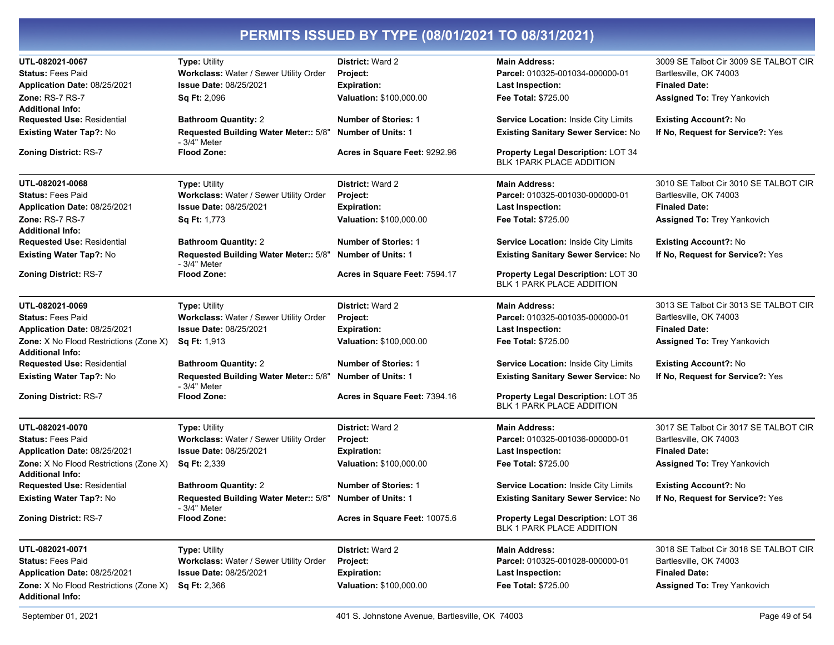| UTL-082021-0067                                                   | <b>Type: Utility</b>                                  | <b>District: Ward 2</b>       | <b>Main Address:</b>                                            | 3009 SE Talbot Cir 3009 SE TALBOT CIR |
|-------------------------------------------------------------------|-------------------------------------------------------|-------------------------------|-----------------------------------------------------------------|---------------------------------------|
| <b>Status: Fees Paid</b>                                          | Workclass: Water / Sewer Utility Order                | Project:                      | Parcel: 010325-001034-000000-01                                 | Bartlesville, OK 74003                |
| Application Date: 08/25/2021                                      | <b>Issue Date: 08/25/2021</b>                         | <b>Expiration:</b>            | <b>Last Inspection:</b>                                         | <b>Finaled Date:</b>                  |
| Zone: RS-7 RS-7                                                   | Sq Ft: 2,096                                          | Valuation: \$100,000.00       | Fee Total: \$725.00                                             | Assigned To: Trey Yankovich           |
| <b>Additional Info:</b>                                           |                                                       |                               |                                                                 |                                       |
| <b>Requested Use: Residential</b>                                 | <b>Bathroom Quantity: 2</b>                           | <b>Number of Stories: 1</b>   | <b>Service Location: Inside City Limits</b>                     | <b>Existing Account?: No</b>          |
| Existing Water Tap?: No                                           | Requested Building Water Meter:: 5/8"<br>- 3/4" Meter | <b>Number of Units: 1</b>     | Existing Sanitary Sewer Service: No                             | If No, Request for Service?: Yes      |
| <b>Zoning District: RS-7</b>                                      | <b>Flood Zone:</b>                                    | Acres in Square Feet: 9292.96 | Property Legal Description: LOT 34<br>BLK 1PARK PLACE ADDITION  |                                       |
| UTL-082021-0068                                                   | <b>Type: Utility</b>                                  | <b>District: Ward 2</b>       | <b>Main Address:</b>                                            | 3010 SE Talbot Cir 3010 SE TALBOT CIR |
| <b>Status: Fees Paid</b>                                          | Workclass: Water / Sewer Utility Order                | Project:                      | Parcel: 010325-001030-000000-01                                 | Bartlesville, OK 74003                |
| Application Date: 08/25/2021                                      | <b>Issue Date: 08/25/2021</b>                         | <b>Expiration:</b>            | <b>Last Inspection:</b>                                         | <b>Finaled Date:</b>                  |
| Zone: RS-7 RS-7<br><b>Additional Info:</b>                        | Sq Ft: 1,773                                          | Valuation: \$100,000.00       | Fee Total: \$725.00                                             | Assigned To: Trey Yankovich           |
| <b>Requested Use: Residential</b>                                 | <b>Bathroom Quantity: 2</b>                           | <b>Number of Stories: 1</b>   | <b>Service Location: Inside City Limits</b>                     | <b>Existing Account?: No</b>          |
| <b>Existing Water Tap?: No</b>                                    | Requested Building Water Meter:: 5/8"<br>- 3/4" Meter | <b>Number of Units: 1</b>     | Existing Sanitary Sewer Service: No                             | If No, Request for Service?: Yes      |
| <b>Zoning District: RS-7</b>                                      | <b>Flood Zone:</b>                                    | Acres in Square Feet: 7594.17 | Property Legal Description: LOT 30<br>BLK 1 PARK PLACE ADDITION |                                       |
| UTL-082021-0069                                                   | <b>Type: Utility</b>                                  | <b>District: Ward 2</b>       | <b>Main Address:</b>                                            | 3013 SE Talbot Cir 3013 SE TALBOT CIR |
| <b>Status: Fees Paid</b>                                          | Workclass: Water / Sewer Utility Order                | Project:                      | Parcel: 010325-001035-000000-01                                 | Bartlesville, OK 74003                |
| Application Date: 08/25/2021                                      | <b>Issue Date: 08/25/2021</b>                         | <b>Expiration:</b>            | <b>Last Inspection:</b>                                         | <b>Finaled Date:</b>                  |
| Zone: X No Flood Restrictions (Zone X)<br><b>Additional Info:</b> | Sq Ft: 1,913                                          | Valuation: \$100,000.00       | Fee Total: \$725.00                                             | Assigned To: Trey Yankovich           |
| <b>Requested Use: Residential</b>                                 | <b>Bathroom Quantity: 2</b>                           | <b>Number of Stories: 1</b>   | Service Location: Inside City Limits                            | <b>Existing Account?: No</b>          |
| Existing Water Tap?: No                                           | Requested Building Water Meter:: 5/8"<br>- 3/4" Meter | <b>Number of Units: 1</b>     | Existing Sanitary Sewer Service: No                             | If No, Request for Service?: Yes      |
| <b>Zoning District: RS-7</b>                                      | <b>Flood Zone:</b>                                    | Acres in Square Feet: 7394.16 | Property Legal Description: LOT 35<br>BLK 1 PARK PLACE ADDITION |                                       |
| UTL-082021-0070                                                   | <b>Type: Utility</b>                                  | <b>District: Ward 2</b>       | <b>Main Address:</b>                                            | 3017 SE Talbot Cir 3017 SE TALBOT CIR |
| <b>Status: Fees Paid</b>                                          | Workclass: Water / Sewer Utility Order                | Project:                      | Parcel: 010325-001036-000000-01                                 | Bartlesville, OK 74003                |
| Application Date: 08/25/2021                                      | <b>Issue Date: 08/25/2021</b>                         | <b>Expiration:</b>            | <b>Last Inspection:</b>                                         | <b>Finaled Date:</b>                  |
| Zone: X No Flood Restrictions (Zone X)<br><b>Additional Info:</b> | Sq Ft: 2,339                                          | Valuation: \$100,000.00       | Fee Total: \$725.00                                             | Assigned To: Trey Yankovich           |
| <b>Requested Use: Residential</b>                                 | <b>Bathroom Quantity: 2</b>                           | <b>Number of Stories: 1</b>   | <b>Service Location: Inside City Limits</b>                     | Existing Account?: No                 |
| Existing Water Tap?: No                                           | Requested Building Water Meter:: 5/8"<br>- 3/4" Meter | <b>Number of Units: 1</b>     | Existing Sanitary Sewer Service: No                             | If No, Request for Service?: Yes      |
| Zoning District: RS-7                                             | <b>Flood Zone:</b>                                    | Acres in Square Feet: 10075.6 | Property Legal Description: LOT 36<br>BLK 1 PARK PLACE ADDITION |                                       |
| UTL-082021-0071                                                   | <b>Type: Utility</b>                                  | <b>District: Ward 2</b>       | <b>Main Address:</b>                                            | 3018 SE Talbot Cir 3018 SE TALBOT CIR |
| <b>Status: Fees Paid</b>                                          | Workclass: Water / Sewer Utility Order                | Project:                      | Parcel: 010325-001028-000000-01                                 | Bartlesville, OK 74003                |
| Application Date: 08/25/2021                                      | <b>Issue Date: 08/25/2021</b>                         | <b>Expiration:</b>            | <b>Last Inspection:</b>                                         | <b>Finaled Date:</b>                  |
| Zone: X No Flood Restrictions (Zone X)<br><b>Additional Info:</b> | <b>Sq Ft: 2,366</b>                                   | Valuation: \$100,000.00       | Fee Total: \$725.00                                             | Assigned To: Trey Yankovich           |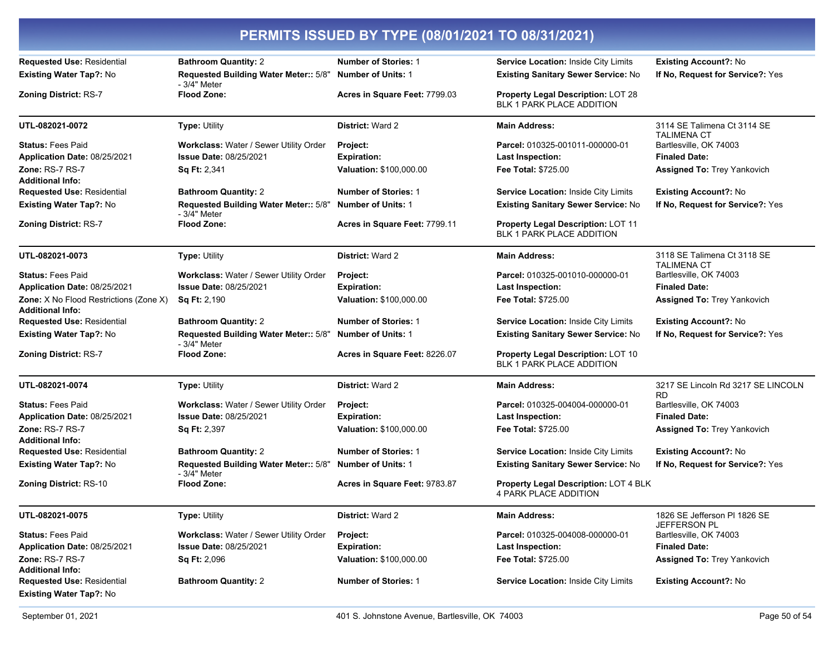| PERMITS ISSUED BY TYPE (08/01/2021 TO 08/31/2021)                 |                                                        |                               |                                                                        |                                                     |
|-------------------------------------------------------------------|--------------------------------------------------------|-------------------------------|------------------------------------------------------------------------|-----------------------------------------------------|
| <b>Requested Use: Residential</b>                                 | <b>Bathroom Quantity: 2</b>                            | <b>Number of Stories: 1</b>   | Service Location: Inside City Limits                                   | <b>Existing Account?: No</b>                        |
| Existing Water Tap?: No                                           | Requested Building Water Meter:: 5/8"<br>$-3/4"$ Meter | <b>Number of Units: 1</b>     | <b>Existing Sanitary Sewer Service: No</b>                             | If No, Request for Service?: Yes                    |
| <b>Zoning District: RS-7</b>                                      | <b>Flood Zone:</b>                                     | Acres in Square Feet: 7799.03 | Property Legal Description: LOT 28<br>BLK 1 PARK PLACE ADDITION        |                                                     |
| UTL-082021-0072                                                   | Type: Utility                                          | <b>District: Ward 2</b>       | <b>Main Address:</b>                                                   | 3114 SE Talimena Ct 3114 SE<br><b>TALIMENA CT</b>   |
| <b>Status: Fees Paid</b>                                          | Workclass: Water / Sewer Utility Order                 | Project:                      | Parcel: 010325-001011-000000-01                                        | Bartlesville, OK 74003                              |
| Application Date: 08/25/2021                                      | <b>Issue Date: 08/25/2021</b>                          | <b>Expiration:</b>            | <b>Last Inspection:</b>                                                | <b>Finaled Date:</b>                                |
| Zone: RS-7 RS-7<br><b>Additional Info:</b>                        | Sq Ft: 2,341                                           | Valuation: \$100,000.00       | Fee Total: \$725.00                                                    | Assigned To: Trey Yankovich                         |
| <b>Requested Use: Residential</b>                                 | <b>Bathroom Quantity: 2</b>                            | <b>Number of Stories: 1</b>   | Service Location: Inside City Limits                                   | <b>Existing Account?: No</b>                        |
| Existing Water Tap?: No                                           | Requested Building Water Meter:: 5/8"<br>- 3/4" Meter  | <b>Number of Units: 1</b>     | Existing Sanitary Sewer Service: No                                    | If No, Request for Service?: Yes                    |
| Zoning District: RS-7                                             | <b>Flood Zone:</b>                                     | Acres in Square Feet: 7799.11 | Property Legal Description: LOT 11<br>BLK 1 PARK PLACE ADDITION        |                                                     |
| UTL-082021-0073                                                   | <b>Type: Utility</b>                                   | <b>District: Ward 2</b>       | <b>Main Address:</b>                                                   | 3118 SE Talimena Ct 3118 SE<br><b>TALIMENA CT</b>   |
| <b>Status: Fees Paid</b>                                          | Workclass: Water / Sewer Utility Order                 | Project:                      | Parcel: 010325-001010-000000-01                                        | Bartlesville, OK 74003                              |
| Application Date: 08/25/2021                                      | <b>Issue Date: 08/25/2021</b>                          | <b>Expiration:</b>            | <b>Last Inspection:</b>                                                | <b>Finaled Date:</b>                                |
| Zone: X No Flood Restrictions (Zone X)<br><b>Additional Info:</b> | Sq Ft: 2,190                                           | Valuation: \$100,000.00       | <b>Fee Total: \$725.00</b>                                             | Assigned To: Trey Yankovich                         |
| <b>Requested Use: Residential</b>                                 | <b>Bathroom Quantity: 2</b>                            | <b>Number of Stories: 1</b>   | <b>Service Location: Inside City Limits</b>                            | <b>Existing Account?: No</b>                        |
| Existing Water Tap?: No                                           | Requested Building Water Meter:: 5/8"<br>- 3/4" Meter  | <b>Number of Units: 1</b>     | <b>Existing Sanitary Sewer Service: No</b>                             | If No, Request for Service?: Yes                    |
| <b>Zoning District: RS-7</b>                                      | <b>Flood Zone:</b>                                     | Acres in Square Feet: 8226.07 | <b>Property Legal Description: LOT 10</b><br>BLK 1 PARK PLACE ADDITION |                                                     |
| UTL-082021-0074                                                   | Type: Utility                                          | <b>District: Ward 2</b>       | <b>Main Address:</b>                                                   | 3217 SE Lincoln Rd 3217 SE LINCOLN<br><b>RD</b>     |
| <b>Status: Fees Paid</b>                                          | Workclass: Water / Sewer Utility Order                 | Project:                      | Parcel: 010325-004004-000000-01                                        | Bartlesville, OK 74003                              |
| Application Date: 08/25/2021                                      | <b>Issue Date: 08/25/2021</b>                          | <b>Expiration:</b>            | Last Inspection:                                                       | <b>Finaled Date:</b>                                |
| Zone: RS-7 RS-7<br><b>Additional Info:</b>                        | <b>Sq Ft: 2,397</b>                                    | Valuation: \$100,000.00       | Fee Total: \$725.00                                                    | Assigned To: Trey Yankovich                         |
| <b>Requested Use: Residential</b>                                 | <b>Bathroom Quantity: 2</b>                            | <b>Number of Stories: 1</b>   | Service Location: Inside City Limits                                   | <b>Existing Account?: No</b>                        |
| Existing Water Tap?: No                                           | Requested Building Water Meter:: 5/8"<br>- 3/4" Meter  | <b>Number of Units: 1</b>     | Existing Sanitary Sewer Service: No                                    | If No, Request for Service?: Yes                    |
| <b>Zoning District: RS-10</b>                                     | <b>Flood Zone:</b>                                     | Acres in Square Feet: 9783.87 | Property Legal Description: LOT 4 BLK<br>4 PARK PLACE ADDITION         |                                                     |
| UTL-082021-0075                                                   | <b>Type: Utility</b>                                   | District: Ward 2              | <b>Main Address:</b>                                                   | 1826 SE Jefferson PI 1826 SE<br><b>JEFFERSON PL</b> |
| <b>Status: Fees Paid</b>                                          | Workclass: Water / Sewer Utility Order                 | Project:                      | Parcel: 010325-004008-000000-01                                        | Bartlesville, OK 74003                              |
| Application Date: 08/25/2021                                      | <b>Issue Date: 08/25/2021</b>                          | <b>Expiration:</b>            | Last Inspection:                                                       | <b>Finaled Date:</b>                                |
| Zone: RS-7 RS-7<br><b>Additional Info:</b>                        | Sq Ft: 2,096                                           | Valuation: \$100,000.00       | Fee Total: \$725.00                                                    | Assigned To: Trey Yankovich                         |
| <b>Requested Use: Residential</b>                                 | <b>Bathroom Quantity: 2</b>                            | <b>Number of Stories: 1</b>   | Service Location: Inside City Limits                                   | <b>Existing Account?: No</b>                        |
| Existing Water Tap?: No                                           |                                                        |                               |                                                                        |                                                     |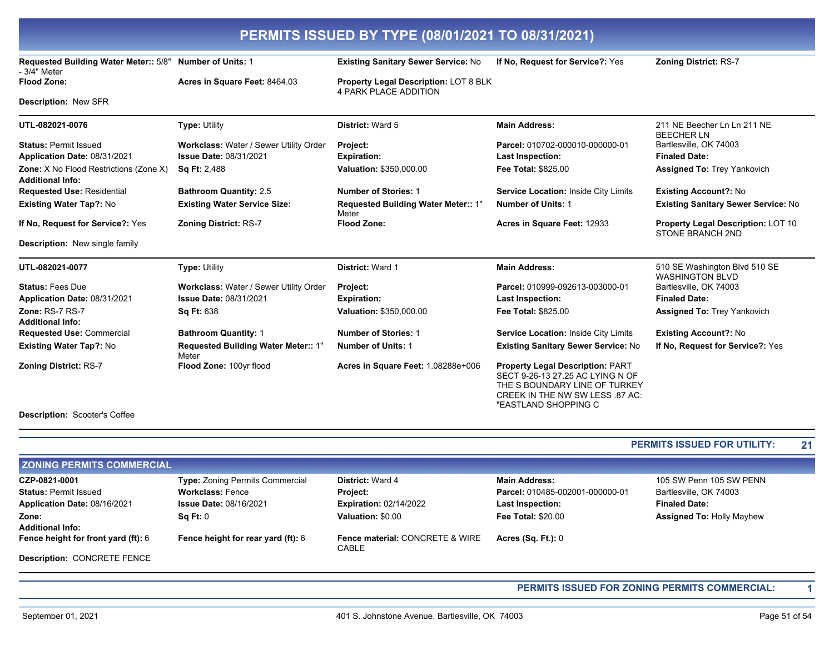**Existing Sanitary Sewer Service: No** If No, Request for Service?: Yes **Zoning District: RS-7** 

Property Legal Description: LOT 8 BLK 4 PARK PLACE ADDITION

Description: New SER

- 3/4" Meter Flood Zone:

Requested Building Water Meter:: 5/8" Number of Units: 1

Acres in Square Feet: 8464.03

| UTL-082021-0076                                                          | <b>Type: Utility</b>                         | <b>District: Ward 5</b>                      | <b>Main Address:</b>                                                                                                                                                    | 211 NE Beecher Ln Ln 211 NE<br><b>BEECHER LN</b>        |  |
|--------------------------------------------------------------------------|----------------------------------------------|----------------------------------------------|-------------------------------------------------------------------------------------------------------------------------------------------------------------------------|---------------------------------------------------------|--|
| <b>Status: Permit Issued</b>                                             | Workclass: Water / Sewer Utility Order       | Project:                                     | Parcel: 010702-000010-000000-01                                                                                                                                         | Bartlesville, OK 74003                                  |  |
| Application Date: 08/31/2021                                             | <b>Issue Date: 08/31/2021</b>                | <b>Expiration:</b>                           | <b>Last Inspection:</b>                                                                                                                                                 | <b>Finaled Date:</b>                                    |  |
| <b>Zone:</b> X No Flood Restrictions (Zone X)<br><b>Additional Info:</b> | <b>Sq Ft: 2,488</b>                          | Valuation: \$350,000.00                      | <b>Fee Total: \$825.00</b>                                                                                                                                              | <b>Assigned To: Trey Yankovich</b>                      |  |
| <b>Requested Use: Residential</b>                                        | <b>Bathroom Quantity: 2.5</b>                | <b>Number of Stories: 1</b>                  | <b>Service Location: Inside City Limits</b>                                                                                                                             | <b>Existing Account?: No</b>                            |  |
| <b>Existing Water Tap?: No</b>                                           | <b>Existing Water Service Size:</b>          | Requested Building Water Meter:: 1"<br>Meter | <b>Number of Units: 1</b>                                                                                                                                               | <b>Existing Sanitary Sewer Service: No</b>              |  |
| If No, Request for Service?: Yes                                         | <b>Zoning District: RS-7</b>                 | <b>Flood Zone:</b>                           | Acres in Square Feet: 12933                                                                                                                                             | Property Legal Description: LOT 10<br>STONE BRANCH 2ND  |  |
| <b>Description:</b> New single family                                    |                                              |                                              |                                                                                                                                                                         |                                                         |  |
| UTL-082021-0077                                                          | <b>Type: Utility</b>                         | District: Ward 1                             | <b>Main Address:</b>                                                                                                                                                    | 510 SE Washington Blvd 510 SE<br><b>WASHINGTON BLVD</b> |  |
| <b>Status: Fees Due</b>                                                  | Workclass: Water / Sewer Utility Order       | Project:                                     | Parcel: 010999-092613-003000-01                                                                                                                                         | Bartlesville, OK 74003                                  |  |
| Application Date: 08/31/2021                                             | <b>Issue Date: 08/31/2021</b>                | <b>Expiration:</b>                           | <b>Last Inspection:</b>                                                                                                                                                 | <b>Finaled Date:</b>                                    |  |
| <b>Zone: RS-7 RS-7</b><br><b>Additional Info:</b>                        | <b>Sq Ft: 638</b>                            | Valuation: \$350,000.00                      | <b>Fee Total: \$825.00</b>                                                                                                                                              | <b>Assigned To: Trey Yankovich</b>                      |  |
| <b>Requested Use: Commercial</b>                                         | <b>Bathroom Quantity: 1</b>                  | <b>Number of Stories: 1</b>                  | Service Location: Inside City Limits                                                                                                                                    | <b>Existing Account?: No</b>                            |  |
| Existing Water Tap?: No                                                  | Requested Building Water Meter:: 1"<br>Meter | <b>Number of Units: 1</b>                    | <b>Existing Sanitary Sewer Service: No</b>                                                                                                                              | If No, Request for Service?: Yes                        |  |
| <b>Zoning District: RS-7</b><br><b>Description: Scooter's Coffee</b>     | Flood Zone: 100yr flood                      | Acres in Square Feet: 1.08288e+006           | <b>Property Legal Description: PART</b><br>SECT 9-26-13 27.25 AC LYING N OF<br>THE S BOUNDARY LINE OF TURKEY<br>CREEK IN THE NW SW LESS .87 AC:<br>"EASTLAND SHOPPING C |                                                         |  |
|                                                                          |                                              |                                              |                                                                                                                                                                         |                                                         |  |

#### PERMITS ISSUED FOR UTILITY:  $21$

| <b>ZONING PERMITS COMMERCIAL</b>    |                                        |                                          |                                 |                                  |  |
|-------------------------------------|----------------------------------------|------------------------------------------|---------------------------------|----------------------------------|--|
| CZP-0821-0001                       | <b>Type: Zoning Permits Commercial</b> | <b>District: Ward 4</b>                  | <b>Main Address:</b>            | 105 SW Penn 105 SW PENN          |  |
| <b>Status: Permit Issued</b>        | <b>Workclass: Fence</b>                | <b>Project:</b>                          | Parcel: 010485-002001-000000-01 | Bartlesville, OK 74003           |  |
| Application Date: 08/16/2021        | <b>Issue Date: 08/16/2021</b>          | <b>Expiration: 02/14/2022</b>            | <b>Last Inspection:</b>         | <b>Finaled Date:</b>             |  |
| Zone:                               | $\textsf{Sa Et: } 0$                   | Valuation: \$0.00                        | <b>Fee Total: \$20.00</b>       | <b>Assigned To: Holly Mayhew</b> |  |
| <b>Additional Info:</b>             |                                        |                                          |                                 |                                  |  |
| Fence height for front yard (ft): 6 | Fence height for rear yard (ft): 6     | Fence material: CONCRETE & WIRE<br>CABLE | Acres $(Sq. Ft.): 0$            |                                  |  |
| <b>Description: CONCRETE FENCE</b>  |                                        |                                          |                                 |                                  |  |

#### PERMITS ISSUED FOR ZONING PERMITS COMMERCIAL:

 $\overline{\mathbf{1}}$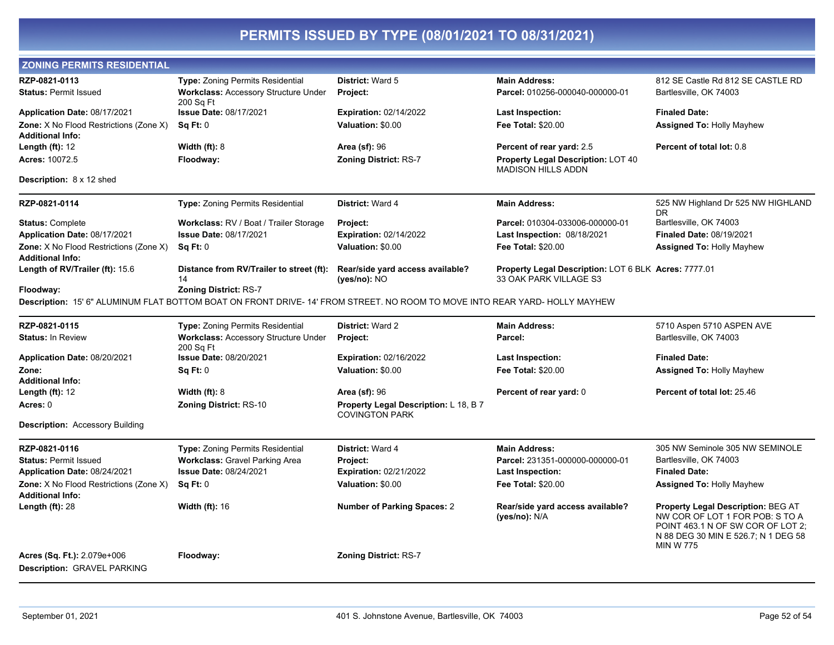| <b>ZONING PERMITS RESIDENTIAL</b>                                 |                                                                                                                             |                                                                |                                                                        |                                                                                                                                                                       |
|-------------------------------------------------------------------|-----------------------------------------------------------------------------------------------------------------------------|----------------------------------------------------------------|------------------------------------------------------------------------|-----------------------------------------------------------------------------------------------------------------------------------------------------------------------|
| RZP-0821-0113                                                     | Type: Zoning Permits Residential                                                                                            | <b>District: Ward 5</b>                                        | <b>Main Address:</b>                                                   | 812 SE Castle Rd 812 SE CASTLE RD                                                                                                                                     |
| <b>Status: Permit Issued</b>                                      | <b>Workclass: Accessory Structure Under</b><br>200 Sq Ft                                                                    | Project:                                                       | Parcel: 010256-000040-000000-01                                        | Bartlesville, OK 74003                                                                                                                                                |
| Application Date: 08/17/2021                                      | <b>Issue Date: 08/17/2021</b>                                                                                               | <b>Expiration: 02/14/2022</b>                                  | <b>Last Inspection:</b>                                                | <b>Finaled Date:</b>                                                                                                                                                  |
| <b>Zone:</b> X No Flood Restrictions (Zone X)                     | Sq Ft: 0                                                                                                                    | Valuation: \$0.00                                              | <b>Fee Total: \$20.00</b>                                              | <b>Assigned To: Holly Mayhew</b>                                                                                                                                      |
| <b>Additional Info:</b>                                           |                                                                                                                             |                                                                |                                                                        |                                                                                                                                                                       |
| <b>Length (ft):</b> 12                                            | Width $(ft)$ : 8                                                                                                            | <b>Area (sf): 96</b>                                           | Percent of rear yard: 2.5                                              | Percent of total lot: 0.8                                                                                                                                             |
| <b>Acres:</b> 10072.5                                             | Floodway:                                                                                                                   | <b>Zoning District: RS-7</b>                                   | <b>Property Legal Description: LOT 40</b><br><b>MADISON HILLS ADDN</b> |                                                                                                                                                                       |
| Description: 8 x 12 shed                                          |                                                                                                                             |                                                                |                                                                        |                                                                                                                                                                       |
| RZP-0821-0114                                                     | Type: Zoning Permits Residential                                                                                            | District: Ward 4                                               | <b>Main Address:</b>                                                   | 525 NW Highland Dr 525 NW HIGHLAND<br>DR                                                                                                                              |
| <b>Status: Complete</b>                                           | Workclass: RV / Boat / Trailer Storage                                                                                      | Project:                                                       | Parcel: 010304-033006-000000-01                                        | Bartlesville, OK 74003                                                                                                                                                |
| Application Date: 08/17/2021                                      | <b>Issue Date: 08/17/2021</b>                                                                                               | <b>Expiration: 02/14/2022</b>                                  | Last Inspection: 08/18/2021                                            | <b>Finaled Date: 08/19/2021</b>                                                                                                                                       |
| Zone: X No Flood Restrictions (Zone X)                            | Sq Ft: 0                                                                                                                    | Valuation: \$0.00                                              | <b>Fee Total: \$20.00</b>                                              | <b>Assigned To: Holly Mayhew</b>                                                                                                                                      |
| Additional Info:<br>Length of RV/Trailer (ft): 15.6               | Distance from RV/Trailer to street (ft):                                                                                    | Rear/side yard access available?                               | Property Legal Description: LOT 6 BLK Acres: 7777.01                   |                                                                                                                                                                       |
|                                                                   | 14                                                                                                                          | $(yes/no)$ : NO                                                | 33 OAK PARK VILLAGE S3                                                 |                                                                                                                                                                       |
| Floodway:                                                         | <b>Zoning District: RS-7</b>                                                                                                |                                                                |                                                                        |                                                                                                                                                                       |
|                                                                   | Description: 15' 6" ALUMINUM FLAT BOTTOM BOAT ON FRONT DRIVE- 14' FROM STREET. NO ROOM TO MOVE INTO REAR YARD- HOLLY MAYHEW |                                                                |                                                                        |                                                                                                                                                                       |
| RZP-0821-0115                                                     | <b>Type: Zoning Permits Residential</b>                                                                                     | District: Ward 2                                               | <b>Main Address:</b>                                                   | 5710 Aspen 5710 ASPEN AVE                                                                                                                                             |
| <b>Status: In Review</b>                                          | <b>Workclass: Accessory Structure Under</b><br>200 Sq Ft                                                                    | Project:                                                       | Parcel:                                                                | Bartlesville, OK 74003                                                                                                                                                |
| Application Date: 08/20/2021                                      | <b>Issue Date: 08/20/2021</b>                                                                                               | <b>Expiration: 02/16/2022</b>                                  | <b>Last Inspection:</b>                                                | <b>Finaled Date:</b>                                                                                                                                                  |
| Zone:                                                             | Sq Ft: 0                                                                                                                    | Valuation: \$0.00                                              | Fee Total: \$20.00                                                     | <b>Assigned To: Holly Mayhew</b>                                                                                                                                      |
| <b>Additional Info:</b>                                           |                                                                                                                             |                                                                |                                                                        |                                                                                                                                                                       |
| <b>Length (ft):</b> 12                                            | Width $(ft)$ : 8                                                                                                            | <b>Area (sf): 96</b>                                           | Percent of rear yard: 0                                                | Percent of total lot: 25.46                                                                                                                                           |
| Acres: 0                                                          | <b>Zoning District: RS-10</b>                                                                                               | Property Legal Description: L 18, B 7<br><b>COVINGTON PARK</b> |                                                                        |                                                                                                                                                                       |
| Description: Accessory Building                                   |                                                                                                                             |                                                                |                                                                        |                                                                                                                                                                       |
| RZP-0821-0116                                                     | <b>Type: Zoning Permits Residential</b>                                                                                     | District: Ward 4                                               | <b>Main Address:</b>                                                   | 305 NW Seminole 305 NW SEMINOLE                                                                                                                                       |
| <b>Status: Permit Issued</b>                                      | <b>Workclass: Gravel Parking Area</b>                                                                                       | Project:                                                       | Parcel: 231351-000000-000000-01                                        | Bartlesville, OK 74003                                                                                                                                                |
| <b>Application Date: 08/24/2021</b>                               | <b>Issue Date: 08/24/2021</b>                                                                                               | <b>Expiration: 02/21/2022</b>                                  | <b>Last Inspection:</b>                                                | <b>Finaled Date:</b>                                                                                                                                                  |
| Zone: X No Flood Restrictions (Zone X)<br><b>Additional Info:</b> | Sq Ft: 0                                                                                                                    | Valuation: \$0.00                                              | Fee Total: \$20.00                                                     | <b>Assigned To: Holly Mayhew</b>                                                                                                                                      |
| Length (ft): 28                                                   | <b>Width (ft): 16</b>                                                                                                       | <b>Number of Parking Spaces: 2</b>                             | Rear/side yard access available?<br>(yes/no): N/A                      | Property Legal Description: BEG AT<br>NW COR OF LOT 1 FOR POB: S TO A<br>POINT 463.1 N OF SW COR OF LOT 2;<br>N 88 DEG 30 MIN E 526.7; N 1 DEG 58<br><b>MIN W 775</b> |
| <b>Acres (Sq. Ft.):</b> 2.079e+006                                | Floodway:                                                                                                                   | <b>Zoning District: RS-7</b>                                   |                                                                        |                                                                                                                                                                       |
| Description: GRAVEL PARKING                                       |                                                                                                                             |                                                                |                                                                        |                                                                                                                                                                       |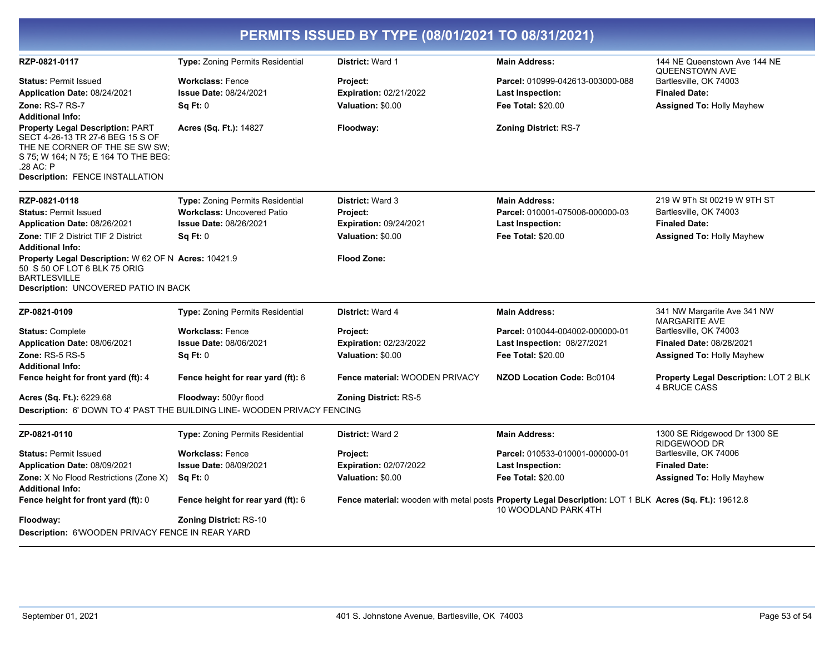| PERMITS ISSUED BY TYPE (08/01/2021 TO 08/31/2021)                                    |                                         |                                |                                                                                                                                |                                                              |  |
|--------------------------------------------------------------------------------------|-----------------------------------------|--------------------------------|--------------------------------------------------------------------------------------------------------------------------------|--------------------------------------------------------------|--|
| RZP-0821-0117                                                                        | <b>Type: Zoning Permits Residential</b> | District: Ward 1               | <b>Main Address:</b>                                                                                                           | 144 NE Queenstown Ave 144 NE<br>QUEENSTOWN AVE               |  |
| <b>Status: Permit Issued</b>                                                         | <b>Workclass: Fence</b>                 | Project:                       | Parcel: 010999-042613-003000-088                                                                                               | Bartlesville, OK 74003                                       |  |
| Application Date: 08/24/2021                                                         | Issue Date: 08/24/2021                  | <b>Expiration: 02/21/2022</b>  | <b>Last Inspection:</b>                                                                                                        | <b>Finaled Date:</b>                                         |  |
| <b>Zone: RS-7 RS-7</b>                                                               | SqFt:0                                  | Valuation: \$0.00              | <b>Fee Total: \$20.00</b>                                                                                                      | <b>Assigned To: Holly Mayhew</b>                             |  |
| <b>Additional Info:</b>                                                              |                                         |                                |                                                                                                                                |                                                              |  |
| Property Legal Description: PART                                                     | Acres (Sq. Ft.): 14827                  | Floodway:                      | Zoning District: RS-7                                                                                                          |                                                              |  |
| SECT 4-26-13 TR 27-6 BEG 15 S OF<br>THE NE CORNER OF THE SE SW SW:                   |                                         |                                |                                                                                                                                |                                                              |  |
| S 75; W 164; N 75; E 164 TO THE BEG:                                                 |                                         |                                |                                                                                                                                |                                                              |  |
| .28 AC: P                                                                            |                                         |                                |                                                                                                                                |                                                              |  |
| <b>Description: FENCE INSTALLATION</b>                                               |                                         |                                |                                                                                                                                |                                                              |  |
| RZP-0821-0118                                                                        | <b>Type: Zoning Permits Residential</b> | District: Ward 3               | <b>Main Address:</b>                                                                                                           | 219 W 9Th St 00219 W 9TH ST                                  |  |
| <b>Status: Permit Issued</b>                                                         | <b>Workclass: Uncovered Patio</b>       | Project:                       | Parcel: 010001-075006-000000-03                                                                                                | Bartlesville, OK 74003                                       |  |
| Application Date: 08/26/2021                                                         | <b>Issue Date: 08/26/2021</b>           | <b>Expiration: 09/24/2021</b>  | Last Inspection:                                                                                                               | <b>Finaled Date:</b>                                         |  |
| <b>Zone: TIF 2 District TIF 2 District</b>                                           | Sq Ft: 0                                | Valuation: \$0.00              | <b>Fee Total: \$20.00</b>                                                                                                      | <b>Assigned To: Holly Mayhew</b>                             |  |
| <b>Additional Info:</b>                                                              |                                         |                                |                                                                                                                                |                                                              |  |
| Property Legal Description: W 62 OF N Acres: 10421.9<br>50 S 50 OF LOT 6 BLK 75 ORIG |                                         | <b>Flood Zone:</b>             |                                                                                                                                |                                                              |  |
| <b>BARTLESVILLE</b>                                                                  |                                         |                                |                                                                                                                                |                                                              |  |
| Description: UNCOVERED PATIO IN BACK                                                 |                                         |                                |                                                                                                                                |                                                              |  |
| ZP-0821-0109                                                                         | <b>Type: Zoning Permits Residential</b> | District: Ward 4               | <b>Main Address:</b>                                                                                                           | 341 NW Margarite Ave 341 NW                                  |  |
|                                                                                      |                                         |                                |                                                                                                                                | <b>MARGARITE AVE</b>                                         |  |
| <b>Status: Complete</b>                                                              | <b>Workclass: Fence</b>                 | Project:                       | Parcel: 010044-004002-000000-01                                                                                                | Bartlesville, OK 74003                                       |  |
| Application Date: 08/06/2021                                                         | <b>Issue Date: 08/06/2021</b>           | <b>Expiration: 02/23/2022</b>  | <b>Last Inspection: 08/27/2021</b>                                                                                             | <b>Finaled Date: 08/28/2021</b>                              |  |
| <b>Zone: RS-5 RS-5</b>                                                               | Sq Ft: 0                                | Valuation: \$0.00              | <b>Fee Total: \$20.00</b>                                                                                                      | <b>Assigned To: Holly Mayhew</b>                             |  |
| <b>Additional Info:</b>                                                              |                                         |                                |                                                                                                                                |                                                              |  |
| Fence height for front yard (ft): 4                                                  | Fence height for rear yard (ft): 6      | Fence material: WOODEN PRIVACY | <b>NZOD Location Code: Bc0104</b>                                                                                              | Property Legal Description: LOT 2 BLK<br><b>4 BRUCE CASS</b> |  |
| Acres (Sq. Ft.): 6229.68                                                             | Floodway: 500yr flood                   | <b>Zoning District: RS-5</b>   |                                                                                                                                |                                                              |  |
| Description: 6' DOWN TO 4' PAST THE BUILDING LINE- WOODEN PRIVACY FENCING            |                                         |                                |                                                                                                                                |                                                              |  |
| ZP-0821-0110                                                                         | Type: Zoning Permits Residential        | District: Ward 2               | <b>Main Address:</b>                                                                                                           | 1300 SE Ridgewood Dr 1300 SE                                 |  |
| <b>Status: Permit Issued</b>                                                         | <b>Workclass: Fence</b>                 | <b>Project:</b>                | Parcel: 010533-010001-000000-01                                                                                                | RIDGEWOOD DR<br>Bartlesville, OK 74006                       |  |
| Application Date: 08/09/2021                                                         | Issue Date: 08/09/2021                  | <b>Expiration: 02/07/2022</b>  | <b>Last Inspection:</b>                                                                                                        | <b>Finaled Date:</b>                                         |  |
| <b>Zone:</b> X No Flood Restrictions (Zone X)                                        | Sq Ft: 0                                | Valuation: \$0.00              | <b>Fee Total: \$20.00</b>                                                                                                      | <b>Assigned To: Holly Mayhew</b>                             |  |
| <b>Additional Info:</b>                                                              |                                         |                                |                                                                                                                                |                                                              |  |
| Fence height for front yard (ft): 0                                                  | Fence height for rear yard (ft): 6      |                                | Fence material: wooden with metal posts Property Legal Description: LOT 1 BLK Acres (Sq. Ft.): 19612.8<br>10 WOODLAND PARK 4TH |                                                              |  |
| Floodway:                                                                            | <b>Zoning District: RS-10</b>           |                                |                                                                                                                                |                                                              |  |
| Description: 6'WOODEN PRIVACY FENCE IN REAR YARD                                     |                                         |                                |                                                                                                                                |                                                              |  |

#### September 01, 2021